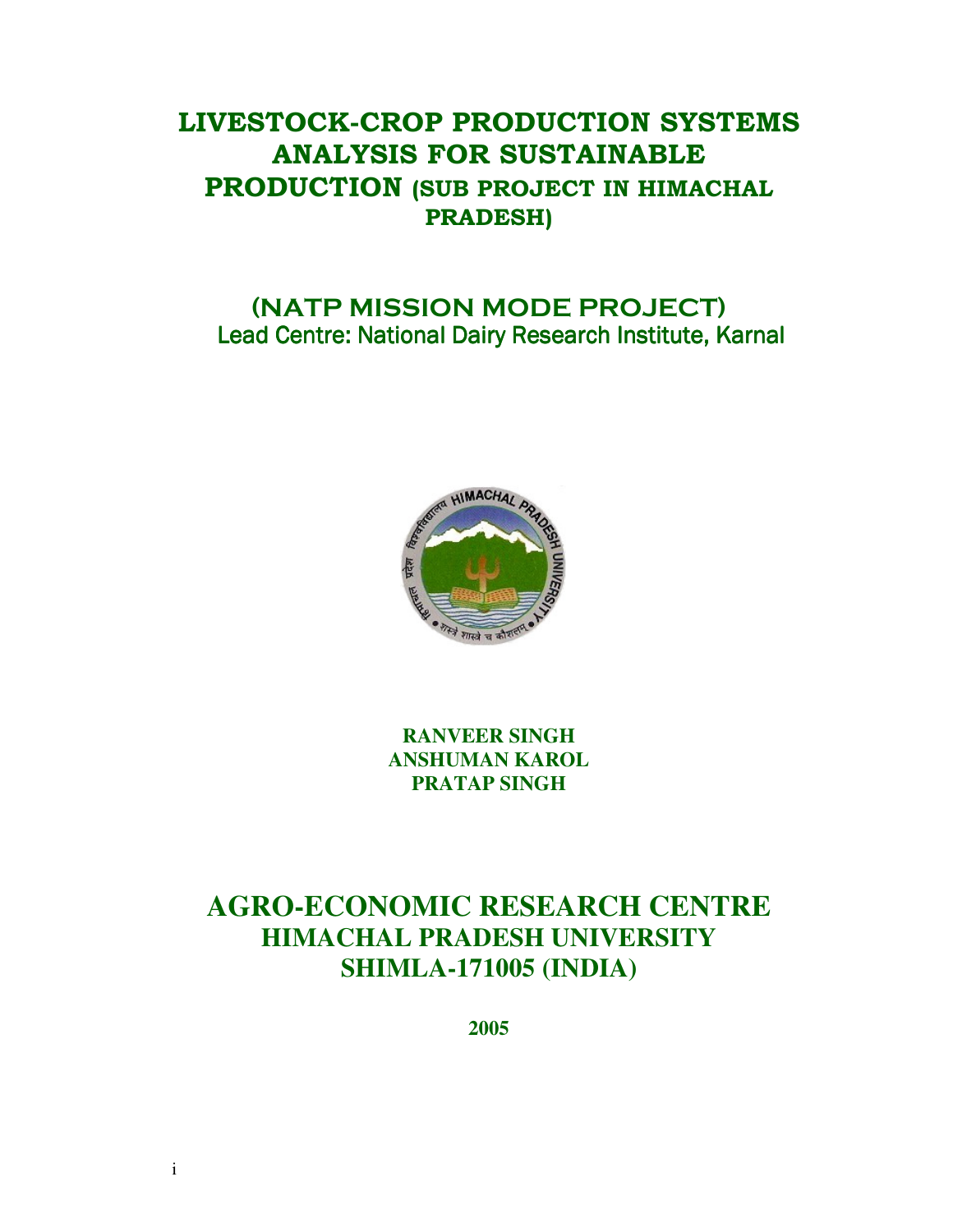# **LIVESTOCK-CROP PRODUCTION SYSTEMS ANALYSIS FOR SUSTAINABLE PRODUCTION (SUB PROJECT IN HIMACHAL PRADESH)**

# **(NATP MISSION MODE PROJECT)**  Lead Centre: National Dairy Research Institute, Karnal



**RANVEER SINGH ANSHUMAN KAROL PRATAP SINGH** 

# **AGRO-ECONOMIC RESEARCH CENTRE HIMACHAL PRADESH UNIVERSITY SHIMLA-171005 (INDIA)**

**2005**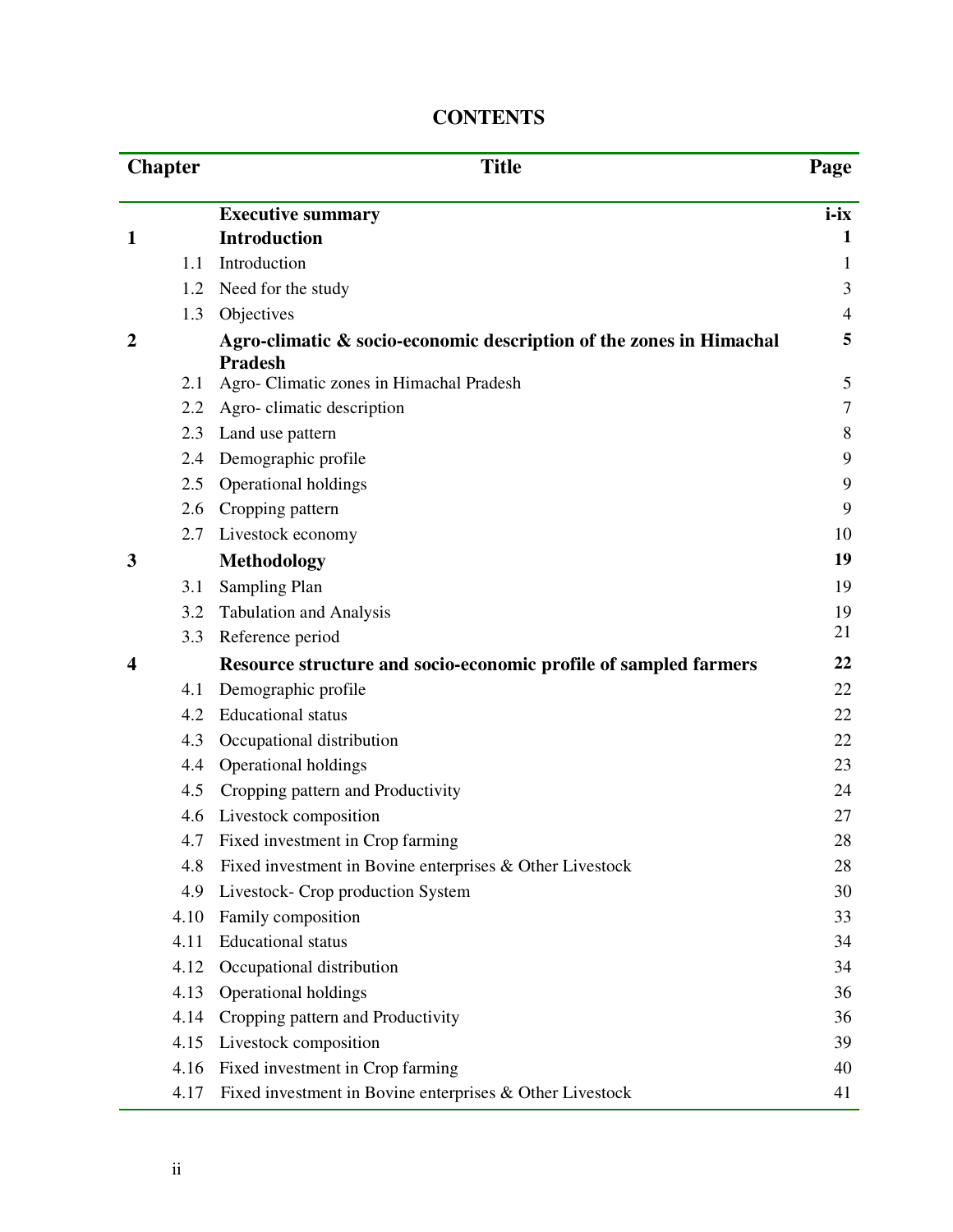|   | <b>Chapter</b> | <b>Title</b>                                                                          | Page           |
|---|----------------|---------------------------------------------------------------------------------------|----------------|
|   |                | <b>Executive summary</b>                                                              | $i-ix$         |
| 1 |                | <b>Introduction</b>                                                                   | 1              |
|   | 1.1            | Introduction                                                                          | 1              |
|   | 1.2            | Need for the study                                                                    | 3              |
|   | 1.3            | Objectives                                                                            | $\overline{4}$ |
| 2 |                | Agro-climatic & socio-economic description of the zones in Himachal<br><b>Pradesh</b> | 5              |
|   | 2.1            | Agro- Climatic zones in Himachal Pradesh                                              | 5              |
|   | 2.2            | Agro-climatic description                                                             | 7              |
|   | 2.3            | Land use pattern                                                                      | 8              |
|   | 2.4            | Demographic profile                                                                   | 9              |
|   | 2.5            | Operational holdings                                                                  | 9              |
|   | 2.6            | Cropping pattern                                                                      | 9              |
|   | 2.7            | Livestock economy                                                                     | 10             |
| 3 |                | <b>Methodology</b>                                                                    | 19             |
|   | 3.1            | Sampling Plan                                                                         | 19             |
|   | 3.2            | <b>Tabulation and Analysis</b>                                                        | 19             |
|   | 3.3            | Reference period                                                                      | 21             |
| 4 |                | Resource structure and socio-economic profile of sampled farmers                      | 22             |
|   | 4.1            | Demographic profile                                                                   | 22             |
|   | 4.2            | <b>Educational</b> status                                                             | 22             |
|   | 4.3            | Occupational distribution                                                             | 22             |
|   | 4.4            | Operational holdings                                                                  | 23             |
|   | 4.5            | Cropping pattern and Productivity                                                     | 24             |
|   | 4.6            | Livestock composition                                                                 | 27             |
|   | 4.7            | Fixed investment in Crop farming                                                      | 28             |
|   | 4.8            | Fixed investment in Bovine enterprises & Other Livestock                              | 28             |
|   | 4.9            | Livestock- Crop production System                                                     | 30             |
|   | 4.10           | Family composition                                                                    | 33             |
|   | 4.11           | <b>Educational</b> status                                                             | 34             |
|   | 4.12           | Occupational distribution                                                             | 34             |
|   | 4.13           | Operational holdings                                                                  | 36             |
|   | 4.14           | Cropping pattern and Productivity                                                     | 36             |
|   | 4.15           | Livestock composition                                                                 | 39             |
|   | 4.16           | Fixed investment in Crop farming                                                      | 40             |
|   | 4.17           | Fixed investment in Bovine enterprises & Other Livestock                              | 41             |

## **CONTENTS**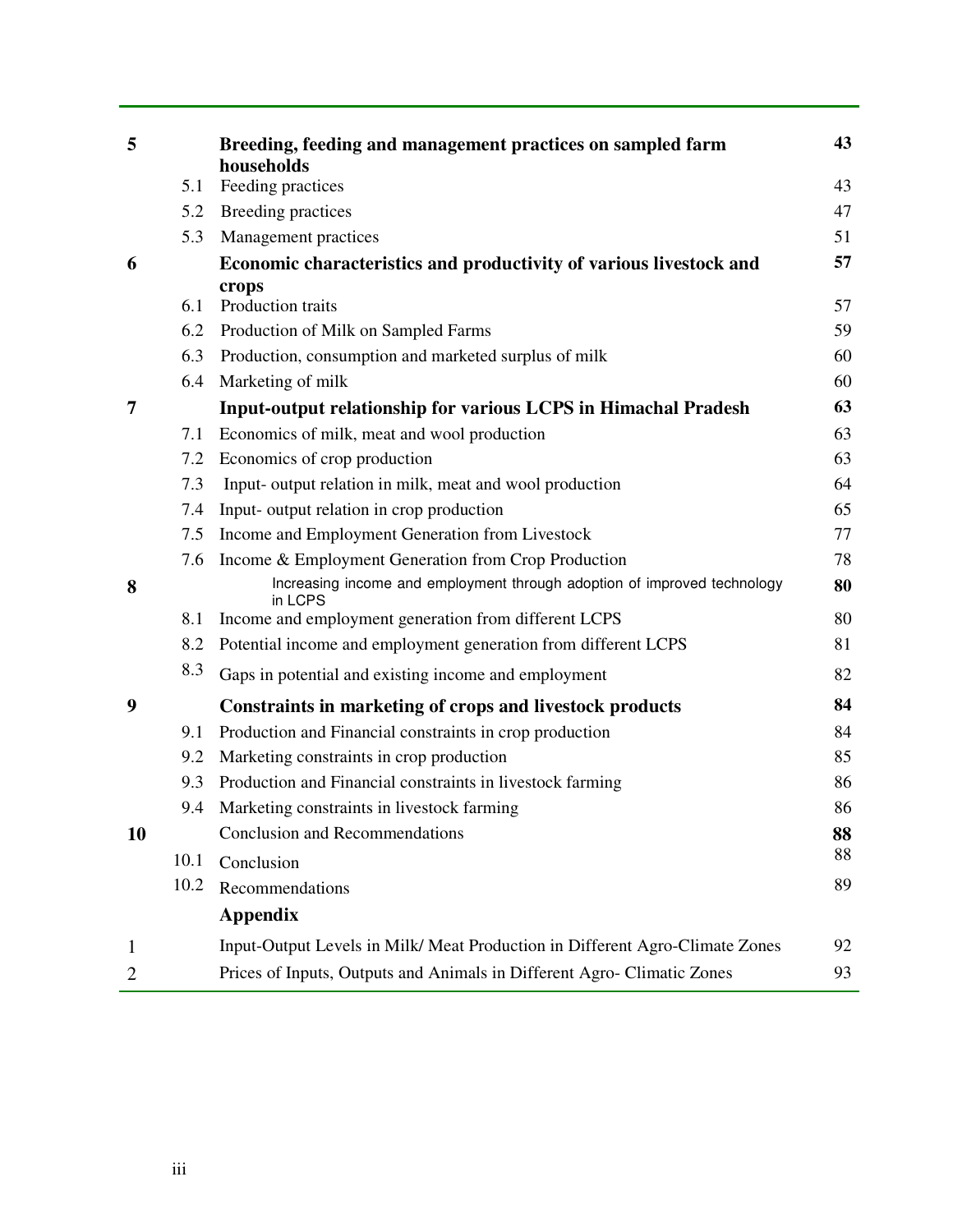| 5            |      | Breeding, feeding and management practices on sampled farm<br>households            | 43 |
|--------------|------|-------------------------------------------------------------------------------------|----|
|              | 5.1  | Feeding practices                                                                   | 43 |
|              |      | 5.2 Breeding practices                                                              | 47 |
|              | 5.3  | Management practices                                                                | 51 |
| 6            |      | Economic characteristics and productivity of various livestock and                  | 57 |
|              | 6.1  | crops<br>Production traits                                                          | 57 |
|              |      | 6.2 Production of Milk on Sampled Farms                                             | 59 |
|              | 6.3  | Production, consumption and marketed surplus of milk                                | 60 |
|              | 6.4  | Marketing of milk                                                                   | 60 |
| 7            |      | Input-output relationship for various LCPS in Himachal Pradesh                      | 63 |
|              | 7.1  | Economics of milk, meat and wool production                                         | 63 |
|              | 7.2  | Economics of crop production                                                        | 63 |
|              | 7.3  | Input- output relation in milk, meat and wool production                            | 64 |
|              | 7.4  | Input- output relation in crop production                                           | 65 |
|              | 7.5  | Income and Employment Generation from Livestock                                     | 77 |
|              | 7.6  | Income & Employment Generation from Crop Production                                 | 78 |
| 8            |      | Increasing income and employment through adoption of improved technology<br>in LCPS | 80 |
|              | 8.1  | Income and employment generation from different LCPS                                | 80 |
|              | 8.2  | Potential income and employment generation from different LCPS                      | 81 |
|              | 8.3  | Gaps in potential and existing income and employment                                | 82 |
| 9            |      | Constraints in marketing of crops and livestock products                            | 84 |
|              | 9.1  | Production and Financial constraints in crop production                             | 84 |
|              | 9.2  | Marketing constraints in crop production                                            | 85 |
|              | 9.3  | Production and Financial constraints in livestock farming                           | 86 |
|              | 9.4  | Marketing constraints in livestock farming                                          | 86 |
| 10           |      | <b>Conclusion and Recommendations</b>                                               | 88 |
|              | 10.1 | Conclusion                                                                          | 88 |
|              | 10.2 | Recommendations                                                                     | 89 |
|              |      | <b>Appendix</b>                                                                     |    |
| $\mathbf{1}$ |      | Input-Output Levels in Milk/ Meat Production in Different Agro-Climate Zones        | 92 |
| $\mathbf{2}$ |      | Prices of Inputs, Outputs and Animals in Different Agro- Climatic Zones             | 93 |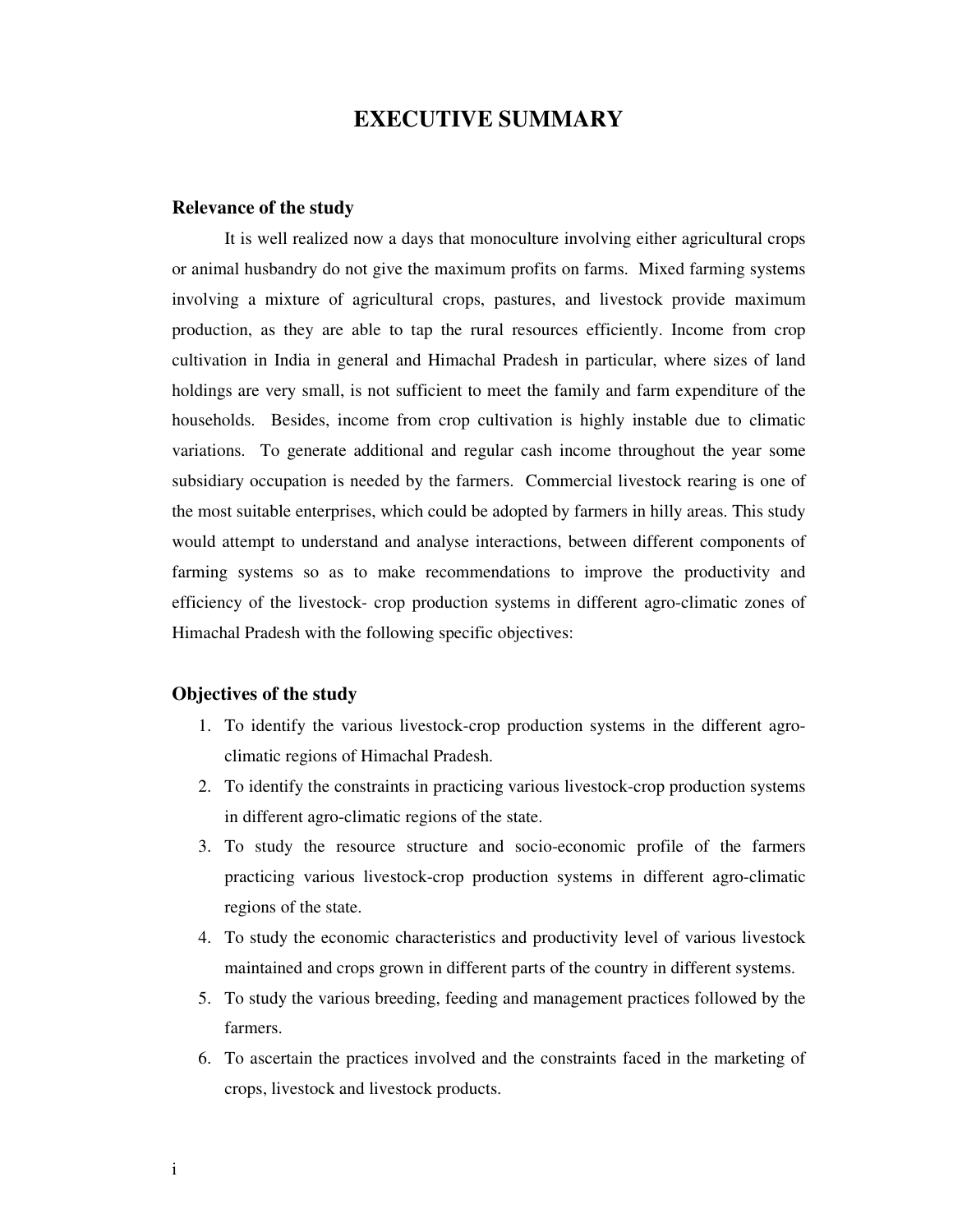## **EXECUTIVE SUMMARY**

#### **Relevance of the study**

It is well realized now a days that monoculture involving either agricultural crops or animal husbandry do not give the maximum profits on farms. Mixed farming systems involving a mixture of agricultural crops, pastures, and livestock provide maximum production, as they are able to tap the rural resources efficiently. Income from crop cultivation in India in general and Himachal Pradesh in particular, where sizes of land holdings are very small, is not sufficient to meet the family and farm expenditure of the households. Besides, income from crop cultivation is highly instable due to climatic variations. To generate additional and regular cash income throughout the year some subsidiary occupation is needed by the farmers. Commercial livestock rearing is one of the most suitable enterprises, which could be adopted by farmers in hilly areas. This study would attempt to understand and analyse interactions, between different components of farming systems so as to make recommendations to improve the productivity and efficiency of the livestock- crop production systems in different agro-climatic zones of Himachal Pradesh with the following specific objectives:

#### **Objectives of the study**

- 1. To identify the various livestock-crop production systems in the different agroclimatic regions of Himachal Pradesh.
- 2. To identify the constraints in practicing various livestock-crop production systems in different agro-climatic regions of the state.
- 3. To study the resource structure and socio-economic profile of the farmers practicing various livestock-crop production systems in different agro-climatic regions of the state.
- 4. To study the economic characteristics and productivity level of various livestock maintained and crops grown in different parts of the country in different systems.
- 5. To study the various breeding, feeding and management practices followed by the farmers.
- 6. To ascertain the practices involved and the constraints faced in the marketing of crops, livestock and livestock products.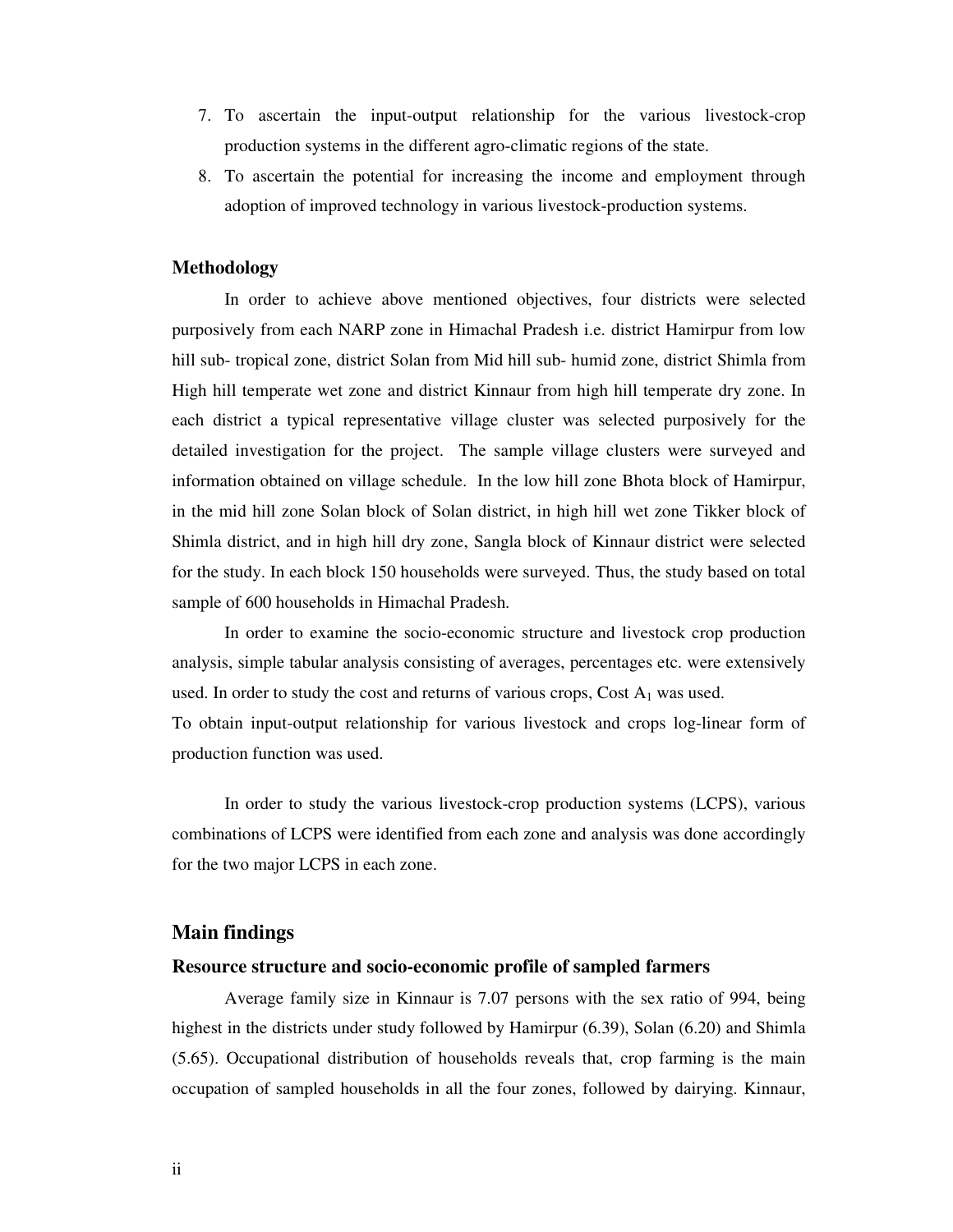- 7. To ascertain the input-output relationship for the various livestock-crop production systems in the different agro-climatic regions of the state.
- 8. To ascertain the potential for increasing the income and employment through adoption of improved technology in various livestock-production systems.

#### **Methodology**

In order to achieve above mentioned objectives, four districts were selected purposively from each NARP zone in Himachal Pradesh i.e. district Hamirpur from low hill sub- tropical zone, district Solan from Mid hill sub- humid zone, district Shimla from High hill temperate wet zone and district Kinnaur from high hill temperate dry zone. In each district a typical representative village cluster was selected purposively for the detailed investigation for the project. The sample village clusters were surveyed and information obtained on village schedule. In the low hill zone Bhota block of Hamirpur, in the mid hill zone Solan block of Solan district, in high hill wet zone Tikker block of Shimla district, and in high hill dry zone, Sangla block of Kinnaur district were selected for the study. In each block 150 households were surveyed. Thus, the study based on total sample of 600 households in Himachal Pradesh.

In order to examine the socio-economic structure and livestock crop production analysis, simple tabular analysis consisting of averages, percentages etc. were extensively used. In order to study the cost and returns of various crops, Cost  $A_1$  was used. To obtain input-output relationship for various livestock and crops log-linear form of

production function was used.

In order to study the various livestock-crop production systems (LCPS), various combinations of LCPS were identified from each zone and analysis was done accordingly for the two major LCPS in each zone.

#### **Main findings**

#### **Resource structure and socio-economic profile of sampled farmers**

Average family size in Kinnaur is 7.07 persons with the sex ratio of 994, being highest in the districts under study followed by Hamirpur (6.39), Solan (6.20) and Shimla (5.65). Occupational distribution of households reveals that, crop farming is the main occupation of sampled households in all the four zones, followed by dairying. Kinnaur,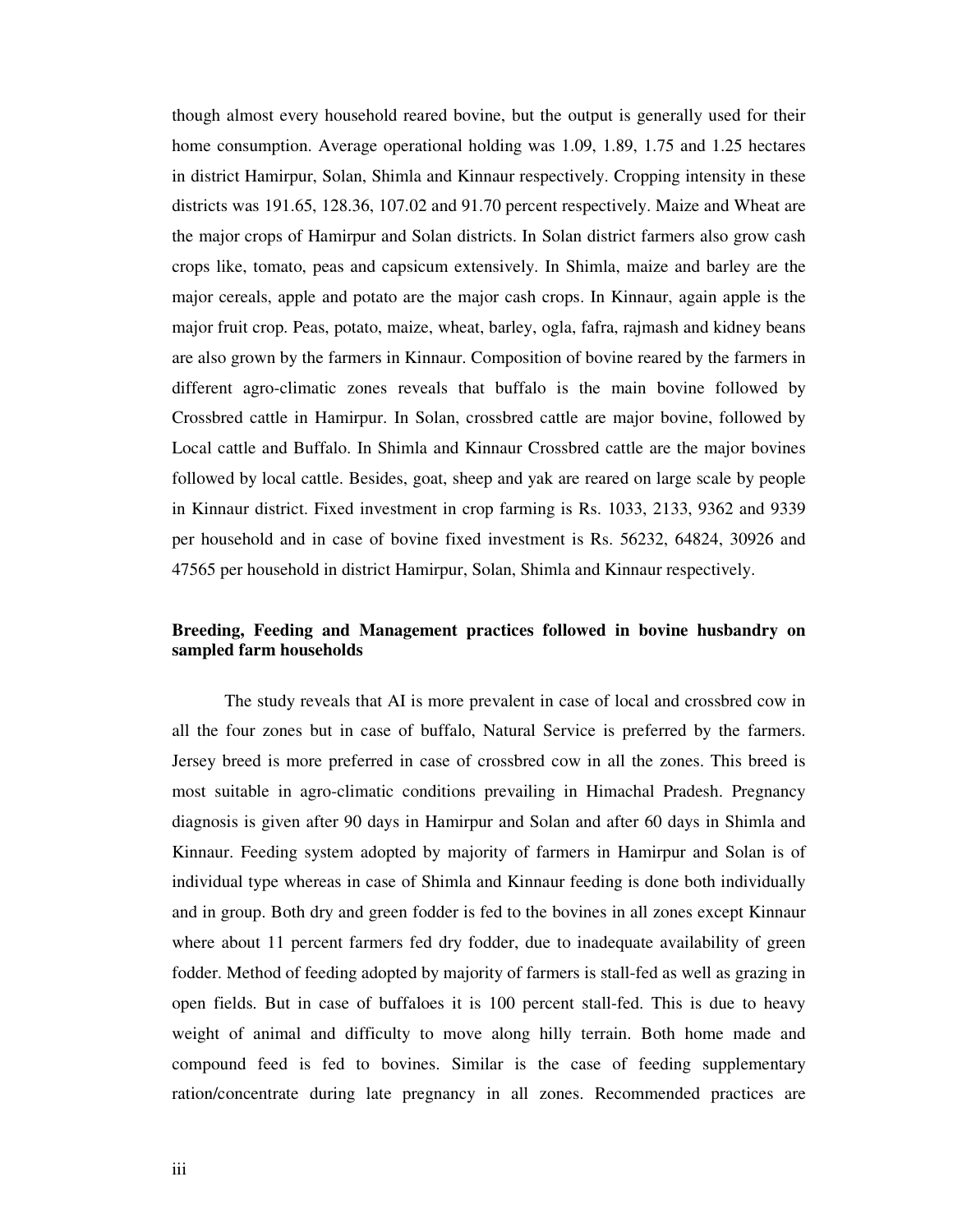though almost every household reared bovine, but the output is generally used for their home consumption. Average operational holding was 1.09, 1.89, 1.75 and 1.25 hectares in district Hamirpur, Solan, Shimla and Kinnaur respectively. Cropping intensity in these districts was 191.65, 128.36, 107.02 and 91.70 percent respectively. Maize and Wheat are the major crops of Hamirpur and Solan districts. In Solan district farmers also grow cash crops like, tomato, peas and capsicum extensively. In Shimla, maize and barley are the major cereals, apple and potato are the major cash crops. In Kinnaur, again apple is the major fruit crop. Peas, potato, maize, wheat, barley, ogla, fafra, rajmash and kidney beans are also grown by the farmers in Kinnaur. Composition of bovine reared by the farmers in different agro-climatic zones reveals that buffalo is the main bovine followed by Crossbred cattle in Hamirpur. In Solan, crossbred cattle are major bovine, followed by Local cattle and Buffalo. In Shimla and Kinnaur Crossbred cattle are the major bovines followed by local cattle. Besides, goat, sheep and yak are reared on large scale by people in Kinnaur district. Fixed investment in crop farming is Rs. 1033, 2133, 9362 and 9339 per household and in case of bovine fixed investment is Rs. 56232, 64824, 30926 and 47565 per household in district Hamirpur, Solan, Shimla and Kinnaur respectively.

### **Breeding, Feeding and Management practices followed in bovine husbandry on sampled farm households**

The study reveals that AI is more prevalent in case of local and crossbred cow in all the four zones but in case of buffalo, Natural Service is preferred by the farmers. Jersey breed is more preferred in case of crossbred cow in all the zones. This breed is most suitable in agro-climatic conditions prevailing in Himachal Pradesh. Pregnancy diagnosis is given after 90 days in Hamirpur and Solan and after 60 days in Shimla and Kinnaur. Feeding system adopted by majority of farmers in Hamirpur and Solan is of individual type whereas in case of Shimla and Kinnaur feeding is done both individually and in group. Both dry and green fodder is fed to the bovines in all zones except Kinnaur where about 11 percent farmers fed dry fodder, due to inadequate availability of green fodder. Method of feeding adopted by majority of farmers is stall-fed as well as grazing in open fields. But in case of buffaloes it is 100 percent stall-fed. This is due to heavy weight of animal and difficulty to move along hilly terrain. Both home made and compound feed is fed to bovines. Similar is the case of feeding supplementary ration/concentrate during late pregnancy in all zones. Recommended practices are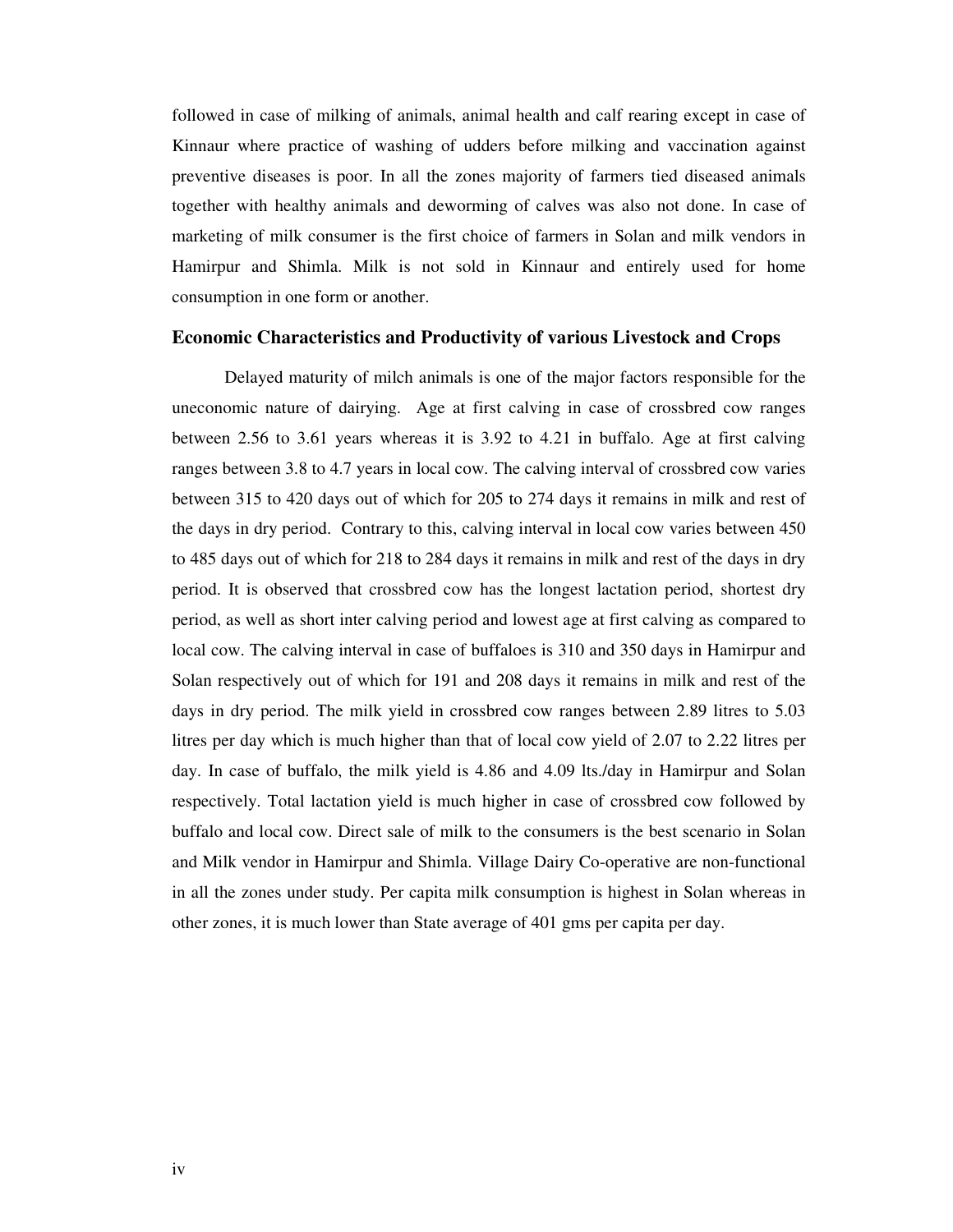followed in case of milking of animals, animal health and calf rearing except in case of Kinnaur where practice of washing of udders before milking and vaccination against preventive diseases is poor. In all the zones majority of farmers tied diseased animals together with healthy animals and deworming of calves was also not done. In case of marketing of milk consumer is the first choice of farmers in Solan and milk vendors in Hamirpur and Shimla. Milk is not sold in Kinnaur and entirely used for home consumption in one form or another.

#### **Economic Characteristics and Productivity of various Livestock and Crops**

 Delayed maturity of milch animals is one of the major factors responsible for the uneconomic nature of dairying. Age at first calving in case of crossbred cow ranges between 2.56 to 3.61 years whereas it is 3.92 to 4.21 in buffalo. Age at first calving ranges between 3.8 to 4.7 years in local cow. The calving interval of crossbred cow varies between 315 to 420 days out of which for 205 to 274 days it remains in milk and rest of the days in dry period. Contrary to this, calving interval in local cow varies between 450 to 485 days out of which for 218 to 284 days it remains in milk and rest of the days in dry period. It is observed that crossbred cow has the longest lactation period, shortest dry period, as well as short inter calving period and lowest age at first calving as compared to local cow. The calving interval in case of buffaloes is 310 and 350 days in Hamirpur and Solan respectively out of which for 191 and 208 days it remains in milk and rest of the days in dry period. The milk yield in crossbred cow ranges between 2.89 litres to 5.03 litres per day which is much higher than that of local cow yield of 2.07 to 2.22 litres per day. In case of buffalo, the milk yield is 4.86 and 4.09 lts./day in Hamirpur and Solan respectively. Total lactation yield is much higher in case of crossbred cow followed by buffalo and local cow. Direct sale of milk to the consumers is the best scenario in Solan and Milk vendor in Hamirpur and Shimla. Village Dairy Co-operative are non-functional in all the zones under study. Per capita milk consumption is highest in Solan whereas in other zones, it is much lower than State average of 401 gms per capita per day.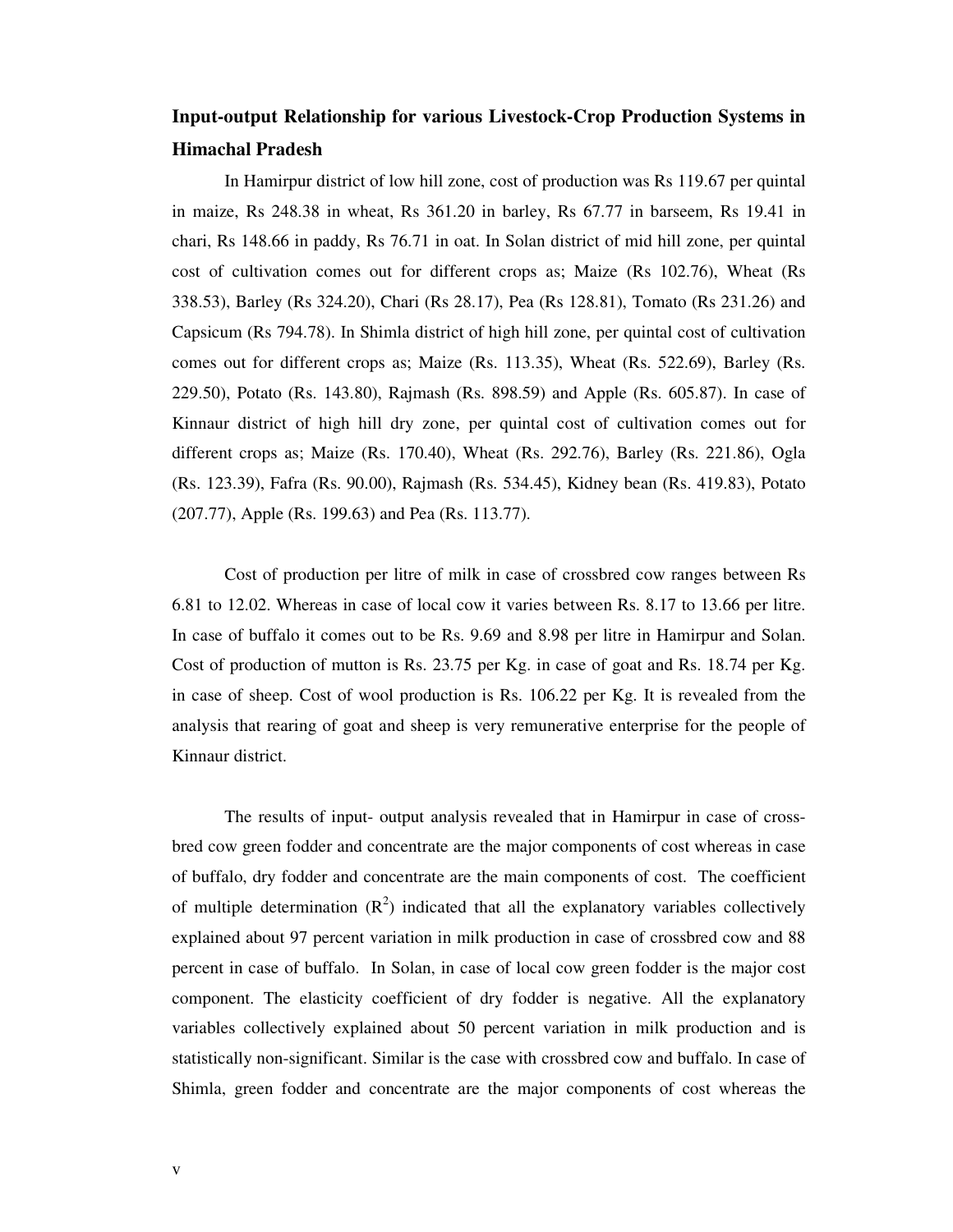## **Input-output Relationship for various Livestock-Crop Production Systems in Himachal Pradesh**

In Hamirpur district of low hill zone, cost of production was Rs 119.67 per quintal in maize, Rs 248.38 in wheat, Rs 361.20 in barley, Rs 67.77 in barseem, Rs 19.41 in chari, Rs 148.66 in paddy, Rs 76.71 in oat. In Solan district of mid hill zone, per quintal cost of cultivation comes out for different crops as; Maize (Rs 102.76), Wheat (Rs 338.53), Barley (Rs 324.20), Chari (Rs 28.17), Pea (Rs 128.81), Tomato (Rs 231.26) and Capsicum (Rs 794.78). In Shimla district of high hill zone, per quintal cost of cultivation comes out for different crops as; Maize (Rs. 113.35), Wheat (Rs. 522.69), Barley (Rs. 229.50), Potato (Rs. 143.80), Rajmash (Rs. 898.59) and Apple (Rs. 605.87). In case of Kinnaur district of high hill dry zone, per quintal cost of cultivation comes out for different crops as; Maize (Rs. 170.40), Wheat (Rs. 292.76), Barley (Rs. 221.86), Ogla (Rs. 123.39), Fafra (Rs. 90.00), Rajmash (Rs. 534.45), Kidney bean (Rs. 419.83), Potato (207.77), Apple (Rs. 199.63) and Pea (Rs. 113.77).

Cost of production per litre of milk in case of crossbred cow ranges between Rs 6.81 to 12.02. Whereas in case of local cow it varies between Rs. 8.17 to 13.66 per litre. In case of buffalo it comes out to be Rs. 9.69 and 8.98 per litre in Hamirpur and Solan. Cost of production of mutton is Rs. 23.75 per Kg. in case of goat and Rs. 18.74 per Kg. in case of sheep. Cost of wool production is Rs. 106.22 per Kg. It is revealed from the analysis that rearing of goat and sheep is very remunerative enterprise for the people of Kinnaur district.

The results of input- output analysis revealed that in Hamirpur in case of crossbred cow green fodder and concentrate are the major components of cost whereas in case of buffalo, dry fodder and concentrate are the main components of cost. The coefficient of multiple determination  $(R^2)$  indicated that all the explanatory variables collectively explained about 97 percent variation in milk production in case of crossbred cow and 88 percent in case of buffalo. In Solan, in case of local cow green fodder is the major cost component. The elasticity coefficient of dry fodder is negative. All the explanatory variables collectively explained about 50 percent variation in milk production and is statistically non-significant. Similar is the case with crossbred cow and buffalo. In case of Shimla, green fodder and concentrate are the major components of cost whereas the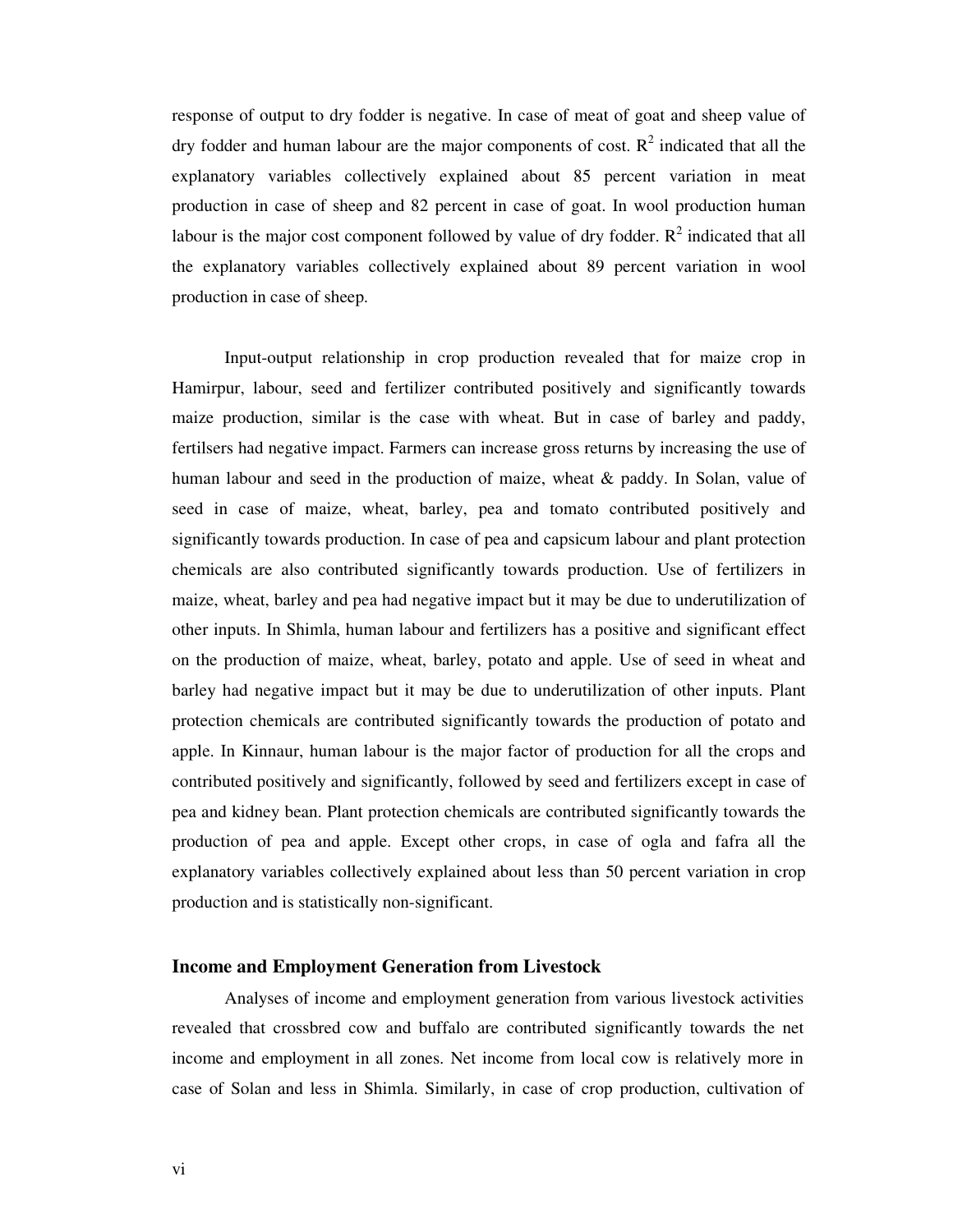response of output to dry fodder is negative. In case of meat of goat and sheep value of dry fodder and human labour are the major components of cost.  $R^2$  indicated that all the explanatory variables collectively explained about 85 percent variation in meat production in case of sheep and 82 percent in case of goat. In wool production human labour is the major cost component followed by value of dry fodder.  $R^2$  indicated that all the explanatory variables collectively explained about 89 percent variation in wool production in case of sheep.

Input-output relationship in crop production revealed that for maize crop in Hamirpur, labour, seed and fertilizer contributed positively and significantly towards maize production, similar is the case with wheat. But in case of barley and paddy, fertilsers had negative impact. Farmers can increase gross returns by increasing the use of human labour and seed in the production of maize, wheat & paddy. In Solan, value of seed in case of maize, wheat, barley, pea and tomato contributed positively and significantly towards production. In case of pea and capsicum labour and plant protection chemicals are also contributed significantly towards production. Use of fertilizers in maize, wheat, barley and pea had negative impact but it may be due to underutilization of other inputs. In Shimla, human labour and fertilizers has a positive and significant effect on the production of maize, wheat, barley, potato and apple. Use of seed in wheat and barley had negative impact but it may be due to underutilization of other inputs. Plant protection chemicals are contributed significantly towards the production of potato and apple. In Kinnaur, human labour is the major factor of production for all the crops and contributed positively and significantly, followed by seed and fertilizers except in case of pea and kidney bean. Plant protection chemicals are contributed significantly towards the production of pea and apple. Except other crops, in case of ogla and fafra all the explanatory variables collectively explained about less than 50 percent variation in crop production and is statistically non-significant.

#### **Income and Employment Generation from Livestock**

Analyses of income and employment generation from various livestock activities revealed that crossbred cow and buffalo are contributed significantly towards the net income and employment in all zones. Net income from local cow is relatively more in case of Solan and less in Shimla. Similarly, in case of crop production, cultivation of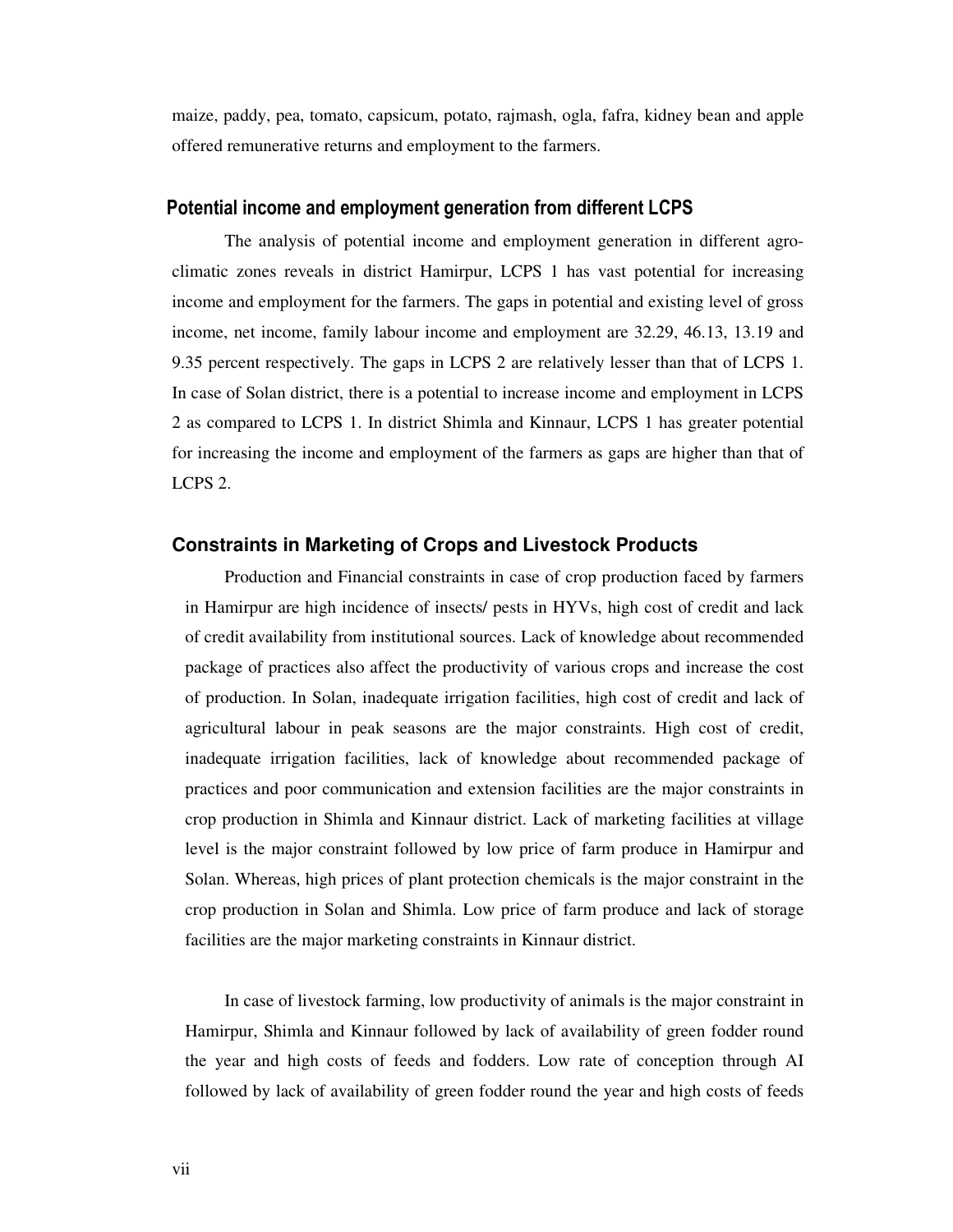maize, paddy, pea, tomato, capsicum, potato, rajmash, ogla, fafra, kidney bean and apple offered remunerative returns and employment to the farmers.

### **Potential income and employment generation from different LCPS**

 The analysis of potential income and employment generation in different agroclimatic zones reveals in district Hamirpur, LCPS 1 has vast potential for increasing income and employment for the farmers. The gaps in potential and existing level of gross income, net income, family labour income and employment are 32.29, 46.13, 13.19 and 9.35 percent respectively. The gaps in LCPS 2 are relatively lesser than that of LCPS 1. In case of Solan district, there is a potential to increase income and employment in LCPS 2 as compared to LCPS 1. In district Shimla and Kinnaur, LCPS 1 has greater potential for increasing the income and employment of the farmers as gaps are higher than that of LCPS 2.

### **Constraints in Marketing of Crops and Livestock Products**

 Production and Financial constraints in case of crop production faced by farmers in Hamirpur are high incidence of insects/ pests in HYVs, high cost of credit and lack of credit availability from institutional sources. Lack of knowledge about recommended package of practices also affect the productivity of various crops and increase the cost of production. In Solan, inadequate irrigation facilities, high cost of credit and lack of agricultural labour in peak seasons are the major constraints. High cost of credit, inadequate irrigation facilities, lack of knowledge about recommended package of practices and poor communication and extension facilities are the major constraints in crop production in Shimla and Kinnaur district. Lack of marketing facilities at village level is the major constraint followed by low price of farm produce in Hamirpur and Solan. Whereas, high prices of plant protection chemicals is the major constraint in the crop production in Solan and Shimla. Low price of farm produce and lack of storage facilities are the major marketing constraints in Kinnaur district.

 In case of livestock farming, low productivity of animals is the major constraint in Hamirpur, Shimla and Kinnaur followed by lack of availability of green fodder round the year and high costs of feeds and fodders. Low rate of conception through AI followed by lack of availability of green fodder round the year and high costs of feeds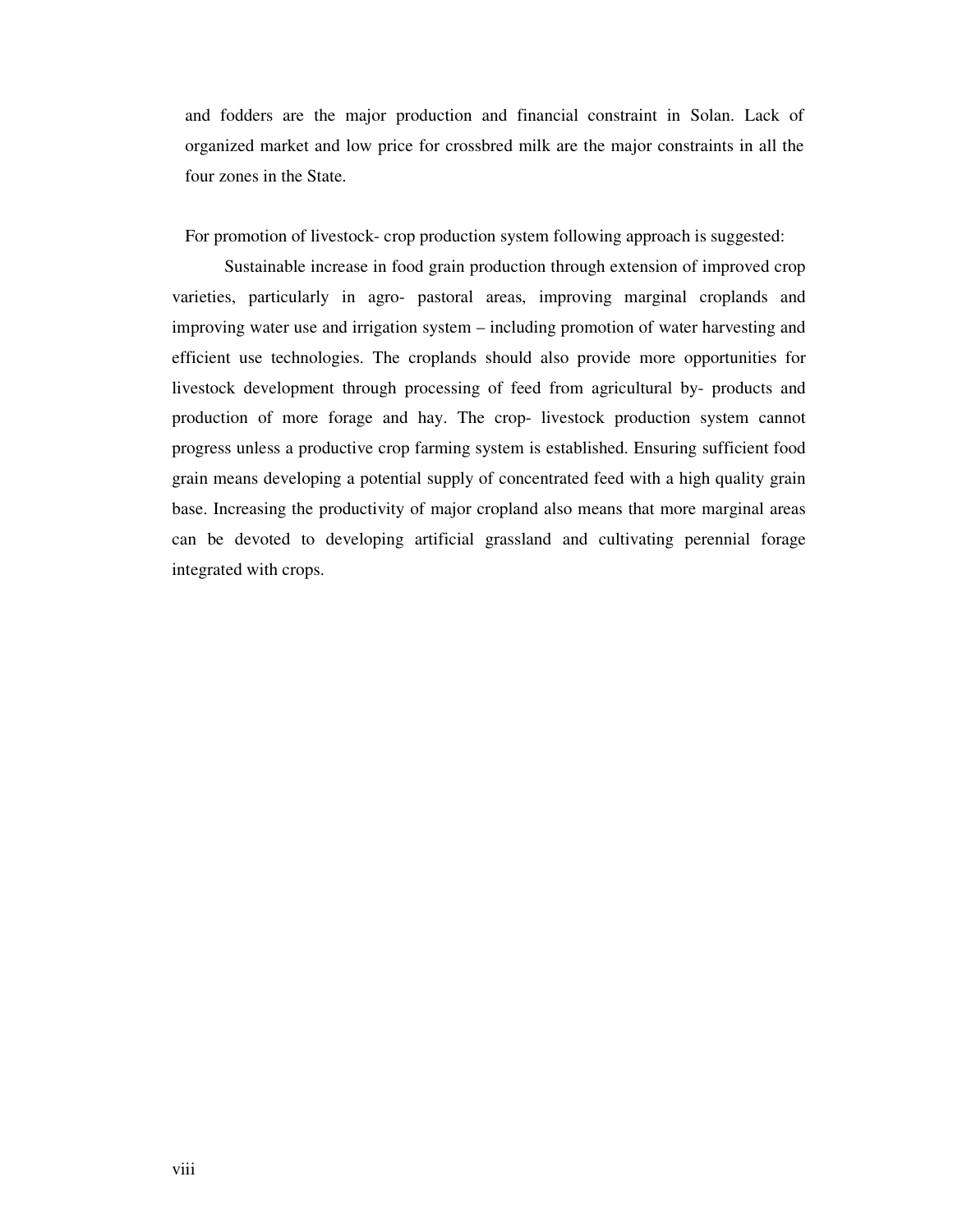and fodders are the major production and financial constraint in Solan. Lack of organized market and low price for crossbred milk are the major constraints in all the four zones in the State.

For promotion of livestock- crop production system following approach is suggested:

Sustainable increase in food grain production through extension of improved crop varieties, particularly in agro- pastoral areas, improving marginal croplands and improving water use and irrigation system – including promotion of water harvesting and efficient use technologies. The croplands should also provide more opportunities for livestock development through processing of feed from agricultural by- products and production of more forage and hay. The crop- livestock production system cannot progress unless a productive crop farming system is established. Ensuring sufficient food grain means developing a potential supply of concentrated feed with a high quality grain base. Increasing the productivity of major cropland also means that more marginal areas can be devoted to developing artificial grassland and cultivating perennial forage integrated with crops.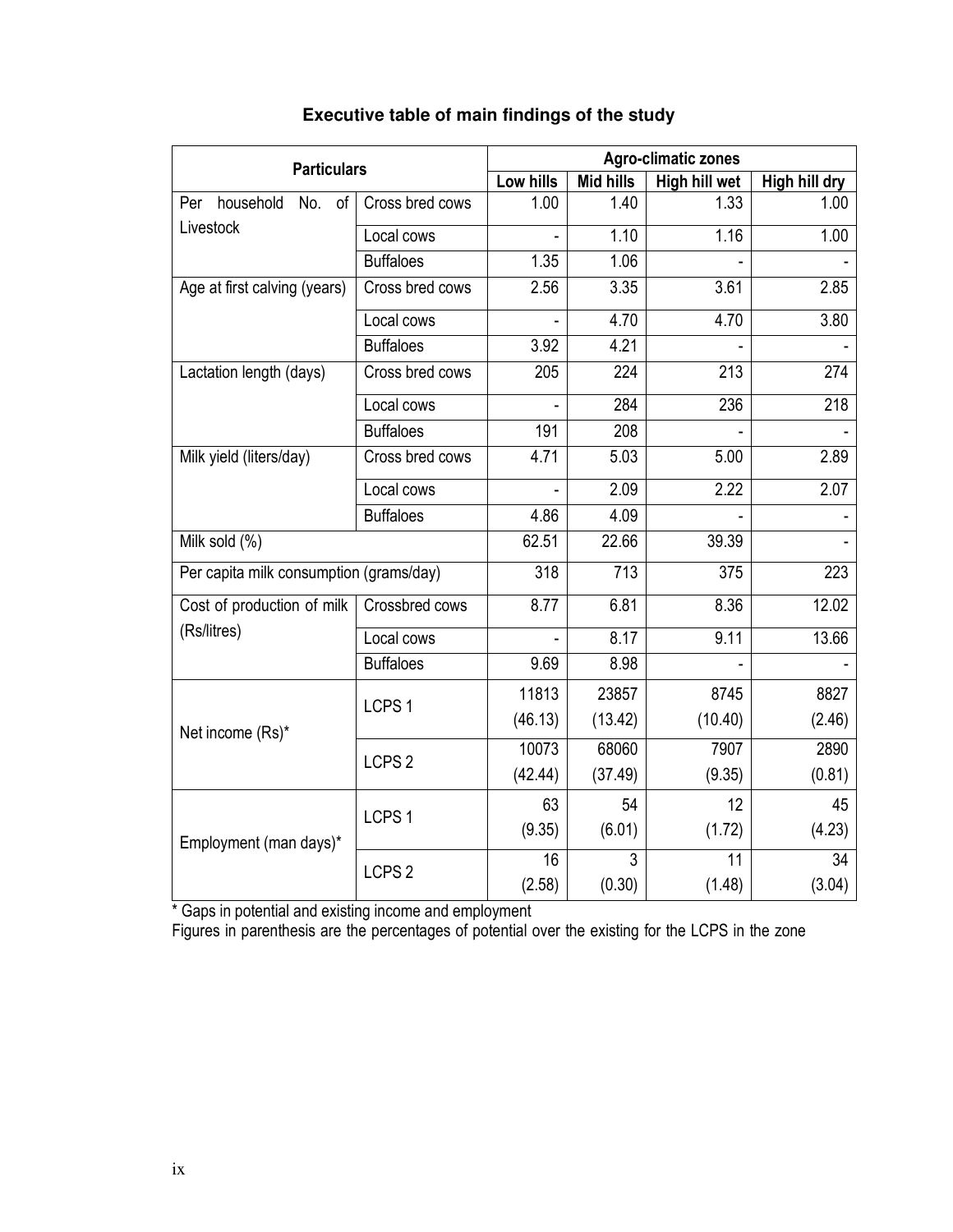| <b>Particulars</b>                      |                   | <b>Agro-climatic zones</b> |                  |               |               |  |  |  |  |
|-----------------------------------------|-------------------|----------------------------|------------------|---------------|---------------|--|--|--|--|
|                                         |                   | Low hills                  | <b>Mid hills</b> | High hill wet | High hill dry |  |  |  |  |
| household No. of<br>Per                 | Cross bred cows   | 1.00                       | 1.40             | 1.33          | 1.00          |  |  |  |  |
| Livestock                               | Local cows        |                            | 1.10             | 1.16          | 1.00          |  |  |  |  |
|                                         | <b>Buffaloes</b>  | 1.35                       | 1.06             |               |               |  |  |  |  |
| Age at first calving (years)            | Cross bred cows   | 2.56                       | 3.35             | 3.61          | 2.85          |  |  |  |  |
|                                         | Local cows        |                            | 4.70             | 4.70          | 3.80          |  |  |  |  |
|                                         | <b>Buffaloes</b>  | 3.92                       | 4.21             |               |               |  |  |  |  |
| Lactation length (days)                 | Cross bred cows   | 205                        | 224              | 213           | 274           |  |  |  |  |
|                                         | Local cows        |                            | 284              | 236           | 218           |  |  |  |  |
|                                         | <b>Buffaloes</b>  | 191                        | 208              |               |               |  |  |  |  |
| Milk yield (liters/day)                 | Cross bred cows   | 4.71                       | 5.03             | 5.00          | 2.89          |  |  |  |  |
|                                         | Local cows        |                            | 2.09             | 2.22          | 2.07          |  |  |  |  |
|                                         | <b>Buffaloes</b>  | 4.86                       | 4.09             |               |               |  |  |  |  |
| Milk sold (%)                           |                   | 62.51                      | 22.66            | 39.39         |               |  |  |  |  |
| Per capita milk consumption (grams/day) |                   | 318                        | $\overline{713}$ | 375           | 223           |  |  |  |  |
| Cost of production of milk              | Crossbred cows    | 8.77                       | 6.81             | 8.36          | 12.02         |  |  |  |  |
| (Rs/litres)                             | Local cows        |                            | 8.17             | 9.11          | 13.66         |  |  |  |  |
|                                         | <b>Buffaloes</b>  | 9.69                       | 8.98             |               |               |  |  |  |  |
|                                         |                   | 11813                      | 23857            | 8745          | 8827          |  |  |  |  |
| Net income (Rs)*                        | LCPS <sub>1</sub> | (46.13)                    | (13.42)          | (10.40)       | (2.46)        |  |  |  |  |
|                                         | LCPS <sub>2</sub> | 10073                      | 68060            | 7907          | 2890          |  |  |  |  |
|                                         |                   | (42.44)                    | (37.49)          | (9.35)        | (0.81)        |  |  |  |  |
|                                         |                   | 63                         | 54               | 12            | 45            |  |  |  |  |
| Employment (man days)*                  | LCPS <sub>1</sub> | (9.35)                     | (6.01)           | (1.72)        | (4.23)        |  |  |  |  |
|                                         | LCPS <sub>2</sub> | 16                         | 3                | 11            | 34            |  |  |  |  |
|                                         |                   | (2.58)                     | (0.30)           | (1.48)        | (3.04)        |  |  |  |  |

## **Executive table of main findings of the study**

\* Gaps in potential and existing income and employment

Figures in parenthesis are the percentages of potential over the existing for the LCPS in the zone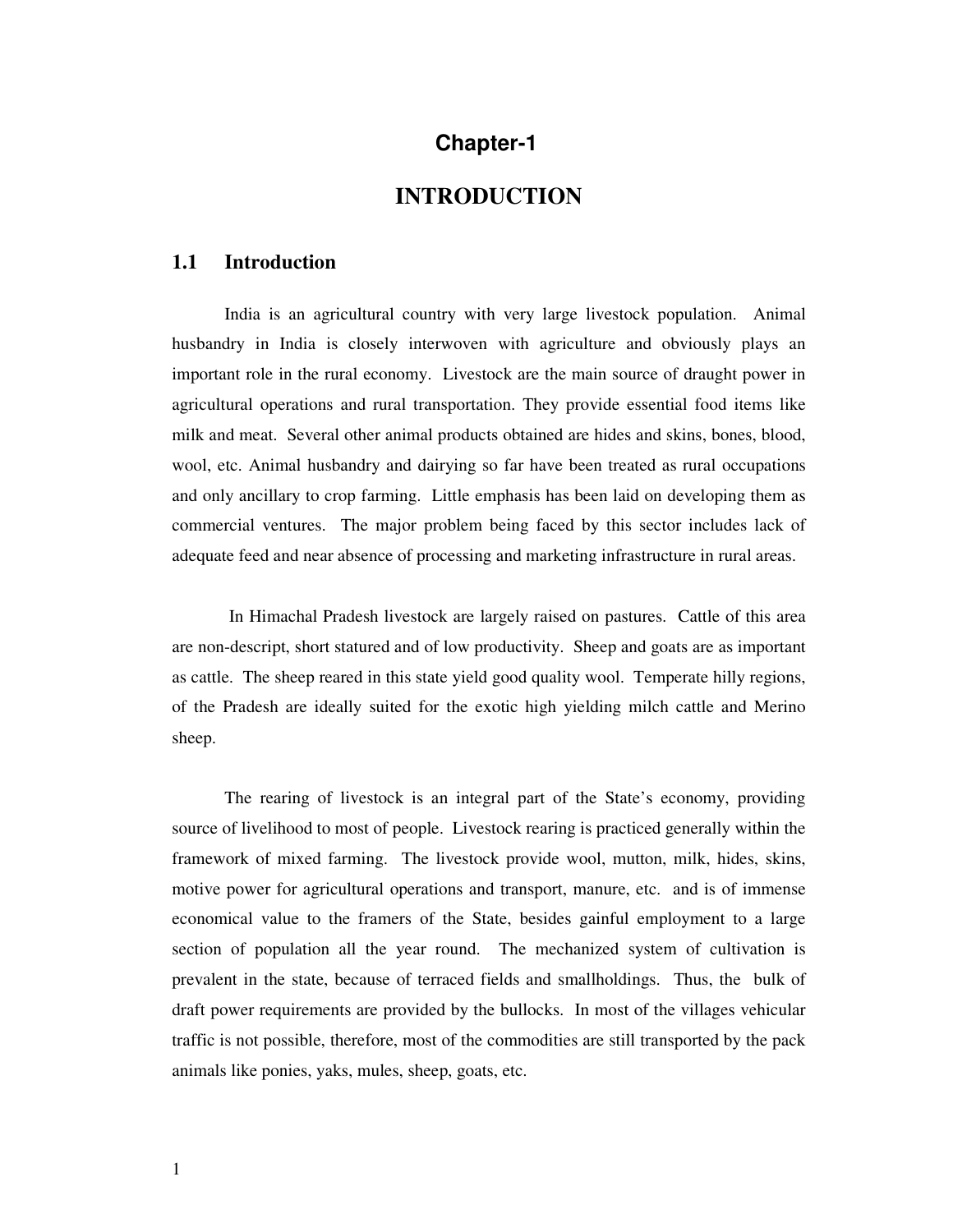## **Chapter-1**

## **INTRODUCTION**

#### **1.1 Introduction**

 India is an agricultural country with very large livestock population. Animal husbandry in India is closely interwoven with agriculture and obviously plays an important role in the rural economy. Livestock are the main source of draught power in agricultural operations and rural transportation. They provide essential food items like milk and meat. Several other animal products obtained are hides and skins, bones, blood, wool, etc. Animal husbandry and dairying so far have been treated as rural occupations and only ancillary to crop farming. Little emphasis has been laid on developing them as commercial ventures. The major problem being faced by this sector includes lack of adequate feed and near absence of processing and marketing infrastructure in rural areas.

 In Himachal Pradesh livestock are largely raised on pastures. Cattle of this area are non-descript, short statured and of low productivity. Sheep and goats are as important as cattle. The sheep reared in this state yield good quality wool. Temperate hilly regions, of the Pradesh are ideally suited for the exotic high yielding milch cattle and Merino sheep.

The rearing of livestock is an integral part of the State's economy, providing source of livelihood to most of people. Livestock rearing is practiced generally within the framework of mixed farming. The livestock provide wool, mutton, milk, hides, skins, motive power for agricultural operations and transport, manure, etc. and is of immense economical value to the framers of the State, besides gainful employment to a large section of population all the year round. The mechanized system of cultivation is prevalent in the state, because of terraced fields and smallholdings. Thus, the bulk of draft power requirements are provided by the bullocks. In most of the villages vehicular traffic is not possible, therefore, most of the commodities are still transported by the pack animals like ponies, yaks, mules, sheep, goats, etc.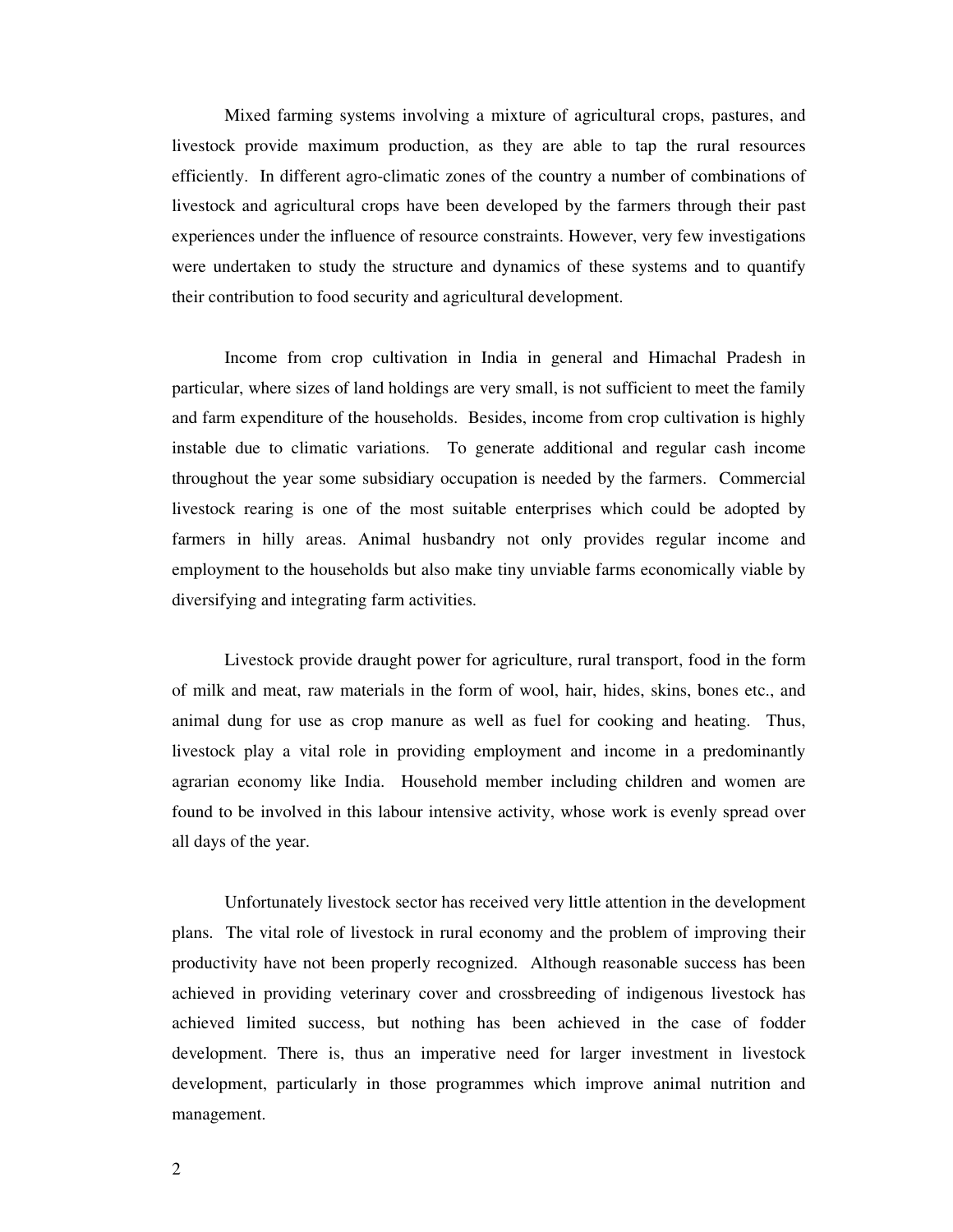Mixed farming systems involving a mixture of agricultural crops, pastures, and livestock provide maximum production, as they are able to tap the rural resources efficiently. In different agro-climatic zones of the country a number of combinations of livestock and agricultural crops have been developed by the farmers through their past experiences under the influence of resource constraints. However, very few investigations were undertaken to study the structure and dynamics of these systems and to quantify their contribution to food security and agricultural development.

Income from crop cultivation in India in general and Himachal Pradesh in particular, where sizes of land holdings are very small, is not sufficient to meet the family and farm expenditure of the households. Besides, income from crop cultivation is highly instable due to climatic variations. To generate additional and regular cash income throughout the year some subsidiary occupation is needed by the farmers. Commercial livestock rearing is one of the most suitable enterprises which could be adopted by farmers in hilly areas. Animal husbandry not only provides regular income and employment to the households but also make tiny unviable farms economically viable by diversifying and integrating farm activities.

Livestock provide draught power for agriculture, rural transport, food in the form of milk and meat, raw materials in the form of wool, hair, hides, skins, bones etc., and animal dung for use as crop manure as well as fuel for cooking and heating. Thus, livestock play a vital role in providing employment and income in a predominantly agrarian economy like India. Household member including children and women are found to be involved in this labour intensive activity, whose work is evenly spread over all days of the year.

Unfortunately livestock sector has received very little attention in the development plans. The vital role of livestock in rural economy and the problem of improving their productivity have not been properly recognized. Although reasonable success has been achieved in providing veterinary cover and crossbreeding of indigenous livestock has achieved limited success, but nothing has been achieved in the case of fodder development. There is, thus an imperative need for larger investment in livestock development, particularly in those programmes which improve animal nutrition and management.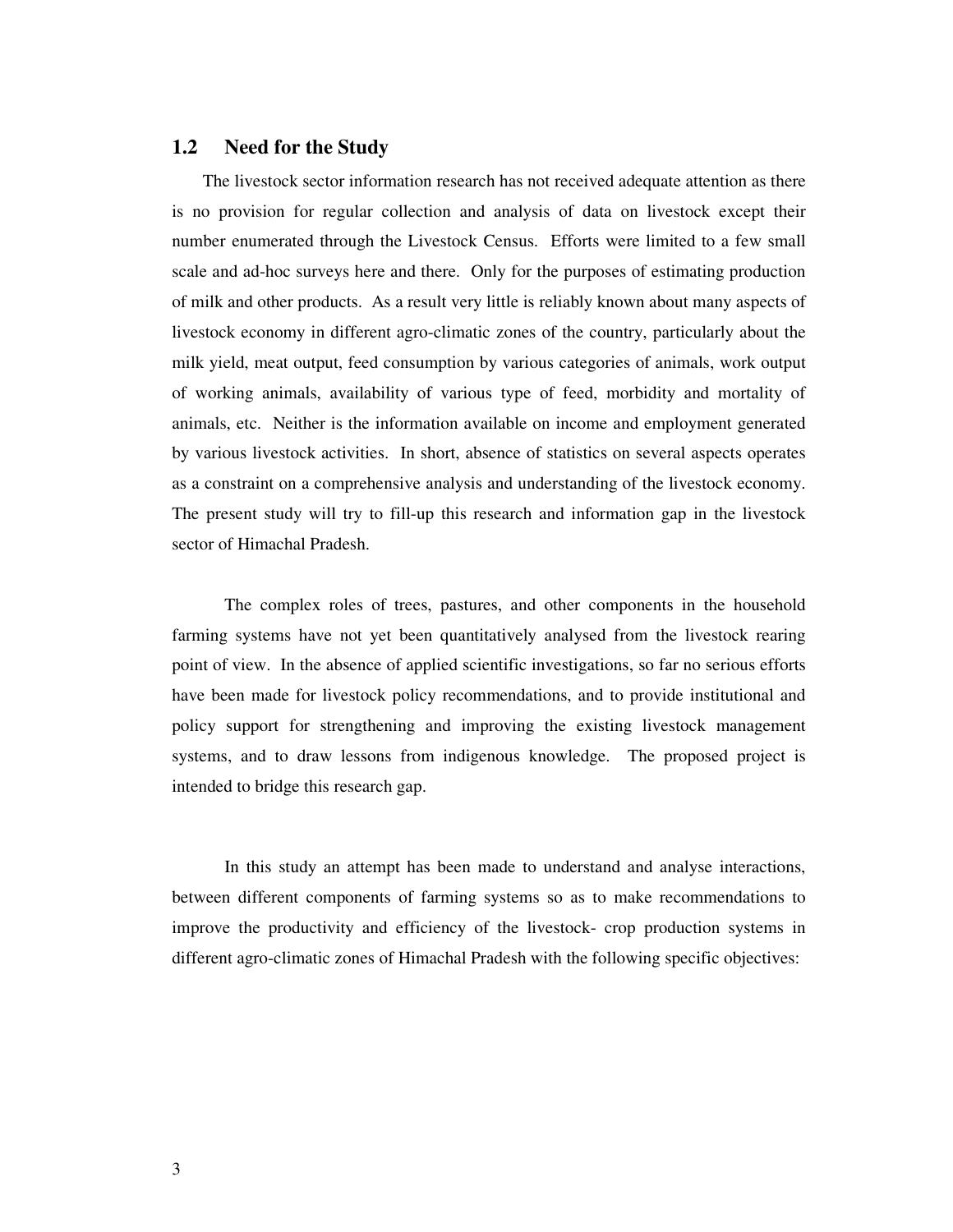### **1.2 Need for the Study**

 The livestock sector information research has not received adequate attention as there is no provision for regular collection and analysis of data on livestock except their number enumerated through the Livestock Census. Efforts were limited to a few small scale and ad-hoc surveys here and there. Only for the purposes of estimating production of milk and other products. As a result very little is reliably known about many aspects of livestock economy in different agro-climatic zones of the country, particularly about the milk yield, meat output, feed consumption by various categories of animals, work output of working animals, availability of various type of feed, morbidity and mortality of animals, etc. Neither is the information available on income and employment generated by various livestock activities. In short, absence of statistics on several aspects operates as a constraint on a comprehensive analysis and understanding of the livestock economy. The present study will try to fill-up this research and information gap in the livestock sector of Himachal Pradesh.

The complex roles of trees, pastures, and other components in the household farming systems have not yet been quantitatively analysed from the livestock rearing point of view. In the absence of applied scientific investigations, so far no serious efforts have been made for livestock policy recommendations, and to provide institutional and policy support for strengthening and improving the existing livestock management systems, and to draw lessons from indigenous knowledge. The proposed project is intended to bridge this research gap.

 In this study an attempt has been made to understand and analyse interactions, between different components of farming systems so as to make recommendations to improve the productivity and efficiency of the livestock- crop production systems in different agro-climatic zones of Himachal Pradesh with the following specific objectives: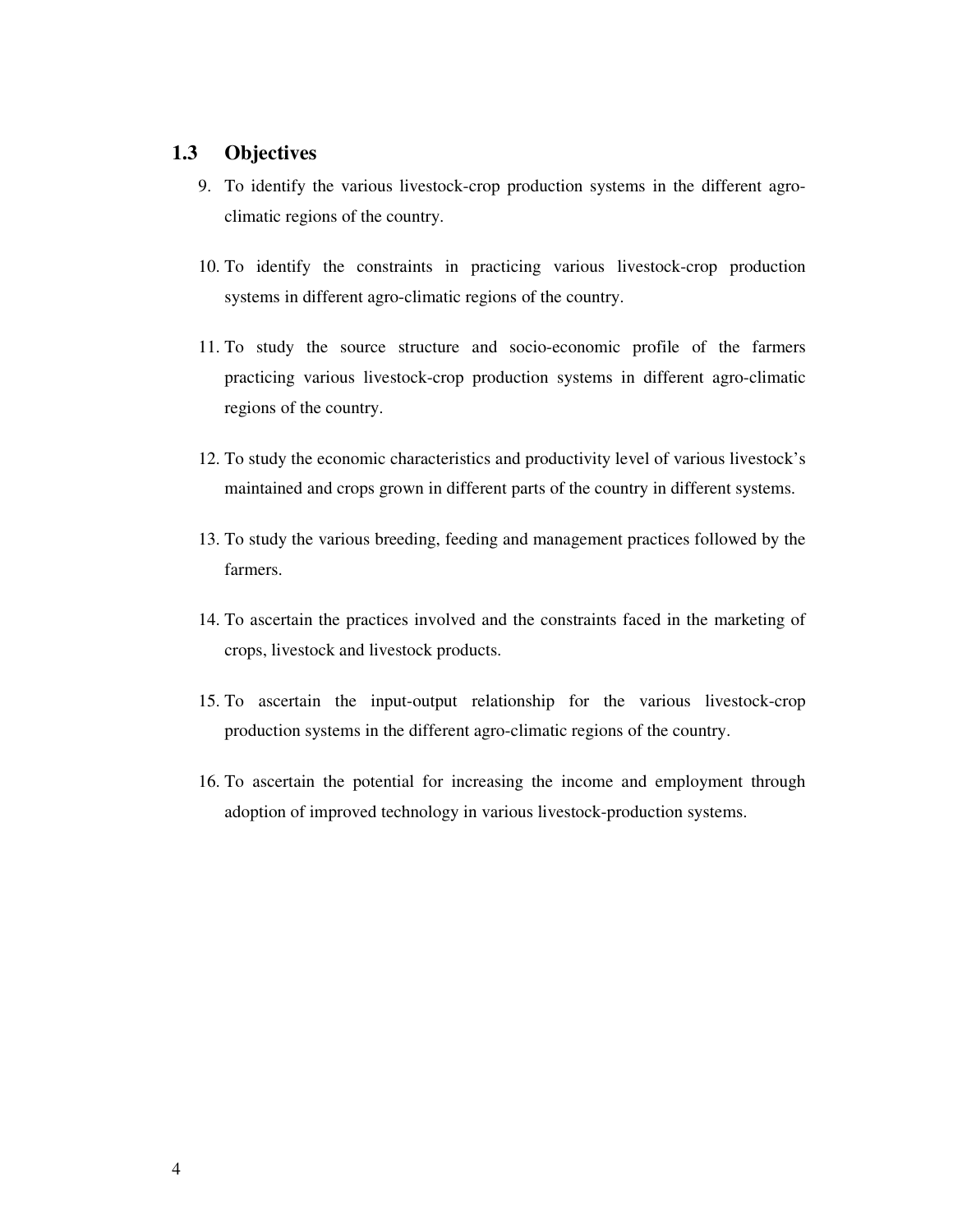### **1.3 Objectives**

- 9. To identify the various livestock-crop production systems in the different agroclimatic regions of the country.
- 10. To identify the constraints in practicing various livestock-crop production systems in different agro-climatic regions of the country.
- 11. To study the source structure and socio-economic profile of the farmers practicing various livestock-crop production systems in different agro-climatic regions of the country.
- 12. To study the economic characteristics and productivity level of various livestock's maintained and crops grown in different parts of the country in different systems.
- 13. To study the various breeding, feeding and management practices followed by the farmers.
- 14. To ascertain the practices involved and the constraints faced in the marketing of crops, livestock and livestock products.
- 15. To ascertain the input-output relationship for the various livestock-crop production systems in the different agro-climatic regions of the country.
- 16. To ascertain the potential for increasing the income and employment through adoption of improved technology in various livestock-production systems.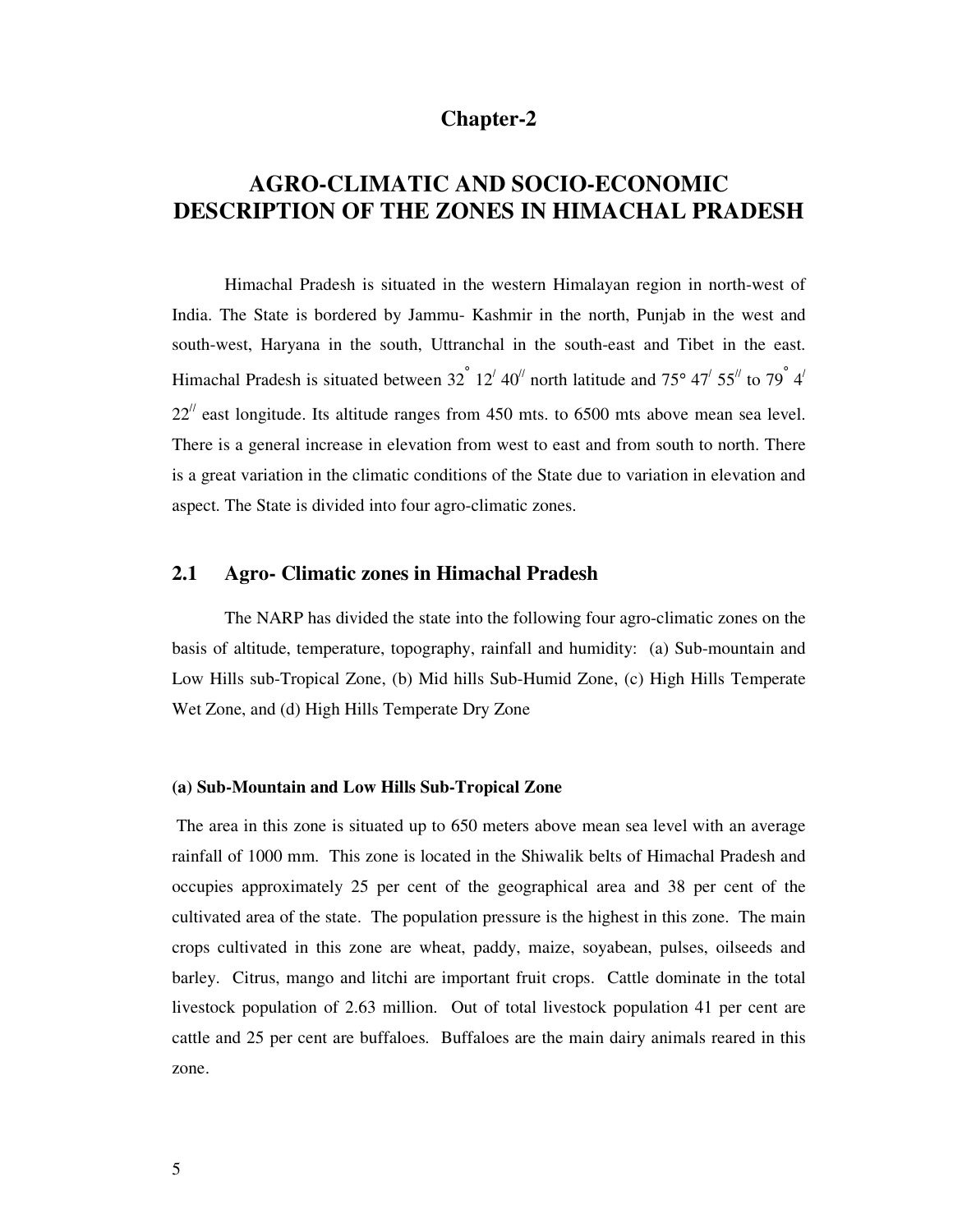### **Chapter-2**

## **AGRO-CLIMATIC AND SOCIO-ECONOMIC DESCRIPTION OF THE ZONES IN HIMACHAL PRADESH**

Himachal Pradesh is situated in the western Himalayan region in north-west of India. The State is bordered by Jammu- Kashmir in the north, Punjab in the west and south-west, Haryana in the south, Uttranchal in the south-east and Tibet in the east. Himachal Pradesh is situated between  $32^{^{\circ}}$   $12^{'}$  40<sup> $\prime\prime$ </sup> north latitude and  $75^{\circ}$  47<sup> $\prime$ </sup> 55<sup> $\prime\prime$ </sup> to  $79^{^{\circ}}$  4<sup> $\prime$ </sup>  $22<sup>1</sup>$  east longitude. Its altitude ranges from 450 mts. to 6500 mts above mean sea level. There is a general increase in elevation from west to east and from south to north. There is a great variation in the climatic conditions of the State due to variation in elevation and aspect. The State is divided into four agro-climatic zones.

### **2.1 Agro- Climatic zones in Himachal Pradesh**

 The NARP has divided the state into the following four agro-climatic zones on the basis of altitude, temperature, topography, rainfall and humidity: (a) Sub-mountain and Low Hills sub-Tropical Zone, (b) Mid hills Sub-Humid Zone, (c) High Hills Temperate Wet Zone, and (d) High Hills Temperate Dry Zone

#### **(a) Sub-Mountain and Low Hills Sub-Tropical Zone**

 The area in this zone is situated up to 650 meters above mean sea level with an average rainfall of 1000 mm. This zone is located in the Shiwalik belts of Himachal Pradesh and occupies approximately 25 per cent of the geographical area and 38 per cent of the cultivated area of the state. The population pressure is the highest in this zone. The main crops cultivated in this zone are wheat, paddy, maize, soyabean, pulses, oilseeds and barley. Citrus, mango and litchi are important fruit crops. Cattle dominate in the total livestock population of 2.63 million. Out of total livestock population 41 per cent are cattle and 25 per cent are buffaloes. Buffaloes are the main dairy animals reared in this zone.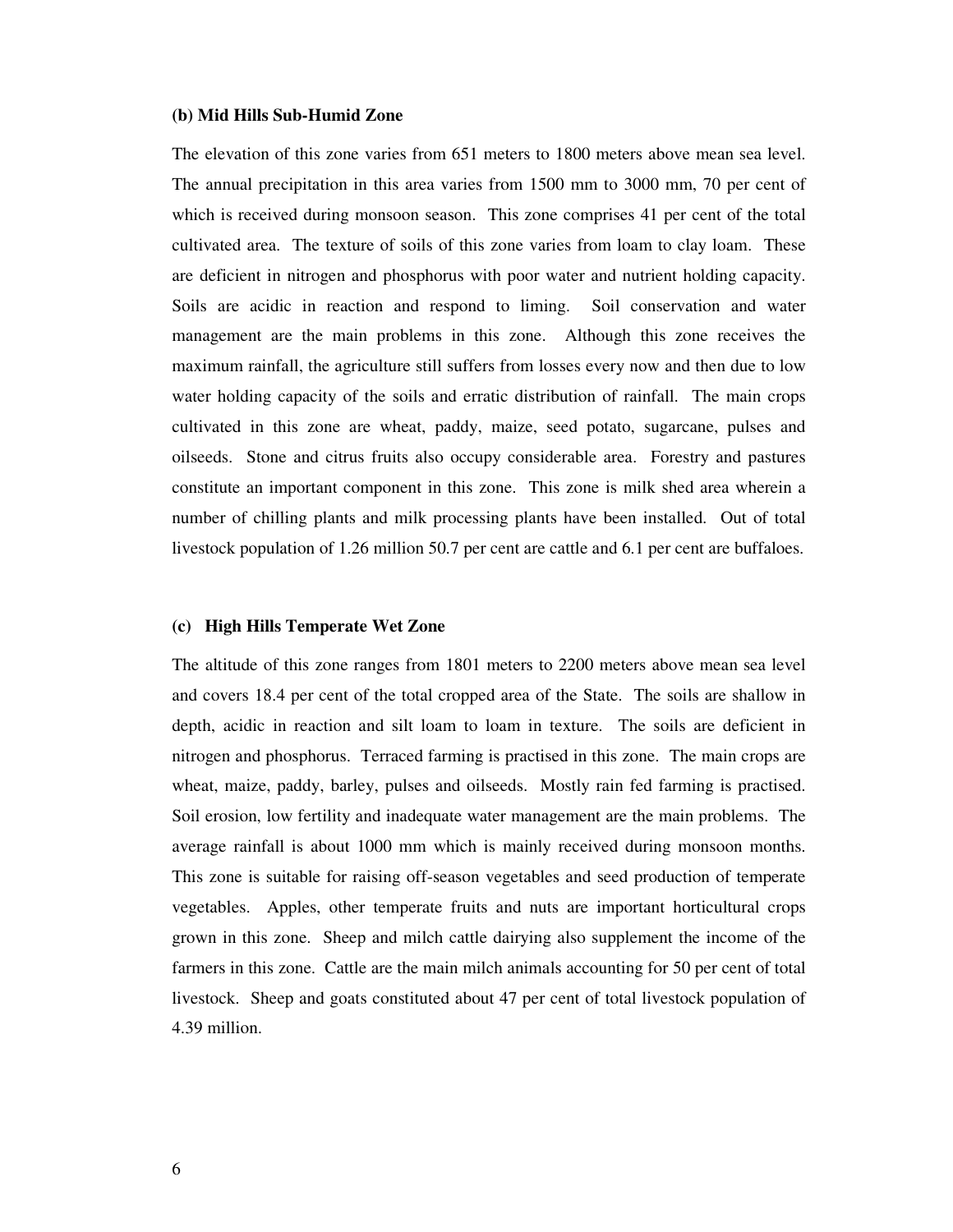#### **(b) Mid Hills Sub-Humid Zone**

The elevation of this zone varies from 651 meters to 1800 meters above mean sea level. The annual precipitation in this area varies from 1500 mm to 3000 mm, 70 per cent of which is received during monsoon season. This zone comprises 41 per cent of the total cultivated area. The texture of soils of this zone varies from loam to clay loam. These are deficient in nitrogen and phosphorus with poor water and nutrient holding capacity. Soils are acidic in reaction and respond to liming. Soil conservation and water management are the main problems in this zone. Although this zone receives the maximum rainfall, the agriculture still suffers from losses every now and then due to low water holding capacity of the soils and erratic distribution of rainfall. The main crops cultivated in this zone are wheat, paddy, maize, seed potato, sugarcane, pulses and oilseeds. Stone and citrus fruits also occupy considerable area. Forestry and pastures constitute an important component in this zone. This zone is milk shed area wherein a number of chilling plants and milk processing plants have been installed. Out of total livestock population of 1.26 million 50.7 per cent are cattle and 6.1 per cent are buffaloes.

#### **(c) High Hills Temperate Wet Zone**

The altitude of this zone ranges from 1801 meters to 2200 meters above mean sea level and covers 18.4 per cent of the total cropped area of the State. The soils are shallow in depth, acidic in reaction and silt loam to loam in texture. The soils are deficient in nitrogen and phosphorus. Terraced farming is practised in this zone. The main crops are wheat, maize, paddy, barley, pulses and oilseeds. Mostly rain fed farming is practised. Soil erosion, low fertility and inadequate water management are the main problems. The average rainfall is about 1000 mm which is mainly received during monsoon months. This zone is suitable for raising off-season vegetables and seed production of temperate vegetables. Apples, other temperate fruits and nuts are important horticultural crops grown in this zone. Sheep and milch cattle dairying also supplement the income of the farmers in this zone. Cattle are the main milch animals accounting for 50 per cent of total livestock. Sheep and goats constituted about 47 per cent of total livestock population of 4.39 million.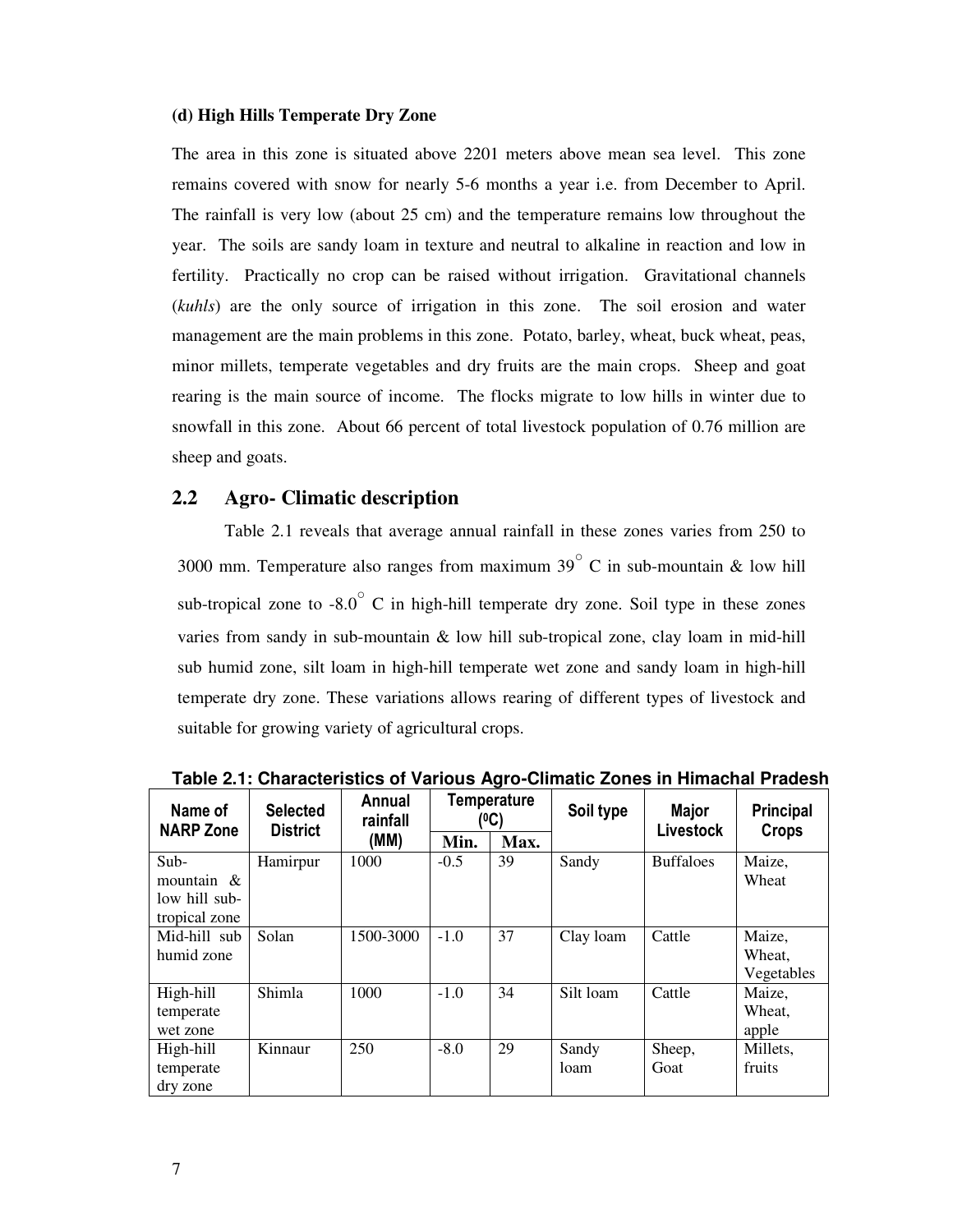#### **(d) High Hills Temperate Dry Zone**

The area in this zone is situated above 2201 meters above mean sea level. This zone remains covered with snow for nearly 5-6 months a year i.e. from December to April. The rainfall is very low (about 25 cm) and the temperature remains low throughout the year. The soils are sandy loam in texture and neutral to alkaline in reaction and low in fertility. Practically no crop can be raised without irrigation. Gravitational channels (*kuhls*) are the only source of irrigation in this zone. The soil erosion and water management are the main problems in this zone. Potato, barley, wheat, buck wheat, peas, minor millets, temperate vegetables and dry fruits are the main crops. Sheep and goat rearing is the main source of income. The flocks migrate to low hills in winter due to snowfall in this zone. About 66 percent of total livestock population of 0.76 million are sheep and goats.

### **2.2 Agro- Climatic description**

 Table 2.1 reveals that average annual rainfall in these zones varies from 250 to 3000 mm. Temperature also ranges from maximum 39 $^{\circ}$  C in sub-mountain & low hill sub-tropical zone to  $-8.0^{\circ}$  C in high-hill temperate dry zone. Soil type in these zones varies from sandy in sub-mountain & low hill sub-tropical zone, clay loam in mid-hill sub humid zone, silt loam in high-hill temperate wet zone and sandy loam in high-hill temperate dry zone. These variations allows rearing of different types of livestock and suitable for growing variety of agricultural crops.

| Name of<br><b>NARP Zone</b>                             | <b>Selected</b><br><b>District</b> | Annual<br>rainfall |        | <b>Temperature</b><br>(ºC) | Soil type     | Major<br>Livestock | <b>Principal</b><br>Crops      |  |
|---------------------------------------------------------|------------------------------------|--------------------|--------|----------------------------|---------------|--------------------|--------------------------------|--|
|                                                         |                                    | (MM)               | Min.   | Max.                       |               |                    |                                |  |
| Sub-<br>mountain $\&$<br>low hill sub-<br>tropical zone | Hamirpur                           | 1000               | $-0.5$ | 39                         | Sandy         | <b>Buffaloes</b>   | Maize,<br>Wheat                |  |
| Mid-hill sub<br>humid zone                              | Solan                              | 1500-3000          | $-1.0$ | 37                         | Clay loam     | Cattle             | Maize,<br>Wheat,<br>Vegetables |  |
| High-hill<br>temperate<br>wet zone                      | Shimla                             | 1000               | $-1.0$ | 34                         | Silt loam     | Cattle             | Maize,<br>Wheat,<br>apple      |  |
| High-hill<br>temperate<br>dry zone                      | Kinnaur                            | 250                | $-8.0$ | 29                         | Sandy<br>loam | Sheep,<br>Goat     | Millets,<br>fruits             |  |

 **Table 2.1: Characteristics of Various Agro-Climatic Zones in Himachal Pradesh**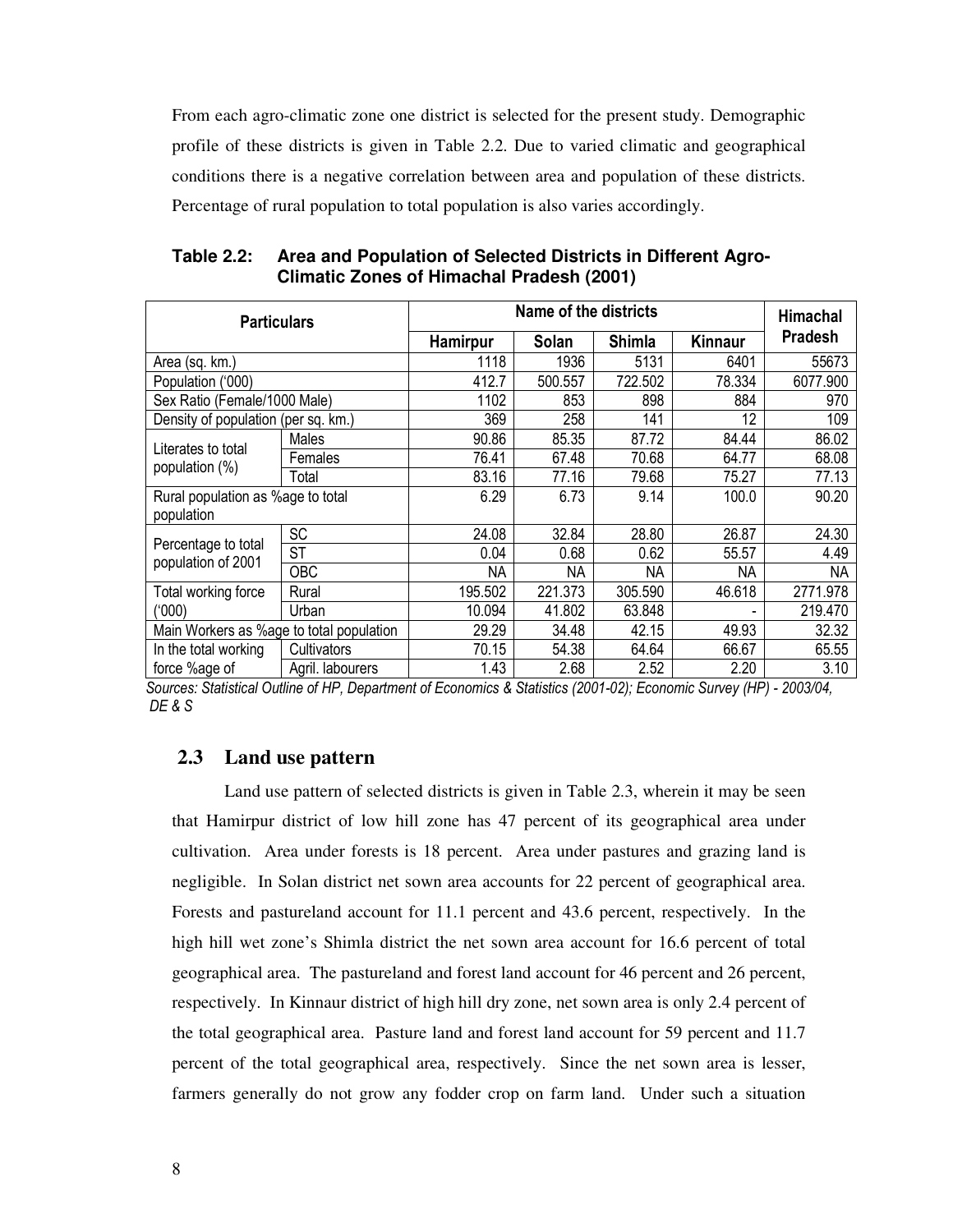From each agro-climatic zone one district is selected for the present study. Demographic profile of these districts is given in Table 2.2. Due to varied climatic and geographical conditions there is a negative correlation between area and population of these districts. Percentage of rural population to total population is also varies accordingly.

| <b>Particulars</b>                       |                  |           | Name of the districts |               |         | Himachal       |  |
|------------------------------------------|------------------|-----------|-----------------------|---------------|---------|----------------|--|
|                                          |                  | Hamirpur  | Solan                 | <b>Shimla</b> | Kinnaur | <b>Pradesh</b> |  |
| Area (sq. km.)                           |                  | 1118      | 1936                  | 5131          | 6401    | 55673          |  |
| Population ('000)                        |                  | 412.7     | 500.557               | 722.502       | 78.334  | 6077.900       |  |
| Sex Ratio (Female/1000 Male)             |                  | 1102      | 853                   | 898           | 884     | 970            |  |
| Density of population (per sq. km.)      |                  | 369       | 258                   | 141           | 12      | 109            |  |
|                                          | Males            | 90.86     | 85.35                 | 87.72         | 84.44   | 86.02          |  |
| Literates to total                       | Females          | 76.41     | 67.48                 | 70.68         | 64.77   | 68.08          |  |
| population (%)                           | Total            | 83.16     | 77.16                 | 79.68         | 75.27   | 77.13          |  |
| Rural population as %age to total        |                  | 6.29      | 6.73                  | 9.14          | 100.0   | 90.20          |  |
| population                               |                  |           |                       |               |         |                |  |
| Percentage to total                      | SC               | 24.08     | 32.84                 | 28.80         | 26.87   | 24.30          |  |
| population of 2001                       | <b>ST</b>        | 0.04      | 0.68                  | 0.62          | 55.57   | 4.49           |  |
|                                          | OBC              | <b>NA</b> | NА                    | <b>NA</b>     | NА      | NА             |  |
| Total working force                      | Rural            | 195.502   | 221.373               | 305.590       | 46.618  | 2771.978       |  |
| ('000)                                   | Urban            | 10.094    | 41.802                | 63.848        |         | 219.470        |  |
| Main Workers as %age to total population |                  | 29.29     | 34.48                 | 42.15         | 49.93   | 32.32          |  |
| In the total working                     | Cultivators      | 70.15     | 54.38                 | 64.64         | 66.67   | 65.55          |  |
| force %age of                            | Agril. labourers | 1.43      | 2.68                  | 2.52          | 2.20    | 3.10           |  |

**Table 2.2: Area and Population of Selected Districts in Different Agro-Climatic Zones of Himachal Pradesh (2001)** 

*Sources: Statistical Outline of HP, Department of Economics & Statistics (2001-02); Economic Survey (HP) - 2003/04, DE & S* 

### **2.3 Land use pattern**

 Land use pattern of selected districts is given in Table 2.3, wherein it may be seen that Hamirpur district of low hill zone has 47 percent of its geographical area under cultivation. Area under forests is 18 percent. Area under pastures and grazing land is negligible. In Solan district net sown area accounts for 22 percent of geographical area. Forests and pastureland account for 11.1 percent and 43.6 percent, respectively. In the high hill wet zone's Shimla district the net sown area account for 16.6 percent of total geographical area. The pastureland and forest land account for 46 percent and 26 percent, respectively. In Kinnaur district of high hill dry zone, net sown area is only 2.4 percent of the total geographical area. Pasture land and forest land account for 59 percent and 11.7 percent of the total geographical area, respectively. Since the net sown area is lesser, farmers generally do not grow any fodder crop on farm land. Under such a situation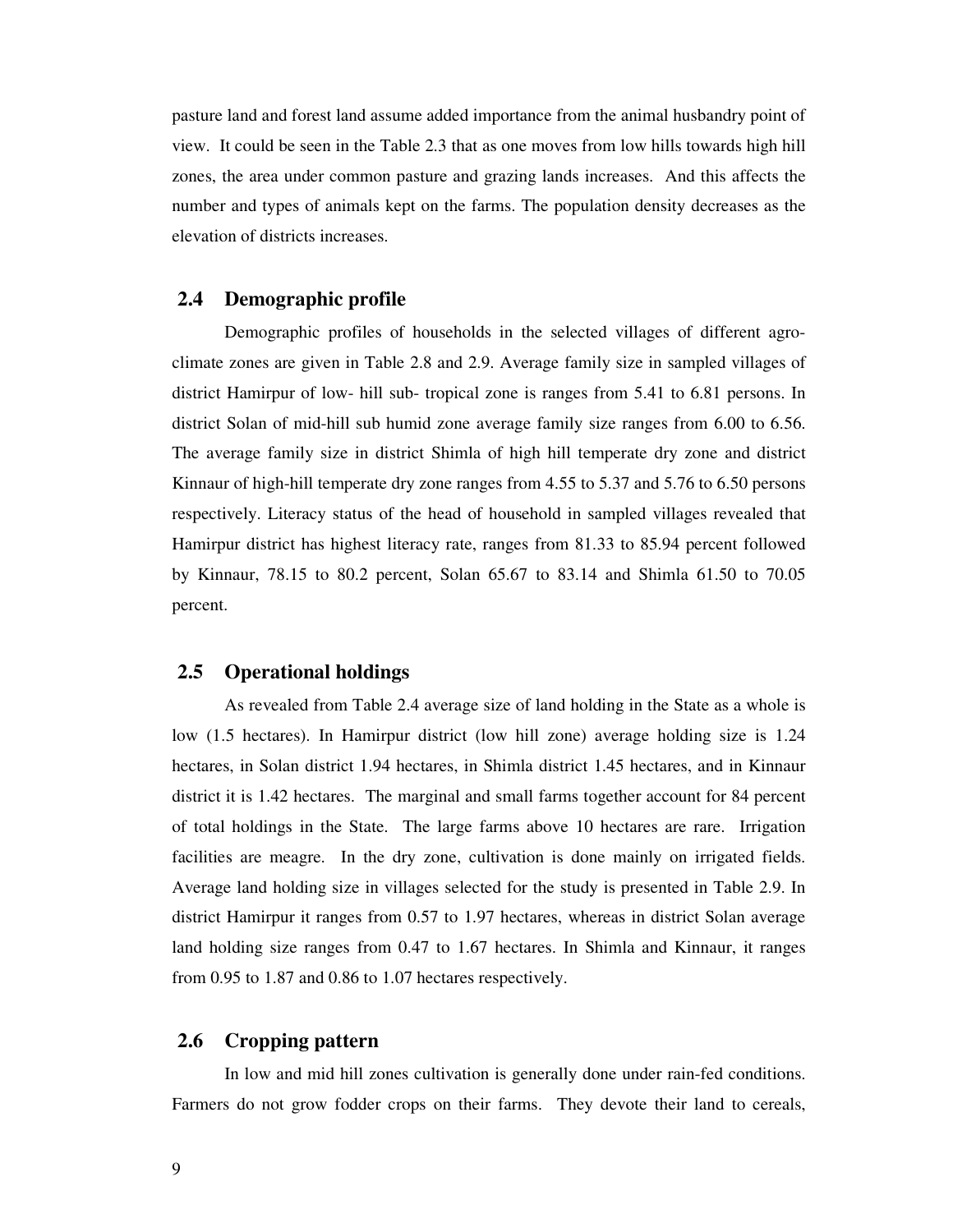pasture land and forest land assume added importance from the animal husbandry point of view. It could be seen in the Table 2.3 that as one moves from low hills towards high hill zones, the area under common pasture and grazing lands increases. And this affects the number and types of animals kept on the farms. The population density decreases as the elevation of districts increases.

#### **2.4 Demographic profile**

 Demographic profiles of households in the selected villages of different agroclimate zones are given in Table 2.8 and 2.9. Average family size in sampled villages of district Hamirpur of low- hill sub- tropical zone is ranges from 5.41 to 6.81 persons. In district Solan of mid-hill sub humid zone average family size ranges from 6.00 to 6.56. The average family size in district Shimla of high hill temperate dry zone and district Kinnaur of high-hill temperate dry zone ranges from 4.55 to 5.37 and 5.76 to 6.50 persons respectively. Literacy status of the head of household in sampled villages revealed that Hamirpur district has highest literacy rate, ranges from 81.33 to 85.94 percent followed by Kinnaur, 78.15 to 80.2 percent, Solan 65.67 to 83.14 and Shimla 61.50 to 70.05 percent.

### **2.5 Operational holdings**

 As revealed from Table 2.4 average size of land holding in the State as a whole is low (1.5 hectares). In Hamirpur district (low hill zone) average holding size is 1.24 hectares, in Solan district 1.94 hectares, in Shimla district 1.45 hectares, and in Kinnaur district it is 1.42 hectares. The marginal and small farms together account for 84 percent of total holdings in the State. The large farms above 10 hectares are rare. Irrigation facilities are meagre. In the dry zone, cultivation is done mainly on irrigated fields. Average land holding size in villages selected for the study is presented in Table 2.9. In district Hamirpur it ranges from 0.57 to 1.97 hectares, whereas in district Solan average land holding size ranges from 0.47 to 1.67 hectares. In Shimla and Kinnaur, it ranges from 0.95 to 1.87 and 0.86 to 1.07 hectares respectively.

#### **2.6 Cropping pattern**

 In low and mid hill zones cultivation is generally done under rain-fed conditions. Farmers do not grow fodder crops on their farms. They devote their land to cereals,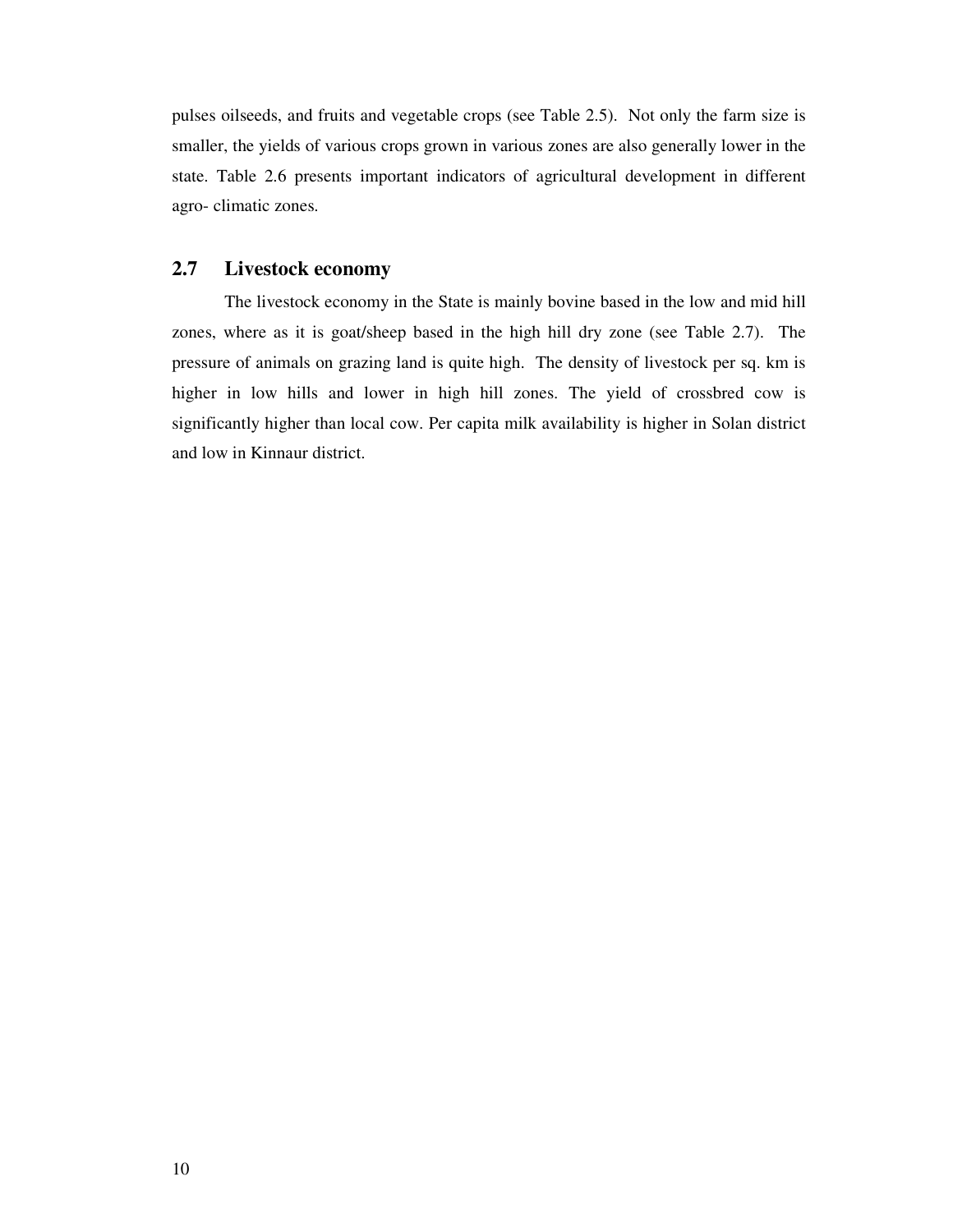pulses oilseeds, and fruits and vegetable crops (see Table 2.5). Not only the farm size is smaller, the yields of various crops grown in various zones are also generally lower in the state. Table 2.6 presents important indicators of agricultural development in different agro- climatic zones.

### **2.7 Livestock economy**

 The livestock economy in the State is mainly bovine based in the low and mid hill zones, where as it is goat/sheep based in the high hill dry zone (see Table 2.7). The pressure of animals on grazing land is quite high. The density of livestock per sq. km is higher in low hills and lower in high hill zones. The yield of crossbred cow is significantly higher than local cow. Per capita milk availability is higher in Solan district and low in Kinnaur district.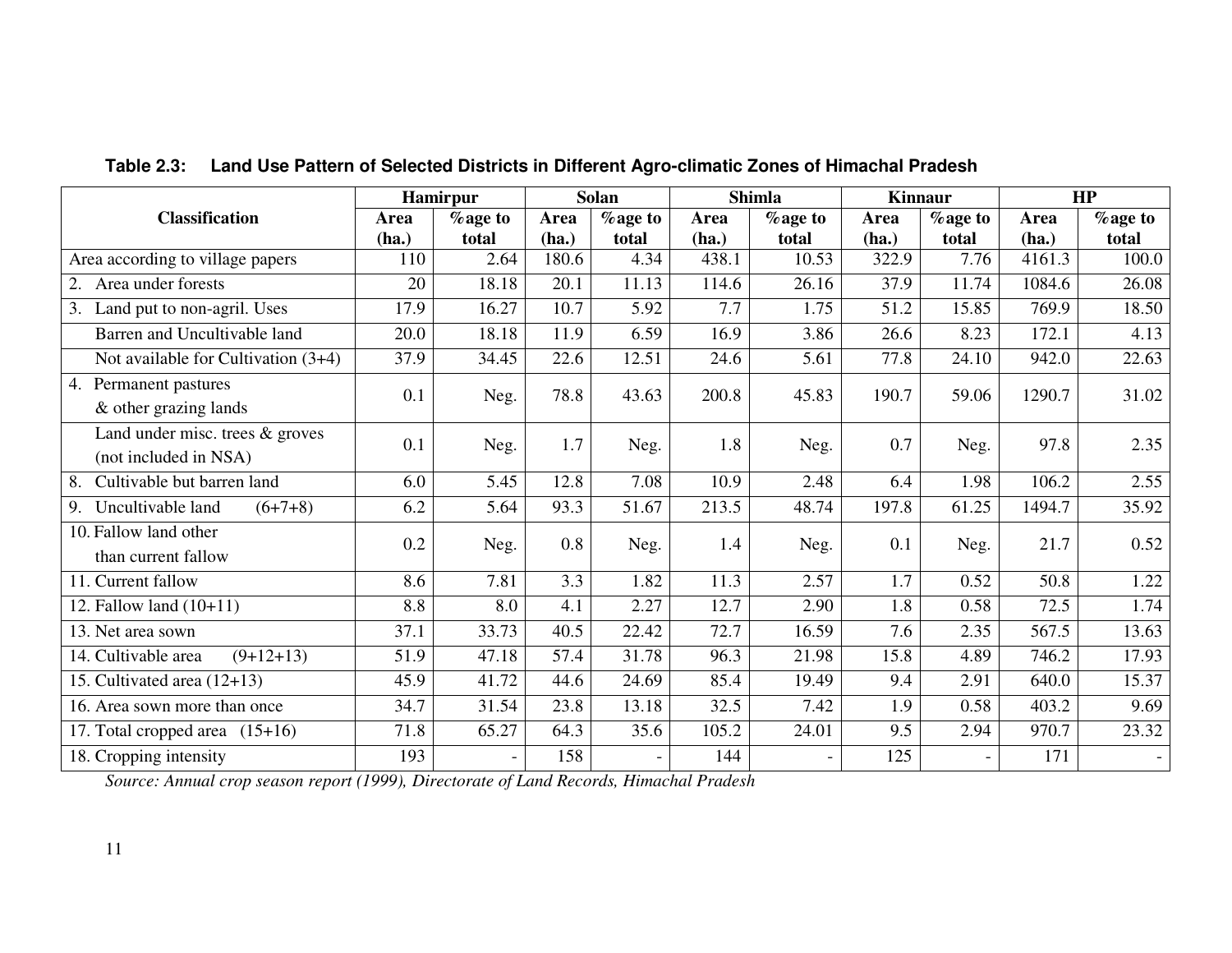|                                                            |       | Hamirpur        |       | Solan   |       | <b>Shimla</b>  | <b>Kinnaur</b> |                          |        | HP              |
|------------------------------------------------------------|-------|-----------------|-------|---------|-------|----------------|----------------|--------------------------|--------|-----------------|
| <b>Classification</b>                                      | Area  | <b>%</b> age to | Area  | %age to | Area  | <b>%age to</b> | Area           | <b>%</b> age to          | Area   | <b>%</b> age to |
|                                                            | (ha.) | total           | (ha.) | total   | (ha.) | total          | (ha.)          | total                    | (ha.)  | total           |
| Area according to village papers                           | 110   | 2.64            | 180.6 | 4.34    | 438.1 | 10.53          | 322.9          | 7.76                     | 4161.3 | 100.0           |
| 2. Area under forests                                      | 20    | 18.18           | 20.1  | 11.13   | 114.6 | 26.16          | 37.9           | 11.74                    | 1084.6 | 26.08           |
| 3. Land put to non-agril. Uses                             | 17.9  | 16.27           | 10.7  | 5.92    | 7.7   | 1.75           | 51.2           | 15.85                    | 769.9  | 18.50           |
| Barren and Uncultivable land                               | 20.0  | 18.18           | 11.9  | 6.59    | 16.9  | 3.86           | 26.6           | 8.23                     | 172.1  | 4.13            |
| Not available for Cultivation (3+4)                        | 37.9  | 34.45           | 22.6  | 12.51   | 24.6  | 5.61           | 77.8           | 24.10                    | 942.0  | 22.63           |
| 4. Permanent pastures<br>& other grazing lands             | 0.1   | Neg.            | 78.8  | 43.63   | 200.8 | 45.83          | 190.7          | 59.06                    | 1290.7 | 31.02           |
| Land under misc. trees $&$ groves<br>(not included in NSA) | 0.1   | Neg.            | 1.7   | Neg.    | 1.8   | Neg.           | 0.7            | Neg.                     | 97.8   | 2.35            |
| Cultivable but barren land<br>8.                           | 6.0   | 5.45            | 12.8  | 7.08    | 10.9  | 2.48           | 6.4            | 1.98                     | 106.2  | 2.55            |
| Uncultivable land<br>$(6+7+8)$<br>9.                       | 6.2   | 5.64            | 93.3  | 51.67   | 213.5 | 48.74          | 197.8          | 61.25                    | 1494.7 | 35.92           |
| 10. Fallow land other<br>than current fallow               | 0.2   | Neg.            | 0.8   | Neg.    | 1.4   | Neg.           | 0.1            | Neg.                     | 21.7   | 0.52            |
| 11. Current fallow                                         | 8.6   | 7.81            | 3.3   | 1.82    | 11.3  | 2.57           | 1.7            | 0.52                     | 50.8   | 1.22            |
| 12. Fallow land $(10+11)$                                  | 8.8   | 8.0             | 4.1   | 2.27    | 12.7  | 2.90           | 1.8            | 0.58                     | 72.5   | 1.74            |
| 13. Net area sown                                          | 37.1  | 33.73           | 40.5  | 22.42   | 72.7  | 16.59          | 7.6            | 2.35                     | 567.5  | 13.63           |
| 14. Cultivable area<br>$(9+12+13)$                         | 51.9  | 47.18           | 57.4  | 31.78   | 96.3  | 21.98          | 15.8           | 4.89                     | 746.2  | 17.93           |
| 15. Cultivated area $(12+13)$                              | 45.9  | 41.72           | 44.6  | 24.69   | 85.4  | 19.49          | 9.4            | 2.91                     | 640.0  | 15.37           |
| 16. Area sown more than once                               | 34.7  | 31.54           | 23.8  | 13.18   | 32.5  | 7.42           | 1.9            | 0.58                     | 403.2  | 9.69            |
| 17. Total cropped area (15+16)                             | 71.8  | 65.27           | 64.3  | 35.6    | 105.2 | 24.01          | 9.5            | 2.94                     | 970.7  | 23.32           |
| 18. Cropping intensity                                     | 193   | $\frac{1}{2}$   | 158   |         | 144   |                | 125            | $\overline{\phantom{0}}$ | 171    | $-$             |

**Table 2.3: Land Use Pattern of Selected Districts in Different Agro-climatic Zones of Himachal Pradesh** 

*Source: Annual crop season report (1999), Directorate of Land Records, Himachal Pradesh*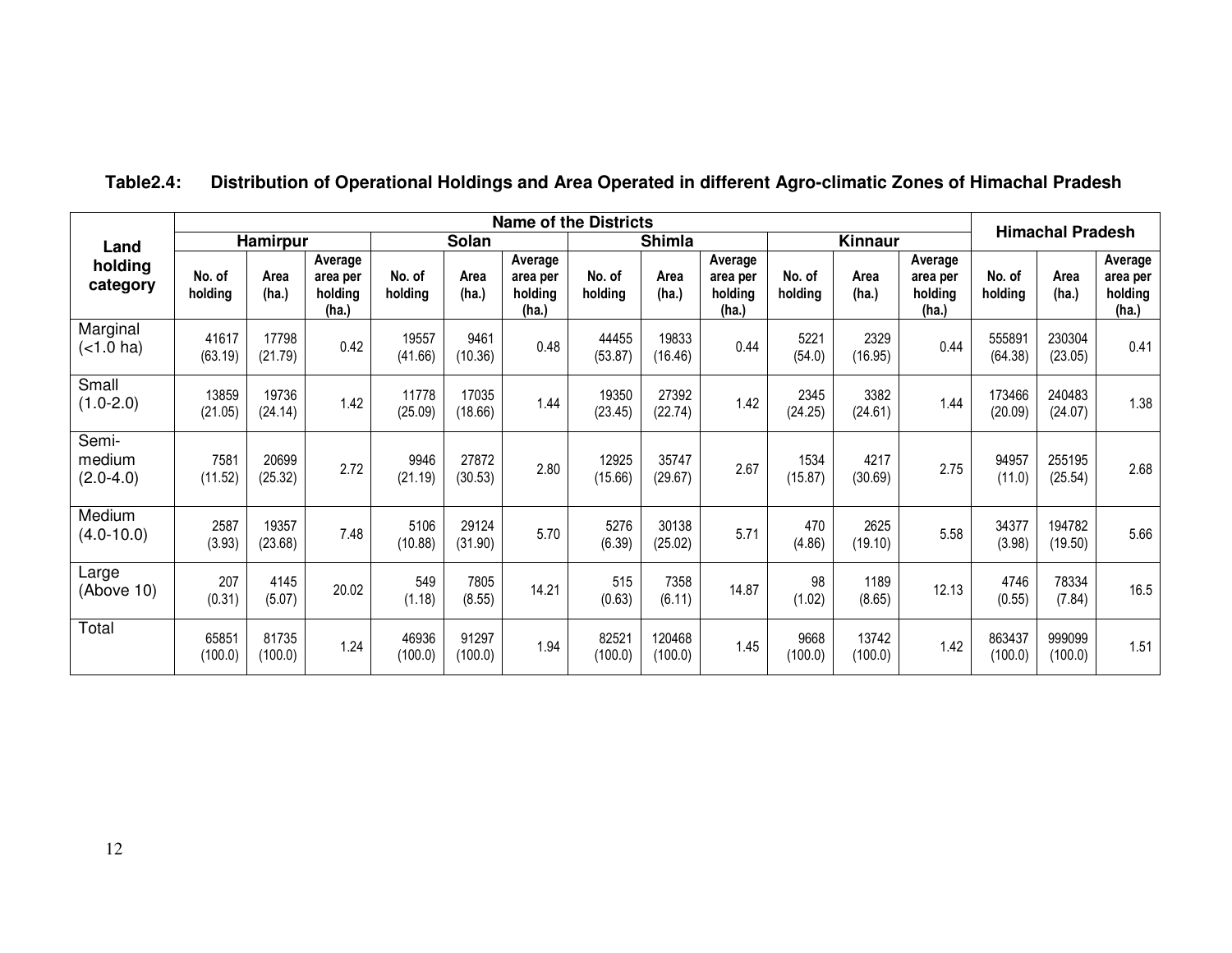|                                | <b>Name of the Districts</b> |                  |                                         |                   |                  |                                         |                   |                   |                                         |                   |                  |                                         | <b>Himachal Pradesh</b> |                   |                                         |
|--------------------------------|------------------------------|------------------|-----------------------------------------|-------------------|------------------|-----------------------------------------|-------------------|-------------------|-----------------------------------------|-------------------|------------------|-----------------------------------------|-------------------------|-------------------|-----------------------------------------|
| Land                           |                              | <b>Hamirpur</b>  |                                         |                   | Solan            |                                         |                   | <b>Shimla</b>     |                                         |                   | <b>Kinnaur</b>   |                                         |                         |                   |                                         |
| holding<br>category            | No. of<br>holding            | Area<br>(ha.)    | Average<br>area per<br>holding<br>(ha.) | No. of<br>holding | Area<br>(ha.)    | Average<br>area per<br>holding<br>(ha.) | No. of<br>holding | Area<br>(ha.)     | Average<br>area per<br>holding<br>(ha.) | No. of<br>holding | Area<br>(ha.)    | Average<br>area per<br>holding<br>(ha.) | No. of<br>holding       | Area<br>(ha.)     | Average<br>area per<br>holding<br>(ha.) |
| Marginal<br>(<1.0 ha)          | 41617<br>(63.19)             | 17798<br>(21.79) | 0.42                                    | 19557<br>(41.66)  | 9461<br>(10.36)  | 0.48                                    | 44455<br>(53.87)  | 19833<br>(16.46)  | 0.44                                    | 5221<br>(54.0)    | 2329<br>(16.95)  | 0.44                                    | 555891<br>(64.38)       | 230304<br>(23.05) | 0.41                                    |
| Small<br>$(1.0-2.0)$           | 13859<br>(21.05)             | 19736<br>(24.14) | 1.42                                    | 11778<br>(25.09)  | 17035<br>(18.66) | 1.44                                    | 19350<br>(23.45)  | 27392<br>(22.74)  | 1.42                                    | 2345<br>(24.25)   | 3382<br>(24.61)  | 1.44                                    | 173466<br>(20.09)       | 240483<br>(24.07) | 1.38                                    |
| Semi-<br>medium<br>$(2.0-4.0)$ | 7581<br>(11.52)              | 20699<br>(25.32) | 2.72                                    | 9946<br>(21.19)   | 27872<br>(30.53) | 2.80                                    | 12925<br>(15.66)  | 35747<br>(29.67)  | 2.67                                    | 1534<br>(15.87)   | 4217<br>(30.69)  | 2.75                                    | 94957<br>(11.0)         | 255195<br>(25.54) | 2.68                                    |
| Medium<br>$(4.0 - 10.0)$       | 2587<br>(3.93)               | 19357<br>(23.68) | 7.48                                    | 5106<br>(10.88)   | 29124<br>(31.90) | 5.70                                    | 5276<br>(6.39)    | 30138<br>(25.02)  | 5.71                                    | 470<br>(4.86)     | 2625<br>(19.10)  | 5.58                                    | 34377<br>(3.98)         | 194782<br>(19.50) | 5.66                                    |
| Large<br>(Above 10)            | 207<br>(0.31)                | 4145<br>(5.07)   | 20.02                                   | 549<br>(1.18)     | 7805<br>(8.55)   | 14.21                                   | 515<br>(0.63)     | 7358<br>(6.11)    | 14.87                                   | 98<br>(1.02)      | 1189<br>(8.65)   | 12.13                                   | 4746<br>(0.55)          | 78334<br>(7.84)   | 16.5                                    |
| Total                          | 65851<br>(100.0)             | 81735<br>(100.0) | 1.24                                    | 46936<br>(100.0)  | 91297<br>(100.0) | 1.94                                    | 82521<br>(100.0)  | 120468<br>(100.0) | 1.45                                    | 9668<br>(100.0)   | 13742<br>(100.0) | 1.42                                    | 863437<br>(100.0)       | 999099<br>(100.0) | 1.51                                    |

## **Table2.4: Distribution of Operational Holdings and Area Operated in different Agro-climatic Zones of Himachal Pradesh**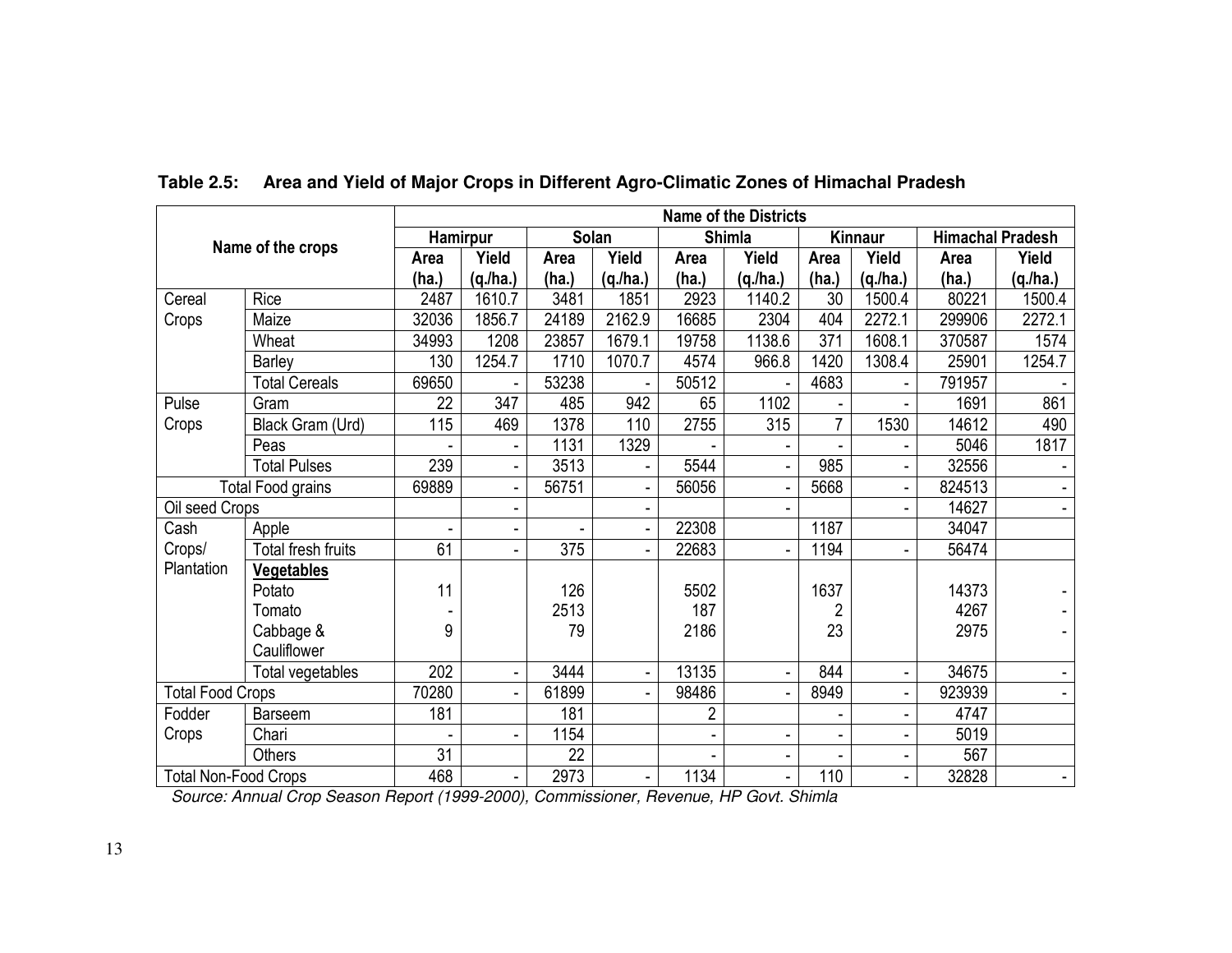|                             |                                                                                       |                | <b>Name of the Districts</b><br>Solan<br><b>Shimla</b><br><b>Himachal Pradesh</b><br><b>Hamirpur</b> |       |        |       |                              |                |                |        |                |  |  |  |
|-----------------------------|---------------------------------------------------------------------------------------|----------------|------------------------------------------------------------------------------------------------------|-------|--------|-------|------------------------------|----------------|----------------|--------|----------------|--|--|--|
|                             | Name of the crops                                                                     |                |                                                                                                      |       |        |       |                              |                | Kinnaur        |        |                |  |  |  |
|                             |                                                                                       | Area           | Yield                                                                                                | Area  | Yield  | Area  | Yield                        | Area           | Yield          | Area   | Yield          |  |  |  |
|                             |                                                                                       | (ha.)          | (q/ha.)                                                                                              | (ha.) | (q/ha) | (ha.) | (q.lha.)                     | (ha.)          | (q.lha.)       | (ha.)  | (q.lha.)       |  |  |  |
| Cereal                      | Rice                                                                                  | 2487           | 1610.7                                                                                               | 3481  | 1851   | 2923  | 1140.2                       | 30             | 1500.4         | 80221  | 1500.4         |  |  |  |
| Crops                       | Maize                                                                                 | 32036          | 1856.7                                                                                               | 24189 | 2162.9 | 16685 | 2304                         | 404            | 2272.1         | 299906 | 2272.1         |  |  |  |
|                             | Wheat                                                                                 | 34993          | 1208                                                                                                 | 23857 | 1679.1 | 19758 | 1138.6                       | 371            | 1608.1         | 370587 | 1574           |  |  |  |
|                             | Barley                                                                                | 130            | 1254.7                                                                                               | 1710  | 1070.7 | 4574  | 966.8                        | 1420           | 1308.4         | 25901  | 1254.7         |  |  |  |
|                             | <b>Total Cereals</b>                                                                  | 69650          |                                                                                                      | 53238 |        | 50512 |                              | 4683           |                | 791957 |                |  |  |  |
| Pulse<br>Gram               |                                                                                       | 22             | 347                                                                                                  | 485   | 942    | 65    | 1102                         |                |                | 1691   | 861            |  |  |  |
| Crops                       | Black Gram (Urd)                                                                      | 115            | 469                                                                                                  | 1378  | 110    | 2755  | 315                          | $\overline{7}$ | 1530           | 14612  | 490            |  |  |  |
|                             | Peas                                                                                  |                |                                                                                                      | 1131  | 1329   |       | $\qquad \qquad \blacksquare$ |                |                | 5046   | 1817           |  |  |  |
| <b>Total Pulses</b>         |                                                                                       | 239            |                                                                                                      | 3513  |        | 5544  | ä,                           | 985            |                | 32556  |                |  |  |  |
| <b>Total Food grains</b>    |                                                                                       | 69889          | $\blacksquare$                                                                                       | 56751 |        | 56056 | $\blacksquare$               | 5668           |                | 824513 |                |  |  |  |
| Oil seed Crops              |                                                                                       |                |                                                                                                      |       |        |       |                              |                |                | 14627  |                |  |  |  |
| Cash                        | Apple                                                                                 | $\blacksquare$ |                                                                                                      |       |        | 22308 |                              | 1187           |                | 34047  |                |  |  |  |
| Crops/                      | Total fresh fruits                                                                    | 61             |                                                                                                      | 375   |        | 22683 |                              | 1194           |                | 56474  |                |  |  |  |
| Plantation                  | <b>Vegetables</b>                                                                     |                |                                                                                                      |       |        |       |                              |                |                |        |                |  |  |  |
|                             | Potato                                                                                | 11             |                                                                                                      | 126   |        | 5502  |                              | 1637           |                | 14373  |                |  |  |  |
|                             | Tomato                                                                                |                |                                                                                                      | 2513  |        | 187   |                              | $\overline{2}$ |                | 4267   |                |  |  |  |
|                             | Cabbage &                                                                             | 9              |                                                                                                      | 79    |        | 2186  |                              | 23             |                | 2975   |                |  |  |  |
|                             | Cauliflower                                                                           |                |                                                                                                      |       |        |       |                              |                |                |        |                |  |  |  |
|                             | Total vegetables                                                                      | 202            | $\blacksquare$                                                                                       | 3444  |        | 13135 | $\blacksquare$               | 844            |                | 34675  | $\blacksquare$ |  |  |  |
| <b>Total Food Crops</b>     |                                                                                       | 70280          |                                                                                                      | 61899 |        | 98486 |                              | 8949           |                | 923939 |                |  |  |  |
| Fodder<br>Barseem           |                                                                                       | 181            |                                                                                                      | 181   |        | 2     |                              |                |                | 4747   |                |  |  |  |
| Crops                       | Chari                                                                                 |                |                                                                                                      | 1154  |        |       | $\qquad \qquad \blacksquare$ |                |                | 5019   |                |  |  |  |
|                             | Others                                                                                | 31             |                                                                                                      | 22    |        |       |                              |                |                | 567    |                |  |  |  |
| <b>Total Non-Food Crops</b> | Source: Annual Crop Season Report (1999-2000), Commissioner, Revenue, HP Govt. Shimla | 468            | $\blacksquare$                                                                                       | 2973  |        | 1134  | $\blacksquare$               | 110            | $\blacksquare$ | 32828  | $\blacksquare$ |  |  |  |

## **Table 2.5: Area and Yield of Major Crops in Different Agro-Climatic Zones of Himachal Pradesh**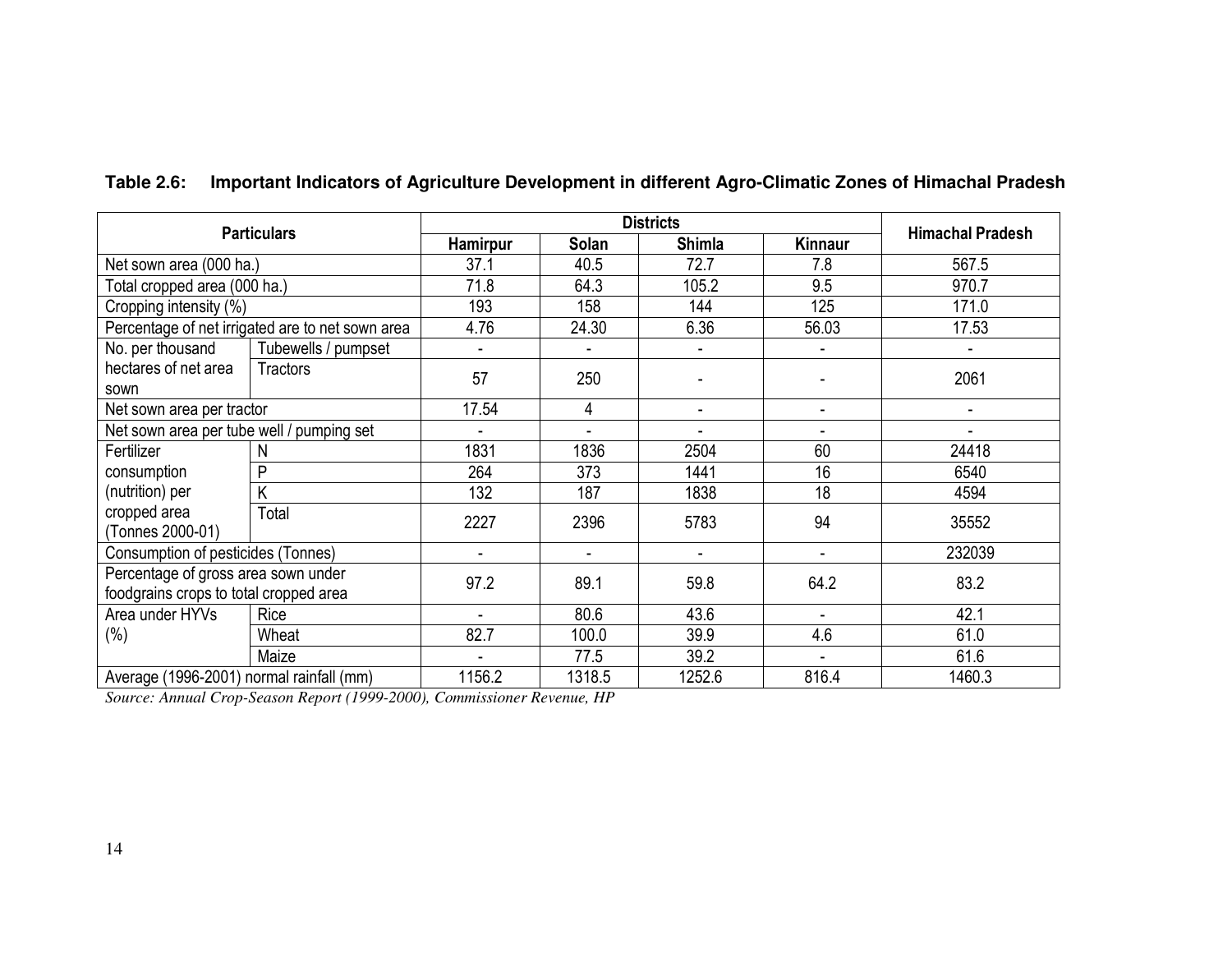## **Table 2.6: Important Indicators of Agriculture Development in different Agro-Climatic Zones of Himachal Pradesh**

|                                                                               | <b>Particulars</b>                               |          |                          | <b>Districts</b>         |                              | <b>Himachal Pradesh</b> |  |
|-------------------------------------------------------------------------------|--------------------------------------------------|----------|--------------------------|--------------------------|------------------------------|-------------------------|--|
|                                                                               |                                                  | Hamirpur | Solan                    | <b>Shimla</b>            | Kinnaur                      |                         |  |
| Net sown area (000 ha.)                                                       |                                                  | 37.1     | 40.5                     | 72.7                     | 7.8                          | 567.5                   |  |
| Total cropped area (000 ha.)                                                  |                                                  | 71.8     | 64.3                     | 105.2                    | 9.5                          | 970.7                   |  |
| Cropping intensity (%)                                                        |                                                  | 193      | 158                      | 144                      | 125                          | 171.0                   |  |
|                                                                               | Percentage of net irrigated are to net sown area | 4.76     | 24.30                    | 6.36                     | 56.03                        | 17.53                   |  |
| No. per thousand                                                              | Tubewells / pumpset                              |          |                          |                          |                              |                         |  |
| hectares of net area<br>sown                                                  | Tractors                                         | 57       | 250                      |                          |                              | 2061                    |  |
| Net sown area per tractor                                                     |                                                  | 17.54    | 4                        | $\blacksquare$           | $\blacksquare$               | $\blacksquare$          |  |
| Net sown area per tube well / pumping set                                     |                                                  |          | $\blacksquare$           | $\overline{\phantom{0}}$ | $\qquad \qquad \blacksquare$ |                         |  |
| Fertilizer                                                                    | N                                                | 1831     | 1836                     | 2504                     | 60                           | 24418                   |  |
| consumption                                                                   | P                                                | 264      | 373                      | 1441                     | 16                           | 6540                    |  |
| (nutrition) per                                                               | K                                                | 132      | 187                      | 1838                     | 18                           | 4594                    |  |
| cropped area<br>(Tonnes 2000-01)                                              | Total                                            | 2227     | 2396                     | 5783                     | 94                           | 35552                   |  |
| Consumption of pesticides (Tonnes)                                            |                                                  |          | $\overline{\phantom{0}}$ |                          | $\overline{\phantom{a}}$     | 232039                  |  |
| Percentage of gross area sown under<br>foodgrains crops to total cropped area |                                                  | 97.2     | 89.1                     | 59.8                     | 64.2                         | 83.2                    |  |
| Area under HYVs                                                               | Rice                                             |          | 80.6                     | 43.6                     | $\blacksquare$               | 42.1                    |  |
| (%)                                                                           | Wheat                                            | 82.7     | 100.0                    | 39.9                     | 4.6                          | 61.0                    |  |
|                                                                               | Maize                                            |          | 77.5                     | 39.2                     | $\blacksquare$               | 61.6                    |  |
| Average (1996-2001) normal rainfall (mm)                                      |                                                  | 1156.2   | 1318.5                   | 1252.6                   | 816.4                        | 1460.3                  |  |

*Source: Annual Crop-Season Report (1999-2000), Commissioner Revenue, HP*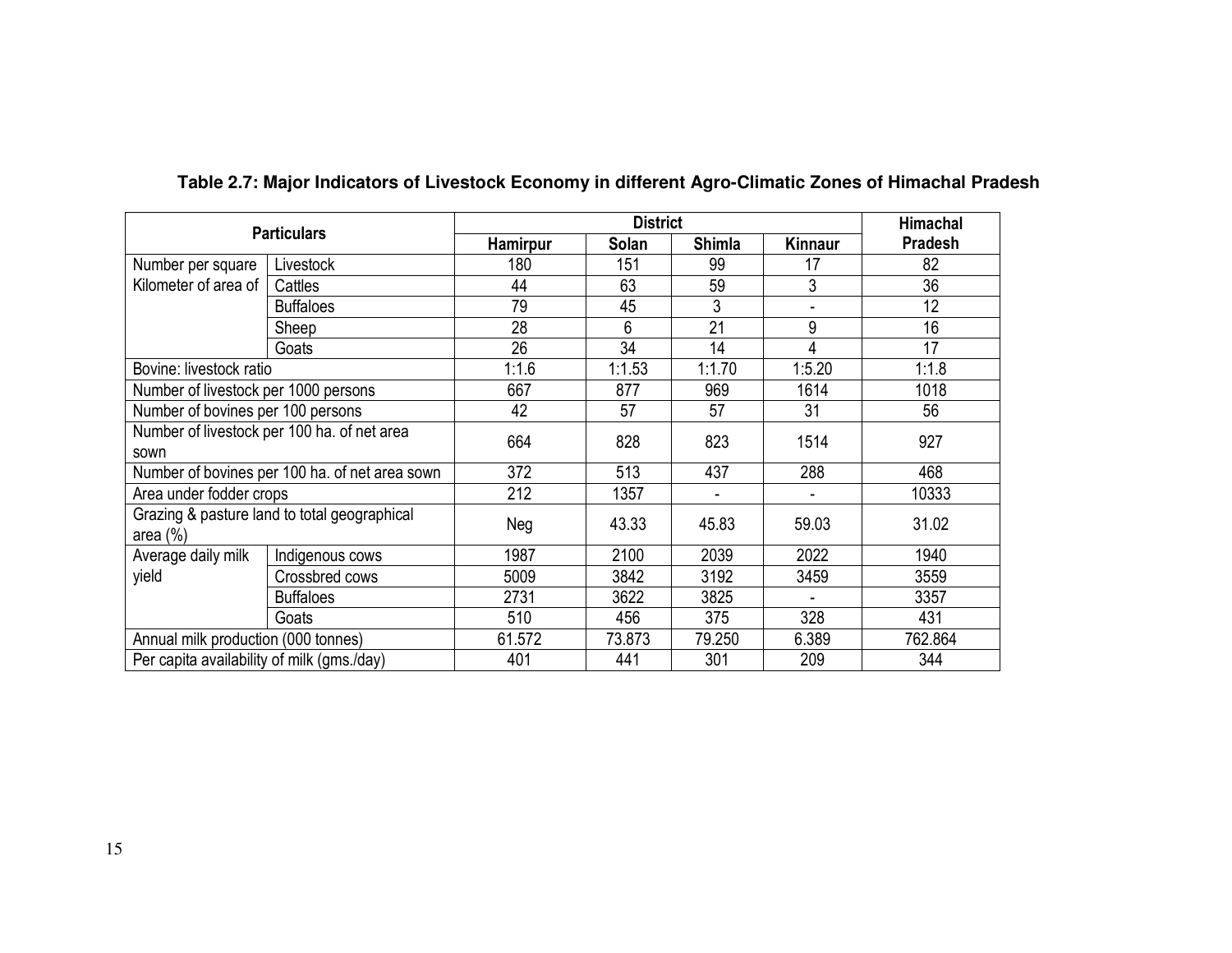|                                            |                                                |          | <b>District</b> |               |         | Himachal       |
|--------------------------------------------|------------------------------------------------|----------|-----------------|---------------|---------|----------------|
|                                            | <b>Particulars</b>                             | Hamirpur | Solan           | <b>Shimla</b> | Kinnaur | <b>Pradesh</b> |
| Number per square                          | Livestock                                      | 180      | 151             | 99            | 17      | 82             |
| Kilometer of area of                       | Cattles                                        | 44       | 63              | 59            | 3       | 36             |
|                                            | <b>Buffaloes</b>                               | 79       | 45              | 3             |         | 12             |
|                                            | Sheep                                          | 28       | 6               | 21            | 9       | 16             |
|                                            | Goats                                          | 26       | 34              | 14            | 4       | 17             |
| Bovine: livestock ratio                    |                                                | 1:1.6    | 1:1.53          | 1:1.70        | 1:5.20  | 1:1.8          |
| Number of livestock per 1000 persons       |                                                | 667      | 877             | 969           | 1614    | 1018           |
| Number of bovines per 100 persons          |                                                | 42       | 57              | 57            | 31      | 56             |
|                                            | Number of livestock per 100 ha. of net area    | 664      | 828             | 823           | 1514    | 927            |
| sown                                       |                                                |          |                 |               |         |                |
|                                            | Number of bovines per 100 ha. of net area sown | 372      | 513             | 437           | 288     | 468            |
| Area under fodder crops                    |                                                | 212      | 1357            |               |         | 10333          |
| area $(\%)$                                | Grazing & pasture land to total geographical   | Neg      | 43.33           | 45.83         | 59.03   | 31.02          |
| Average daily milk                         | Indigenous cows                                | 1987     | 2100            | 2039          | 2022    | 1940           |
| yield                                      | Crossbred cows                                 | 5009     | 3842            | 3192          | 3459    | 3559           |
|                                            | <b>Buffaloes</b>                               | 2731     | 3622            | 3825          |         | 3357           |
| Goats                                      |                                                | 510      | 456             | 375           | 328     | 431            |
| Annual milk production (000 tonnes)        |                                                | 61.572   | 73.873          | 79.250        | 6.389   | 762.864        |
| Per capita availability of milk (gms./day) |                                                | 401      | 441             | 301           | 209     | 344            |

### **Table 2.7: Major Indicators of Livestock Economy in different Agro-Climatic Zones of Himachal Pradesh**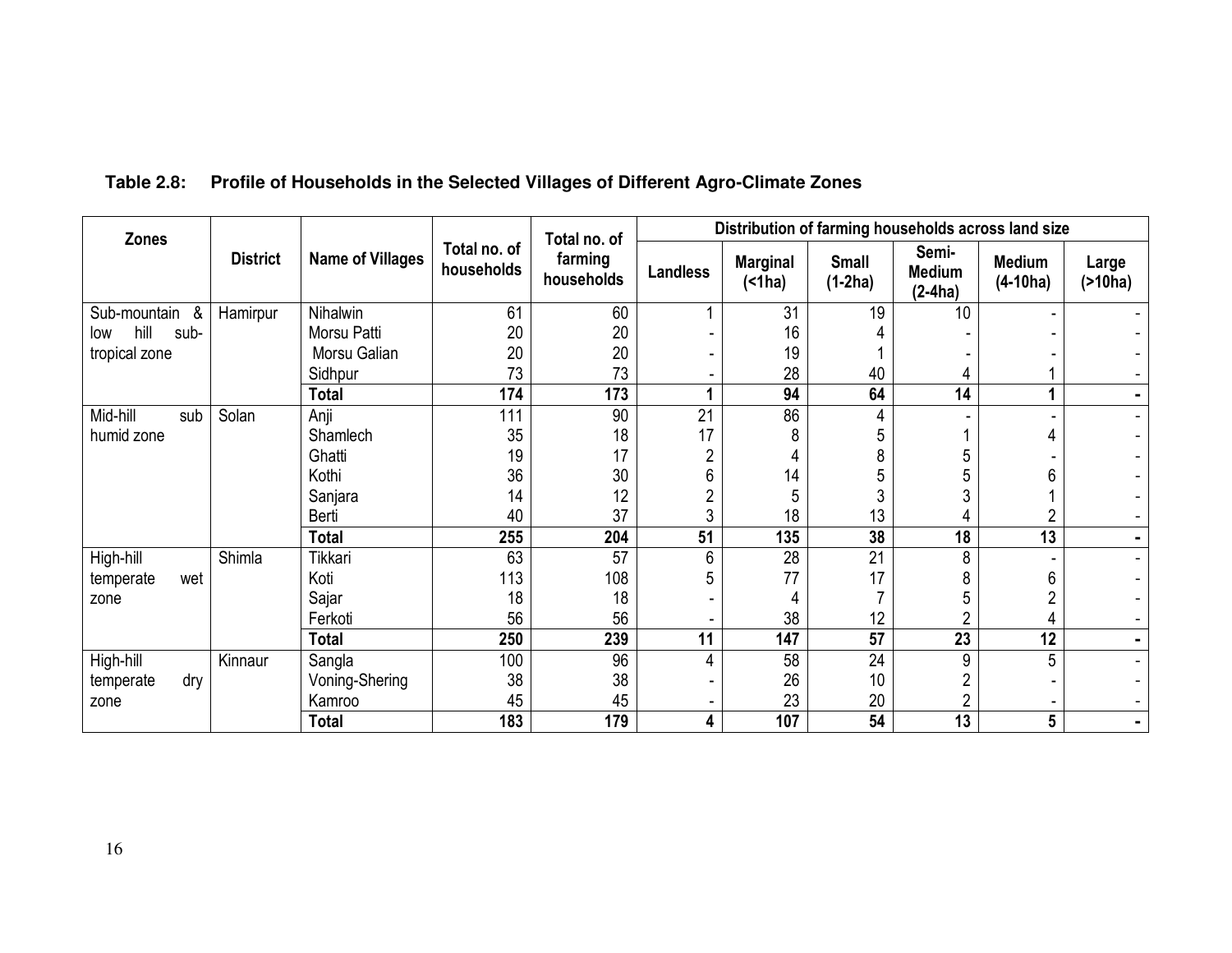## **Table 2.8: Profile of Households in the Selected Villages of Different Agro-Climate Zones**

| <b>Zones</b>        |                 |                         |                            | Total no. of          | Distribution of farming households across land size |                      |                           |                                     |                             |                          |  |
|---------------------|-----------------|-------------------------|----------------------------|-----------------------|-----------------------------------------------------|----------------------|---------------------------|-------------------------------------|-----------------------------|--------------------------|--|
|                     | <b>District</b> | <b>Name of Villages</b> | Total no. of<br>households | farming<br>households | <b>Landless</b>                                     | <b>Marginal</b><br>( | <b>Small</b><br>$(1-2ha)$ | Semi-<br><b>Medium</b><br>$(2-4ha)$ | <b>Medium</b><br>$(4-10ha)$ | Large<br>$($ >10ha)      |  |
| Sub-mountain<br>&   | Hamirpur        | Nihalwin                | 61                         | 60                    |                                                     | 31                   | 19                        | 10                                  |                             |                          |  |
| hill<br>sub-<br>low |                 | Morsu Patti             | 20                         | 20                    |                                                     | 16                   |                           |                                     |                             |                          |  |
| tropical zone       |                 | Morsu Galian            | 20                         | 20                    |                                                     | 19                   |                           |                                     |                             |                          |  |
|                     |                 | Sidhpur                 | 73                         | 73                    |                                                     | 28                   | 40                        |                                     |                             |                          |  |
|                     |                 | <b>Total</b>            | 174                        | 173                   |                                                     | 94                   | 64                        | 14                                  |                             | Ξ.                       |  |
| Mid-hill<br>sub     | Solan           | Anji                    | 111                        | 90                    | 21                                                  | 86                   | 4                         |                                     |                             |                          |  |
| humid zone          |                 | Shamlech                | 35                         | 18                    | 17                                                  | 8                    | 5                         |                                     |                             |                          |  |
|                     |                 | Ghatti                  | 19                         | 17                    | $\overline{2}$                                      | 4                    | 8                         | 5                                   |                             |                          |  |
|                     |                 | Kothi                   | 36                         | 30                    | 6                                                   | 14                   | 5                         | 5                                   | 6                           |                          |  |
|                     |                 | Sanjara                 | 14                         | 12                    | $\overline{2}$                                      | 5                    | 3                         | 3                                   |                             |                          |  |
|                     |                 | Berti                   | 40                         | 37                    | 3                                                   | 18                   | 13                        |                                     | 2                           | -                        |  |
|                     |                 | <b>Total</b>            | 255                        | 204                   | 51                                                  | 135                  | 38                        | 18                                  | $\overline{13}$             | $\blacksquare$           |  |
| High-hill           | Shimla          | Tikkari                 | 63                         | 57                    | 6                                                   | 28                   | 21                        | 8                                   |                             | $\overline{\phantom{0}}$ |  |
| wet<br>temperate    |                 | Koti                    | 113                        | 108                   | 5                                                   | 77                   | 17                        | 8                                   | 6                           |                          |  |
| zone                |                 | Sajar                   | 18                         | 18                    |                                                     | 4                    |                           | 5                                   | ŋ                           |                          |  |
|                     |                 | Ferkoti                 | 56                         | 56                    |                                                     | 38                   | 12                        | C                                   | 4                           |                          |  |
|                     |                 | <b>Total</b>            | 250                        | 239                   | 11                                                  | 147                  | 57                        | 23                                  | 12                          | Ξ.                       |  |
| High-hill           | Kinnaur         | Sangla                  | 100                        | 96                    | 4                                                   | 58                   | $\overline{24}$           | 9                                   | 5                           |                          |  |
| dry<br>temperate    |                 | Voning-Shering          | 38                         | 38                    |                                                     | 26                   | 10                        | $\overline{2}$                      |                             |                          |  |
| zone                |                 | Kamroo                  | 45                         | 45                    |                                                     | 23                   | 20                        | $\overline{2}$                      |                             |                          |  |
|                     |                 | <b>Total</b>            | 183                        | 179                   | 4                                                   | 107                  | 54                        | 13                                  | 5                           | $\blacksquare$           |  |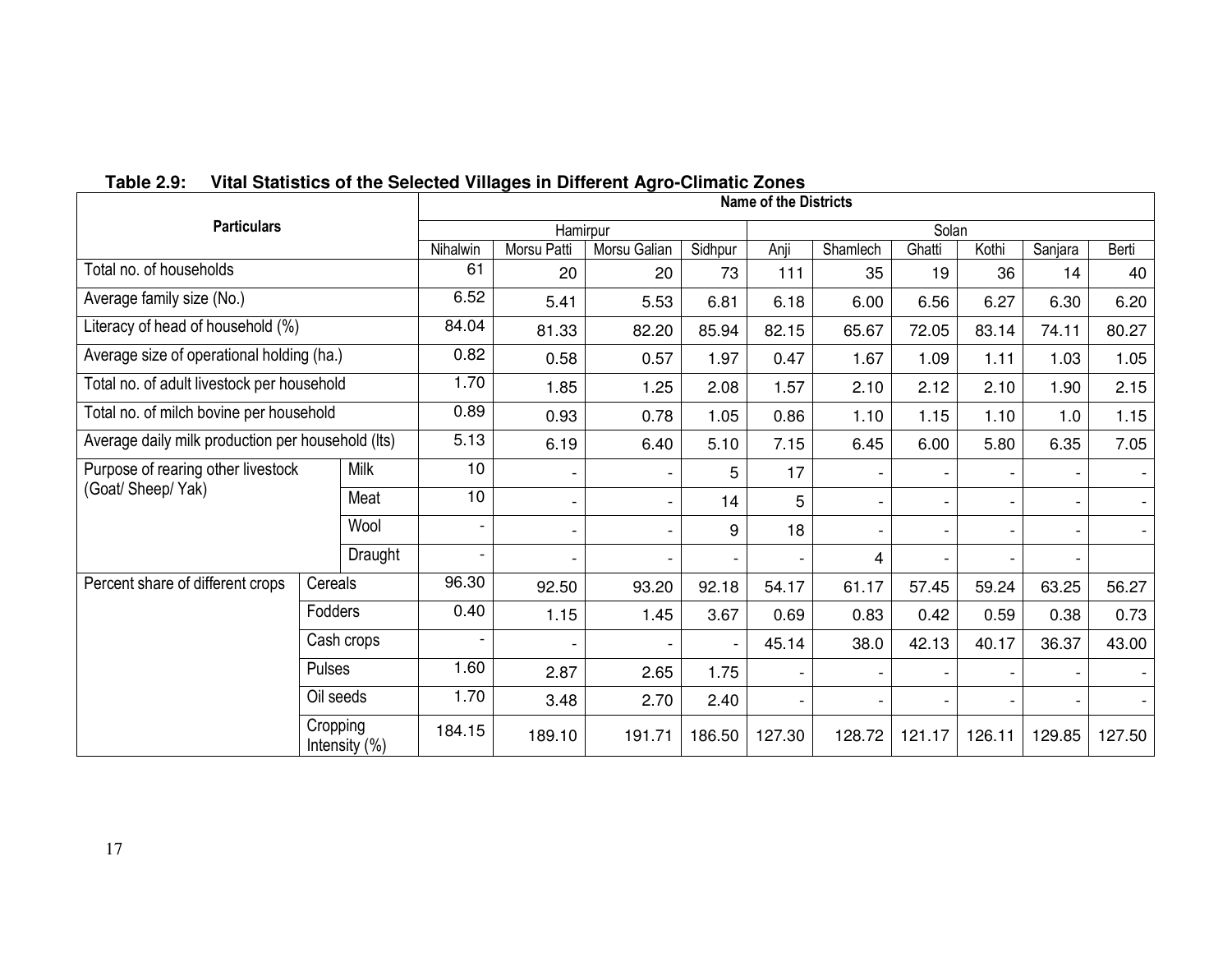|                                                   |           |                  |                          |                          |              | <b>Name of the Districts</b> |                          |          |                          |        |                          |        |
|---------------------------------------------------|-----------|------------------|--------------------------|--------------------------|--------------|------------------------------|--------------------------|----------|--------------------------|--------|--------------------------|--------|
| <b>Particulars</b>                                |           |                  |                          | Hamirpur                 |              |                              |                          |          | Solan                    |        |                          |        |
|                                                   |           |                  | Nihalwin                 | Morsu Patti              | Morsu Galian | Sidhpur                      | Anji                     | Shamlech | Ghatti                   | Kothi  | Sanjara                  | Berti  |
| Total no. of households                           |           |                  | 61                       | 20                       | 20           | 73                           | 111                      | 35       | 19                       | 36     | 14                       | 40     |
| Average family size (No.)                         |           |                  | 6.52                     | 5.41                     | 5.53         | 6.81                         | 6.18                     | 6.00     | 6.56                     | 6.27   | 6.30                     | 6.20   |
| Literacy of head of household (%)                 |           |                  | 84.04                    | 81.33                    | 82.20        | 85.94                        | 82.15                    | 65.67    | 72.05                    | 83.14  | 74.11                    | 80.27  |
| Average size of operational holding (ha.)         |           |                  | 0.82                     | 0.58                     | 0.57         | 1.97                         | 0.47                     | 1.67     | 1.09                     | 1.11   | 1.03                     | 1.05   |
| Total no. of adult livestock per household        |           |                  | 1.70                     | 1.85                     | 1.25         | 2.08                         | 1.57                     | 2.10     | 2.12                     | 2.10   | 1.90                     | 2.15   |
| Total no. of milch bovine per household           |           |                  | 0.89                     | 0.93                     | 0.78         | 1.05                         | 0.86                     | 1.10     | 1.15                     | 1.10   | 1.0                      | 1.15   |
| Average daily milk production per household (Its) |           |                  | 5.13                     | 6.19                     | 6.40         | 5.10                         | 7.15                     | 6.45     | 6.00                     | 5.80   | 6.35                     | 7.05   |
| Purpose of rearing other livestock                |           | Milk             | 10                       |                          |              | 5                            | 17                       |          |                          |        |                          |        |
| (Goat/ Sheep/ Yak)                                |           | Meat             | 10                       | $\overline{\phantom{a}}$ |              | 14                           | 5                        |          | ٠                        |        |                          |        |
|                                                   |           | Wool             | $\overline{\phantom{a}}$ | $\overline{\phantom{a}}$ |              | 9                            | 18                       |          | $\overline{\phantom{0}}$ |        | $\overline{\phantom{a}}$ |        |
|                                                   |           | Draught          |                          | $\overline{\phantom{a}}$ |              |                              |                          | 4        | ۰                        |        |                          |        |
| Percent share of different crops                  | Cereals   |                  | 96.30                    | 92.50                    | 93.20        | 92.18                        | 54.17                    | 61.17    | 57.45                    | 59.24  | 63.25                    | 56.27  |
|                                                   | Fodders   |                  | 0.40                     | 1.15                     | 1.45         | 3.67                         | 0.69                     | 0.83     | 0.42                     | 0.59   | 0.38                     | 0.73   |
|                                                   |           | Cash crops       |                          |                          |              |                              | 45.14                    | 38.0     | 42.13                    | 40.17  | 36.37                    | 43.00  |
|                                                   | Pulses    |                  | 1.60                     | 2.87                     | 2.65         | 1.75                         | $\overline{\phantom{0}}$ |          |                          |        |                          |        |
|                                                   | Oil seeds |                  | 1.70                     | 3.48                     | 2.70         | 2.40                         |                          |          |                          |        |                          |        |
|                                                   | Cropping  | Intensity $(\%)$ | 184.15                   | 189.10                   | 191.71       | 186.50                       | 127.30                   | 128.72   | 121.17                   | 126.11 | 129.85                   | 127.50 |

## **Table 2.9: Vital Statistics of the Selected Villages in Different Agro-Climatic Zones**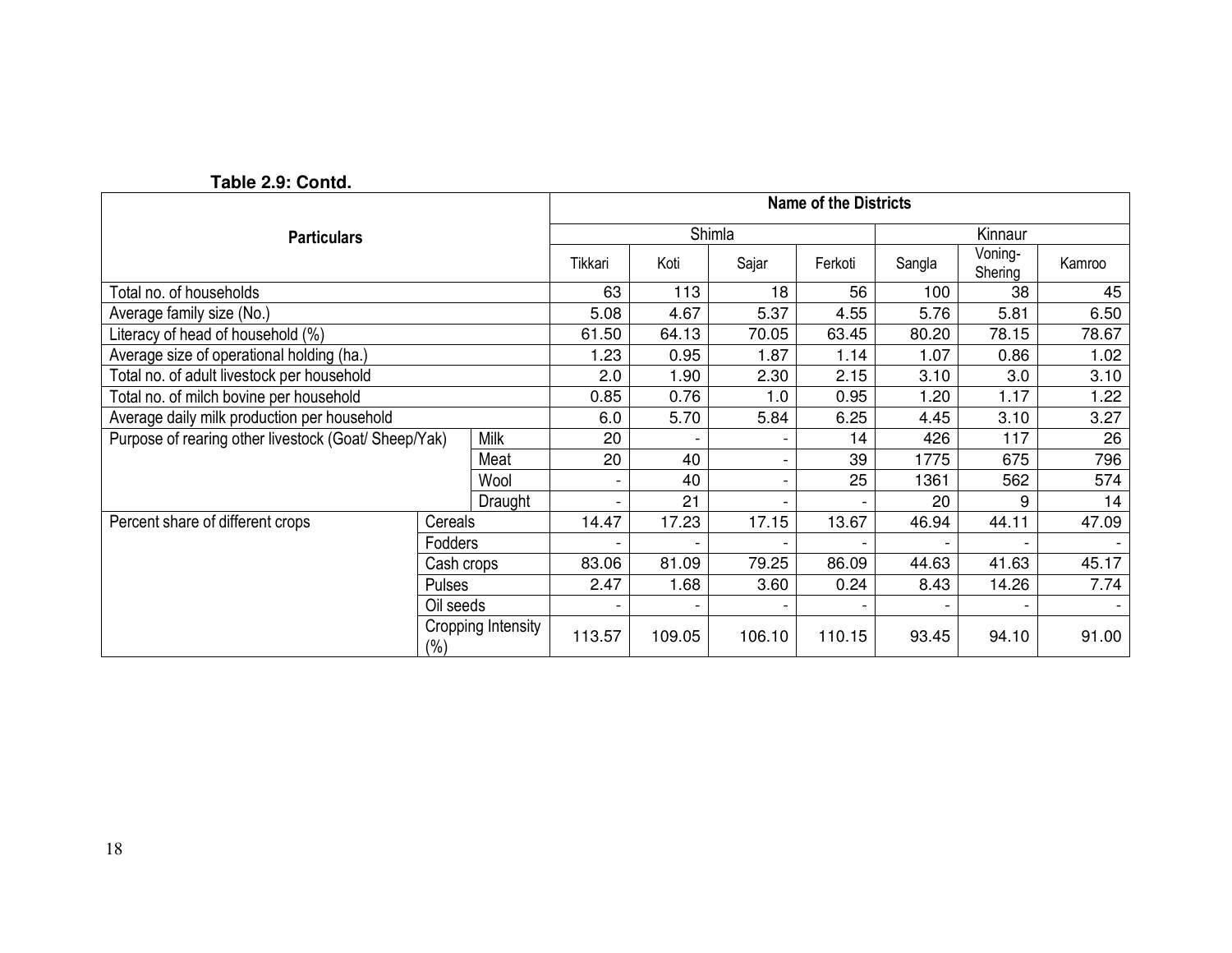|                                                      |                     | <b>Name of the Districts</b> |                          |                          |        |                          |                          |                    |        |  |
|------------------------------------------------------|---------------------|------------------------------|--------------------------|--------------------------|--------|--------------------------|--------------------------|--------------------|--------|--|
| <b>Particulars</b>                                   |                     |                              |                          |                          | Shimla |                          | Kinnaur                  |                    |        |  |
|                                                      |                     |                              | Tikkari                  | Koti                     | Sajar  | Ferkoti                  | Sangla                   | Voning-<br>Shering | Kamroo |  |
| Total no. of households                              |                     |                              | 63                       | 113                      | 18     | 56                       | 100                      | 38                 | 45     |  |
| Average family size (No.)                            |                     |                              | 5.08                     | 4.67                     | 5.37   | 4.55                     | 5.76                     | 5.81               | 6.50   |  |
| Literacy of head of household (%)                    |                     |                              | 61.50                    | 64.13                    | 70.05  | 63.45                    | 80.20                    | 78.15              | 78.67  |  |
| Average size of operational holding (ha.)            |                     |                              | 1.23                     | 0.95                     | 1.87   | 1.14                     | 1.07                     | 0.86               | 1.02   |  |
| Total no. of adult livestock per household           |                     |                              | 2.0                      | 1.90                     | 2.30   | 2.15                     | 3.10                     | 3.0                | 3.10   |  |
| Total no. of milch bovine per household              |                     |                              | 0.85                     | 0.76                     | 1.0    | 0.95                     | 1.20                     | 1.17               | 1.22   |  |
| Average daily milk production per household          |                     |                              | 6.0                      | 5.70                     | 5.84   | 6.25                     | 4.45                     | 3.10               | 3.27   |  |
| Purpose of rearing other livestock (Goat/ Sheep/Yak) |                     | Milk                         | 20                       |                          |        | 14                       | 426                      | 117                | 26     |  |
|                                                      |                     | Meat                         | 20                       | 40                       |        | 39                       | 1775                     | 675                | 796    |  |
|                                                      |                     | Wool                         | $\overline{\phantom{a}}$ | 40                       |        | 25                       | 1361                     | 562                | 574    |  |
|                                                      |                     | Draught                      |                          | 21                       |        |                          | 20                       | 9                  | 14     |  |
| Percent share of different crops                     | Cereals             |                              | 14.47                    | 17.23                    | 17.15  | 13.67                    | 46.94                    | 44.11              | 47.09  |  |
|                                                      | Fodders             |                              |                          | $\overline{\phantom{0}}$ |        | $\overline{\phantom{a}}$ | $\overline{\phantom{a}}$ |                    |        |  |
| Cash crops                                           |                     |                              | 83.06                    | 81.09                    | 79.25  | 86.09                    | 44.63                    | 41.63              | 45.17  |  |
|                                                      | Pulses<br>Oil seeds |                              | 2.47                     | 1.68                     | 3.60   | 0.24                     | 8.43                     | 14.26              | 7.74   |  |
|                                                      |                     |                              |                          | -                        |        |                          |                          |                    |        |  |
|                                                      | $(\% )$             | Cropping Intensity           | 113.57                   | 109.05                   | 106.10 | 110.15                   | 93.45                    | 94.10              | 91.00  |  |

 **Table 2.9: Contd.**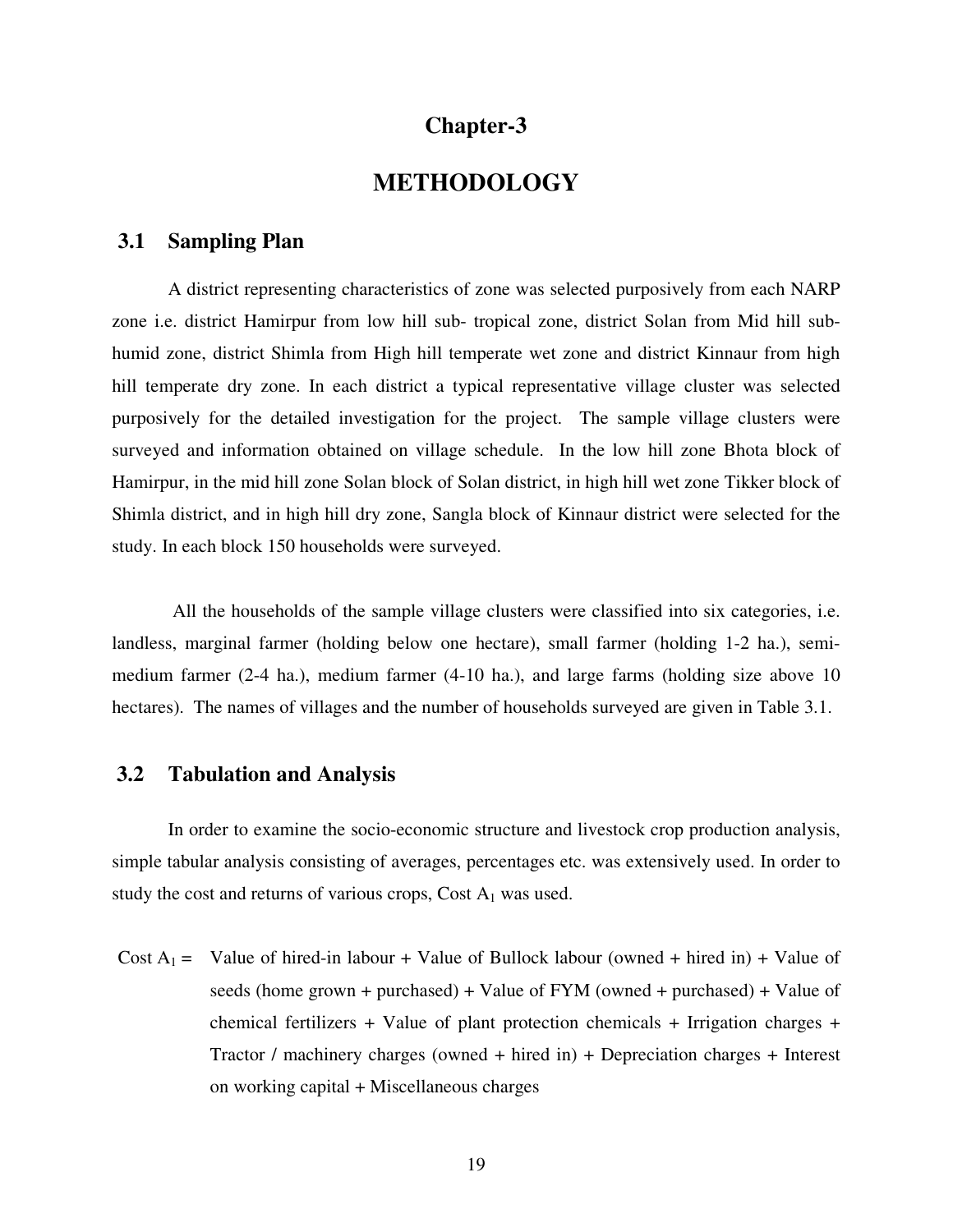## **Chapter-3**

## **METHODOLOGY**

## **3.1 Sampling Plan**

 A district representing characteristics of zone was selected purposively from each NARP zone i.e. district Hamirpur from low hill sub- tropical zone, district Solan from Mid hill subhumid zone, district Shimla from High hill temperate wet zone and district Kinnaur from high hill temperate dry zone. In each district a typical representative village cluster was selected purposively for the detailed investigation for the project. The sample village clusters were surveyed and information obtained on village schedule. In the low hill zone Bhota block of Hamirpur, in the mid hill zone Solan block of Solan district, in high hill wet zone Tikker block of Shimla district, and in high hill dry zone, Sangla block of Kinnaur district were selected for the study. In each block 150 households were surveyed.

 All the households of the sample village clusters were classified into six categories, i.e. landless, marginal farmer (holding below one hectare), small farmer (holding 1-2 ha.), semimedium farmer (2-4 ha.), medium farmer (4-10 ha.), and large farms (holding size above 10 hectares). The names of villages and the number of households surveyed are given in Table 3.1.

### **3.2 Tabulation and Analysis**

 In order to examine the socio-economic structure and livestock crop production analysis, simple tabular analysis consisting of averages, percentages etc. was extensively used. In order to study the cost and returns of various crops, Cost  $A_1$  was used.

Cost  $A_1 =$  Value of hired-in labour + Value of Bullock labour (owned + hired in) + Value of seeds (home grown + purchased) + Value of FYM (owned + purchased) + Value of chemical fertilizers + Value of plant protection chemicals + Irrigation charges + Tractor / machinery charges (owned + hired in) + Depreciation charges + Interest on working capital + Miscellaneous charges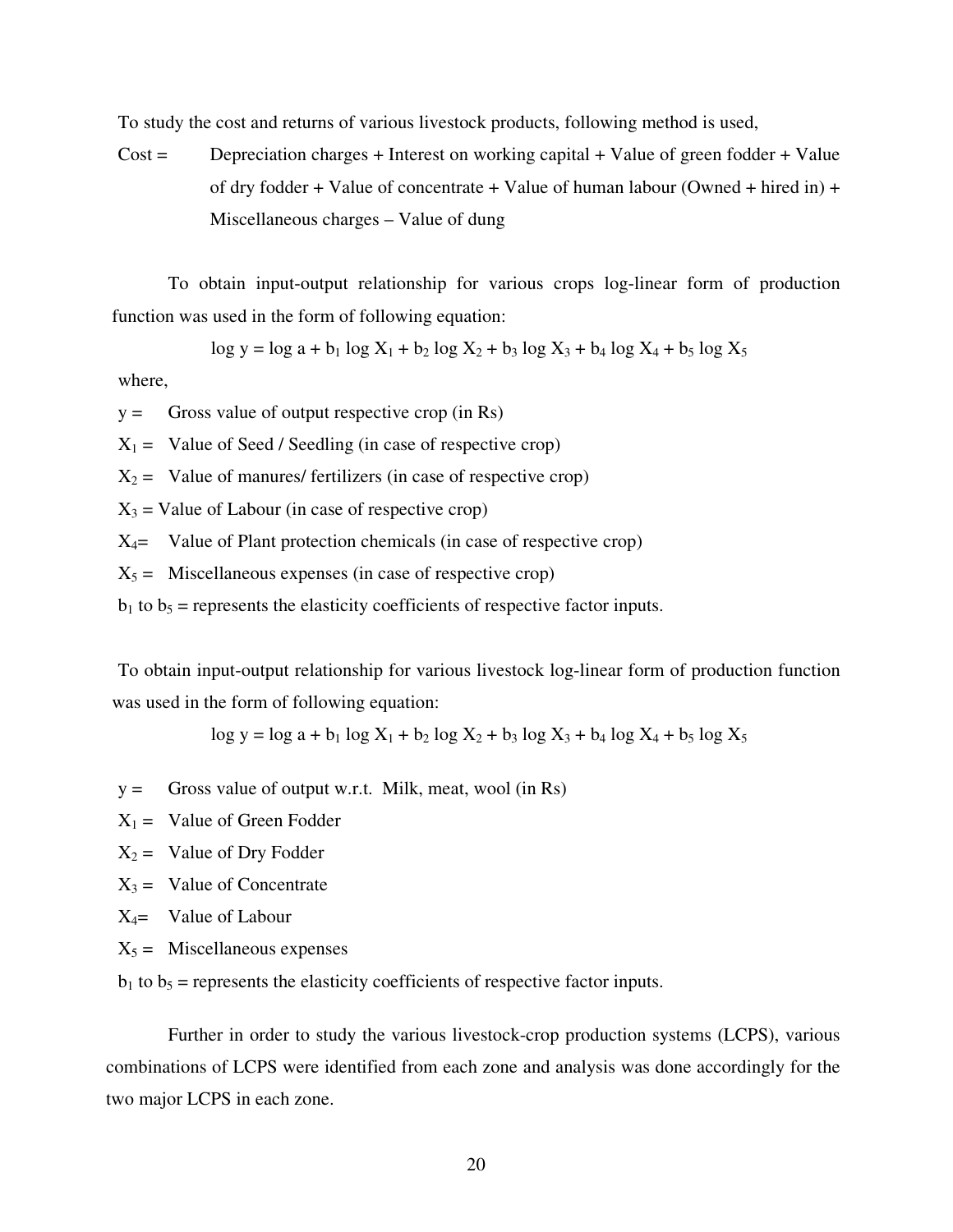To study the cost and returns of various livestock products, following method is used,

 $Cost =$  Depreciation charges + Interest on working capital + Value of green fodder + Value of dry fodder + Value of concentrate + Value of human labour (Owned + hired in) + Miscellaneous charges – Value of dung

 To obtain input-output relationship for various crops log-linear form of production function was used in the form of following equation:

 $\log y = \log a + b_1 \log X_1 + b_2 \log X_2 + b_3 \log X_3 + b_4 \log X_4 + b_5 \log X_5$ 

where,

 $y =$  Gross value of output respective crop (in Rs)

 $X_1 =$  Value of Seed / Seedling (in case of respective crop)

 $X_2$  = Value of manures/ fertilizers (in case of respective crop)

 $X_3$  = Value of Labour (in case of respective crop)

 $X_4$ = Value of Plant protection chemicals (in case of respective crop)

 $X_5$  = Miscellaneous expenses (in case of respective crop)

 $b_1$  to  $b_5$  = represents the elasticity coefficients of respective factor inputs.

To obtain input-output relationship for various livestock log-linear form of production function was used in the form of following equation:

 $\log y = \log a + b_1 \log X_1 + b_2 \log X_2 + b_3 \log X_3 + b_4 \log X_4 + b_5 \log X_5$ 

- $y =$  Gross value of output w.r.t. Milk, meat, wool (in Rs)
- $X_1 =$  Value of Green Fodder
- $X_2$  = Value of Dry Fodder
- $X_3$  = Value of Concentrate
- $X_4$ = Value of Labour
- $X_5$  = Miscellaneous expenses

 $b_1$  to  $b_5$  = represents the elasticity coefficients of respective factor inputs.

Further in order to study the various livestock-crop production systems (LCPS), various combinations of LCPS were identified from each zone and analysis was done accordingly for the two major LCPS in each zone.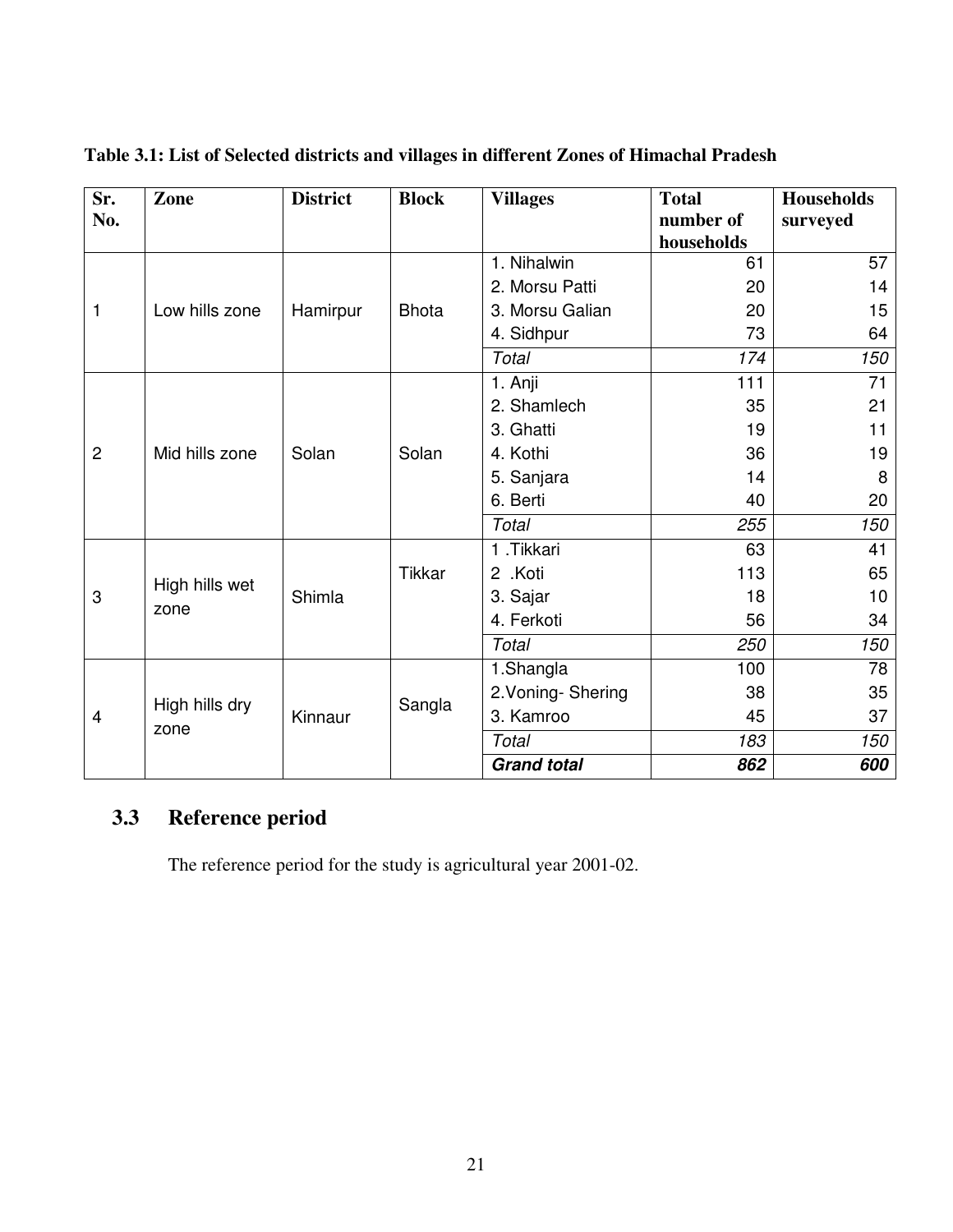| Sr.<br>No.                       | Zone           | <b>District</b> | <b>Block</b>  | <b>Villages</b>          | <b>Total</b><br>number of | <b>Households</b><br>surveyed |
|----------------------------------|----------------|-----------------|---------------|--------------------------|---------------------------|-------------------------------|
|                                  |                |                 |               |                          | households                |                               |
|                                  |                |                 |               | 1. Nihalwin              | 61                        | 57                            |
|                                  |                |                 |               | 2. Morsu Patti           | 20                        | 14                            |
| 1                                | Low hills zone | Hamirpur        | <b>Bhota</b>  | 3. Morsu Galian          | 20                        | 15                            |
|                                  |                |                 |               | 4. Sidhpur               | 73                        | 64                            |
|                                  |                |                 |               | Total                    | 174                       | 150                           |
|                                  |                |                 |               | 1. Anji                  | 111                       | 71                            |
|                                  |                |                 |               | 2. Shamlech              | 35                        | 21                            |
| $\overline{c}$<br>Mid hills zone |                | Solan           |               | 3. Ghatti                | 19                        | 11                            |
|                                  |                |                 | Solan         | 4. Kothi                 | 36                        | 19                            |
|                                  |                |                 |               | 5. Sanjara               | 14                        | 8                             |
|                                  |                |                 | 6. Berti      | 40                       | 20                        |                               |
|                                  |                |                 |               | Total                    | 255                       | 150                           |
|                                  |                |                 |               | $\overline{1}$ . Tikkari | 63                        | 41                            |
|                                  |                |                 | <b>Tikkar</b> | 2 .Koti                  | 113                       | 65                            |
| 3                                | High hills wet | Shimla          |               | 3. Sajar                 | 18                        | 10                            |
|                                  | zone           |                 |               | 4. Ferkoti               | 56                        | 34                            |
|                                  |                |                 |               | Total                    | 250                       | 150                           |
|                                  |                |                 |               | 1.Shangla                | 100                       | 78                            |
|                                  |                |                 |               | 2. Voning-Shering        | 38                        | 35                            |
| 4                                | High hills dry | Kinnaur         | Sangla        | 3. Kamroo                | 45                        | 37                            |
|                                  | zone           |                 |               | Total                    | 183                       | 150                           |
|                                  |                |                 |               | <b>Grand total</b>       | 862                       | 600                           |

**Table 3.1: List of Selected districts and villages in different Zones of Himachal Pradesh** 

# **3.3 Reference period**

The reference period for the study is agricultural year 2001-02.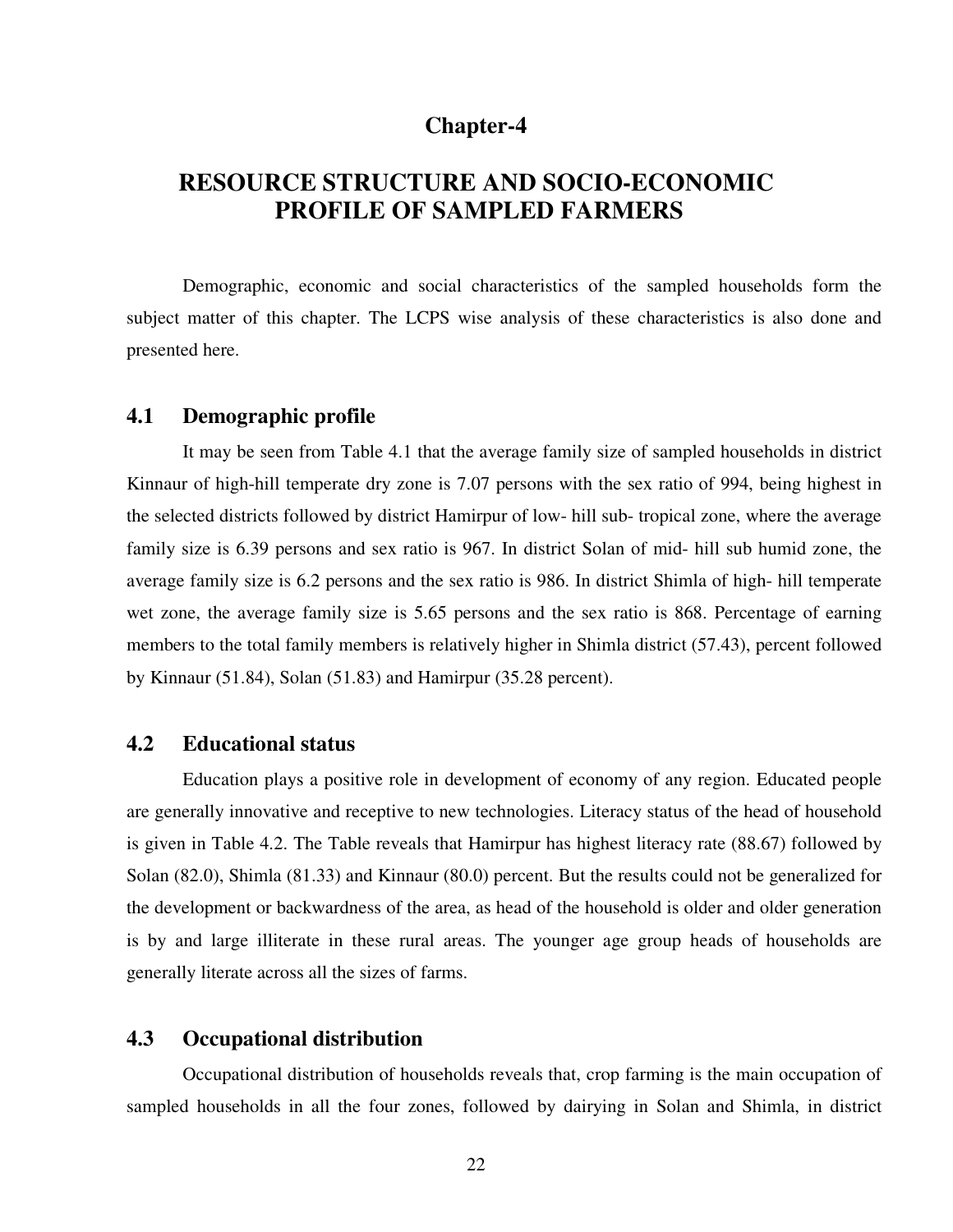## **Chapter-4**

# **RESOURCE STRUCTURE AND SOCIO-ECONOMIC PROFILE OF SAMPLED FARMERS**

Demographic, economic and social characteristics of the sampled households form the subject matter of this chapter. The LCPS wise analysis of these characteristics is also done and presented here.

### **4.1 Demographic profile**

 It may be seen from Table 4.1 that the average family size of sampled households in district Kinnaur of high-hill temperate dry zone is 7.07 persons with the sex ratio of 994, being highest in the selected districts followed by district Hamirpur of low- hill sub- tropical zone, where the average family size is 6.39 persons and sex ratio is 967. In district Solan of mid- hill sub humid zone, the average family size is 6.2 persons and the sex ratio is 986. In district Shimla of high- hill temperate wet zone, the average family size is 5.65 persons and the sex ratio is 868. Percentage of earning members to the total family members is relatively higher in Shimla district (57.43), percent followed by Kinnaur (51.84), Solan (51.83) and Hamirpur (35.28 percent).

### **4.2 Educational status**

Education plays a positive role in development of economy of any region. Educated people are generally innovative and receptive to new technologies. Literacy status of the head of household is given in Table 4.2. The Table reveals that Hamirpur has highest literacy rate (88.67) followed by Solan (82.0), Shimla (81.33) and Kinnaur (80.0) percent. But the results could not be generalized for the development or backwardness of the area, as head of the household is older and older generation is by and large illiterate in these rural areas. The younger age group heads of households are generally literate across all the sizes of farms.

### **4.3 Occupational distribution**

 Occupational distribution of households reveals that, crop farming is the main occupation of sampled households in all the four zones, followed by dairying in Solan and Shimla, in district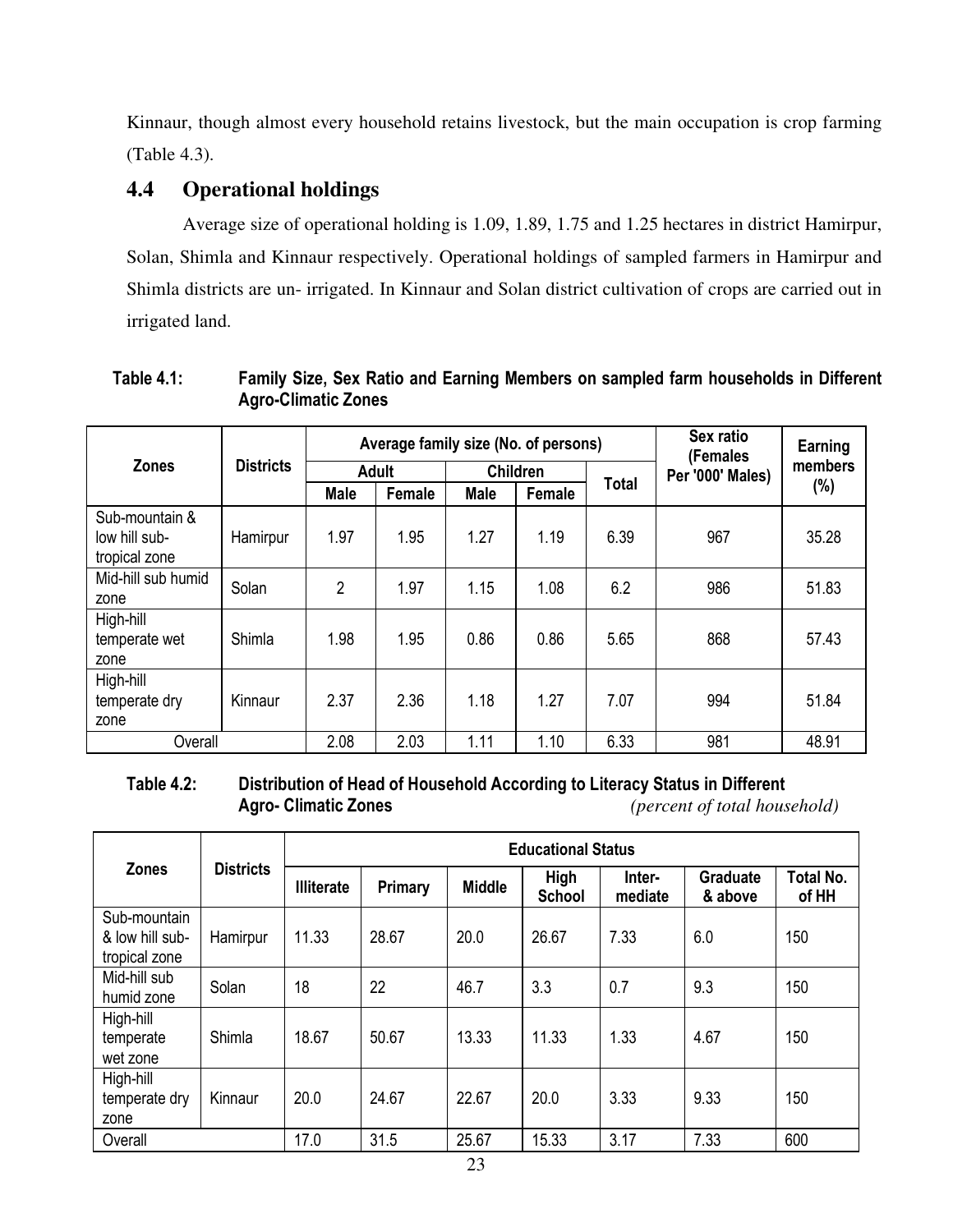Kinnaur, though almost every household retains livestock, but the main occupation is crop farming (Table 4.3).

## **4.4 Operational holdings**

Average size of operational holding is 1.09, 1.89, 1.75 and 1.25 hectares in district Hamirpur, Solan, Shimla and Kinnaur respectively. Operational holdings of sampled farmers in Hamirpur and Shimla districts are un- irrigated. In Kinnaur and Solan district cultivation of crops are carried out in irrigated land.

| Table 4.1: | Family Size, Sex Ratio and Earning Members on sampled farm households in Different |
|------------|------------------------------------------------------------------------------------|
|            | <b>Agro-Climatic Zones</b>                                                         |

|                                                  |                  |              | Average family size (No. of persons) |                 | Sex ratio<br>(Females | Earning<br>members |     |       |
|--------------------------------------------------|------------------|--------------|--------------------------------------|-----------------|-----------------------|--------------------|-----|-------|
| <b>Zones</b>                                     | <b>Districts</b> | <b>Adult</b> |                                      | <b>Children</b> |                       |                    |     |       |
|                                                  |                  | <b>Male</b>  | Female                               | <b>Male</b>     | Female                | <b>Total</b>       |     | (%)   |
| Sub-mountain &<br>low hill sub-<br>tropical zone | Hamirpur         | 1.97         | 1.95                                 | 1.27            | 1.19                  | 6.39               | 967 | 35.28 |
| Mid-hill sub humid<br>zone                       | Solan            | 2            | 1.97                                 | 1.15            | 1.08                  | 6.2                | 986 | 51.83 |
| High-hill<br>temperate wet<br>zone               | Shimla           | 1.98         | 1.95                                 | 0.86            | 0.86                  | 5.65               | 868 | 57.43 |
| High-hill<br>temperate dry<br>zone               | Kinnaur          | 2.37         | 2.36                                 | 1.18            | 1.27                  | 7.07               | 994 | 51.84 |
| Overall                                          |                  | 2.08         | 2.03                                 | 1.11            | 1.10                  | 6.33               | 981 | 48.91 |

### **Table 4.2: Distribution of Head of Household According to Literacy Status in Different**   $$

|                                                  | <b>Districts</b> | <b>Educational Status</b> |         |               |                              |                   |                            |                           |  |  |
|--------------------------------------------------|------------------|---------------------------|---------|---------------|------------------------------|-------------------|----------------------------|---------------------------|--|--|
| <b>Zones</b>                                     |                  | <b>Illiterate</b>         | Primary | <b>Middle</b> | <b>High</b><br><b>School</b> | Inter-<br>mediate | <b>Graduate</b><br>& above | <b>Total No.</b><br>of HH |  |  |
| Sub-mountain<br>& low hill sub-<br>tropical zone | Hamirpur         | 11.33                     | 28.67   | 20.0          | 26.67                        | 7.33              | 6.0                        | 150                       |  |  |
| Mid-hill sub<br>humid zone                       | Solan            | 18                        | 22      | 46.7          | 3.3                          | 0.7               | 9.3                        | 150                       |  |  |
| High-hill<br>temperate<br>wet zone               | Shimla           | 18.67                     | 50.67   | 13.33         | 11.33                        | 1.33              | 4.67                       | 150                       |  |  |
| High-hill<br>temperate dry<br>zone               | Kinnaur          | 20.0                      | 24.67   | 22.67         | 20.0                         | 3.33              | 9.33                       | 150                       |  |  |
| Overall                                          |                  | 17.0                      | 31.5    | 25.67         | 15.33                        | 3.17              | 7.33                       | 600                       |  |  |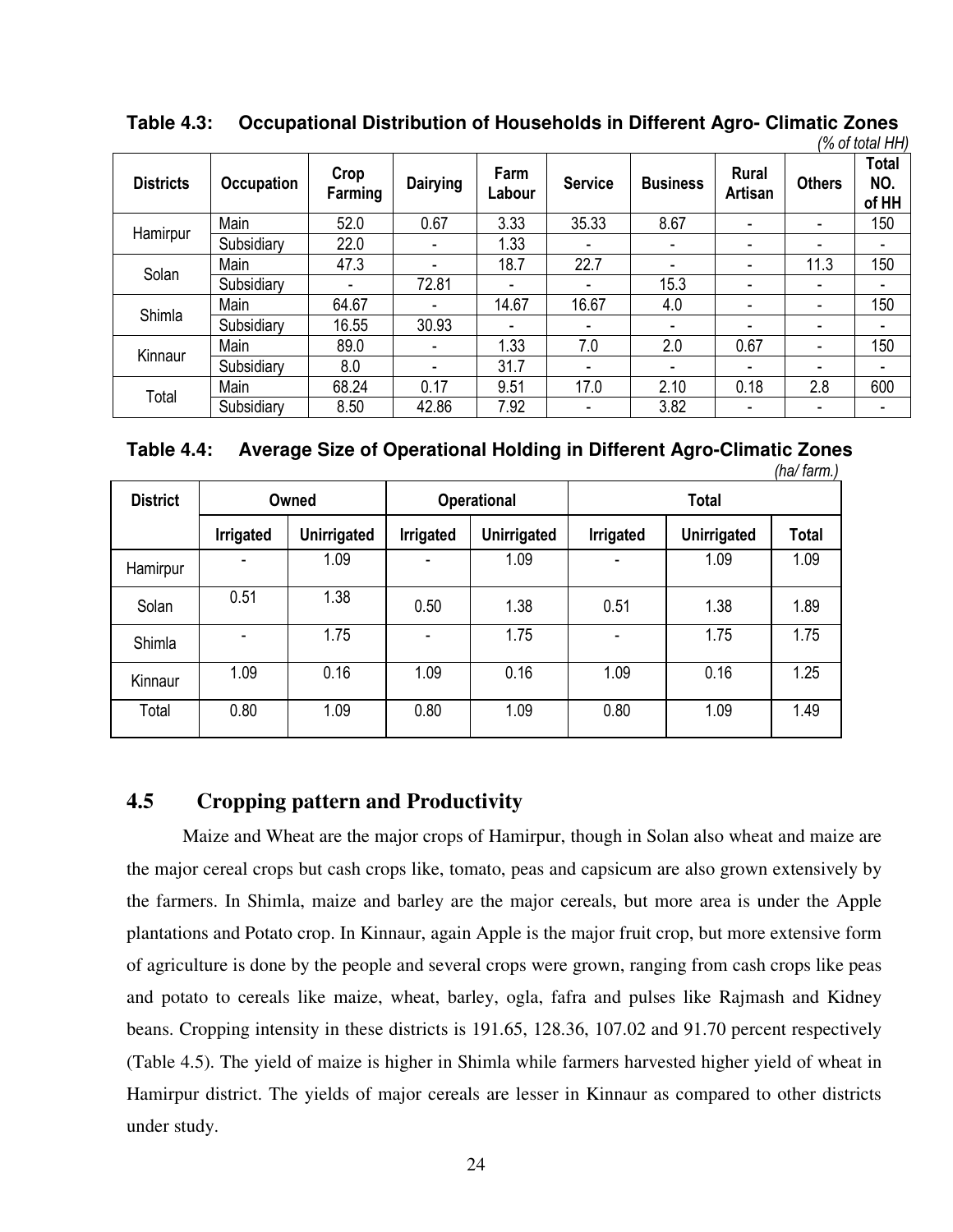|                  |                   |                 |                          |                |                |                          |                          |                          | (% of total HH)              |
|------------------|-------------------|-----------------|--------------------------|----------------|----------------|--------------------------|--------------------------|--------------------------|------------------------------|
| <b>Districts</b> | <b>Occupation</b> | Crop<br>Farming | <b>Dairying</b>          | Farm<br>Labour | <b>Service</b> | <b>Business</b>          | <b>Rural</b><br>Artisan  | <b>Others</b>            | <b>Total</b><br>NO.<br>of HH |
|                  | Main              | 52.0            | 0.67                     | 3.33           | 35.33          | 8.67                     | ۰                        | ۰                        | 150                          |
| Hamirpur         | Subsidiary        | 22.0            | $\overline{\phantom{0}}$ | 1.33           |                | $\overline{\phantom{0}}$ | $\overline{\phantom{0}}$ | ۰                        |                              |
| Solan            | Main              | 47.3            | ۰                        | 18.7           | 22.7           | $\overline{\phantom{0}}$ | ۰                        | 11.3                     | 150                          |
|                  | Subsidiary        |                 | 72.81                    |                |                | 15.3                     |                          | ۰                        |                              |
| Shimla           | Main              | 64.67           | ۰                        | 14.67          | 16.67          | 4.0                      | ۰                        | ۰                        | 150                          |
|                  | Subsidiary        | 16.55           | 30.93                    | ۰              |                | ۰                        | ۰                        | $\overline{\phantom{0}}$ |                              |
| Kinnaur          | Main              | 89.0            | $\overline{\phantom{0}}$ | 1.33           | 7.0            | 2.0                      | 0.67                     | $\overline{\phantom{0}}$ | 150                          |
|                  | Subsidiary        | 8.0             | ٠                        | 31.7           | ۰              | $\overline{\phantom{0}}$ | ۰                        | -                        | $\overline{\phantom{0}}$     |
| Total            | Main              | 68.24           | 0.17                     | 9.51           | 17.0           | 2.10                     | 0.18                     | 2.8                      | 600                          |
|                  | Subsidiary        | 8.50            | 42.86                    | 7.92           | ۰              | 3.82                     |                          |                          |                              |

 **Table 4.3: Occupational Distribution of Households in Different Agro- Climatic Zones** 

| Table 4.4: | Average Size of Operational Holding in Different Agro-Climatic Zones |
|------------|----------------------------------------------------------------------|
|            |                                                                      |

|                 |                  |                    |           |                    |                  |             | (ha/ farm.)  |  |
|-----------------|------------------|--------------------|-----------|--------------------|------------------|-------------|--------------|--|
| <b>District</b> | Owned            |                    |           | <b>Operational</b> | <b>Total</b>     |             |              |  |
|                 | <b>Irrigated</b> | <b>Unirrigated</b> | Irrigated | <b>Unirrigated</b> | <b>Irrigated</b> | Unirrigated | <b>Total</b> |  |
| Hamirpur        | ۰                | 1.09               | ٠         | 1.09               |                  | 1.09        | 1.09         |  |
| Solan           | 0.51             | 1.38               | 0.50      | 1.38               | 0.51             | 1.38        | 1.89         |  |
| Shimla          | ٠                | 1.75               | ۰         | 1.75               |                  | 1.75        | 1.75         |  |
| Kinnaur         | 1.09             | 0.16               | 1.09      | 0.16               | 1.09             | 0.16        | 1.25         |  |
| Total           | 0.80             | 1.09               | 0.80      | 1.09               | 0.80             | 1.09        | 1.49         |  |

## **4.5 Cropping pattern and Productivity**

 Maize and Wheat are the major crops of Hamirpur, though in Solan also wheat and maize are the major cereal crops but cash crops like, tomato, peas and capsicum are also grown extensively by the farmers. In Shimla, maize and barley are the major cereals, but more area is under the Apple plantations and Potato crop. In Kinnaur, again Apple is the major fruit crop, but more extensive form of agriculture is done by the people and several crops were grown, ranging from cash crops like peas and potato to cereals like maize, wheat, barley, ogla, fafra and pulses like Rajmash and Kidney beans. Cropping intensity in these districts is 191.65, 128.36, 107.02 and 91.70 percent respectively (Table 4.5). The yield of maize is higher in Shimla while farmers harvested higher yield of wheat in Hamirpur district. The yields of major cereals are lesser in Kinnaur as compared to other districts under study.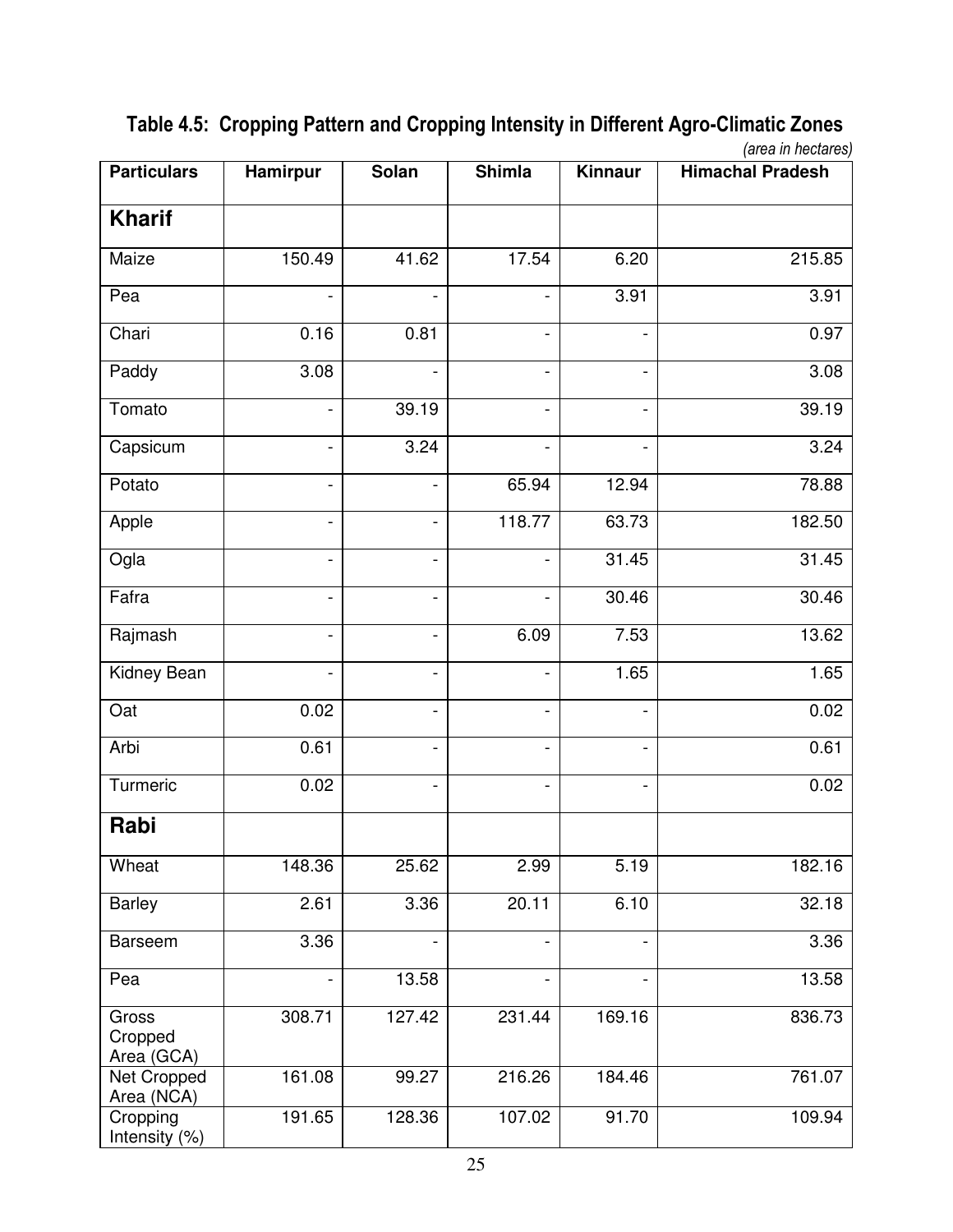| <b>Particulars</b>             | Hamirpur                     | <b>Solan</b>             | <b>Shimla</b>                | Kinnaur                      | (arctan 111)<br><b>Himachal Pradesh</b> |
|--------------------------------|------------------------------|--------------------------|------------------------------|------------------------------|-----------------------------------------|
| <b>Kharif</b>                  |                              |                          |                              |                              |                                         |
| Maize                          | 150.49                       | 41.62                    | 17.54                        | 6.20                         | 215.85                                  |
| Pea                            |                              |                          | $\overline{\phantom{a}}$     | 3.91                         | 3.91                                    |
| Chari                          | 0.16                         | 0.81                     | $\overline{\phantom{a}}$     | $\overline{\phantom{a}}$     | 0.97                                    |
| Paddy                          | 3.08                         |                          | $\qquad \qquad \blacksquare$ | $\blacksquare$               | 3.08                                    |
| Tomato                         | $\qquad \qquad \blacksquare$ | 39.19                    | $\blacksquare$               | $\blacksquare$               | 39.19                                   |
| Capsicum                       | $\overline{\phantom{0}}$     | 3.24                     | $\overline{\phantom{a}}$     | $\qquad \qquad \blacksquare$ | 3.24                                    |
| Potato                         | $\overline{\phantom{0}}$     |                          | 65.94                        | 12.94                        | 78.88                                   |
| Apple                          |                              |                          | 118.77                       | 63.73                        | 182.50                                  |
| Ogla                           | -                            |                          |                              | 31.45                        | 31.45                                   |
| Fafra                          | -                            | $\overline{\phantom{0}}$ |                              | 30.46                        | 30.46                                   |
| Rajmash                        |                              |                          | 6.09                         | 7.53                         | 13.62                                   |
| Kidney Bean                    |                              |                          |                              | 1.65                         | 1.65                                    |
| Oat                            | 0.02                         |                          | $\qquad \qquad \blacksquare$ | $\qquad \qquad \blacksquare$ | 0.02                                    |
| Arbi                           | 0.61                         |                          | $\qquad \qquad \blacksquare$ | $\qquad \qquad \blacksquare$ | 0.61                                    |
| Turmeric                       | 0.02                         |                          |                              | $\frac{1}{2}$                | 0.02                                    |
| Rabi                           |                              |                          |                              |                              |                                         |
| Wheat                          | 148.36                       | 25.62                    | 2.99                         | 5.19                         | 182.16                                  |
| <b>Barley</b>                  | 2.61                         | 3.36                     | 20.11                        | 6.10                         | 32.18                                   |
| <b>Barseem</b>                 | 3.36                         | $\blacksquare$           | $\overline{\phantom{a}}$     | $\qquad \qquad \blacksquare$ | 3.36                                    |
| Pea                            |                              | 13.58                    |                              | $\qquad \qquad \blacksquare$ | 13.58                                   |
| Gross<br>Cropped<br>Area (GCA) | 308.71                       | 127.42                   | 231.44                       | 169.16                       | 836.73                                  |
| Net Cropped<br>Area (NCA)      | 161.08                       | 99.27                    | 216.26                       | 184.46                       | 761.07                                  |
| Cropping<br>Intensity (%)      | 191.65                       | 128.36                   | 107.02                       | 91.70                        | 109.94                                  |

 **Table 4.5: Cropping Pattern and Cropping Intensity in Different Agro-Climatic Zones**   *(area in hectares)*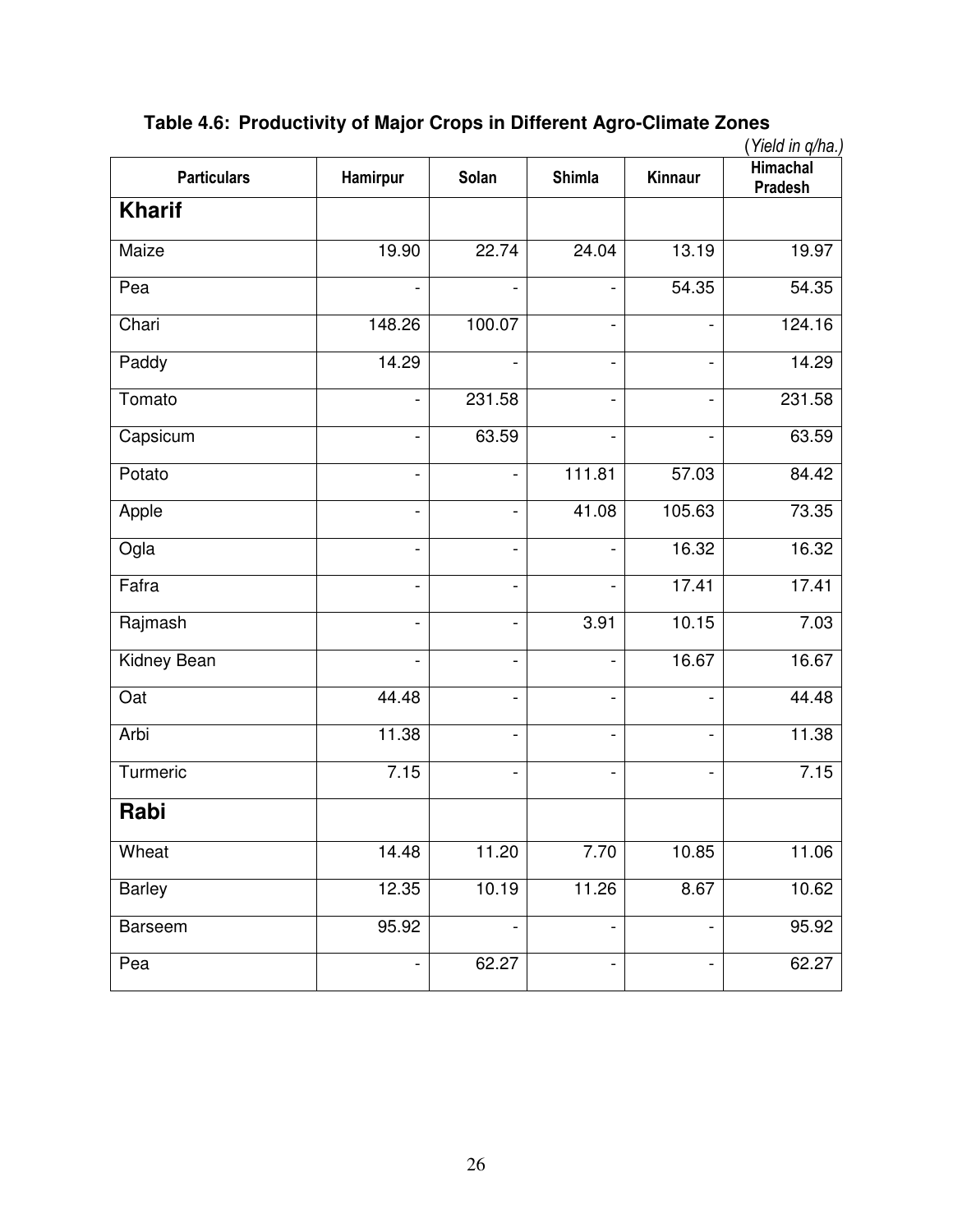| <b>Particulars</b> | Hamirpur                 | Solan          | <b>Shimla</b>            | Kinnaur                  | Himachal<br><b>Pradesh</b> |
|--------------------|--------------------------|----------------|--------------------------|--------------------------|----------------------------|
| <b>Kharif</b>      |                          |                |                          |                          |                            |
| Maize              | 19.90                    | 22.74          | 24.04                    | 13.19                    | 19.97                      |
| Pea                |                          |                | $\overline{a}$           | 54.35                    | 54.35                      |
| Chari              | 148.26                   | 100.07         | $\overline{a}$           |                          | 124.16                     |
| Paddy              | 14.29                    |                | $\overline{a}$           |                          | 14.29                      |
| Tomato             | $\overline{a}$           | 231.58         | $\overline{a}$           |                          | 231.58                     |
| Capsicum           |                          | 63.59          | $\overline{a}$           |                          | 63.59                      |
| Potato             |                          |                | 111.81                   | 57.03                    | 84.42                      |
| Apple              |                          |                | 41.08                    | 105.63                   | 73.35                      |
| Ogla               | $\overline{a}$           |                | $\overline{a}$           | 16.32                    | 16.32                      |
| Fafra              | $\overline{a}$           |                | $\overline{a}$           | 17.41                    | 17.41                      |
| Rajmash            | $\overline{\phantom{0}}$ | $\overline{a}$ | 3.91                     | 10.15                    | 7.03                       |
| Kidney Bean        | $\overline{\phantom{0}}$ |                | $\overline{\phantom{a}}$ | 16.67                    | 16.67                      |
| Oat                | 44.48                    |                | $\blacksquare$           |                          | 44.48                      |
| Arbi               | 11.38                    |                | $\blacksquare$           |                          | 11.38                      |
| Turmeric           | 7.15                     |                | $\blacksquare$           |                          | 7.15                       |
| Rabi               |                          |                |                          |                          |                            |
| Wheat              | 14.48                    | 11.20          | 7.70                     | 10.85                    | 11.06                      |
| <b>Barley</b>      | 12.35                    | 10.19          | 11.26                    | 8.67                     | 10.62                      |
| <b>Barseem</b>     | 95.92                    |                | $\overline{\phantom{a}}$ | $\overline{\phantom{a}}$ | 95.92                      |
| Pea                | $\overline{\phantom{0}}$ | 62.27          | $\blacksquare$           | $\overline{\phantom{a}}$ | 62.27                      |

**Table 4.6: Productivity of Major Crops in Different Agro-Climate Zones**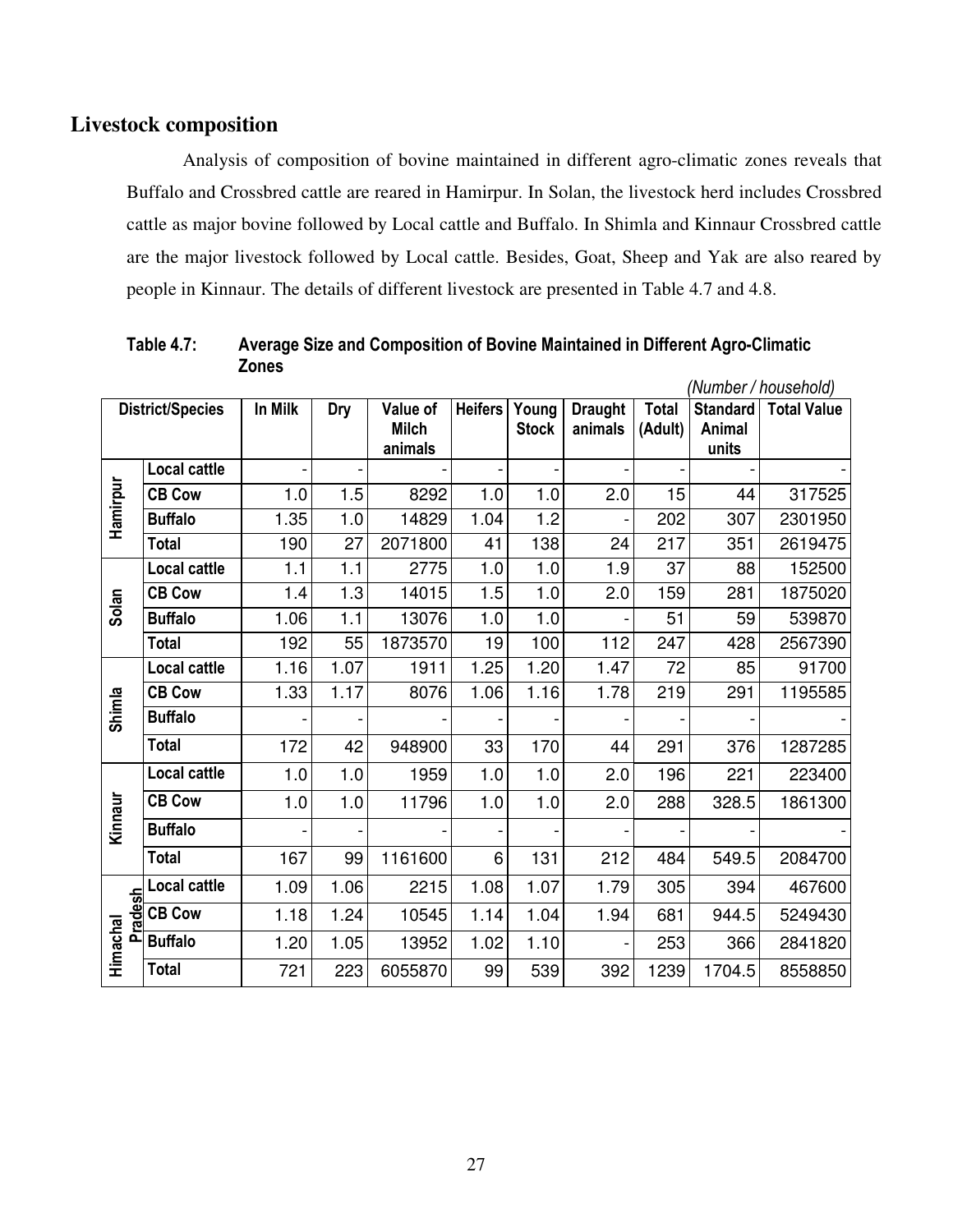### **Livestock composition**

 Analysis of composition of bovine maintained in different agro-climatic zones reveals that Buffalo and Crossbred cattle are reared in Hamirpur. In Solan, the livestock herd includes Crossbred cattle as major bovine followed by Local cattle and Buffalo. In Shimla and Kinnaur Crossbred cattle are the major livestock followed by Local cattle. Besides, Goat, Sheep and Yak are also reared by people in Kinnaur. The details of different livestock are presented in Table 4.7 and 4.8.

|                |                         |         |            |              |                |              |                |              |                 | (Number / household) |
|----------------|-------------------------|---------|------------|--------------|----------------|--------------|----------------|--------------|-----------------|----------------------|
|                | <b>District/Species</b> | In Milk | <b>Dry</b> | Value of     | <b>Heifers</b> | Young        | <b>Draught</b> | <b>Total</b> | <b>Standard</b> | <b>Total Value</b>   |
|                |                         |         |            | <b>Milch</b> |                | <b>Stock</b> | animals        | (Adult)      | Animal          |                      |
|                |                         |         |            | animals      |                |              |                |              | units           |                      |
|                | <b>Local cattle</b>     |         |            |              |                |              |                |              |                 |                      |
|                | <b>CB Cow</b>           | 1.0     | 1.5        | 8292         | 1.0            | 1.0          | 2.0            | 15           | 44              | 317525               |
| Hamirpur       | <b>Buffalo</b>          | 1.35    | 1.0        | 14829        | 1.04           | 1.2          |                | 202          | 307             | 2301950              |
|                | <b>Total</b>            | 190     | 27         | 2071800      | 41             | 138          | 24             | 217          | 351             | 2619475              |
|                | <b>Local cattle</b>     | 1.1     | 1.1        | 2775         | 1.0            | 1.0          | 1.9            | 37           | 88              | 152500               |
| Solan          | <b>CB Cow</b>           | 1.4     | 1.3        | 14015        | 1.5            | 1.0          | 2.0            | 159          | 281             | 1875020              |
|                | <b>Buffalo</b>          | 1.06    | 1.1        | 13076        | 1.0            | 1.0          |                | 51           | 59              | 539870               |
|                | <b>Total</b>            | 192     | 55         | 1873570      | 19             | 100          | 112            | 247          | 428             | 2567390              |
|                | <b>Local cattle</b>     | 1.16    | 1.07       | 1911         | 1.25           | 1.20         | 1.47           | 72           | 85              | 91700                |
|                | <b>CB Cow</b>           | 1.33    | 1.17       | 8076         | 1.06           | 1.16         | 1.78           | 219          | 291             | 1195585              |
| Shimla         | <b>Buffalo</b>          |         |            |              |                |              |                |              |                 |                      |
|                | <b>Total</b>            | 172     | 42         | 948900       | 33             | 170          | 44             | 291          | 376             | 1287285              |
|                | <b>Local cattle</b>     | 1.0     | 1.0        | 1959         | 1.0            | 1.0          | 2.0            | 196          | 221             | 223400               |
|                | <b>CB Cow</b>           | 1.0     | 1.0        | 11796        | 1.0            | 1.0          | 2.0            | 288          | 328.5           | 1861300              |
| Kinnaur        | <b>Buffalo</b>          |         |            |              |                |              |                |              |                 |                      |
|                | <b>Total</b>            | 167     | 99         | 1161600      | 6              | 131          | 212            | 484          | 549.5           | 2084700              |
|                | <b>Local cattle</b>     | 1.09    | 1.06       | 2215         | 1.08           | 1.07         | 1.79           | 305          | 394             | 467600               |
| <b>Pradesh</b> | <b>CB Cow</b>           | 1.18    | 1.24       | 10545        | 1.14           | 1.04         | 1.94           | 681          | 944.5           | 5249430              |
| Himachal       | <b>Buffalo</b>          | 1.20    | 1.05       | 13952        | 1.02           | 1.10         |                | 253          | 366             | 2841820              |
|                | <b>Total</b>            | 721     | 223        | 6055870      | 99             | 539          | 392            | 1239         | 1704.5          | 8558850              |

**Table 4.7: Average Size and Composition of Bovine Maintained in Different Agro-Climatic Zones**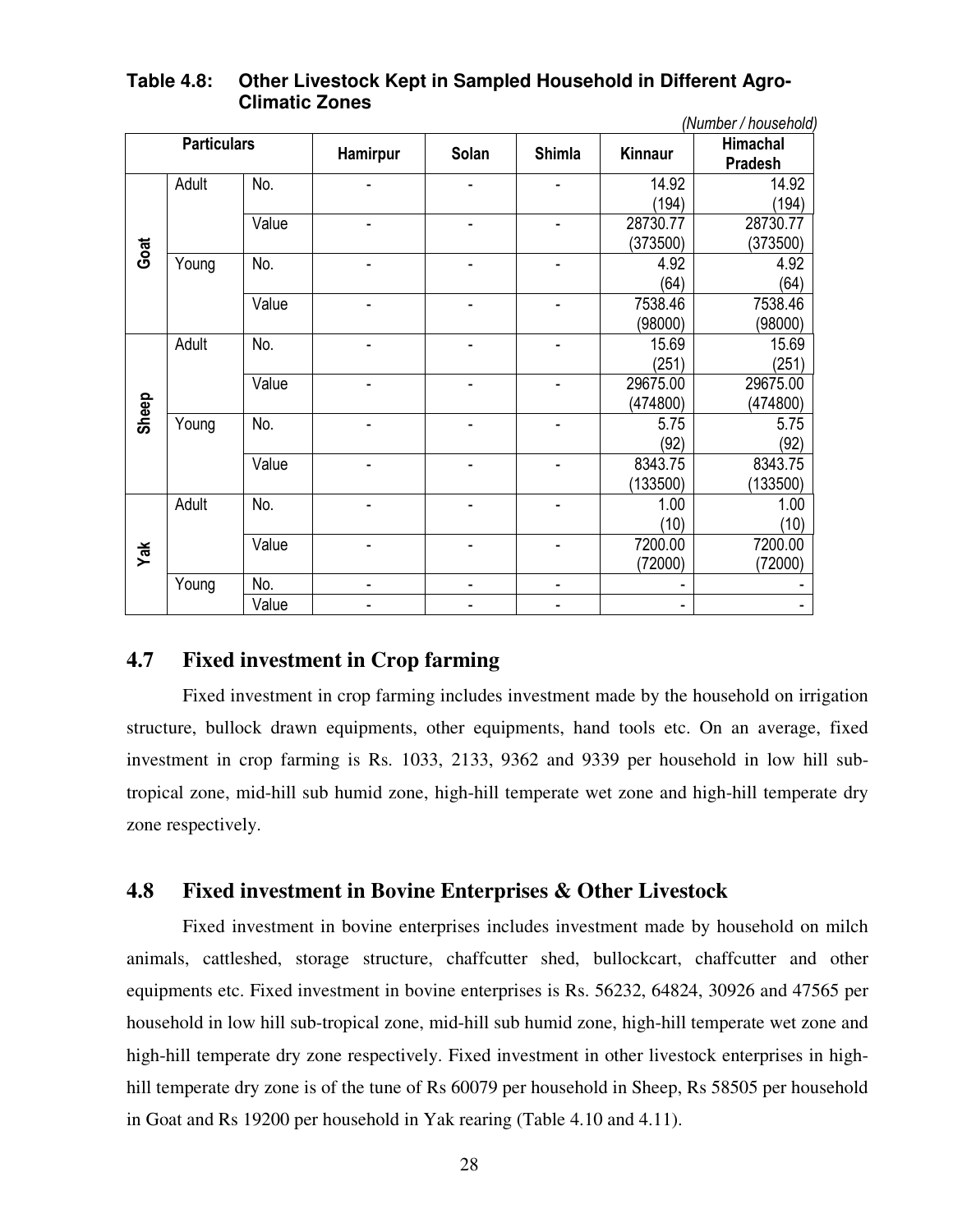|       |                    |       |                              |                          |               |          | (Number / household) |
|-------|--------------------|-------|------------------------------|--------------------------|---------------|----------|----------------------|
|       | <b>Particulars</b> |       | Hamirpur                     | Solan                    | <b>Shimla</b> | Kinnaur  | Himachal<br>Pradesh  |
|       | Adult              | No.   |                              |                          |               | 14.92    | 14.92                |
|       |                    |       |                              |                          |               | (194)    | (194)                |
|       |                    | Value |                              |                          |               | 28730.77 | 28730.77             |
| Goat  |                    |       |                              |                          |               | (373500) | (373500)             |
|       | Young              | No.   |                              |                          |               | 4.92     | 4.92                 |
|       |                    |       |                              |                          |               | (64)     | (64)                 |
|       |                    | Value |                              |                          |               | 7538.46  | 7538.46              |
|       |                    |       |                              |                          |               | (98000)  | (98000)              |
|       | Adult              | No.   |                              |                          |               | 15.69    | 15.69                |
|       |                    |       |                              |                          |               | (251)    | (251)                |
|       |                    | Value |                              |                          |               | 29675.00 | 29675.00             |
| Sheep |                    |       |                              |                          |               | (474800) | (474800)             |
|       | Young              | No.   |                              |                          |               | 5.75     | 5.75                 |
|       |                    |       |                              |                          |               | (92)     | (92)                 |
|       |                    | Value |                              |                          |               | 8343.75  | 8343.75              |
|       |                    |       |                              |                          |               | (133500) | (133500)             |
|       | Adult              | No.   | ٠                            | ٠                        | ۰             | 1.00     | 1.00                 |
|       |                    |       |                              |                          |               | (10)     | (10)                 |
| Yak   |                    | Value |                              |                          | ۰             | 7200.00  | 7200.00              |
|       |                    |       |                              |                          |               | (72000)  | (72000)              |
|       | Young              | No.   | $\qquad \qquad \blacksquare$ | $\overline{\phantom{a}}$ | -             | ۰        |                      |
|       |                    | Value |                              |                          |               | -        |                      |

## **Table 4.8: Other Livestock Kept in Sampled Household in Different Agro- Climatic Zones**

# **4.7 Fixed investment in Crop farming**

 Fixed investment in crop farming includes investment made by the household on irrigation structure, bullock drawn equipments, other equipments, hand tools etc. On an average, fixed investment in crop farming is Rs. 1033, 2133, 9362 and 9339 per household in low hill subtropical zone, mid-hill sub humid zone, high-hill temperate wet zone and high-hill temperate dry zone respectively.

### **4.8 Fixed investment in Bovine Enterprises & Other Livestock**

 Fixed investment in bovine enterprises includes investment made by household on milch animals, cattleshed, storage structure, chaffcutter shed, bullockcart, chaffcutter and other equipments etc. Fixed investment in bovine enterprises is Rs. 56232, 64824, 30926 and 47565 per household in low hill sub-tropical zone, mid-hill sub humid zone, high-hill temperate wet zone and high-hill temperate dry zone respectively. Fixed investment in other livestock enterprises in highhill temperate dry zone is of the tune of Rs 60079 per household in Sheep, Rs 58505 per household in Goat and Rs 19200 per household in Yak rearing (Table 4.10 and 4.11).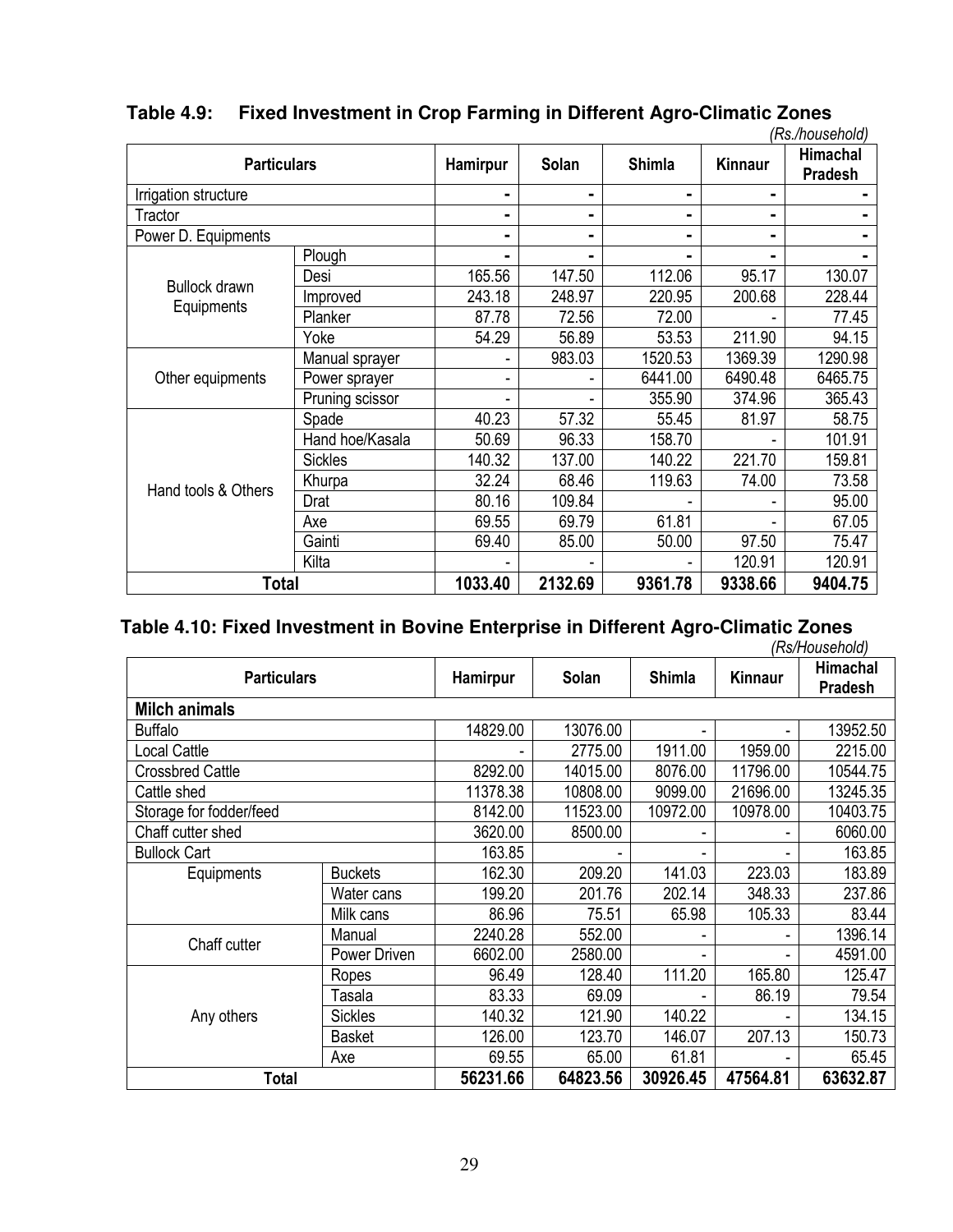|                      |                 |                |                |               |                | (Rs./household)     |
|----------------------|-----------------|----------------|----------------|---------------|----------------|---------------------|
| <b>Particulars</b>   |                 | Hamirpur       | <b>Solan</b>   | <b>Shimla</b> | Kinnaur        | Himachal<br>Pradesh |
| Irrigation structure |                 | ۰              | ۰              |               | -              |                     |
| Tractor              |                 | $\blacksquare$ | $\blacksquare$ |               | $\blacksquare$ |                     |
| Power D. Equipments  |                 | ۰              | ۰              | Ξ.            |                | ۰                   |
|                      | Plough          | ۰              | ۰              |               | -              |                     |
|                      | Desi            | 165.56         | 147.50         | 112.06        | 95.17          | 130.07              |
| Bullock drawn        | Improved        | 243.18         | 248.97         | 220.95        | 200.68         | 228.44              |
| Equipments           | Planker         | 87.78          | 72.56          | 72.00         |                | 77.45               |
|                      | Yoke            | 54.29          | 56.89          | 53.53         | 211.90         | 94.15               |
|                      | Manual sprayer  |                | 983.03         | 1520.53       | 1369.39        | 1290.98             |
| Other equipments     | Power sprayer   | -              | ۰              | 6441.00       | 6490.48        | 6465.75             |
|                      | Pruning scissor |                |                | 355.90        | 374.96         | 365.43              |
|                      | Spade           | 40.23          | 57.32          | 55.45         | 81.97          | 58.75               |
|                      | Hand hoe/Kasala | 50.69          | 96.33          | 158.70        |                | 101.91              |
|                      | <b>Sickles</b>  | 140.32         | 137.00         | 140.22        | 221.70         | 159.81              |
|                      | Khurpa          | 32.24          | 68.46          | 119.63        | 74.00          | 73.58               |
| Hand tools & Others  | Drat            | 80.16          | 109.84         |               |                | 95.00               |
|                      | Axe             | 69.55          | 69.79          | 61.81         |                | 67.05               |
|                      | Gainti          | 69.40          | 85.00          | 50.00         | 97.50          | 75.47               |
|                      | Kilta           |                |                |               | 120.91         | 120.91              |
| <b>Total</b>         |                 | 1033.40        | 2132.69        | 9361.78       | 9338.66        | 9404.75             |

# **Table 4.9: Fixed Investment in Crop Farming in Different Agro-Climatic Zones**

# **Table 4.10: Fixed Investment in Bovine Enterprise in Different Agro-Climatic Zones**

|                         |                |          |          |               |                | (Rs/Household)                    |
|-------------------------|----------------|----------|----------|---------------|----------------|-----------------------------------|
| <b>Particulars</b>      |                | Hamirpur | Solan    | <b>Shimla</b> | <b>Kinnaur</b> | <b>Himachal</b><br><b>Pradesh</b> |
| <b>Milch animals</b>    |                |          |          |               |                |                                   |
| <b>Buffalo</b>          |                | 14829.00 | 13076.00 | ۰             |                | 13952.50                          |
| <b>Local Cattle</b>     |                | -        | 2775.00  | 1911.00       | 1959.00        | 2215.00                           |
| <b>Crossbred Cattle</b> |                | 8292.00  | 14015.00 | 8076.00       | 11796.00       | 10544.75                          |
| Cattle shed             |                | 11378.38 | 10808.00 | 9099.00       | 21696.00       | 13245.35                          |
| Storage for fodder/feed | 8142.00        | 11523.00 | 10972.00 | 10978.00      | 10403.75       |                                   |
| Chaff cutter shed       | 3620.00        | 8500.00  | ۰        |               | 6060.00        |                                   |
| <b>Bullock Cart</b>     |                | 163.85   |          |               |                | 163.85                            |
| Equipments              | <b>Buckets</b> | 162.30   | 209.20   | 141.03        | 223.03         | 183.89                            |
|                         | Water cans     | 199.20   | 201.76   | 202.14        | 348.33         | 237.86                            |
|                         | Milk cans      | 86.96    | 75.51    | 65.98         | 105.33         | 83.44                             |
| Chaff cutter            | Manual         | 2240.28  | 552.00   |               |                | 1396.14                           |
|                         | Power Driven   | 6602.00  | 2580.00  | ۰             |                | 4591.00                           |
|                         | Ropes          | 96.49    | 128.40   | 111.20        | 165.80         | 125.47                            |
|                         | Tasala         | 83.33    | 69.09    |               | 86.19          | 79.54                             |
| Any others              | <b>Sickles</b> | 140.32   | 121.90   | 140.22        |                | 134.15                            |
|                         | <b>Basket</b>  | 126.00   | 123.70   | 146.07        | 207.13         | 150.73                            |
|                         | Axe            | 69.55    | 65.00    | 61.81         |                | 65.45                             |
| Total                   |                | 56231.66 | 64823.56 | 30926.45      | 47564.81       | 63632.87                          |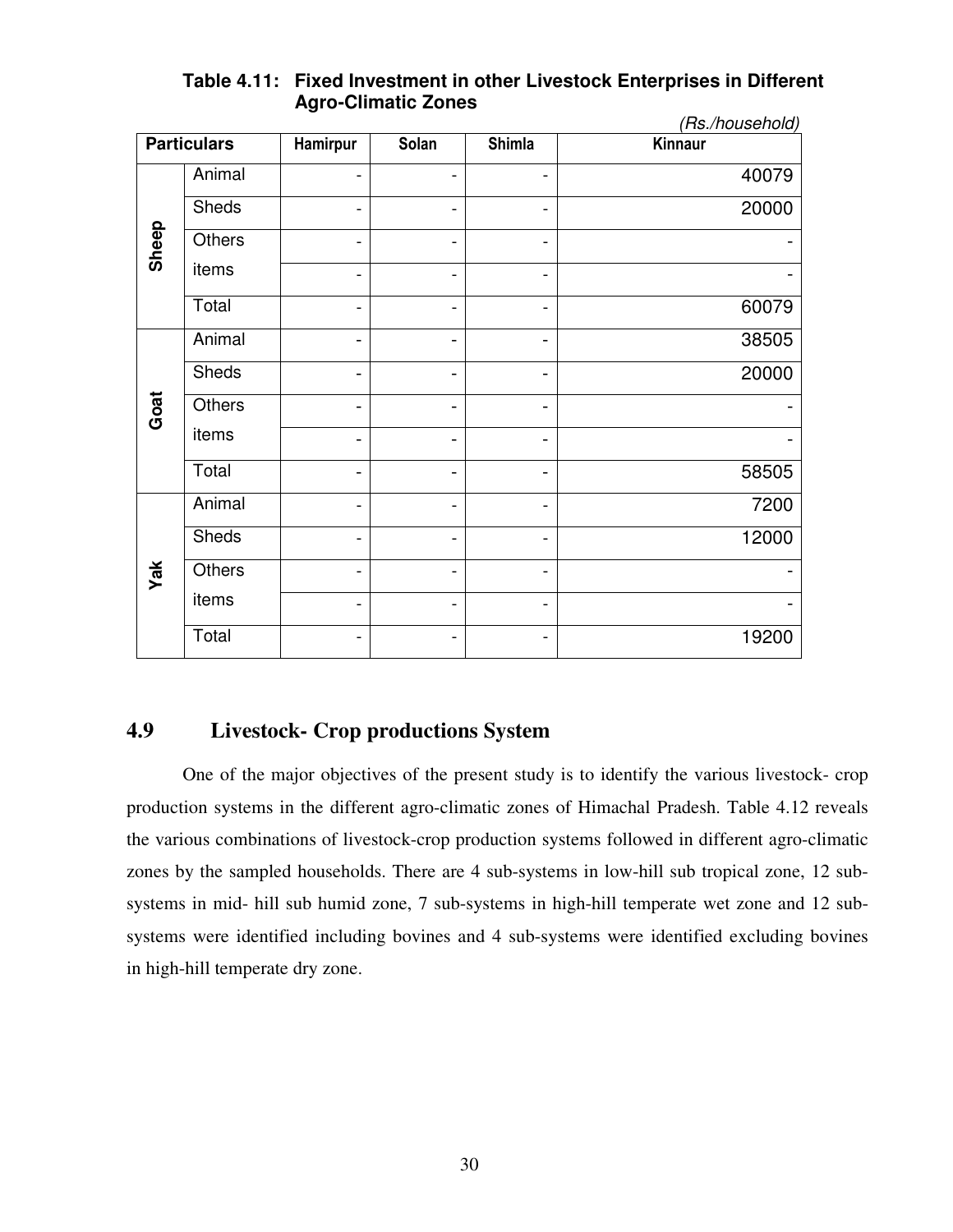|       |                    |                              |                              |                          | (Rs./household) |
|-------|--------------------|------------------------------|------------------------------|--------------------------|-----------------|
|       | <b>Particulars</b> | Hamirpur                     | Solan                        | <b>Shimla</b>            | Kinnaur         |
|       | Animal             | $\overline{\phantom{a}}$     | -                            | -                        | 40079           |
|       | Sheds              | $\overline{\phantom{0}}$     | $\overline{\phantom{a}}$     | -                        | 20000           |
| Sheep | Others             | $\overline{\phantom{a}}$     | $\blacksquare$               | -                        |                 |
|       | items              | -                            | -                            | -                        |                 |
|       | Total              | $\overline{\phantom{a}}$     | $\blacksquare$               | -                        | 60079           |
|       | Animal             | $\overline{\phantom{0}}$     | -                            | $\blacksquare$           | 38505           |
|       | <b>Sheds</b>       |                              |                              | -                        | 20000           |
| Goat  | Others             | $\qquad \qquad \blacksquare$ |                              | $\overline{\phantom{0}}$ |                 |
|       | items              | $\qquad \qquad \blacksquare$ | -                            | $\blacksquare$           |                 |
|       | Total              | $\overline{\phantom{a}}$     | $\qquad \qquad \blacksquare$ | $\blacksquare$           | 58505           |
|       | Animal             | $\overline{\phantom{a}}$     | -                            | -                        | 7200            |
|       | <b>Sheds</b>       | $\overline{\phantom{a}}$     | $\blacksquare$               | -                        | 12000           |
| Yak   | Others             | $\overline{\phantom{0}}$     | -                            | -                        |                 |
|       | items              | $\overline{\phantom{a}}$     | -                            | -                        |                 |
|       | Total              | $\overline{\phantom{a}}$     | -                            | -                        | 19200           |

# **Table 4.11: Fixed Investment in other Livestock Enterprises in Different Agro-Climatic Zones**

# **4.9 Livestock- Crop productions System**

 One of the major objectives of the present study is to identify the various livestock- crop production systems in the different agro-climatic zones of Himachal Pradesh. Table 4.12 reveals the various combinations of livestock-crop production systems followed in different agro-climatic zones by the sampled households. There are 4 sub-systems in low-hill sub tropical zone, 12 sub systems in mid- hill sub humid zone, 7 sub-systems in high-hill temperate wet zone and 12 sub systems were identified including bovines and 4 sub-systems were identified excluding bovines in high-hill temperate dry zone.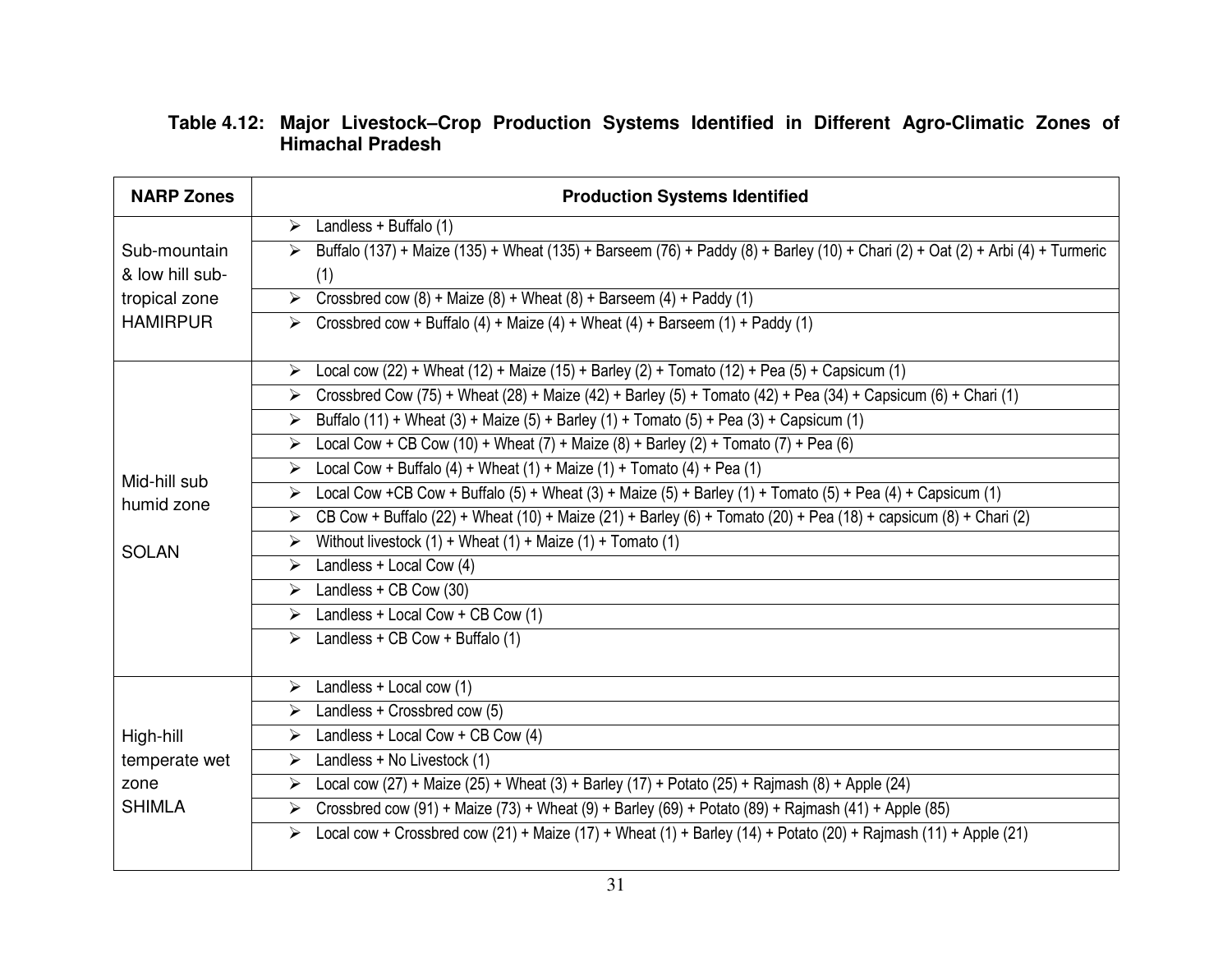# **Table 4.12: Major Livestock–Crop Production Systems Identified in Different Agro-Climatic Zones of Himachal Pradesh**

| <b>NARP Zones</b> | <b>Production Systems Identified</b>                                                                                                                    |  |  |  |  |  |  |
|-------------------|---------------------------------------------------------------------------------------------------------------------------------------------------------|--|--|--|--|--|--|
|                   | $\triangleright$ Landless + Buffalo (1)                                                                                                                 |  |  |  |  |  |  |
| Sub-mountain      | Buffalo (137) + Maize (135) + Wheat (135) + Barseem (76) + Paddy (8) + Barley (10) + Chari (2) + Oat (2) + Arbi (4) + Turmeric<br>$\blacktriangleright$ |  |  |  |  |  |  |
| & low hill sub-   | (1)                                                                                                                                                     |  |  |  |  |  |  |
| tropical zone     | Crossbred cow $(8)$ + Maize $(8)$ + Wheat $(8)$ + Barseem $(4)$ + Paddy $(1)$<br>$\blacktriangleright$                                                  |  |  |  |  |  |  |
| <b>HAMIRPUR</b>   | $\triangleright$ Crossbred cow + Buffalo (4) + Maize (4) + Wheat (4) + Barseem (1) + Paddy (1)                                                          |  |  |  |  |  |  |
|                   | Local cow (22) + Wheat (12) + Maize (15) + Barley (2) + Tomato (12) + Pea (5) + Capsicum (1)<br>$\blacktriangleright$                                   |  |  |  |  |  |  |
|                   | > Crossbred Cow (75) + Wheat (28) + Maize (42) + Barley (5) + Tomato (42) + Pea (34) + Capsicum (6) + Chari (1)                                         |  |  |  |  |  |  |
|                   | Buffalo (11) + Wheat (3) + Maize (5) + Barley (1) + Tomato (5) + Pea (3) + Capsicum (1)<br>$\blacktriangleright$                                        |  |  |  |  |  |  |
|                   | Local Cow + CB Cow (10) + Wheat (7) + Maize (8) + Barley (2) + Tomato (7) + Pea (6)<br>➤                                                                |  |  |  |  |  |  |
| Mid-hill sub      | Local Cow + Buffalo (4) + Wheat (1) + Maize (1) + Tomato (4) + Pea (1)<br>$\blacktriangleright$                                                         |  |  |  |  |  |  |
| humid zone        | Local Cow +CB Cow + Buffalo (5) + Wheat (3) + Maize (5) + Barley (1) + Tomato (5) + Pea (4) + Capsicum (1)<br>➤                                         |  |  |  |  |  |  |
|                   | CB Cow + Buffalo (22) + Wheat (10) + Maize (21) + Barley (6) + Tomato (20) + Pea (18) + capsicum (8) + Chari (2)<br>$\blacktriangleright$               |  |  |  |  |  |  |
| <b>SOLAN</b>      | Without livestock $(1)$ + Wheat $(1)$ + Maize $(1)$ + Tomato $(1)$<br>➤                                                                                 |  |  |  |  |  |  |
|                   | Landless + Local Cow (4)<br>➤                                                                                                                           |  |  |  |  |  |  |
|                   | $\triangleright$ Landless + CB Cow (30)                                                                                                                 |  |  |  |  |  |  |
|                   | $\triangleright$ Landless + Local Cow + CB Cow (1)                                                                                                      |  |  |  |  |  |  |
|                   | $\triangleright$ Landless + CB Cow + Buffalo (1)                                                                                                        |  |  |  |  |  |  |
|                   | $\triangleright$ Landless + Local cow (1)                                                                                                               |  |  |  |  |  |  |
|                   | $\triangleright$ Landless + Crossbred cow (5)                                                                                                           |  |  |  |  |  |  |
| High-hill         | Landless + Local Cow + CB Cow (4)<br>$\blacktriangleright$                                                                                              |  |  |  |  |  |  |
| temperate wet     | Landless + No Livestock (1)<br>➤                                                                                                                        |  |  |  |  |  |  |
| zone              | Local cow (27) + Maize (25) + Wheat (3) + Barley (17) + Potato (25) + Rajmash (8) + Apple (24)<br>$\blacktriangleright$                                 |  |  |  |  |  |  |
| <b>SHIMLA</b>     | Crossbred cow (91) + Maize (73) + Wheat (9) + Barley (69) + Potato (89) + Rajmash (41) + Apple (85)<br>$\blacktriangleright$                            |  |  |  |  |  |  |
|                   | Local cow + Crossbred cow $(21)$ + Maize $(17)$ + Wheat $(1)$ + Barley $(14)$ + Potato $(20)$ + Rajmash $(11)$ + Apple $(21)$<br>$\blacktriangleright$  |  |  |  |  |  |  |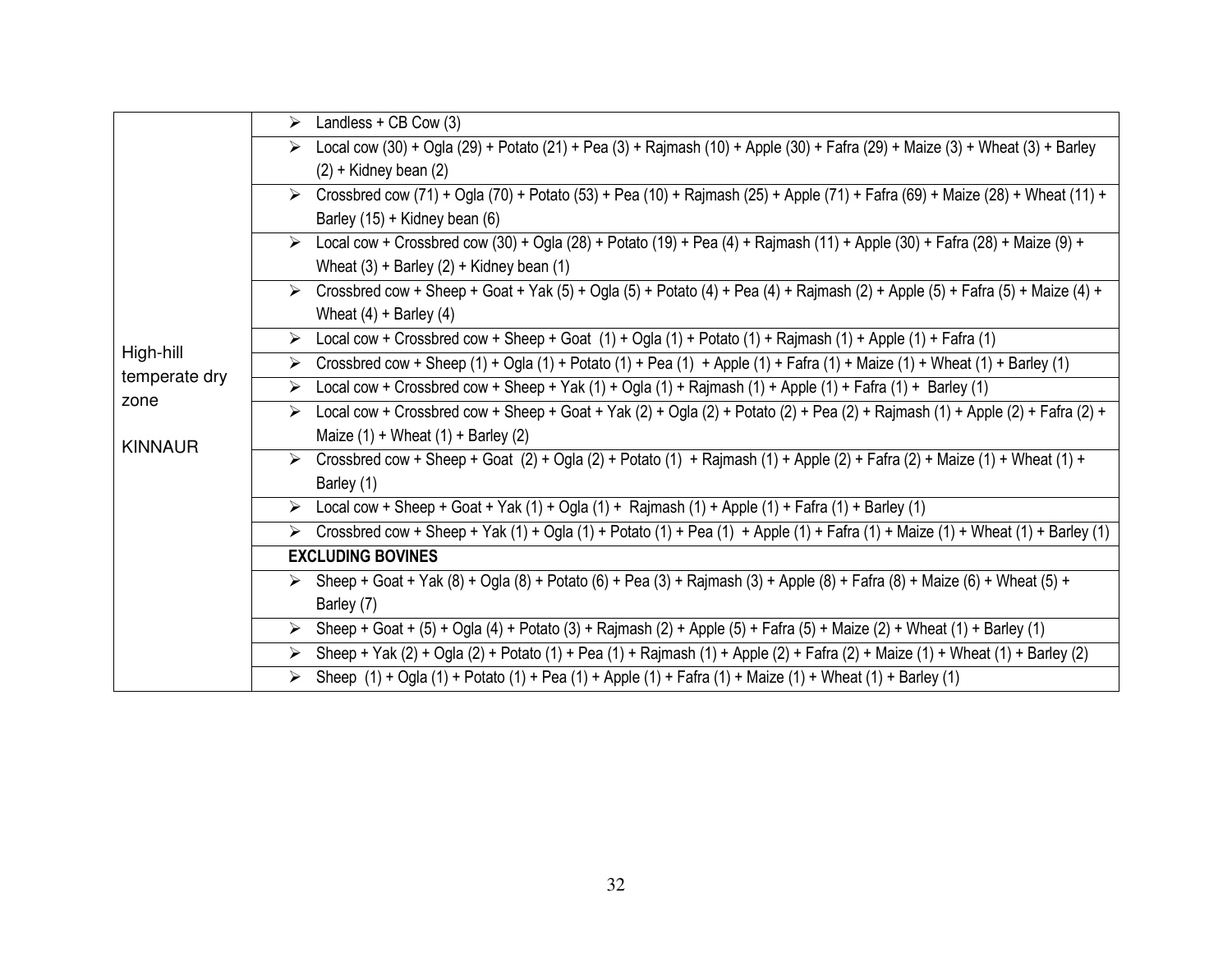|                            | $\triangleright$ Landless + CB Cow (3)                                                                                                            |
|----------------------------|---------------------------------------------------------------------------------------------------------------------------------------------------|
|                            | > Local cow (30) + Ogla (29) + Potato (21) + Pea (3) + Rajmash (10) + Apple (30) + Fafra (29) + Maize (3) + Wheat (3) + Barley                    |
|                            | $(2)$ + Kidney bean $(2)$                                                                                                                         |
|                            | > Crossbred cow (71) + Ogla (70) + Potato (53) + Pea (10) + Rajmash (25) + Apple (71) + Fafra (69) + Maize (28) + Wheat (11) +                    |
|                            | Barley (15) + Kidney bean (6)                                                                                                                     |
|                            | Local cow + Crossbred cow (30) + Ogla (28) + Potato (19) + Pea (4) + Rajmash (11) + Apple (30) + Fafra (28) + Maize (9) +<br>➤                    |
|                            | Wheat $(3)$ + Barley $(2)$ + Kidney bean $(1)$                                                                                                    |
|                            | Crossbred cow + Sheep + Goat + Yak (5) + Ogla (5) + Potato (4) + Pea (4) + Rajmash (2) + Apple (5) + Fafra (5) + Maize (4) +<br>➤                 |
|                            | Wheat $(4)$ + Barley $(4)$                                                                                                                        |
|                            | Local cow + Crossbred cow + Sheep + Goat $(1)$ + Ogla $(1)$ + Potato $(1)$ + Rajmash $(1)$ + Apple $(1)$ + Fafra $(1)$<br>➤                       |
| High-hill<br>temperate dry | Crossbred cow + Sheep (1) + Ogla (1) + Potato (1) + Pea (1) + Apple (1) + Fafra (1) + Maize (1) + Wheat (1) + Barley (1)<br>$\blacktriangleright$ |
| zone                       | Local cow + Crossbred cow + Sheep + Yak (1) + Ogla (1) + Rajmash (1) + Apple (1) + Fafra (1) + Barley (1)<br>➤                                    |
|                            | Local cow + Crossbred cow + Sheep + Goat + Yak (2) + Ogla (2) + Potato (2) + Pea (2) + Rajmash (1) + Apple (2) + Fafra (2) +<br>➤                 |
| <b>KINNAUR</b>             | Maize $(1)$ + Wheat $(1)$ + Barley $(2)$                                                                                                          |
|                            | Crossbred cow + Sheep + Goat (2) + Ogla (2) + Potato (1) + Rajmash (1) + Apple (2) + Fafra (2) + Maize (1) + Wheat (1) +<br>➤                     |
|                            | Barley (1)                                                                                                                                        |
|                            | $\triangleright$ Local cow + Sheep + Goat + Yak (1) + Ogla (1) + Rajmash (1) + Apple (1) + Fafra (1) + Barley (1)                                 |
|                            | Crossbred cow + Sheep + Yak (1) + Ogla (1) + Potato (1) + Pea (1) + Apple (1) + Fafra (1) + Maize (1) + Wheat (1) + Barley (1)<br>➤               |
|                            | <b>EXCLUDING BOVINES</b>                                                                                                                          |
|                            | > Sheep + Goat + Yak (8) + Ogla (8) + Potato (6) + Pea (3) + Rajmash (3) + Apple (8) + Fafra (8) + Maize (6) + Wheat (5) +                        |
|                            | Barley (7)                                                                                                                                        |
|                            | Sheep + Goat + (5) + Ogla (4) + Potato (3) + Rajmash (2) + Apple (5) + Fafra (5) + Maize (2) + Wheat (1) + Barley (1)<br>➤                        |
|                            | > Sheep + Yak (2) + Ogla (2) + Potato (1) + Pea (1) + Rajmash (1) + Apple (2) + Fafra (2) + Maize (1) + Wheat (1) + Barley (2)                    |
|                            | Sheep $(1) + Og(a(1) + Potato(1) + Pea(1) + Apple(1) + Fafra(1) + Maize(1) + Wheat(1) + Barley(1)$                                                |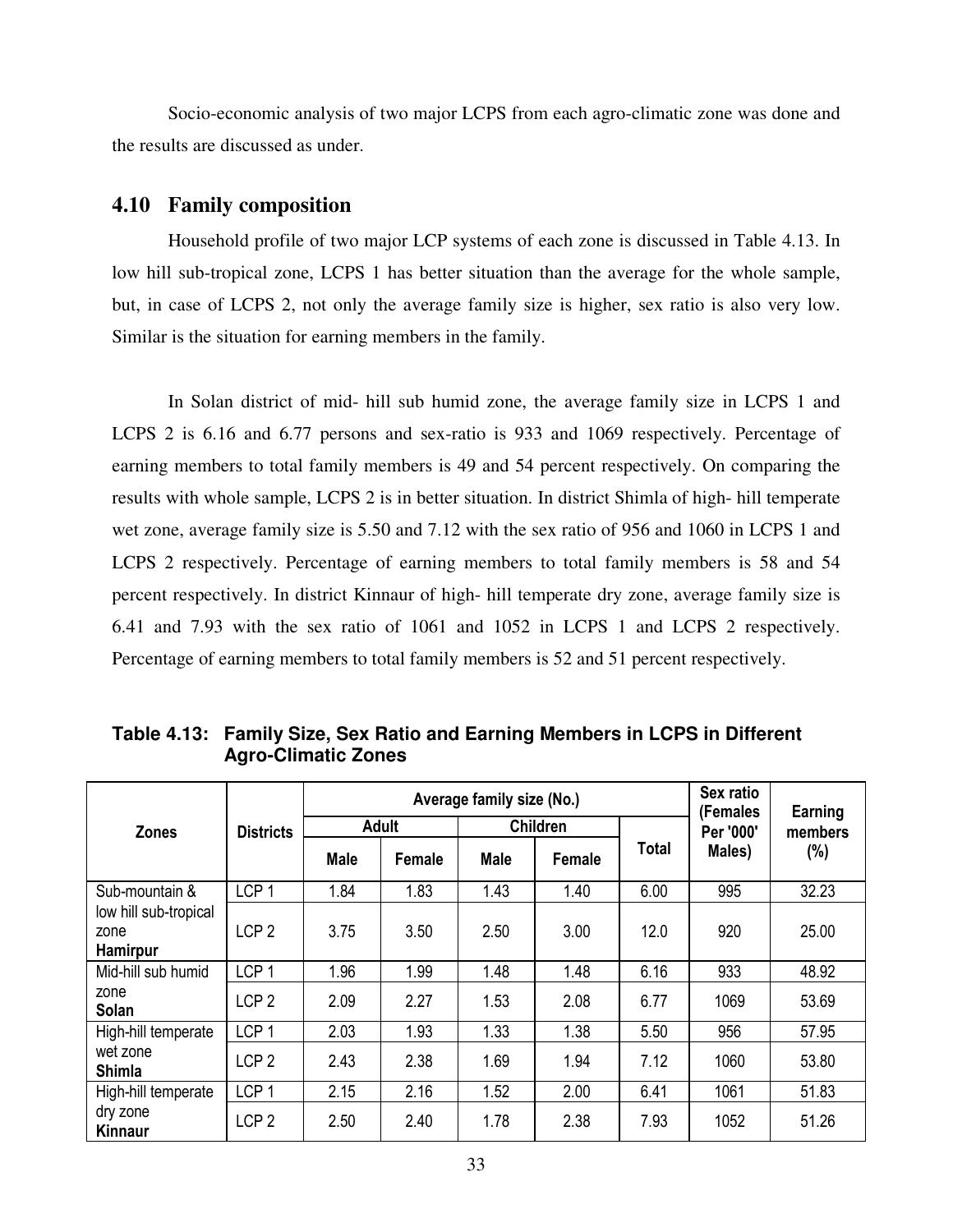Socio-economic analysis of two major LCPS from each agro-climatic zone was done and the results are discussed as under.

#### **4.10 Family composition**

 Household profile of two major LCP systems of each zone is discussed in Table 4.13. In low hill sub-tropical zone, LCPS 1 has better situation than the average for the whole sample, but, in case of LCPS 2, not only the average family size is higher, sex ratio is also very low. Similar is the situation for earning members in the family.

In Solan district of mid- hill sub humid zone, the average family size in LCPS 1 and LCPS 2 is 6.16 and 6.77 persons and sex-ratio is 933 and 1069 respectively. Percentage of earning members to total family members is 49 and 54 percent respectively. On comparing the results with whole sample, LCPS 2 is in better situation. In district Shimla of high- hill temperate wet zone, average family size is 5.50 and 7.12 with the sex ratio of 956 and 1060 in LCPS 1 and LCPS 2 respectively. Percentage of earning members to total family members is 58 and 54 percent respectively. In district Kinnaur of high- hill temperate dry zone, average family size is 6.41 and 7.93 with the sex ratio of 1061 and 1052 in LCPS 1 and LCPS 2 respectively. Percentage of earning members to total family members is 52 and 51 percent respectively.

|                                           |                  |              | Average family size (No.) | Sex ratio<br>(Females | Earning         |       |           |         |
|-------------------------------------------|------------------|--------------|---------------------------|-----------------------|-----------------|-------|-----------|---------|
| <b>Zones</b>                              | <b>Districts</b> | <b>Adult</b> |                           |                       | <b>Children</b> |       | Per '000' | members |
|                                           |                  | <b>Male</b>  | Female                    | <b>Male</b>           | Female          | Total | Males)    | $(\%)$  |
| Sub-mountain &                            | LCP <sub>1</sub> | 1.84         | 1.83                      | 1.43                  | 1.40            | 6.00  | 995       | 32.23   |
| low hill sub-tropical<br>zone<br>Hamirpur | LCP <sub>2</sub> | 3.75         | 3.50                      | 2.50                  | 3.00            | 12.0  | 920       | 25.00   |
| Mid-hill sub humid                        | LCP <sub>1</sub> | 1.96         | 1.99                      | 1.48                  | 1.48            | 6.16  | 933       | 48.92   |
| zone<br>Solan                             | LCP <sub>2</sub> | 2.09         | 2.27                      | 1.53                  | 2.08            | 6.77  | 1069      | 53.69   |
| High-hill temperate                       | LCP <sub>1</sub> | 2.03         | 1.93                      | 1.33                  | 1.38            | 5.50  | 956       | 57.95   |
| wet zone<br>Shimla                        | LCP <sub>2</sub> | 2.43         | 2.38                      | 1.69                  | 1.94            | 7.12  | 1060      | 53.80   |
| High-hill temperate                       | LCP <sub>1</sub> | 2.15         | 2.16                      | 1.52                  | 2.00            | 6.41  | 1061      | 51.83   |
| dry zone<br>Kinnaur                       | LCP <sub>2</sub> | 2.50         | 2.40                      | 1.78                  | 2.38            | 7.93  | 1052      | 51.26   |

**Table 4.13: Family Size, Sex Ratio and Earning Members in LCPS in Different Agro-Climatic Zones**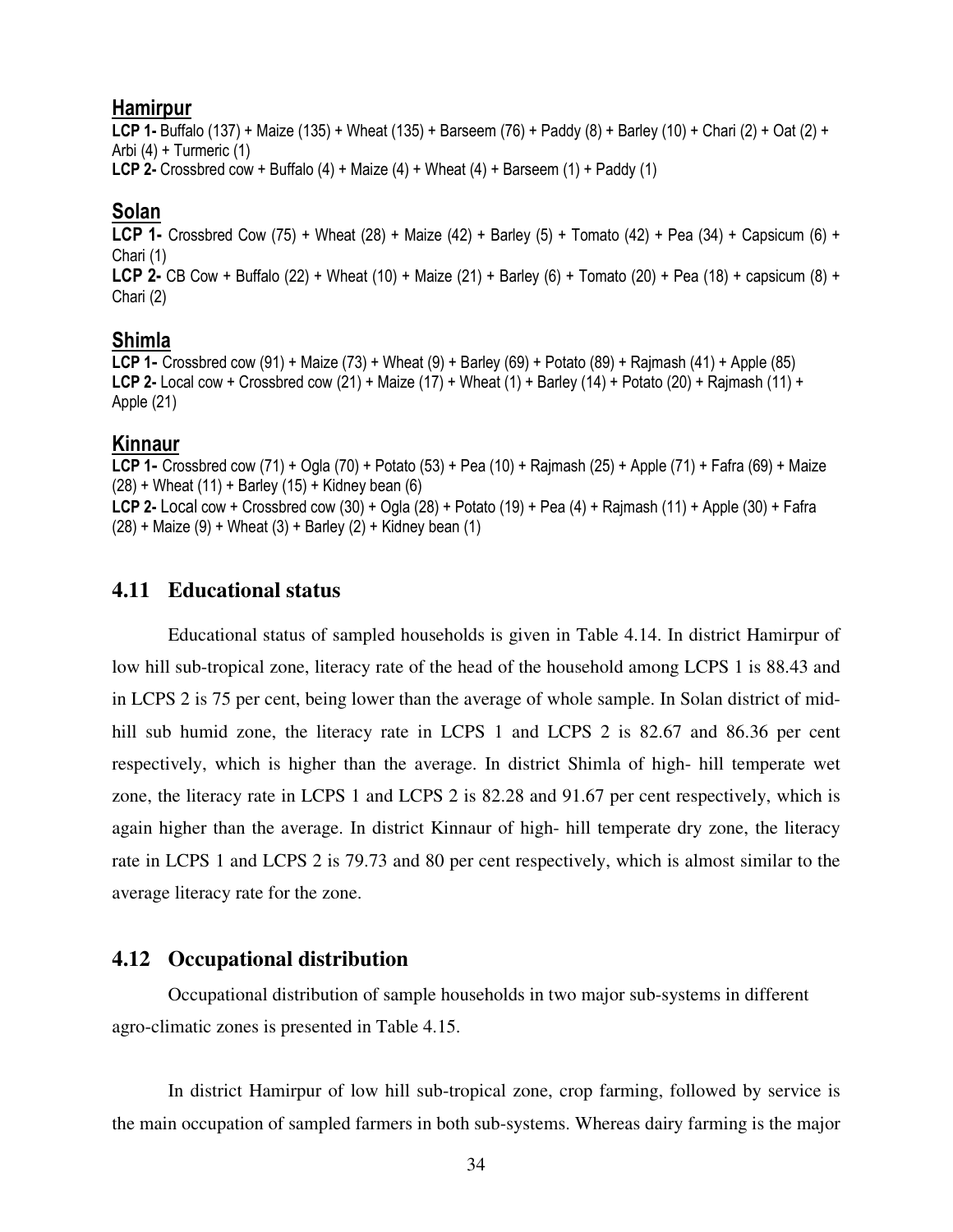#### **Hamirpur**

**LCP 1-** Buffalo (137) + Maize (135) + Wheat (135) + Barseem (76) + Paddy (8) + Barley (10) + Chari (2) + Oat (2) + Arbi (4) + Turmeric (1) **LCP 2-** Crossbred cow + Buffalo (4) + Maize (4) + Wheat (4) + Barseem (1) + Paddy (1)

### **Solan**

**LCP 1-** Crossbred Cow (75) + Wheat (28) + Maize (42) + Barley (5) + Tomato (42) + Pea (34) + Capsicum (6) + Chari (1) **LCP 2-** CB Cow + Buffalo (22) + Wheat (10) + Maize (21) + Barley (6) + Tomato (20) + Pea (18) + capsicum (8) + Chari (2)

### **Shimla**

**LCP 1-** Crossbred cow (91) + Maize (73) + Wheat (9) + Barley (69) + Potato (89) + Rajmash (41) + Apple (85) **LCP 2-** Local cow + Crossbred cow (21) + Maize (17) + Wheat (1) + Barley (14) + Potato (20) + Rajmash (11) + Apple (21)

### **Kinnaur**

**LCP 1-** Crossbred cow (71) + Ogla (70) + Potato (53) + Pea (10) + Rajmash (25) + Apple (71) + Fafra (69) + Maize  $(28) +$  Wheat  $(11) +$  Barley  $(15) +$  Kidney bean  $(6)$ **LCP 2-** Local cow + Crossbred cow (30) + Ogla (28) + Potato (19) + Pea (4) + Rajmash (11) + Apple (30) + Fafra  $(28)$  + Maize  $(9)$  + Wheat  $(3)$  + Barley  $(2)$  + Kidney bean  $(1)$ 

### **4.11 Educational status**

 Educational status of sampled households is given in Table 4.14. In district Hamirpur of low hill sub-tropical zone, literacy rate of the head of the household among LCPS 1 is 88.43 and in LCPS 2 is 75 per cent, being lower than the average of whole sample. In Solan district of midhill sub humid zone, the literacy rate in LCPS 1 and LCPS 2 is 82.67 and 86.36 per cent respectively, which is higher than the average. In district Shimla of high- hill temperate wet zone, the literacy rate in LCPS 1 and LCPS 2 is 82.28 and 91.67 per cent respectively, which is again higher than the average. In district Kinnaur of high- hill temperate dry zone, the literacy rate in LCPS 1 and LCPS 2 is 79.73 and 80 per cent respectively, which is almost similar to the average literacy rate for the zone.

### **4.12 Occupational distribution**

 Occupational distribution of sample households in two major sub-systems in different agro-climatic zones is presented in Table 4.15.

In district Hamirpur of low hill sub-tropical zone, crop farming, followed by service is the main occupation of sampled farmers in both sub-systems. Whereas dairy farming is the major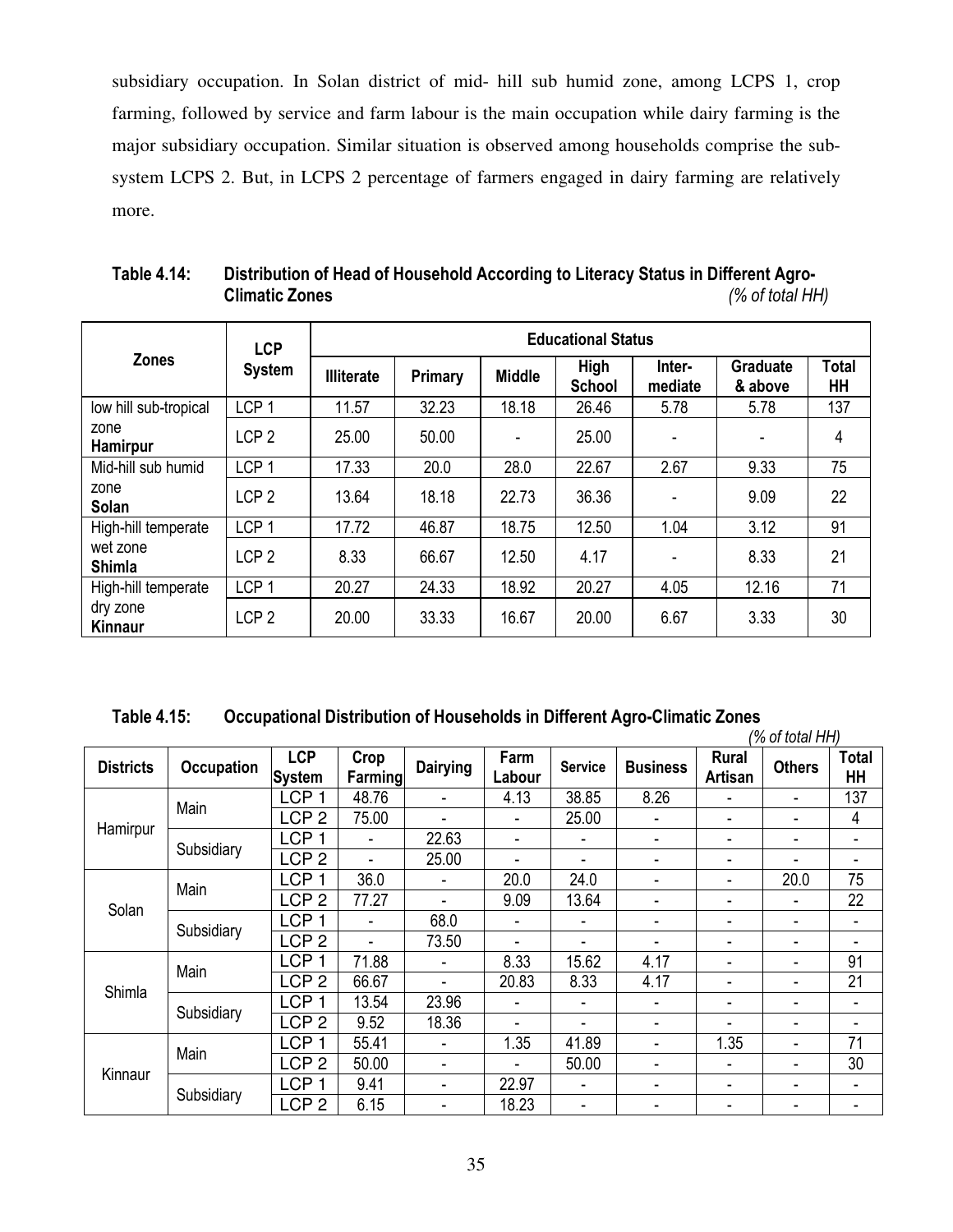subsidiary occupation. In Solan district of mid- hill sub humid zone, among LCPS 1, crop farming, followed by service and farm labour is the main occupation while dairy farming is the major subsidiary occupation. Similar situation is observed among households comprise the subsystem LCPS 2. But, in LCPS 2 percentage of farmers engaged in dairy farming are relatively more.

|                           | <b>LCP</b>       | <b>Educational Status</b> |                |               |                       |                   |                            |             |  |  |
|---------------------------|------------------|---------------------------|----------------|---------------|-----------------------|-------------------|----------------------------|-------------|--|--|
| <b>Zones</b>              | <b>System</b>    | <b>Illiterate</b>         | <b>Primary</b> | <b>Middle</b> | High<br><b>School</b> | Inter-<br>mediate | <b>Graduate</b><br>& above | Total<br>HH |  |  |
| low hill sub-tropical     | LCP <sub>1</sub> | 11.57                     | 32.23          | 18.18         | 26.46                 | 5.78              | 5.78                       | 137         |  |  |
| zone<br><b>Hamirpur</b>   | LCP <sub>2</sub> | 25.00                     | 50.00          | ۰             | 25.00                 | ٠                 | $\overline{\phantom{a}}$   | 4           |  |  |
| Mid-hill sub humid        | LCP <sub>1</sub> | 17.33                     | 20.0           | 28.0          | 22.67                 | 2.67              | 9.33                       | 75          |  |  |
| zone<br>Solan             | LCP <sub>2</sub> | 13.64                     | 18.18          | 22.73         | 36.36                 |                   | 9.09                       | 22          |  |  |
| High-hill temperate       | LCP <sub>1</sub> | 17.72                     | 46.87          | 18.75         | 12.50                 | 1.04              | 3.12                       | 91          |  |  |
| wet zone<br><b>Shimla</b> | LCP <sub>2</sub> | 8.33                      | 66.67          | 12.50         | 4.17                  | ۰                 | 8.33                       | 21          |  |  |
| High-hill temperate       | LCP <sub>1</sub> | 20.27                     | 24.33          | 18.92         | 20.27                 | 4.05              | 12.16                      | 71          |  |  |
| dry zone<br>Kinnaur       | LCP <sub>2</sub> | 20.00                     | 33.33          | 16.67         | 20.00                 | 6.67              | 3.33                       | 30          |  |  |

**Table 4.14: Distribution of Head of Household According to Literacy Status in Different Agro- Climatic Zones** *(% of total HH)* 

| Table 4.15:<br>Occupational Distribution of Households in Different Agro-Climatic Zones |  |
|-----------------------------------------------------------------------------------------|--|
|-----------------------------------------------------------------------------------------|--|

|                  |                   |                             |                 |                          |                |                |                          |                                | (% of total HH)          |                    |
|------------------|-------------------|-----------------------------|-----------------|--------------------------|----------------|----------------|--------------------------|--------------------------------|--------------------------|--------------------|
| <b>Districts</b> | <b>Occupation</b> | <b>LCP</b><br><b>System</b> | Crop<br>Farming | <b>Dairying</b>          | Farm<br>Labour | <b>Service</b> | <b>Business</b>          | <b>Rural</b><br><b>Artisan</b> | <b>Others</b>            | <b>Total</b><br>HH |
|                  | Main              | LCP <sub>1</sub>            | 48.76           |                          | 4.13           | 38.85          | 8.26                     | $\blacksquare$                 | $\overline{\phantom{a}}$ | 137                |
|                  |                   | LCP <sub>2</sub>            | 75.00           |                          | ٠              | 25.00          | $\overline{\phantom{0}}$ | ٠                              | ٠                        | 4                  |
| Hamirpur         |                   | LCP <sub>1</sub>            |                 | 22.63                    | ۰              |                | $\overline{\phantom{0}}$ | $\overline{\phantom{0}}$       | ٠                        | Ξ.                 |
|                  | Subsidiary        | LCP <sub>2</sub>            |                 | 25.00                    | ٠              | ۰              | $\overline{\phantom{a}}$ | ٠                              | $\blacksquare$           | Ξ.                 |
|                  |                   | <b>LCP</b>                  | 36.0            |                          | 20.0           | 24.0           | ٠                        | $\overline{\phantom{0}}$       | 20.0                     | 75                 |
| Solan            | Main              | LCP <sub>2</sub>            | 77.27           |                          | 9.09           | 13.64          | ۰                        | $\overline{\phantom{0}}$       | ٠                        | 22                 |
|                  |                   | LCP <sub>1</sub>            |                 | 68.0                     | ٠              |                | ٠                        | $\overline{\phantom{0}}$       | ٠                        | ٠                  |
|                  | Subsidiary        | LCP <sub>2</sub>            |                 | 73.50                    | ٠              | ۰              | ٠                        | ٠                              | $\overline{\phantom{a}}$ | Ξ.                 |
|                  | Main              | <b>LCP</b>                  | 71.88           |                          | 8.33           | 15.62          | 4.17                     | ٠                              | $\overline{\phantom{a}}$ | 91                 |
| Shimla           |                   | LCP <sub>2</sub>            | 66.67           |                          | 20.83          | 8.33           | 4.17                     | $\overline{\phantom{0}}$       | ٠                        | 21                 |
|                  |                   | <b>LCP</b>                  | 13.54           | 23.96                    | ٠              | ۰              | $\overline{\phantom{0}}$ | $\overline{\phantom{0}}$       | $\blacksquare$           | ٠                  |
|                  | Subsidiary        | LCP <sub>2</sub>            | 9.52            | 18.36                    | ۰              | ۰              | ۰                        | $\overline{\phantom{0}}$       | ٠                        | ٠                  |
|                  | Main              | <b>LCP</b><br>1             | 55.41           | $\overline{\phantom{a}}$ | 1.35           | 41.89          | $\overline{\phantom{0}}$ | 1.35                           | ٠                        | 71                 |
|                  |                   | LCP <sub>2</sub>            | 50.00           | $\blacksquare$           | ٠              | 50.00          | $\overline{\phantom{0}}$ | $\blacksquare$                 | ٠                        | 30                 |
| Kinnaur          |                   | <b>LCP</b>                  | 9.41            | ٠                        | 22.97          | ۰              | ٠                        | ٠                              | ٠                        | ٠                  |
|                  | Subsidiary        | LCP <sub>2</sub>            | 6.15            |                          | 18.23          | ۰              | $\overline{\phantom{0}}$ | ٠                              |                          |                    |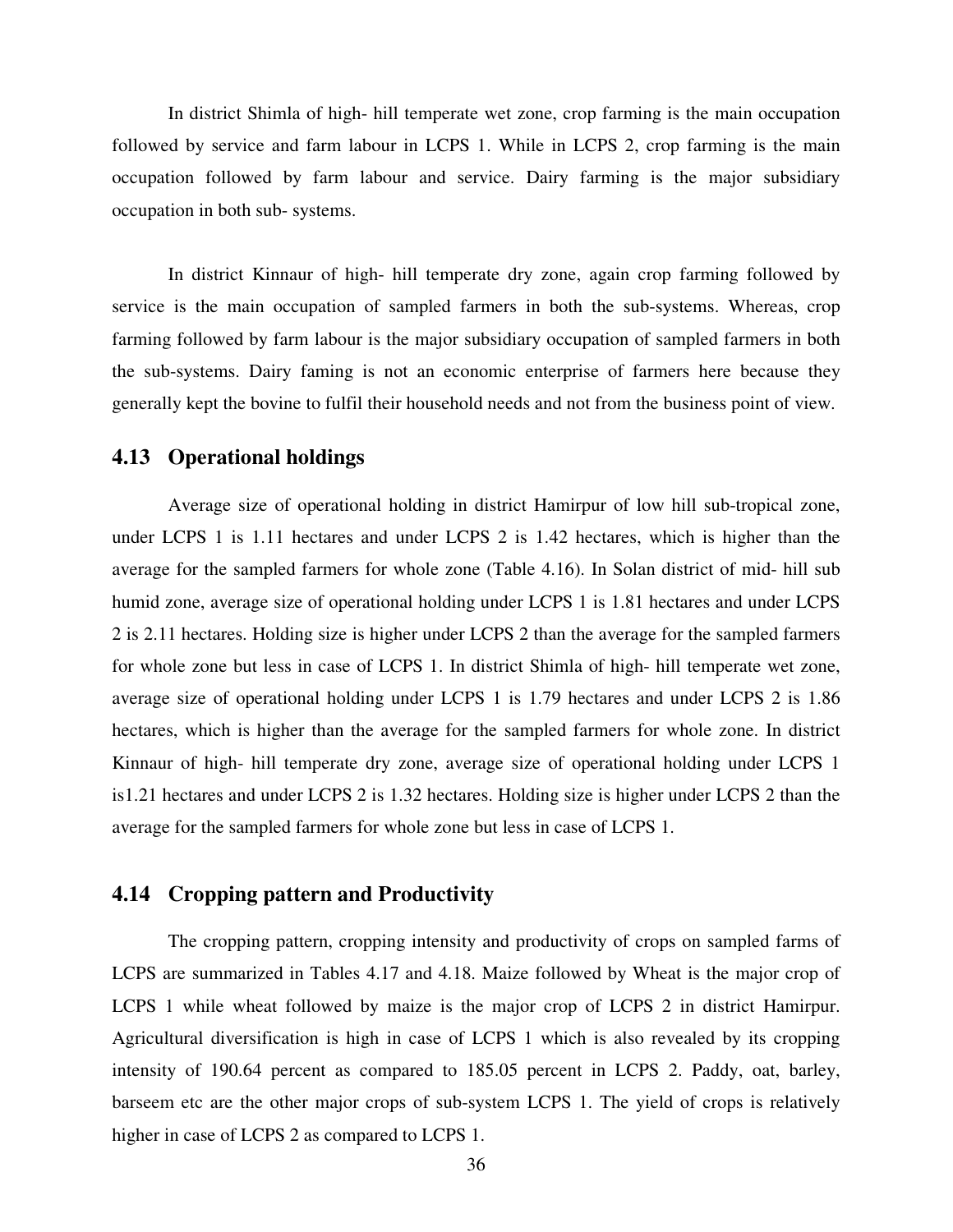In district Shimla of high- hill temperate wet zone, crop farming is the main occupation followed by service and farm labour in LCPS 1. While in LCPS 2, crop farming is the main occupation followed by farm labour and service. Dairy farming is the major subsidiary occupation in both sub- systems.

In district Kinnaur of high- hill temperate dry zone, again crop farming followed by service is the main occupation of sampled farmers in both the sub-systems. Whereas, crop farming followed by farm labour is the major subsidiary occupation of sampled farmers in both the sub-systems. Dairy faming is not an economic enterprise of farmers here because they generally kept the bovine to fulfil their household needs and not from the business point of view.

#### **4.13 Operational holdings**

 Average size of operational holding in district Hamirpur of low hill sub-tropical zone, under LCPS 1 is 1.11 hectares and under LCPS 2 is 1.42 hectares, which is higher than the average for the sampled farmers for whole zone (Table 4.16). In Solan district of mid- hill sub humid zone, average size of operational holding under LCPS 1 is 1.81 hectares and under LCPS 2 is 2.11 hectares. Holding size is higher under LCPS 2 than the average for the sampled farmers for whole zone but less in case of LCPS 1. In district Shimla of high- hill temperate wet zone, average size of operational holding under LCPS 1 is 1.79 hectares and under LCPS 2 is 1.86 hectares, which is higher than the average for the sampled farmers for whole zone. In district Kinnaur of high- hill temperate dry zone, average size of operational holding under LCPS 1 is1.21 hectares and under LCPS 2 is 1.32 hectares. Holding size is higher under LCPS 2 than the average for the sampled farmers for whole zone but less in case of LCPS 1.

# **4.14 Cropping pattern and Productivity**

The cropping pattern, cropping intensity and productivity of crops on sampled farms of LCPS are summarized in Tables 4.17 and 4.18. Maize followed by Wheat is the major crop of LCPS 1 while wheat followed by maize is the major crop of LCPS 2 in district Hamirpur. Agricultural diversification is high in case of LCPS 1 which is also revealed by its cropping intensity of 190.64 percent as compared to 185.05 percent in LCPS 2. Paddy, oat, barley, barseem etc are the other major crops of sub-system LCPS 1. The yield of crops is relatively higher in case of LCPS 2 as compared to LCPS 1.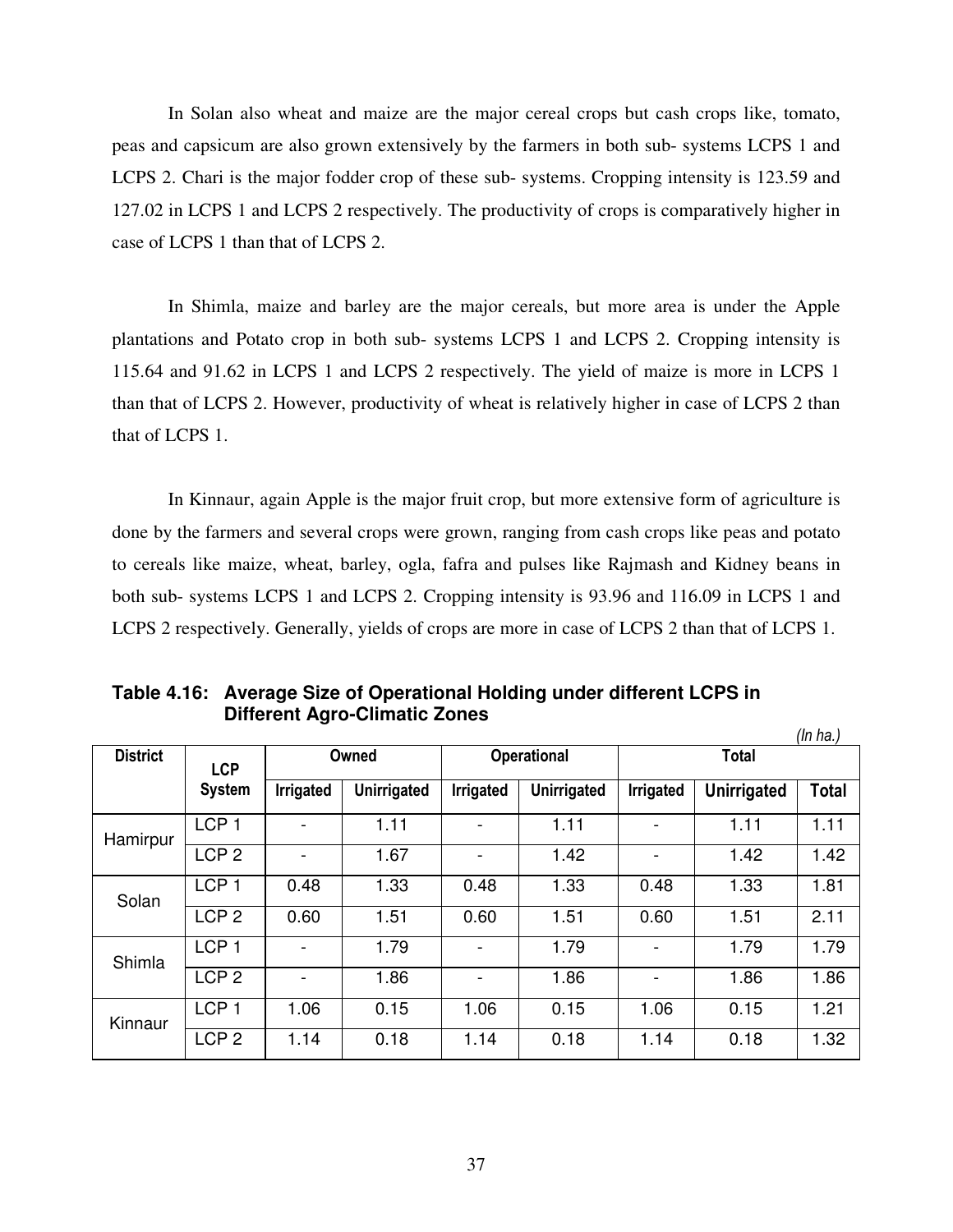In Solan also wheat and maize are the major cereal crops but cash crops like, tomato, peas and capsicum are also grown extensively by the farmers in both sub- systems LCPS 1 and LCPS 2. Chari is the major fodder crop of these sub- systems. Cropping intensity is 123.59 and 127.02 in LCPS 1 and LCPS 2 respectively. The productivity of crops is comparatively higher in case of LCPS 1 than that of LCPS 2.

In Shimla, maize and barley are the major cereals, but more area is under the Apple plantations and Potato crop in both sub- systems LCPS 1 and LCPS 2. Cropping intensity is 115.64 and 91.62 in LCPS 1 and LCPS 2 respectively. The yield of maize is more in LCPS 1 than that of LCPS 2. However, productivity of wheat is relatively higher in case of LCPS 2 than that of LCPS 1.

In Kinnaur, again Apple is the major fruit crop, but more extensive form of agriculture is done by the farmers and several crops were grown, ranging from cash crops like peas and potato to cereals like maize, wheat, barley, ogla, fafra and pulses like Rajmash and Kidney beans in both sub- systems LCPS 1 and LCPS 2. Cropping intensity is 93.96 and 116.09 in LCPS 1 and LCPS 2 respectively. Generally, yields of crops are more in case of LCPS 2 than that of LCPS 1.

|                 |                  |                          |                    |           |                    |                |                    | (ln ha.)     |
|-----------------|------------------|--------------------------|--------------------|-----------|--------------------|----------------|--------------------|--------------|
| <b>District</b> | <b>LCP</b>       |                          | Owned              |           | <b>Operational</b> |                | <b>Total</b>       |              |
|                 | <b>System</b>    | Irrigated                | <b>Unirrigated</b> | Irrigated | Unirrigated        | Irrigated      | <b>Unirrigated</b> | <b>Total</b> |
| Hamirpur        | LCP <sub>1</sub> |                          | 1.11               |           | 1.11               |                | 1.11               | 1.11         |
|                 | LCP <sub>2</sub> | $\overline{\phantom{0}}$ | 1.67               |           | 1.42               |                | 1.42               | 1.42         |
| Solan           | LCP <sub>1</sub> | 0.48                     | 1.33               | 0.48      | 1.33               | 0.48           | 1.33               | 1.81         |
|                 | LCP <sub>2</sub> | 0.60                     | 1.51               | 0.60      | 1.51               | 0.60           | 1.51               | 2.11         |
| Shimla          | LCP <sub>1</sub> | -                        | 1.79               |           | 1.79               |                | 1.79               | 1.79         |
|                 | LCP <sub>2</sub> | $\overline{\phantom{0}}$ | 1.86               |           | 1.86               | $\overline{a}$ | 1.86               | 1.86         |
| Kinnaur         | LCP <sub>1</sub> | 1.06                     | 0.15               | 1.06      | 0.15               | 1.06           | 0.15               | 1.21         |
|                 | LCP <sub>2</sub> | 1.14                     | 0.18               | 1.14      | 0.18               | 1.14           | 0.18               | 1.32         |

**Table 4.16: Average Size of Operational Holding under different LCPS in Different Agro-Climatic Zones**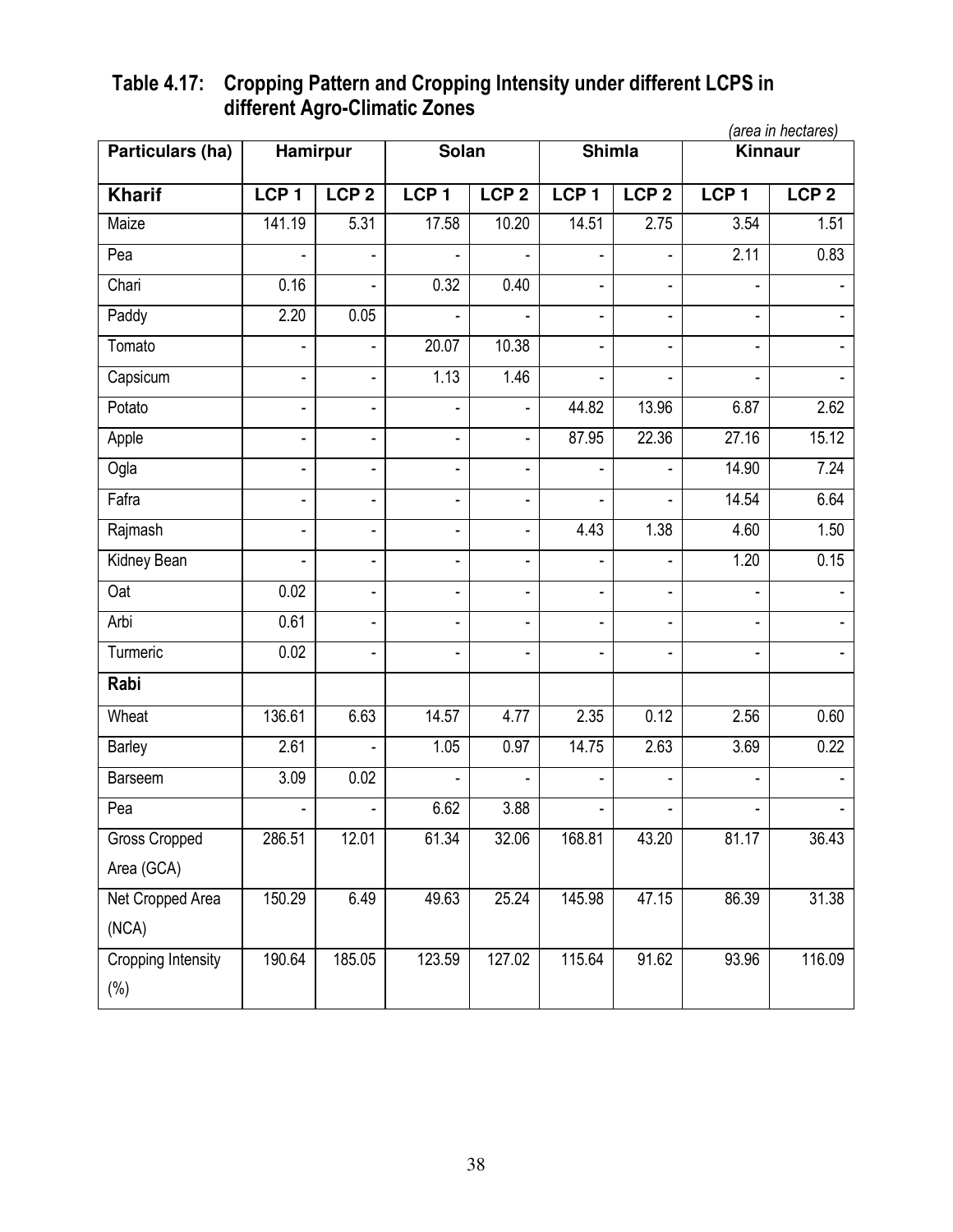# **Table 4.17: Cropping Pattern and Cropping Intensity under different LCPS in different Agro-Climatic Zones**

|                      |                          |                          |                          |                          |                          |                              |                          | (area in hectares) |
|----------------------|--------------------------|--------------------------|--------------------------|--------------------------|--------------------------|------------------------------|--------------------------|--------------------|
| Particulars (ha)     | Hamirpur                 |                          | Solan                    |                          | <b>Shimla</b>            |                              | Kinnaur                  |                    |
| <b>Kharif</b>        | LCP <sub>1</sub>         | LCP <sub>2</sub>         | LCP <sub>1</sub>         | LCP <sub>2</sub>         | LCP <sub>1</sub>         | LCP <sub>2</sub>             | LCP <sub>1</sub>         | LCP <sub>2</sub>   |
| Maize                | 141.19                   | 5.31                     | 17.58                    | 10.20                    | 14.51                    | 2.75                         | 3.54                     | 1.51               |
| Pea                  | ÷,                       | $\overline{\phantom{a}}$ |                          | ÷,                       |                          | $\blacksquare$               | 2.11                     | 0.83               |
| Chari                | 0.16                     | ä,                       | 0.32                     | 0.40                     | $\blacksquare$           | ÷,                           |                          |                    |
| Paddy                | 2.20                     | 0.05                     |                          |                          |                          |                              |                          |                    |
| Tomato               | $\frac{1}{2}$            | $\blacksquare$           | 20.07                    | 10.38                    | $\overline{\phantom{a}}$ | $\qquad \qquad \blacksquare$ |                          |                    |
| Capsicum             | $\frac{1}{2}$            | $\blacksquare$           | 1.13                     | 1.46                     |                          | $\blacksquare$               |                          |                    |
| Potato               | ä,                       | ä,                       |                          | ÷,                       | 44.82                    | 13.96                        | 6.87                     | 2.62               |
| Apple                | $\overline{\phantom{0}}$ | $\overline{\phantom{0}}$ | ٠                        | $\blacksquare$           | 87.95                    | 22.36                        | 27.16                    | 15.12              |
| Ogla                 | $\frac{1}{2}$            | -                        | $\overline{\phantom{0}}$ | $\overline{\phantom{a}}$ |                          | $\frac{1}{2}$                | 14.90                    | 7.24               |
| Fafra                | $\blacksquare$           | ÷,                       | ÷,                       | $\blacksquare$           |                          |                              | 14.54                    | 6.64               |
| Rajmash              | $\overline{a}$           | $\overline{\phantom{a}}$ | ÷,                       | $\blacksquare$           | 4.43                     | 1.38                         | 4.60                     | 1.50               |
| Kidney Bean          | ä,                       | ä,                       | $\overline{\phantom{0}}$ | $\blacksquare$           |                          | ÷,                           | 1.20                     | 0.15               |
| Oat                  | 0.02                     | ÷,                       | ä,                       | $\blacksquare$           | $\blacksquare$           | $\blacksquare$               |                          |                    |
| Arbi                 | 0.61                     | ÷,                       | ٠                        | $\blacksquare$           | $\blacksquare$           | $\blacksquare$               |                          |                    |
| Turmeric             | 0.02                     | ۰                        |                          | ٠                        |                          | $\overline{\phantom{a}}$     |                          |                    |
| Rabi                 |                          |                          |                          |                          |                          |                              |                          |                    |
| Wheat                | 136.61                   | 6.63                     | 14.57                    | 4.77                     | 2.35                     | 0.12                         | 2.56                     | 0.60               |
| Barley               | 2.61                     |                          | 1.05                     | 0.97                     | 14.75                    | 2.63                         | 3.69                     | 0.22               |
| <b>Barseem</b>       | 3.09                     | 0.02                     |                          | ÷,                       |                          | ÷,                           | ÷,                       |                    |
| Pea                  | ÷,                       | ÷,                       | 6.62                     | 3.88                     | ä,                       | $\blacksquare$               | $\overline{\phantom{0}}$ | $\blacksquare$     |
| <b>Gross Cropped</b> | 286.51                   | 12.01                    | 61.34                    | 32.06                    | 168.81                   | 43.20                        | 81.17                    | 36.43              |
| Area (GCA)           |                          |                          |                          |                          |                          |                              |                          |                    |
| Net Cropped Area     | 150.29                   | 6.49                     | 49.63                    | 25.24                    | 145.98                   | 47.15                        | 86.39                    | 31.38              |
| (NCA)                |                          |                          |                          |                          |                          |                              |                          |                    |
| Cropping Intensity   | 190.64                   | 185.05                   | 123.59                   | 127.02                   | 115.64                   | 91.62                        | 93.96                    | 116.09             |
| $(\%)$               |                          |                          |                          |                          |                          |                              |                          |                    |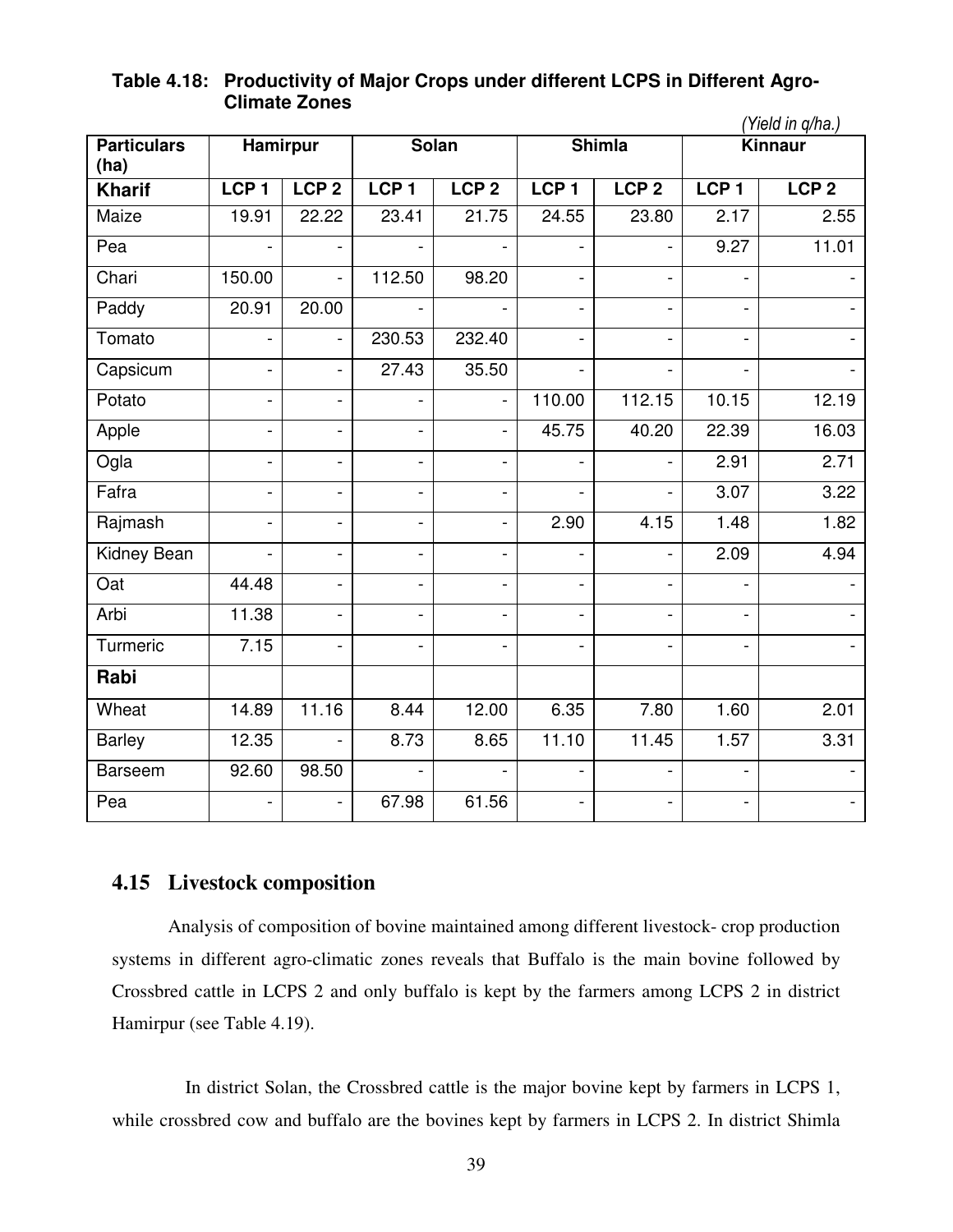# **Table 4.18: Productivity of Major Crops under different LCPS in Different Agro-Climate Zones**

|                            |                          |                              |                          |                          |                  |                          |                          | (Yield in q/ha.) |
|----------------------------|--------------------------|------------------------------|--------------------------|--------------------------|------------------|--------------------------|--------------------------|------------------|
| <b>Particulars</b><br>(ha) | <b>Hamirpur</b>          |                              |                          | <b>Solan</b>             |                  | <b>Shimla</b>            |                          | Kinnaur          |
| <b>Kharif</b>              | LCP <sub>1</sub>         | LCP <sub>2</sub>             | LCP <sub>1</sub>         | LCP <sub>2</sub>         | LCP <sub>1</sub> | LCP <sub>2</sub>         | LCP <sub>1</sub>         | LCP <sub>2</sub> |
| Maize                      | 19.91                    | 22.22                        | 23.41                    | 21.75                    | 24.55            | 23.80                    | 2.17                     | 2.55             |
| Pea                        |                          |                              |                          |                          |                  |                          | 9.27                     | 11.01            |
| Chari                      | 150.00                   | $\overline{\phantom{0}}$     | 112.50                   | 98.20                    |                  |                          |                          |                  |
| Paddy                      | 20.91                    | 20.00                        |                          |                          | $\frac{1}{2}$    | $\overline{a}$           | $\overline{\phantom{a}}$ |                  |
| Tomato                     | $\overline{a}$           | $\overline{a}$               | 230.53                   | 232.40                   | $\overline{a}$   | $\overline{\phantom{0}}$ | $\overline{a}$           |                  |
| Capsicum                   |                          | $\blacksquare$               | 27.43                    | 35.50                    |                  |                          |                          |                  |
| Potato                     | $\overline{a}$           | $\overline{\phantom{0}}$     |                          | $\overline{a}$           | 110.00           | $\overline{112.15}$      | 10.15                    | 12.19            |
| Apple                      | $\overline{a}$           | $\overline{\phantom{0}}$     | $\overline{a}$           | $\overline{\phantom{a}}$ | 45.75            | 40.20                    | 22.39                    | 16.03            |
| Ogla                       | $\overline{\phantom{a}}$ | $\blacksquare$               | $\overline{\phantom{0}}$ | $\overline{\phantom{a}}$ |                  |                          | 2.91                     | 2.71             |
| Fafra                      |                          | $\overline{a}$               | $\overline{a}$           | $\frac{1}{2}$            |                  |                          | 3.07                     | 3.22             |
| Rajmash                    |                          | $\qquad \qquad \blacksquare$ | $\overline{a}$           | $\frac{1}{2}$            | 2.90             | 4.15                     | 1.48                     | 1.82             |
| Kidney Bean                | $\overline{a}$           | $\overline{a}$               | $\overline{a}$           | $\overline{a}$           | $\blacksquare$   |                          | 2.09                     | 4.94             |
| Oat                        | 44.48                    | $\overline{a}$               | $\overline{a}$           | $\frac{1}{2}$            | $\blacksquare$   | $\overline{\phantom{a}}$ |                          |                  |
| Arbi                       | 11.38                    | $\overline{a}$               | $\overline{a}$           | $\overline{a}$           |                  |                          |                          |                  |
| Turmeric                   | 7.15                     | $\overline{\phantom{0}}$     | $\overline{\phantom{0}}$ | $\overline{a}$           |                  |                          | $\overline{\phantom{0}}$ |                  |
| Rabi                       |                          |                              |                          |                          |                  |                          |                          |                  |
| Wheat                      | 14.89                    | 11.16                        | 8.44                     | 12.00                    | 6.35             | 7.80                     | 1.60                     | 2.01             |
| <b>Barley</b>              | 12.35                    | $\blacksquare$               | 8.73                     | 8.65                     | 11.10            | 11.45                    | 1.57                     | 3.31             |
| <b>Barseem</b>             | 92.60                    | 98.50                        |                          |                          |                  |                          |                          |                  |
| Pea                        |                          | $\overline{a}$               | 67.98                    | 61.56                    |                  |                          | $\overline{\phantom{0}}$ |                  |

# **4.15 Livestock composition**

 Analysis of composition of bovine maintained among different livestock- crop production systems in different agro-climatic zones reveals that Buffalo is the main bovine followed by Crossbred cattle in LCPS 2 and only buffalo is kept by the farmers among LCPS 2 in district Hamirpur (see Table 4.19).

 In district Solan, the Crossbred cattle is the major bovine kept by farmers in LCPS 1, while crossbred cow and buffalo are the bovines kept by farmers in LCPS 2. In district Shimla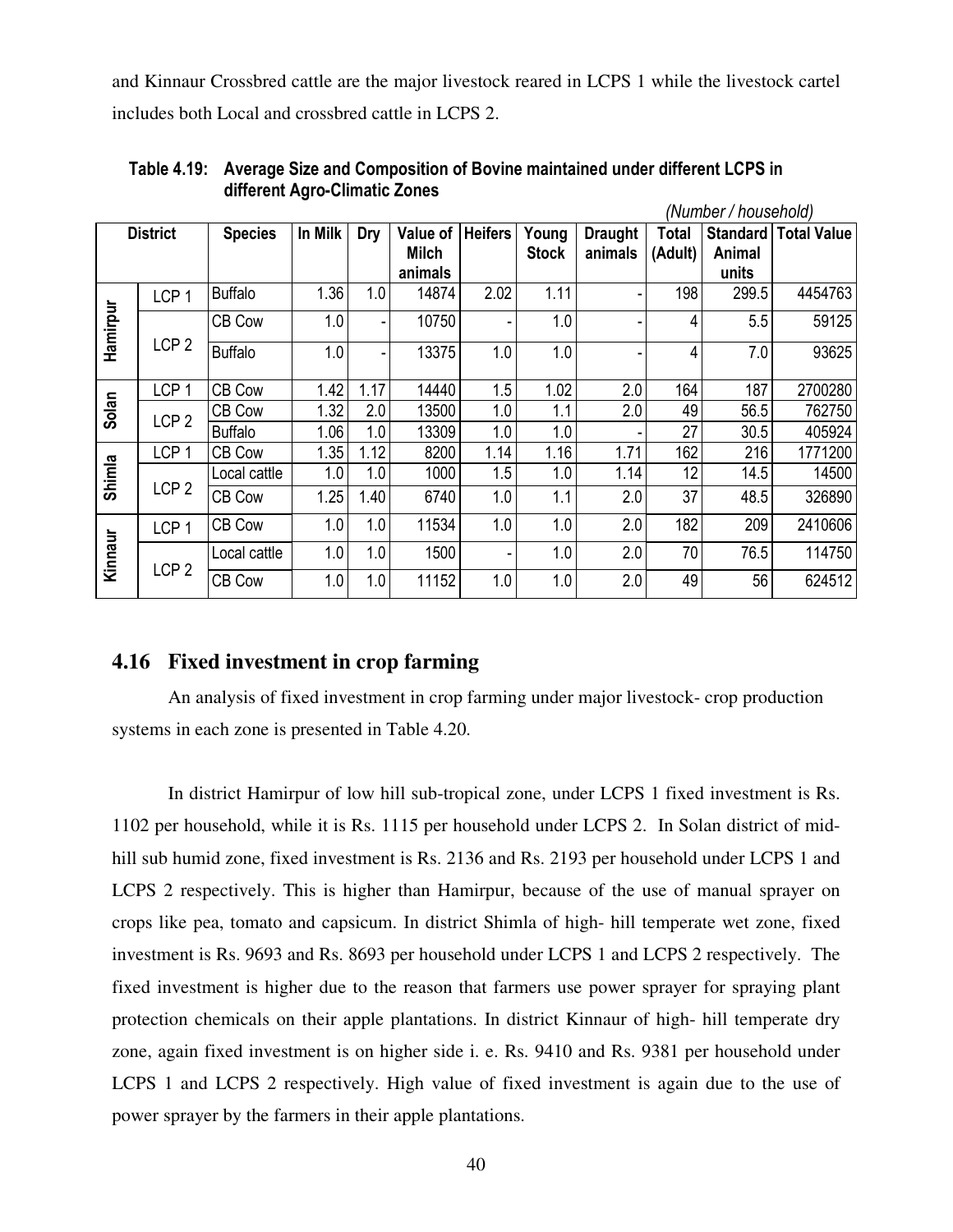and Kinnaur Crossbred cattle are the major livestock reared in LCPS 1 while the livestock cartel includes both Local and crossbred cattle in LCPS 2.

| (Number / household)<br>In Milk<br><b>Heifers</b><br><b>District</b><br>Value of<br>Total<br>Standard |                  |                |      |                          |              |      |                       |                           |         |        |                    |
|-------------------------------------------------------------------------------------------------------|------------------|----------------|------|--------------------------|--------------|------|-----------------------|---------------------------|---------|--------|--------------------|
|                                                                                                       |                  | <b>Species</b> |      | Dry                      | <b>Milch</b> |      | Young<br><b>Stock</b> | <b>Draught</b><br>animals | (Adult) | Animal | <b>Total Value</b> |
|                                                                                                       |                  |                |      |                          | animals      |      |                       |                           |         | units  |                    |
|                                                                                                       | LCP <sub>1</sub> | <b>Buffalo</b> | 1.36 | 1.0                      | 14874        | 2.02 | 1.11                  |                           | 198     | 299.5  | 4454763            |
| Hamirpur                                                                                              |                  | CB Cow         | 1.0  | $\overline{\phantom{a}}$ | 10750        |      | 1.0                   |                           | 4       | 5.5    | 59125              |
|                                                                                                       | LCP <sub>2</sub> | <b>Buffalo</b> | 1.0  | ۰                        | 13375        | 1.0  | 1.0                   |                           | 4       | 7.0    | 93625              |
|                                                                                                       | LCP <sub>1</sub> | CB Cow         | 1.42 | 1.17                     | 14440        | 1.5  | 1.02                  | 2.0                       | 164     | 187    | 2700280            |
| Solan                                                                                                 | LCP <sub>2</sub> | CB Cow         | 1.32 | 2.0                      | 13500        | 1.0  | 1.1                   | 2.0                       | 49      | 56.5   | 762750             |
|                                                                                                       |                  | <b>Buffalo</b> | 1.06 | 1.0                      | 13309        | 1.0  | 1.0                   |                           | 27      | 30.5   | 405924             |
|                                                                                                       | LCP <sub>1</sub> | CB Cow         | 1.35 | 1.12                     | 8200         | 1.14 | 1.16                  | 1.71                      | 162     | 216    | 1771200            |
| Shimla                                                                                                |                  | Local cattle   | 1.0  | 1.0                      | 1000         | 1.5  | 1.0                   | 1.14                      | 12      | 14.5   | 14500              |
|                                                                                                       | LCP <sub>2</sub> | CB Cow         | 1.25 | 1.40                     | 6740         | 1.0  | 1.1                   | 2.0                       | 37      | 48.5   | 326890             |
|                                                                                                       | LCP <sub>1</sub> | CB Cow         | 1.0  | 1.0                      | 11534        | 1.0  | 1.0                   | 2.0                       | 182     | 209    | 2410606            |
| Kinnaur                                                                                               | LCP <sub>2</sub> | Local cattle   | 1.0  | 1.0                      | 1500         |      | 1.0                   | 2.0                       | 70      | 76.5   | 114750             |
|                                                                                                       |                  | CB Cow         | 1.0  | 1.0                      | 11152        | 1.0  | 1.0                   | 2.0                       | 49      | 56     | 624512             |

 **Table 4.19: Average Size and Composition of Bovine maintained under different LCPS in different Agro-Climatic Zones** 

### **4.16 Fixed investment in crop farming**

 An analysis of fixed investment in crop farming under major livestock- crop production systems in each zone is presented in Table 4.20.

In district Hamirpur of low hill sub-tropical zone, under LCPS 1 fixed investment is Rs. 1102 per household, while it is Rs. 1115 per household under LCPS 2. In Solan district of midhill sub humid zone, fixed investment is Rs. 2136 and Rs. 2193 per household under LCPS 1 and LCPS 2 respectively. This is higher than Hamirpur, because of the use of manual sprayer on crops like pea, tomato and capsicum. In district Shimla of high- hill temperate wet zone, fixed investment is Rs. 9693 and Rs. 8693 per household under LCPS 1 and LCPS 2 respectively. The fixed investment is higher due to the reason that farmers use power sprayer for spraying plant protection chemicals on their apple plantations. In district Kinnaur of high- hill temperate dry zone, again fixed investment is on higher side i. e. Rs. 9410 and Rs. 9381 per household under LCPS 1 and LCPS 2 respectively. High value of fixed investment is again due to the use of power sprayer by the farmers in their apple plantations.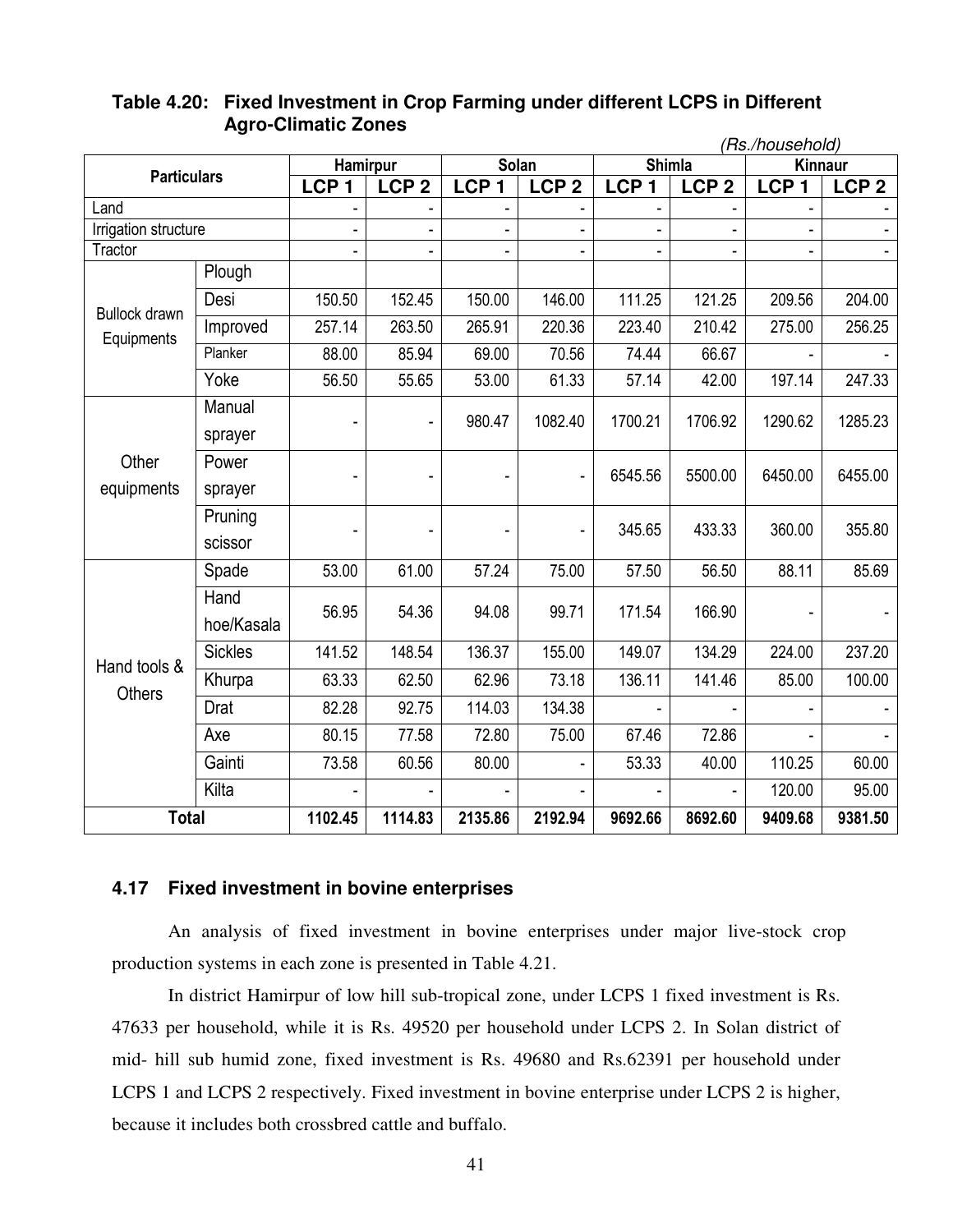|                                    | (Rs./household)<br><b>Shimla</b><br><b>Hamirpur</b><br>Solan<br><b>Kinnaur</b><br><b>Particulars</b><br>LCP <sub>2</sub><br>LCP <sub>1</sub><br>LCP <sub>1</sub><br>LCP <sub>1</sub><br>LCP <sub>2</sub><br>LCP <sub>1</sub><br>LCP <sub>2</sub> |         |         |         |                          |         |         |                                                                                                                                 |                  |
|------------------------------------|--------------------------------------------------------------------------------------------------------------------------------------------------------------------------------------------------------------------------------------------------|---------|---------|---------|--------------------------|---------|---------|---------------------------------------------------------------------------------------------------------------------------------|------------------|
|                                    |                                                                                                                                                                                                                                                  |         |         |         |                          |         |         |                                                                                                                                 |                  |
|                                    |                                                                                                                                                                                                                                                  |         |         |         |                          |         |         | 209.56<br>275.00<br>197.14<br>1290.62<br>6450.00<br>360.00<br>88.11<br>166.90<br>224.00<br>85.00<br>110.25<br>120.00<br>9409.68 | LCP <sub>2</sub> |
| Land                               |                                                                                                                                                                                                                                                  |         |         |         |                          |         |         |                                                                                                                                 |                  |
| Irrigation structure               |                                                                                                                                                                                                                                                  |         |         |         |                          |         |         |                                                                                                                                 |                  |
| Tractor                            |                                                                                                                                                                                                                                                  |         |         |         |                          |         |         |                                                                                                                                 |                  |
|                                    | Plough                                                                                                                                                                                                                                           |         |         |         |                          |         |         |                                                                                                                                 |                  |
| <b>Bullock drawn</b><br>Equipments | Desi                                                                                                                                                                                                                                             | 150.50  | 152.45  | 150.00  | 146.00                   | 111.25  | 121.25  |                                                                                                                                 | 204.00           |
|                                    | Improved                                                                                                                                                                                                                                         | 257.14  | 263.50  | 265.91  | 220.36                   | 223.40  | 210.42  |                                                                                                                                 | 256.25           |
|                                    | Planker                                                                                                                                                                                                                                          | 88.00   | 85.94   | 69.00   | 70.56                    | 74.44   | 66.67   |                                                                                                                                 |                  |
|                                    | Yoke                                                                                                                                                                                                                                             | 56.50   | 55.65   | 53.00   | 61.33                    | 57.14   | 42.00   |                                                                                                                                 | 247.33           |
|                                    | Manual                                                                                                                                                                                                                                           |         |         |         |                          |         |         |                                                                                                                                 |                  |
|                                    | sprayer                                                                                                                                                                                                                                          |         |         | 980.47  | 1082.40                  | 1700.21 | 1706.92 |                                                                                                                                 | 1285.23          |
| Other                              | Power                                                                                                                                                                                                                                            |         |         |         | $\overline{\phantom{a}}$ | 6545.56 | 5500.00 |                                                                                                                                 | 6455.00          |
| equipments                         | sprayer                                                                                                                                                                                                                                          |         |         |         |                          |         |         |                                                                                                                                 |                  |
|                                    | Pruning                                                                                                                                                                                                                                          |         |         |         |                          | 345.65  | 433.33  |                                                                                                                                 | 355.80           |
|                                    | scissor                                                                                                                                                                                                                                          |         |         |         |                          |         |         |                                                                                                                                 |                  |
|                                    | Spade                                                                                                                                                                                                                                            | 53.00   | 61.00   | 57.24   | 75.00                    | 57.50   | 56.50   |                                                                                                                                 | 85.69            |
|                                    | Hand                                                                                                                                                                                                                                             | 56.95   | 54.36   | 94.08   | 99.71                    | 171.54  |         |                                                                                                                                 |                  |
|                                    | hoe/Kasala                                                                                                                                                                                                                                       |         |         |         |                          |         |         |                                                                                                                                 |                  |
| Hand tools &                       | <b>Sickles</b>                                                                                                                                                                                                                                   | 141.52  | 148.54  | 136.37  | 155.00                   | 149.07  | 134.29  |                                                                                                                                 | 237.20           |
| <b>Others</b>                      | Khurpa                                                                                                                                                                                                                                           | 63.33   | 62.50   | 62.96   | 73.18                    | 136.11  | 141.46  |                                                                                                                                 | 100.00           |
|                                    | Drat                                                                                                                                                                                                                                             | 82.28   | 92.75   | 114.03  | 134.38                   |         |         |                                                                                                                                 |                  |
|                                    | Axe                                                                                                                                                                                                                                              | 80.15   | 77.58   | 72.80   | 75.00                    | 67.46   | 72.86   |                                                                                                                                 |                  |
|                                    | Gainti                                                                                                                                                                                                                                           | 73.58   | 60.56   | 80.00   |                          | 53.33   | 40.00   |                                                                                                                                 | 60.00            |
|                                    | Kilta                                                                                                                                                                                                                                            |         |         |         |                          |         |         |                                                                                                                                 | 95.00            |
| <b>Total</b>                       |                                                                                                                                                                                                                                                  | 1102.45 | 1114.83 | 2135.86 | 2192.94                  | 9692.66 | 8692.60 |                                                                                                                                 | 9381.50          |

### **Table 4.20: Fixed Investment in Crop Farming under different LCPS in Different Agro-Climatic Zones**

### **4.17 Fixed investment in bovine enterprises**

 An analysis of fixed investment in bovine enterprises under major live-stock crop production systems in each zone is presented in Table 4.21.

 In district Hamirpur of low hill sub-tropical zone, under LCPS 1 fixed investment is Rs. 47633 per household, while it is Rs. 49520 per household under LCPS 2. In Solan district of mid- hill sub humid zone, fixed investment is Rs. 49680 and Rs.62391 per household under LCPS 1 and LCPS 2 respectively. Fixed investment in bovine enterprise under LCPS 2 is higher, because it includes both crossbred cattle and buffalo.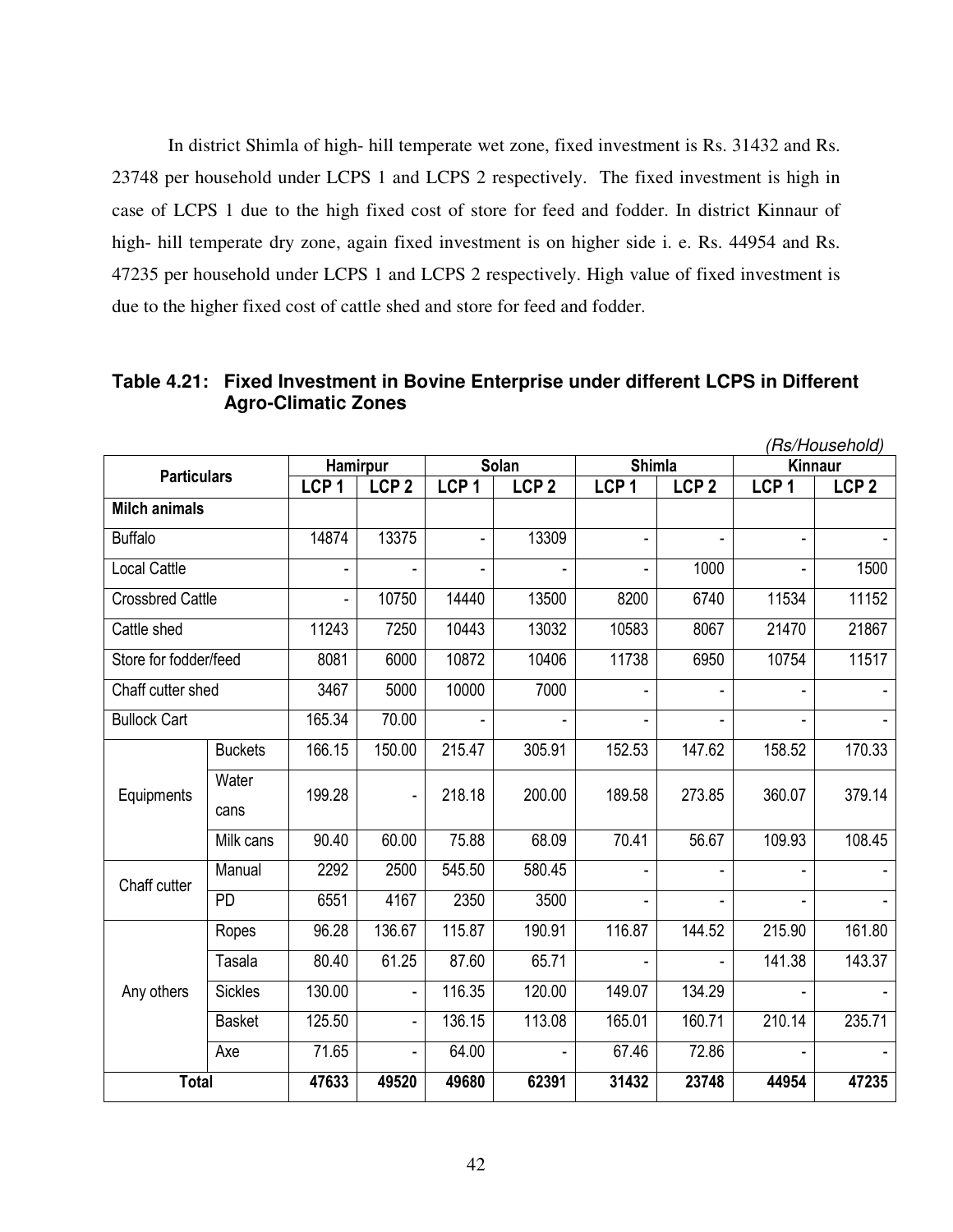In district Shimla of high- hill temperate wet zone, fixed investment is Rs. 31432 and Rs. 23748 per household under LCPS 1 and LCPS 2 respectively. The fixed investment is high in case of LCPS 1 due to the high fixed cost of store for feed and fodder. In district Kinnaur of high- hill temperate dry zone, again fixed investment is on higher side i. e. Rs. 44954 and Rs. 47235 per household under LCPS 1 and LCPS 2 respectively. High value of fixed investment is due to the higher fixed cost of cattle shed and store for feed and fodder.

**Table 4.21: Fixed Investment in Bovine Enterprise under different LCPS in Different Agro-Climatic Zones**

|                                                                                                                                                     |                |                  |                  |                  |                  |                  |                          |                  | (Rs/Household)   |
|-----------------------------------------------------------------------------------------------------------------------------------------------------|----------------|------------------|------------------|------------------|------------------|------------------|--------------------------|------------------|------------------|
|                                                                                                                                                     |                | Hamirpur         |                  |                  | <b>Solan</b>     | <b>Shimla</b>    |                          | <b>Kinnaur</b>   |                  |
|                                                                                                                                                     |                | LCP <sub>1</sub> | LCP <sub>2</sub> | LCP <sub>1</sub> | LCP <sub>2</sub> | LCP <sub>1</sub> | LCP <sub>2</sub>         | LCP <sub>1</sub> | LCP <sub>2</sub> |
|                                                                                                                                                     |                |                  |                  |                  |                  |                  |                          |                  |                  |
| <b>Buffalo</b>                                                                                                                                      |                | 14874            | 13375            |                  | 13309            |                  |                          |                  |                  |
| <b>Local Cattle</b>                                                                                                                                 |                |                  |                  |                  |                  |                  | 1000                     |                  | 1500             |
|                                                                                                                                                     |                |                  | 10750            | 14440            | 13500            | 8200             | 6740                     | 11534            | 11152            |
| Cattle shed                                                                                                                                         |                | 11243            | 7250             | 10443            | 13032            | 10583            | 8067                     | 21470            | 21867            |
|                                                                                                                                                     |                | 8081             | 6000             | 10872            | 10406            | 11738            | 6950                     | 10754            | 11517            |
|                                                                                                                                                     |                | 3467             | 5000             | 10000            | 7000             |                  | $\overline{\phantom{0}}$ |                  |                  |
| <b>Bullock Cart</b>                                                                                                                                 |                | 165.34           | 70.00            |                  |                  |                  |                          |                  |                  |
|                                                                                                                                                     | <b>Buckets</b> | 166.15           | 150.00           | 215.47           | 305.91           | 152.53           | 147.62                   | 158.52           | 170.33           |
| Equipments                                                                                                                                          | Water<br>cans  | 199.28           | ÷,               | 218.18           | 200.00           | 189.58           | 273.85                   | 360.07           | 379.14           |
|                                                                                                                                                     | Milk cans      | 90.40            | 60.00            | 75.88            | 68.09            | 70.41            | 56.67                    | 109.93           | 108.45           |
|                                                                                                                                                     | Manual         | 2292             | 2500             | 545.50           | 580.45           |                  |                          |                  |                  |
|                                                                                                                                                     | <b>PD</b>      | 6551             | 4167             | 2350             | 3500             |                  |                          |                  |                  |
|                                                                                                                                                     | Ropes          | 96.28            | 136.67           | 115.87           | 190.91           | 116.87           | 144.52                   | 215.90           | 161.80           |
|                                                                                                                                                     | Tasala         | 80.40            | 61.25            | 87.60            | 65.71            |                  |                          | 141.38           | 143.37           |
| Any others                                                                                                                                          | <b>Sickles</b> | 130.00           | $\blacksquare$   | 116.35           | 120.00           | 149.07           | 134.29                   |                  |                  |
| <b>Particulars</b><br><b>Milch animals</b><br><b>Crossbred Cattle</b><br>Store for fodder/feed<br>Chaff cutter shed<br>Chaff cutter<br><b>Total</b> | <b>Basket</b>  | 125.50           | ä,               | 136.15           | 113.08           | 165.01           | 160.71                   | 210.14           | 235.71           |
|                                                                                                                                                     | Axe            | 71.65            | ÷,               | 64.00            |                  | 67.46            | 72.86                    |                  |                  |
|                                                                                                                                                     |                | 47633            | 49520            | 49680            | 62391            | 31432            | 23748                    | 44954            | 47235            |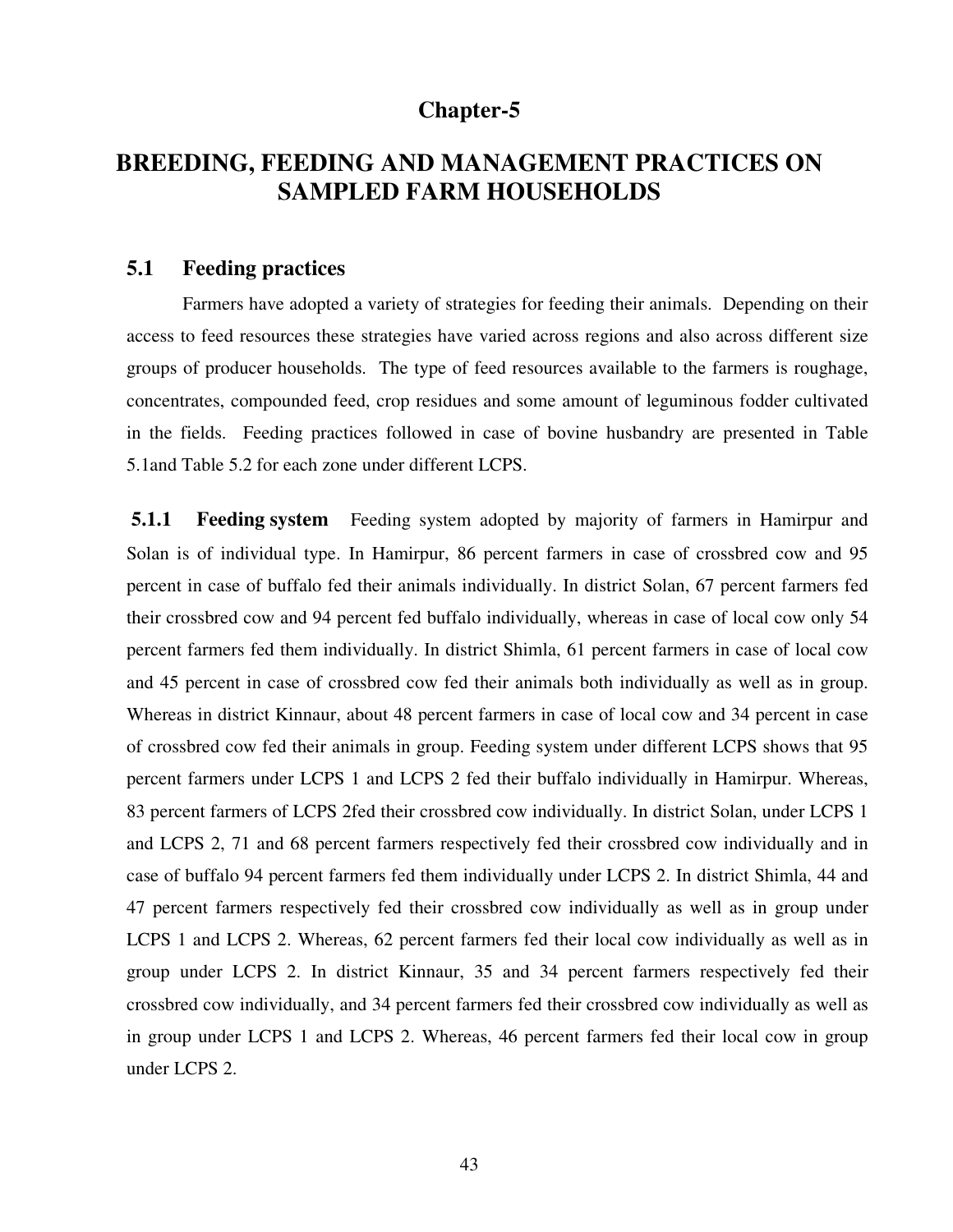# **Chapter-5**

# **BREEDING, FEEDING AND MANAGEMENT PRACTICES ON SAMPLED FARM HOUSEHOLDS**

### **5.1 Feeding practices**

 Farmers have adopted a variety of strategies for feeding their animals. Depending on their access to feed resources these strategies have varied across regions and also across different size groups of producer households. The type of feed resources available to the farmers is roughage, concentrates, compounded feed, crop residues and some amount of leguminous fodder cultivated in the fields. Feeding practices followed in case of bovine husbandry are presented in Table 5.1and Table 5.2 for each zone under different LCPS.

**5.1.1 Feeding system** Feeding system adopted by majority of farmers in Hamirpur and Solan is of individual type. In Hamirpur, 86 percent farmers in case of crossbred cow and 95 percent in case of buffalo fed their animals individually. In district Solan, 67 percent farmers fed their crossbred cow and 94 percent fed buffalo individually, whereas in case of local cow only 54 percent farmers fed them individually. In district Shimla, 61 percent farmers in case of local cow and 45 percent in case of crossbred cow fed their animals both individually as well as in group. Whereas in district Kinnaur, about 48 percent farmers in case of local cow and 34 percent in case of crossbred cow fed their animals in group. Feeding system under different LCPS shows that 95 percent farmers under LCPS 1 and LCPS 2 fed their buffalo individually in Hamirpur. Whereas, 83 percent farmers of LCPS 2fed their crossbred cow individually. In district Solan, under LCPS 1 and LCPS 2, 71 and 68 percent farmers respectively fed their crossbred cow individually and in case of buffalo 94 percent farmers fed them individually under LCPS 2. In district Shimla, 44 and 47 percent farmers respectively fed their crossbred cow individually as well as in group under LCPS 1 and LCPS 2. Whereas, 62 percent farmers fed their local cow individually as well as in group under LCPS 2. In district Kinnaur, 35 and 34 percent farmers respectively fed their crossbred cow individually, and 34 percent farmers fed their crossbred cow individually as well as in group under LCPS 1 and LCPS 2. Whereas, 46 percent farmers fed their local cow in group under LCPS 2.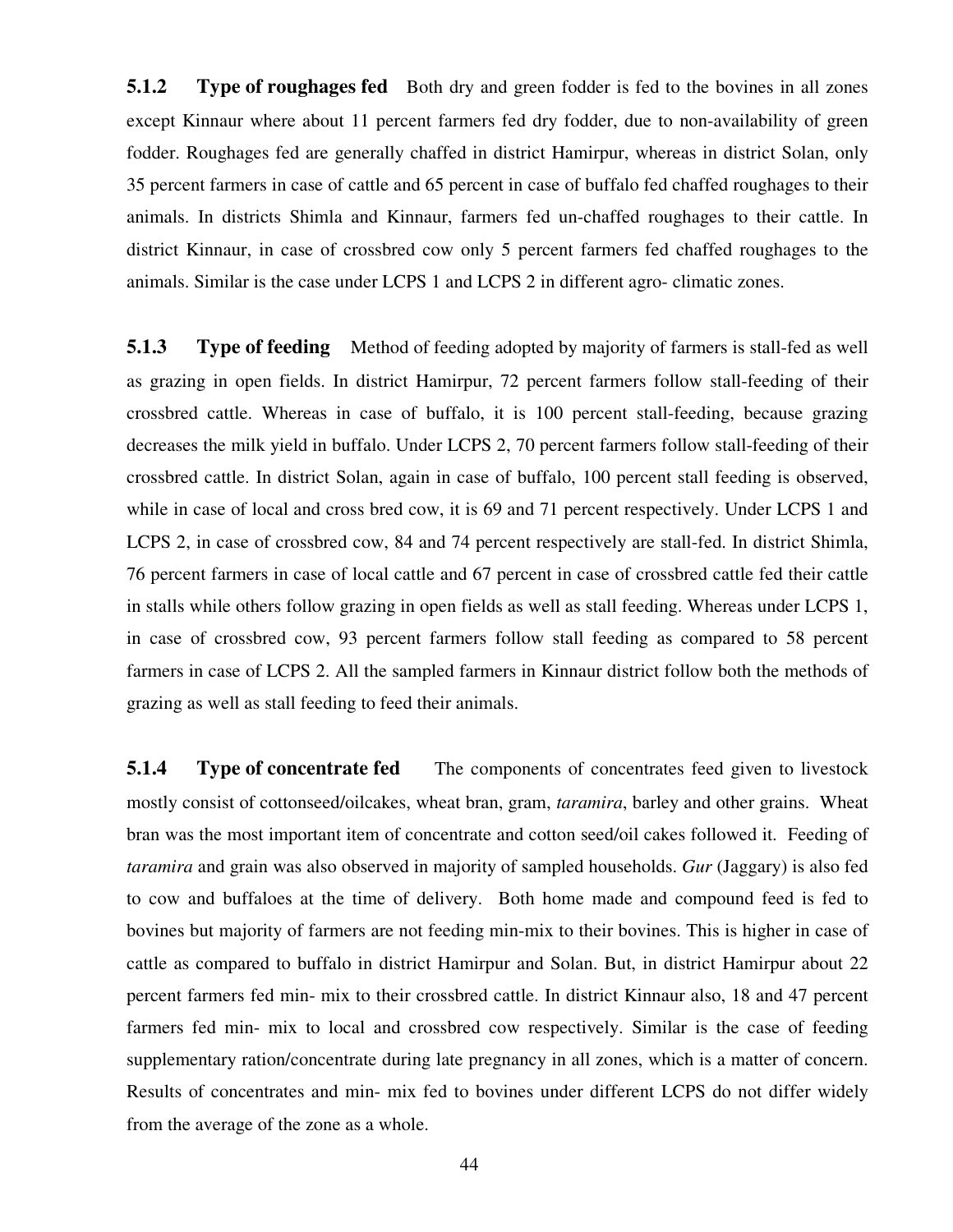**5.1.2** Type of roughages fed Both dry and green fodder is fed to the bovines in all zones except Kinnaur where about 11 percent farmers fed dry fodder, due to non-availability of green fodder. Roughages fed are generally chaffed in district Hamirpur, whereas in district Solan, only 35 percent farmers in case of cattle and 65 percent in case of buffalo fed chaffed roughages to their animals. In districts Shimla and Kinnaur, farmers fed un-chaffed roughages to their cattle. In district Kinnaur, in case of crossbred cow only 5 percent farmers fed chaffed roughages to the animals. Similar is the case under LCPS 1 and LCPS 2 in different agro- climatic zones.

**5.1.3** Type of feeding Method of feeding adopted by majority of farmers is stall-fed as well as grazing in open fields. In district Hamirpur, 72 percent farmers follow stall-feeding of their crossbred cattle. Whereas in case of buffalo, it is 100 percent stall-feeding, because grazing decreases the milk yield in buffalo. Under LCPS 2, 70 percent farmers follow stall-feeding of their crossbred cattle. In district Solan, again in case of buffalo, 100 percent stall feeding is observed, while in case of local and cross bred cow, it is 69 and 71 percent respectively. Under LCPS 1 and LCPS 2, in case of crossbred cow, 84 and 74 percent respectively are stall-fed. In district Shimla, 76 percent farmers in case of local cattle and 67 percent in case of crossbred cattle fed their cattle in stalls while others follow grazing in open fields as well as stall feeding. Whereas under LCPS 1, in case of crossbred cow, 93 percent farmers follow stall feeding as compared to 58 percent farmers in case of LCPS 2. All the sampled farmers in Kinnaur district follow both the methods of grazing as well as stall feeding to feed their animals.

**5.1.4** Type of concentrate fed The components of concentrates feed given to livestock mostly consist of cottonseed/oilcakes, wheat bran, gram, *taramira*, barley and other grains. Wheat bran was the most important item of concentrate and cotton seed/oil cakes followed it. Feeding of *taramira* and grain was also observed in majority of sampled households. *Gur* (Jaggary) is also fed to cow and buffaloes at the time of delivery. Both home made and compound feed is fed to bovines but majority of farmers are not feeding min-mix to their bovines. This is higher in case of cattle as compared to buffalo in district Hamirpur and Solan. But, in district Hamirpur about 22 percent farmers fed min- mix to their crossbred cattle. In district Kinnaur also, 18 and 47 percent farmers fed min- mix to local and crossbred cow respectively. Similar is the case of feeding supplementary ration/concentrate during late pregnancy in all zones, which is a matter of concern. Results of concentrates and min- mix fed to bovines under different LCPS do not differ widely from the average of the zone as a whole.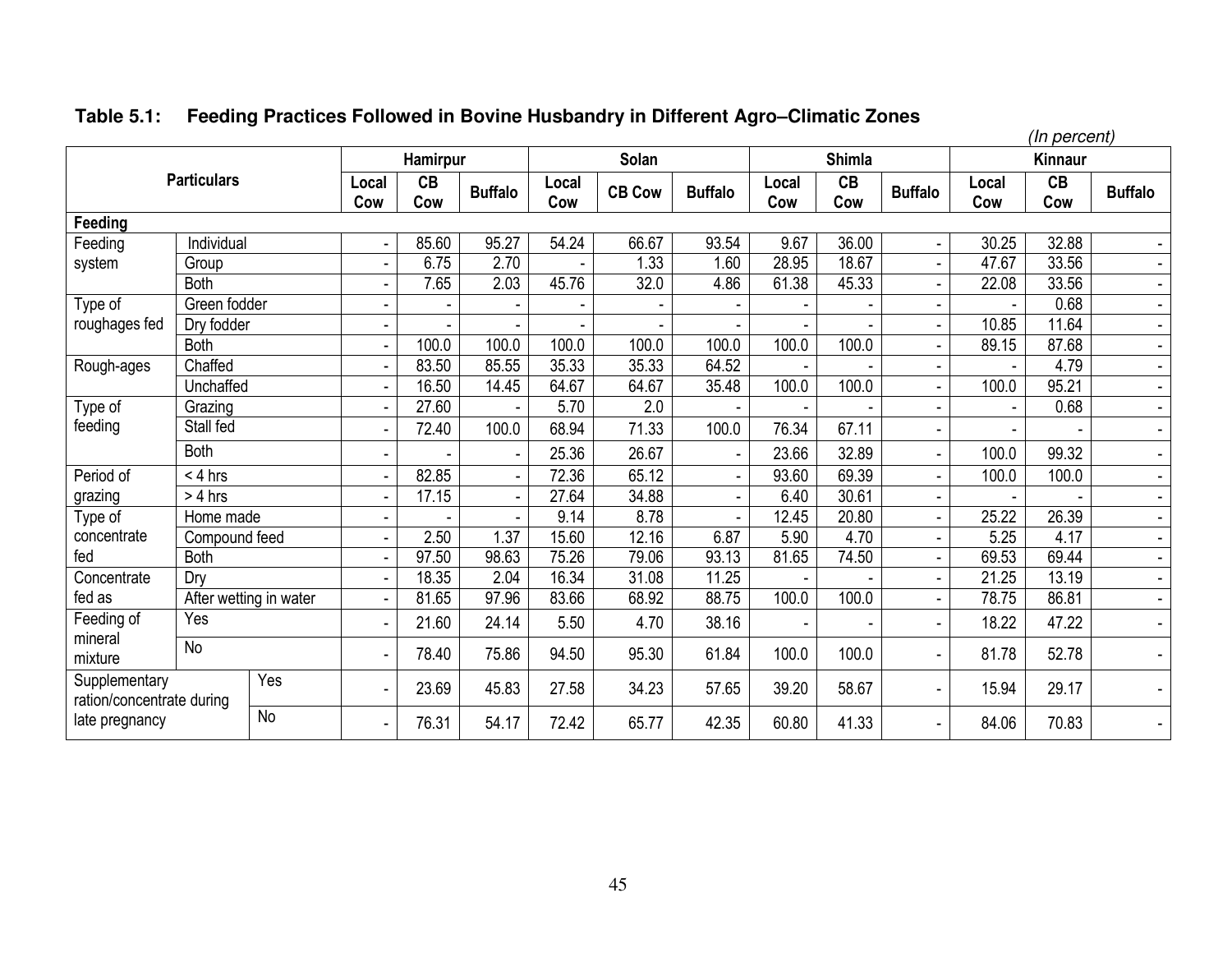|                                            |                        |           |              |           |                |              |               |                |              |               |                |              | (In percent)   |                |
|--------------------------------------------|------------------------|-----------|--------------|-----------|----------------|--------------|---------------|----------------|--------------|---------------|----------------|--------------|----------------|----------------|
|                                            |                        |           |              | Hamirpur  |                |              | Solan         |                |              | <b>Shimla</b> |                |              | <b>Kinnaur</b> |                |
|                                            | <b>Particulars</b>     |           | Local<br>Cow | CB<br>Cow | <b>Buffalo</b> | Local<br>Cow | <b>CB Cow</b> | <b>Buffalo</b> | Local<br>Cow | CB<br>Cow     | <b>Buffalo</b> | Local<br>Cow | CB<br>Cow      | <b>Buffalo</b> |
| Feeding                                    |                        |           |              |           |                |              |               |                |              |               |                |              |                |                |
| Feeding                                    | Individual             |           |              | 85.60     | 95.27          | 54.24        | 66.67         | 93.54          | 9.67         | 36.00         |                | 30.25        | 32.88          |                |
| system                                     | Group                  |           |              | 6.75      | 2.70           |              | 1.33          | 1.60           | 28.95        | 18.67         |                | 47.67        | 33.56          | $\sim$         |
|                                            | <b>Both</b>            |           |              | 7.65      | 2.03           | 45.76        | 32.0          | 4.86           | 61.38        | 45.33         |                | 22.08        | 33.56          | $\blacksquare$ |
| Type of                                    | Green fodder           |           |              |           |                |              |               |                |              |               |                |              | 0.68           | $\sim$         |
| roughages fed                              | Dry fodder             |           |              |           |                |              |               |                |              |               |                | 10.85        | 11.64          | $\blacksquare$ |
|                                            | <b>Both</b>            |           |              | 100.0     | 100.0          | 100.0        | 100.0         | 100.0          | 100.0        | 100.0         |                | 89.15        | 87.68          | $\sim$         |
| Rough-ages                                 | Chaffed                |           |              | 83.50     | 85.55          | 35.33        | 35.33         | 64.52          |              |               |                |              | 4.79           | $\blacksquare$ |
|                                            | Unchaffed              |           |              | 16.50     | 14.45          | 64.67        | 64.67         | 35.48          | 100.0        | 100.0         |                | 100.0        | 95.21          | $\sim$         |
| Type of                                    | Grazing                |           |              | 27.60     |                | 5.70         | 2.0           |                |              |               |                |              | 0.68           | $\blacksquare$ |
| feeding                                    | Stall fed              |           |              | 72.40     | 100.0          | 68.94        | 71.33         | 100.0          | 76.34        | 67.11         |                |              |                | $\blacksquare$ |
|                                            | <b>Both</b>            |           |              |           | $\blacksquare$ | 25.36        | 26.67         |                | 23.66        | 32.89         |                | 100.0        | 99.32          | $\blacksquare$ |
| Period of                                  | $< 4$ hrs              |           |              | 82.85     | $\blacksquare$ | 72.36        | 65.12         |                | 93.60        | 69.39         |                | 100.0        | 100.0          | $\sim$         |
| grazing                                    | $> 4$ hrs              |           |              | 17.15     | $\overline{a}$ | 27.64        | 34.88         |                | 6.40         | 30.61         |                |              |                | $\blacksquare$ |
| Type of                                    | Home made              |           |              |           |                | 9.14         | 8.78          |                | 12.45        | 20.80         |                | 25.22        | 26.39          | $\blacksquare$ |
| concentrate                                | Compound feed          |           |              | 2.50      | 1.37           | 15.60        | 12.16         | 6.87           | 5.90         | 4.70          |                | 5.25         | 4.17           | $\blacksquare$ |
| fed                                        | <b>Both</b>            |           |              | 97.50     | 98.63          | 75.26        | 79.06         | 93.13          | 81.65        | 74.50         |                | 69.53        | 69.44          | $\blacksquare$ |
| Concentrate                                | Dry                    |           |              | 18.35     | 2.04           | 16.34        | 31.08         | 11.25          |              |               |                | 21.25        | 13.19          | $\blacksquare$ |
| fed as                                     | After wetting in water |           |              | 81.65     | 97.96          | 83.66        | 68.92         | 88.75          | 100.0        | 100.0         |                | 78.75        | 86.81          | $\blacksquare$ |
| Feeding of                                 | Yes                    |           |              | 21.60     | 24.14          | 5.50         | 4.70          | 38.16          |              |               |                | 18.22        | 47.22          | $\blacksquare$ |
| mineral<br>mixture                         | <b>No</b>              |           |              | 78.40     | 75.86          | 94.50        | 95.30         | 61.84          | 100.0        | 100.0         |                | 81.78        | 52.78          | $\blacksquare$ |
| Supplementary<br>ration/concentrate during |                        | Yes       |              | 23.69     | 45.83          | 27.58        | 34.23         | 57.65          | 39.20        | 58.67         |                | 15.94        | 29.17          |                |
| late pregnancy                             |                        | <b>No</b> |              | 76.31     | 54.17          | 72.42        | 65.77         | 42.35          | 60.80        | 41.33         |                | 84.06        | 70.83          |                |

# **Table 5.1: Feeding Practices Followed in Bovine Husbandry in Different Agro–Climatic Zones**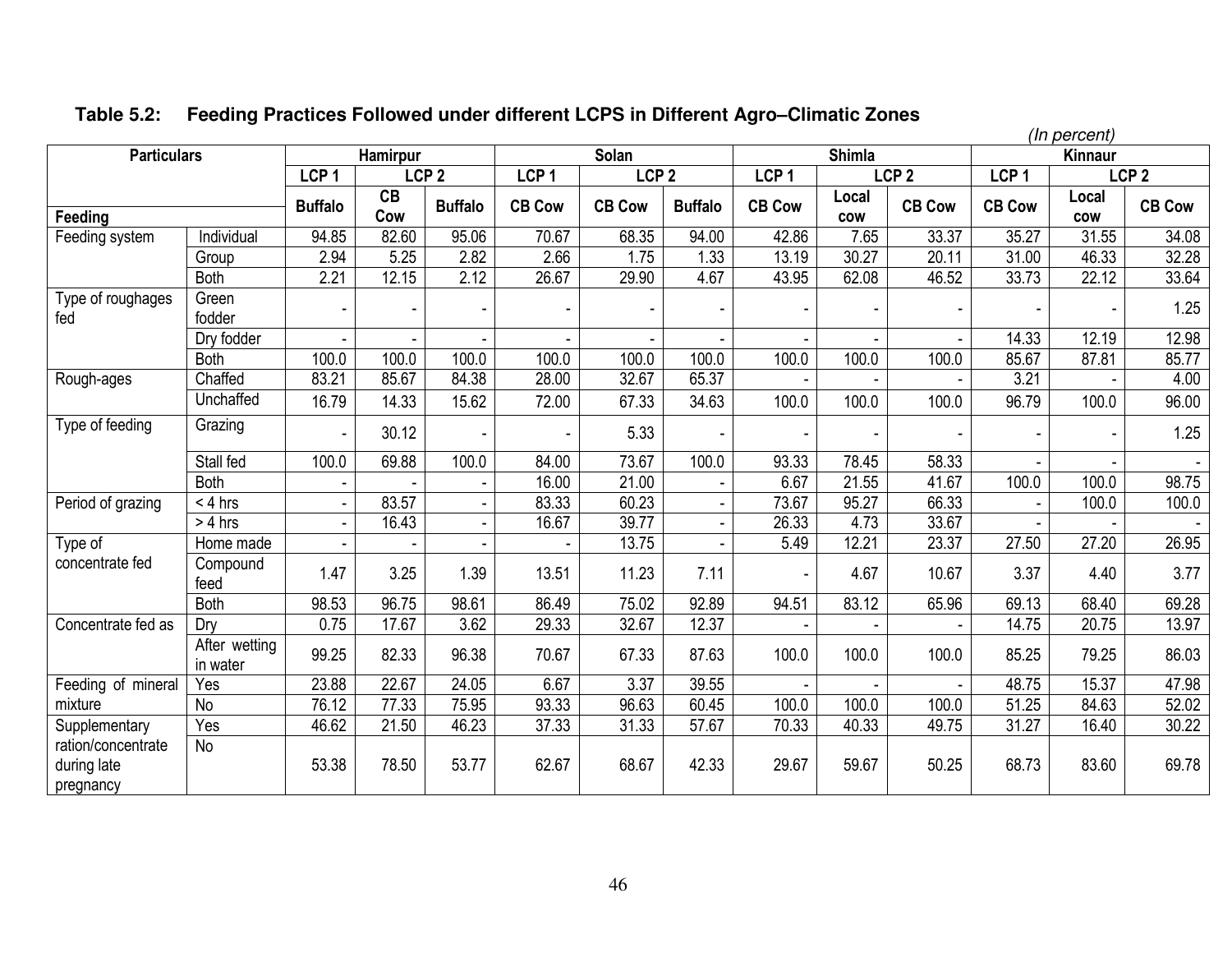|                                                |                           |                  |                 |                  |                  |                  |                |                  |                     |                  |                  | (In percent)        |                  |
|------------------------------------------------|---------------------------|------------------|-----------------|------------------|------------------|------------------|----------------|------------------|---------------------|------------------|------------------|---------------------|------------------|
| <b>Particulars</b>                             |                           |                  | <b>Hamirpur</b> |                  |                  | Solan            |                |                  | <b>Shimla</b>       |                  |                  | Kinnaur             |                  |
|                                                |                           | LCP <sub>1</sub> |                 | LCP <sub>2</sub> | LCP <sub>1</sub> | LCP <sub>2</sub> |                | LCP <sub>1</sub> |                     | LCP <sub>2</sub> | LCP <sub>1</sub> |                     | LCP <sub>2</sub> |
| Feeding                                        |                           | <b>Buffalo</b>   | CB<br>Cow       | <b>Buffalo</b>   | <b>CB Cow</b>    | <b>CB Cow</b>    | <b>Buffalo</b> | <b>CB Cow</b>    | Local<br><b>COW</b> | <b>CB Cow</b>    | <b>CB Cow</b>    | Local<br><b>COW</b> | <b>CB Cow</b>    |
| Feeding system                                 | Individual                | 94.85            | 82.60           | 95.06            | 70.67            | 68.35            | 94.00          | 42.86            | 7.65                | 33.37            | 35.27            | 31.55               | 34.08            |
|                                                | Group                     | 2.94             | 5.25            | 2.82             | 2.66             | 1.75             | 1.33           | 13.19            | 30.27               | 20.11            | 31.00            | 46.33               | 32.28            |
|                                                | <b>Both</b>               | 2.21             | 12.15           | 2.12             | 26.67            | 29.90            | 4.67           | 43.95            | 62.08               | 46.52            | 33.73            | 22.12               | 33.64            |
| Type of roughages<br>fed                       | Green<br>fodder           |                  |                 |                  |                  |                  |                |                  |                     |                  |                  |                     | 1.25             |
|                                                | Dry fodder                |                  |                 |                  |                  |                  |                |                  |                     |                  | 14.33            | 12.19               | 12.98            |
|                                                | <b>Both</b>               | 100.0            | 100.0           | 100.0            | 100.0            | 100.0            | 100.0          | 100.0            | 100.0               | 100.0            | 85.67            | 87.81               | 85.77            |
| Rough-ages                                     | Chaffed                   | 83.21            | 85.67           | 84.38            | 28.00            | 32.67            | 65.37          |                  |                     |                  | 3.21             |                     | 4.00             |
|                                                | Unchaffed                 | 16.79            | 14.33           | 15.62            | 72.00            | 67.33            | 34.63          | 100.0            | 100.0               | 100.0            | 96.79            | 100.0               | 96.00            |
| Type of feeding                                | Grazing                   |                  | 30.12           |                  |                  | 5.33             |                |                  |                     |                  |                  |                     | 1.25             |
|                                                | Stall fed                 | 100.0            | 69.88           | 100.0            | 84.00            | 73.67            | 100.0          | 93.33            | 78.45               | 58.33            |                  |                     |                  |
|                                                | <b>Both</b>               |                  |                 |                  | 16.00            | 21.00            |                | 6.67             | 21.55               | 41.67            | 100.0            | 100.0               | 98.75            |
| Period of grazing                              | $< 4$ hrs                 |                  | 83.57           |                  | 83.33            | 60.23            |                | 73.67            | 95.27               | 66.33            |                  | 100.0               | 100.0            |
|                                                | $> 4$ hrs                 | $\blacksquare$   | 16.43           |                  | 16.67            | 39.77            | $\blacksquare$ | 26.33            | 4.73                | 33.67            |                  |                     |                  |
| Type of                                        | Home made                 |                  |                 |                  |                  | 13.75            |                | 5.49             | 12.21               | 23.37            | 27.50            | 27.20               | 26.95            |
| concentrate fed                                | Compound<br>feed          | 1.47             | 3.25            | 1.39             | 13.51            | 11.23            | 7.11           |                  | 4.67                | 10.67            | 3.37             | 4.40                | 3.77             |
|                                                | <b>Both</b>               | 98.53            | 96.75           | 98.61            | 86.49            | 75.02            | 92.89          | 94.51            | 83.12               | 65.96            | 69.13            | 68.40               | 69.28            |
| Concentrate fed as                             | Dry                       | 0.75             | 17.67           | 3.62             | 29.33            | 32.67            | 12.37          |                  |                     |                  | 14.75            | 20.75               | 13.97            |
|                                                | After wetting<br>in water | 99.25            | 82.33           | 96.38            | 70.67            | 67.33            | 87.63          | 100.0            | 100.0               | 100.0            | 85.25            | 79.25               | 86.03            |
| Feeding of mineral                             | Yes                       | 23.88            | 22.67           | 24.05            | 6.67             | 3.37             | 39.55          |                  |                     |                  | 48.75            | 15.37               | 47.98            |
| mixture                                        | No                        | 76.12            | 77.33           | 75.95            | 93.33            | 96.63            | 60.45          | 100.0            | 100.0               | 100.0            | 51.25            | 84.63               | 52.02            |
| Supplementary                                  | Yes                       | 46.62            | 21.50           | 46.23            | 37.33            | 31.33            | 57.67          | 70.33            | 40.33               | 49.75            | 31.27            | 16.40               | 30.22            |
| ration/concentrate<br>during late<br>pregnancy | N <sub>o</sub>            | 53.38            | 78.50           | 53.77            | 62.67            | 68.67            | 42.33          | 29.67            | 59.67               | 50.25            | 68.73            | 83.60               | 69.78            |

# **Table 5.2: Feeding Practices Followed under different LCPS in Different Agro–Climatic Zones**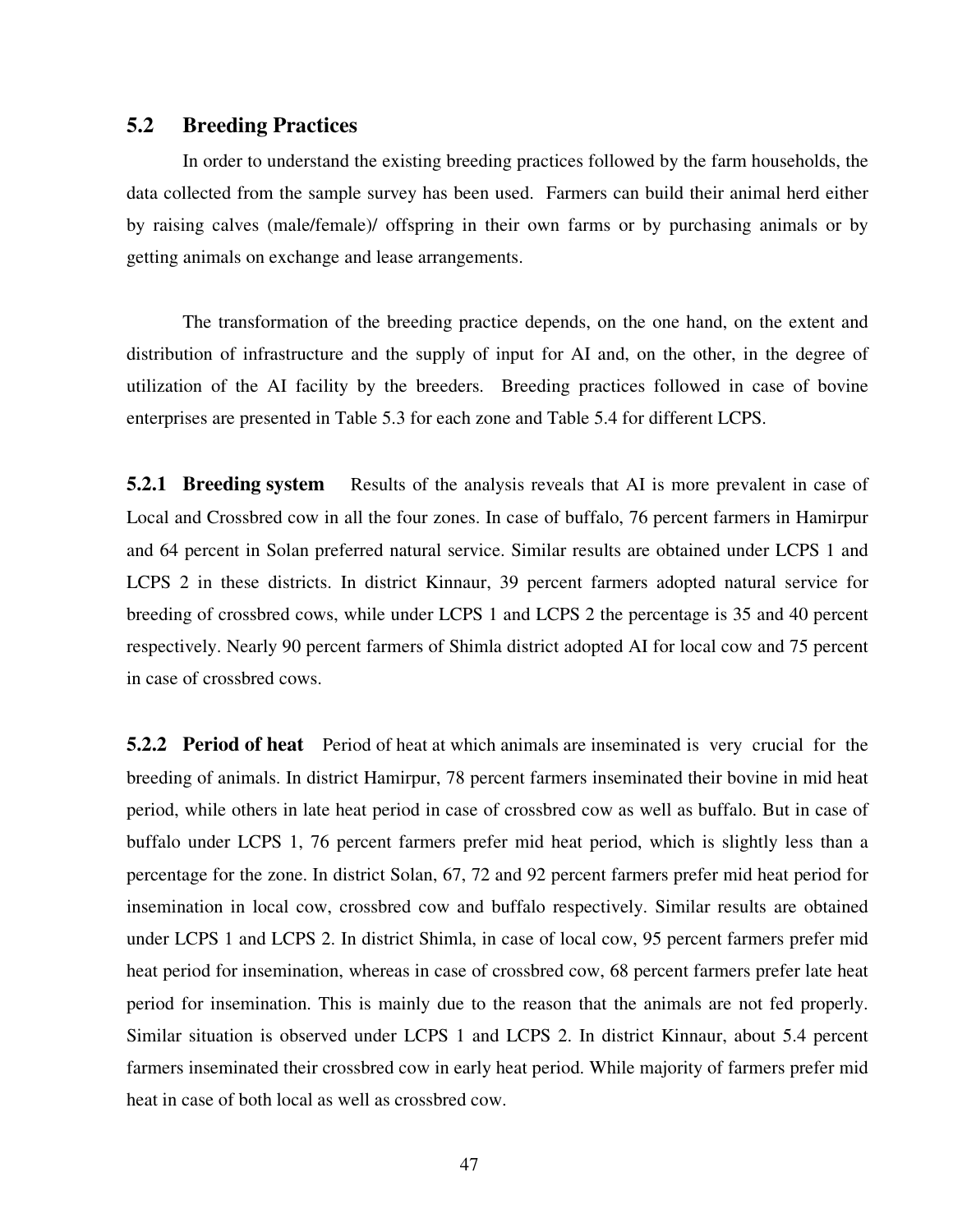### **5.2 Breeding Practices**

 In order to understand the existing breeding practices followed by the farm households, the data collected from the sample survey has been used. Farmers can build their animal herd either by raising calves (male/female)/ offspring in their own farms or by purchasing animals or by getting animals on exchange and lease arrangements.

The transformation of the breeding practice depends, on the one hand, on the extent and distribution of infrastructure and the supply of input for AI and, on the other, in the degree of utilization of the AI facility by the breeders. Breeding practices followed in case of bovine enterprises are presented in Table 5.3 for each zone and Table 5.4 for different LCPS.

**5.2.1 Breeding system** Results of the analysis reveals that AI is more prevalent in case of Local and Crossbred cow in all the four zones. In case of buffalo, 76 percent farmers in Hamirpur and 64 percent in Solan preferred natural service. Similar results are obtained under LCPS 1 and LCPS 2 in these districts. In district Kinnaur, 39 percent farmers adopted natural service for breeding of crossbred cows, while under LCPS 1 and LCPS 2 the percentage is 35 and 40 percent respectively. Nearly 90 percent farmers of Shimla district adopted AI for local cow and 75 percent in case of crossbred cows.

**5.2.2 Period of heat** Period of heat at which animals are inseminated is very crucial for the breeding of animals. In district Hamirpur, 78 percent farmers inseminated their bovine in mid heat period, while others in late heat period in case of crossbred cow as well as buffalo. But in case of buffalo under LCPS 1, 76 percent farmers prefer mid heat period, which is slightly less than a percentage for the zone. In district Solan, 67, 72 and 92 percent farmers prefer mid heat period for insemination in local cow, crossbred cow and buffalo respectively. Similar results are obtained under LCPS 1 and LCPS 2. In district Shimla, in case of local cow, 95 percent farmers prefer mid heat period for insemination, whereas in case of crossbred cow, 68 percent farmers prefer late heat period for insemination. This is mainly due to the reason that the animals are not fed properly. Similar situation is observed under LCPS 1 and LCPS 2. In district Kinnaur, about 5.4 percent farmers inseminated their crossbred cow in early heat period. While majority of farmers prefer mid heat in case of both local as well as crossbred cow.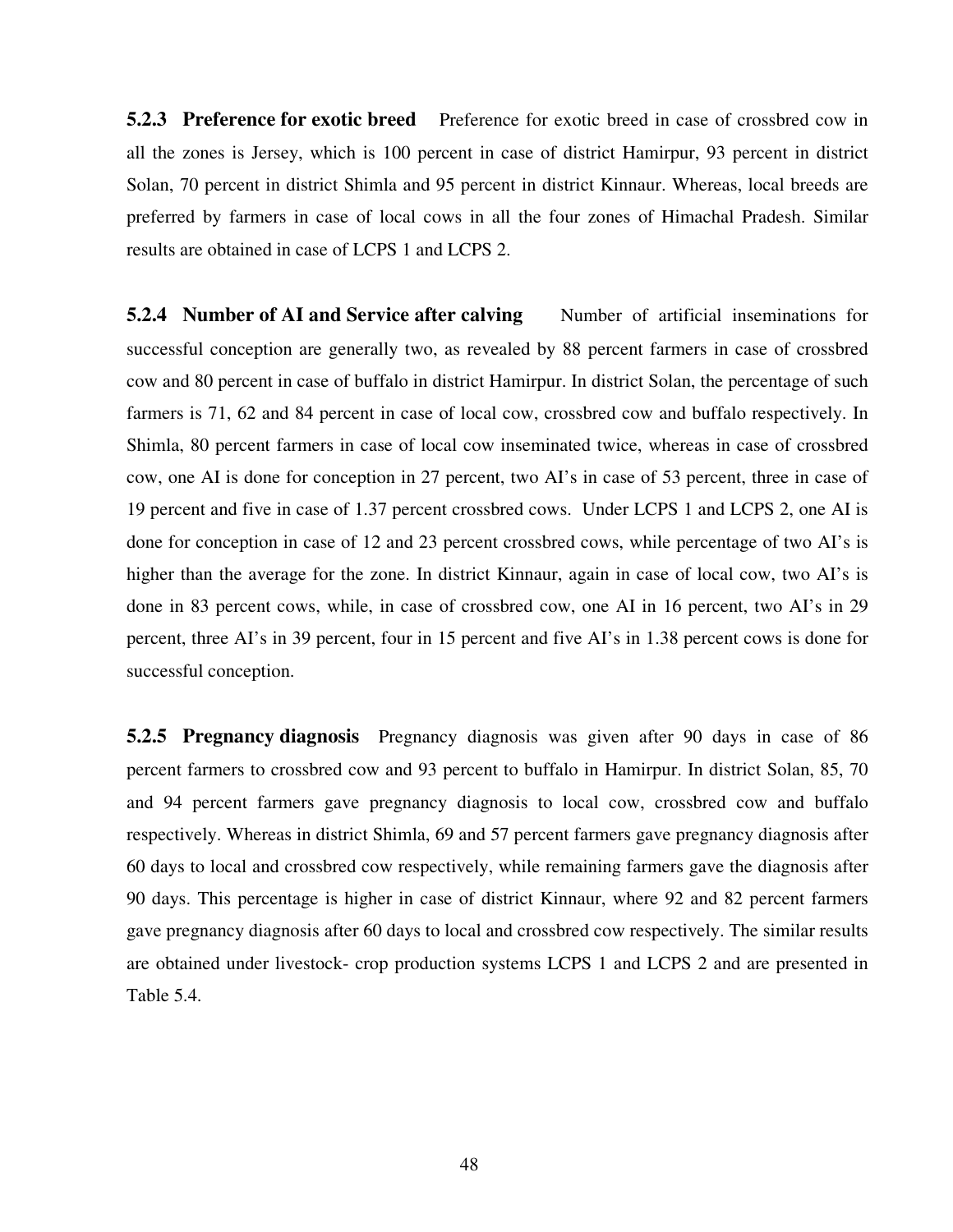**5.2.3 Preference for exotic breed** Preference for exotic breed in case of crossbred cow in all the zones is Jersey, which is 100 percent in case of district Hamirpur, 93 percent in district Solan, 70 percent in district Shimla and 95 percent in district Kinnaur. Whereas, local breeds are preferred by farmers in case of local cows in all the four zones of Himachal Pradesh. Similar results are obtained in case of LCPS 1 and LCPS 2.

**5.2.4 Number of AI and Service after calving Sumber of artificial inseminations for** successful conception are generally two, as revealed by 88 percent farmers in case of crossbred cow and 80 percent in case of buffalo in district Hamirpur. In district Solan, the percentage of such farmers is 71, 62 and 84 percent in case of local cow, crossbred cow and buffalo respectively. In Shimla, 80 percent farmers in case of local cow inseminated twice, whereas in case of crossbred cow, one AI is done for conception in 27 percent, two AI's in case of 53 percent, three in case of 19 percent and five in case of 1.37 percent crossbred cows. Under LCPS 1 and LCPS 2, one AI is done for conception in case of 12 and 23 percent crossbred cows, while percentage of two AI's is higher than the average for the zone. In district Kinnaur, again in case of local cow, two AI's is done in 83 percent cows, while, in case of crossbred cow, one AI in 16 percent, two AI's in 29 percent, three AI's in 39 percent, four in 15 percent and five AI's in 1.38 percent cows is done for successful conception.

**5.2.5 Pregnancy diagnosis** Pregnancy diagnosis was given after 90 days in case of 86 percent farmers to crossbred cow and 93 percent to buffalo in Hamirpur. In district Solan, 85, 70 and 94 percent farmers gave pregnancy diagnosis to local cow, crossbred cow and buffalo respectively. Whereas in district Shimla, 69 and 57 percent farmers gave pregnancy diagnosis after 60 days to local and crossbred cow respectively, while remaining farmers gave the diagnosis after 90 days. This percentage is higher in case of district Kinnaur, where 92 and 82 percent farmers gave pregnancy diagnosis after 60 days to local and crossbred cow respectively. The similar results are obtained under livestock- crop production systems LCPS 1 and LCPS 2 and are presented in Table 5.4.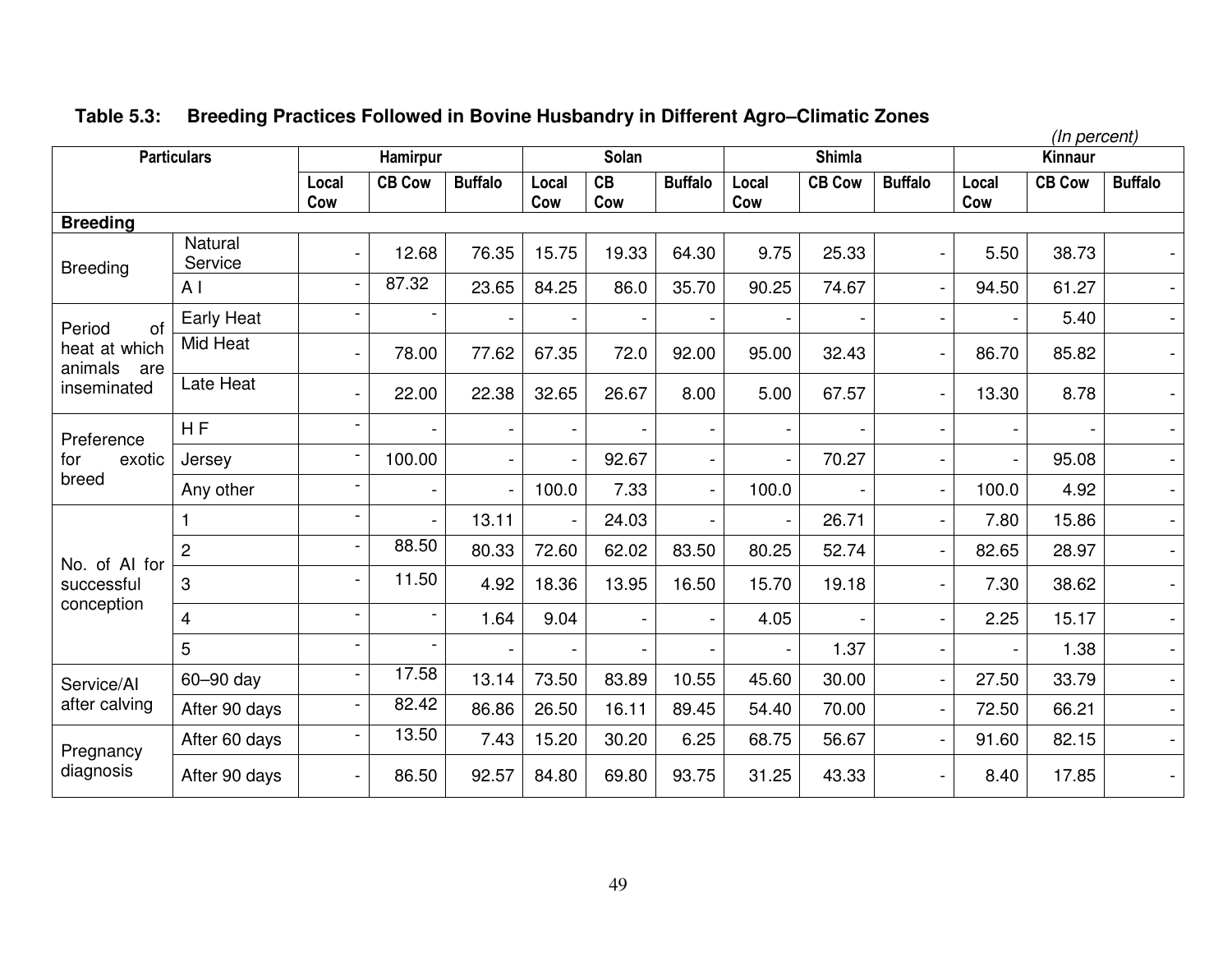|                                 |                    |                          |               |                |                |           |                          |                          |               |                          |              | (In percent)   |                          |
|---------------------------------|--------------------|--------------------------|---------------|----------------|----------------|-----------|--------------------------|--------------------------|---------------|--------------------------|--------------|----------------|--------------------------|
|                                 | <b>Particulars</b> |                          | Hamirpur      |                |                | Solan     |                          |                          | <b>Shimla</b> |                          |              | <b>Kinnaur</b> |                          |
|                                 |                    | Local<br>Cow             | <b>CB Cow</b> | <b>Buffalo</b> | Local<br>Cow   | CB<br>Cow | <b>Buffalo</b>           | Local<br>Cow             | <b>CB Cow</b> | <b>Buffalo</b>           | Local<br>Cow | <b>CB Cow</b>  | <b>Buffalo</b>           |
| <b>Breeding</b>                 |                    |                          |               |                |                |           |                          |                          |               |                          |              |                |                          |
| <b>Breeding</b>                 | Natural<br>Service |                          | 12.68         | 76.35          | 15.75          | 19.33     | 64.30                    | 9.75                     | 25.33         | $\overline{\phantom{a}}$ | 5.50         | 38.73          |                          |
|                                 | A <sub>l</sub>     |                          | 87.32         | 23.65          | 84.25          | 86.0      | 35.70                    | 90.25                    | 74.67         |                          | 94.50        | 61.27          |                          |
| of<br>Period                    | <b>Early Heat</b>  |                          |               |                |                |           |                          |                          |               |                          |              | 5.40           | $\overline{\phantom{0}}$ |
| heat at which<br>animals<br>are | Mid Heat           |                          | 78.00         | 77.62          | 67.35          | 72.0      | 92.00                    | 95.00                    | 32.43         | $\overline{\phantom{a}}$ | 86.70        | 85.82          | $\overline{\phantom{0}}$ |
| inseminated                     | Late Heat          |                          | 22.00         | 22.38          | 32.65          | 26.67     | 8.00                     | 5.00                     | 67.57         |                          | 13.30        | 8.78           |                          |
| Preference                      | <b>HF</b>          |                          |               | $\blacksquare$ |                |           | $\overline{\phantom{a}}$ | -                        |               |                          |              |                | $\overline{\phantom{0}}$ |
| for<br>exotic                   | Jersey             |                          | 100.00        | $\blacksquare$ | $\blacksquare$ | 92.67     | $\overline{\phantom{a}}$ | $\overline{\phantom{a}}$ | 70.27         | $\overline{\phantom{0}}$ |              | 95.08          | $\blacksquare$           |
| breed                           | Any other          |                          |               |                | 100.0          | 7.33      | $\blacksquare$           | 100.0                    |               | $\overline{\phantom{a}}$ | 100.0        | 4.92           | $\overline{\phantom{0}}$ |
|                                 |                    |                          |               | 13.11          | $\blacksquare$ | 24.03     | $\blacksquare$           | $\blacksquare$           | 26.71         | ÷,                       | 7.80         | 15.86          | $\overline{\phantom{0}}$ |
| No. of AI for                   | $\overline{2}$     | $\overline{\phantom{0}}$ | 88.50         | 80.33          | 72.60          | 62.02     | 83.50                    | 80.25                    | 52.74         |                          | 82.65        | 28.97          | $\overline{a}$           |
| successful                      | 3                  | -                        | 11.50         | 4.92           | 18.36          | 13.95     | 16.50                    | 15.70                    | 19.18         | $\blacksquare$           | 7.30         | 38.62          | $\overline{\phantom{0}}$ |
| conception                      | $\overline{4}$     |                          |               | 1.64           | 9.04           |           | $\overline{\phantom{0}}$ | 4.05                     |               | $\overline{\phantom{a}}$ | 2.25         | 15.17          | $\overline{\phantom{0}}$ |
|                                 | 5                  | $\overline{\phantom{0}}$ |               |                |                |           | $\overline{\phantom{0}}$ | -                        | 1.37          |                          |              | 1.38           | $\overline{\phantom{0}}$ |
| Service/Al                      | 60-90 day          |                          | 17.58         | 13.14          | 73.50          | 83.89     | 10.55                    | 45.60                    | 30.00         |                          | 27.50        | 33.79          | $\overline{\phantom{0}}$ |
| after calving                   | After 90 days      |                          | 82.42         | 86.86          | 26.50          | 16.11     | 89.45                    | 54.40                    | 70.00         | $\overline{\phantom{0}}$ | 72.50        | 66.21          | $\overline{\phantom{0}}$ |
| Pregnancy                       | After 60 days      |                          | 13.50         | 7.43           | 15.20          | 30.20     | 6.25                     | 68.75                    | 56.67         | $\overline{\phantom{a}}$ | 91.60        | 82.15          | $\overline{\phantom{0}}$ |
| diagnosis                       | After 90 days      |                          | 86.50         | 92.57          | 84.80          | 69.80     | 93.75                    | 31.25                    | 43.33         | $\overline{\phantom{0}}$ | 8.40         | 17.85          | $\overline{\phantom{0}}$ |

# **Table 5.3: Breeding Practices Followed in Bovine Husbandry in Different Agro–Climatic Zones**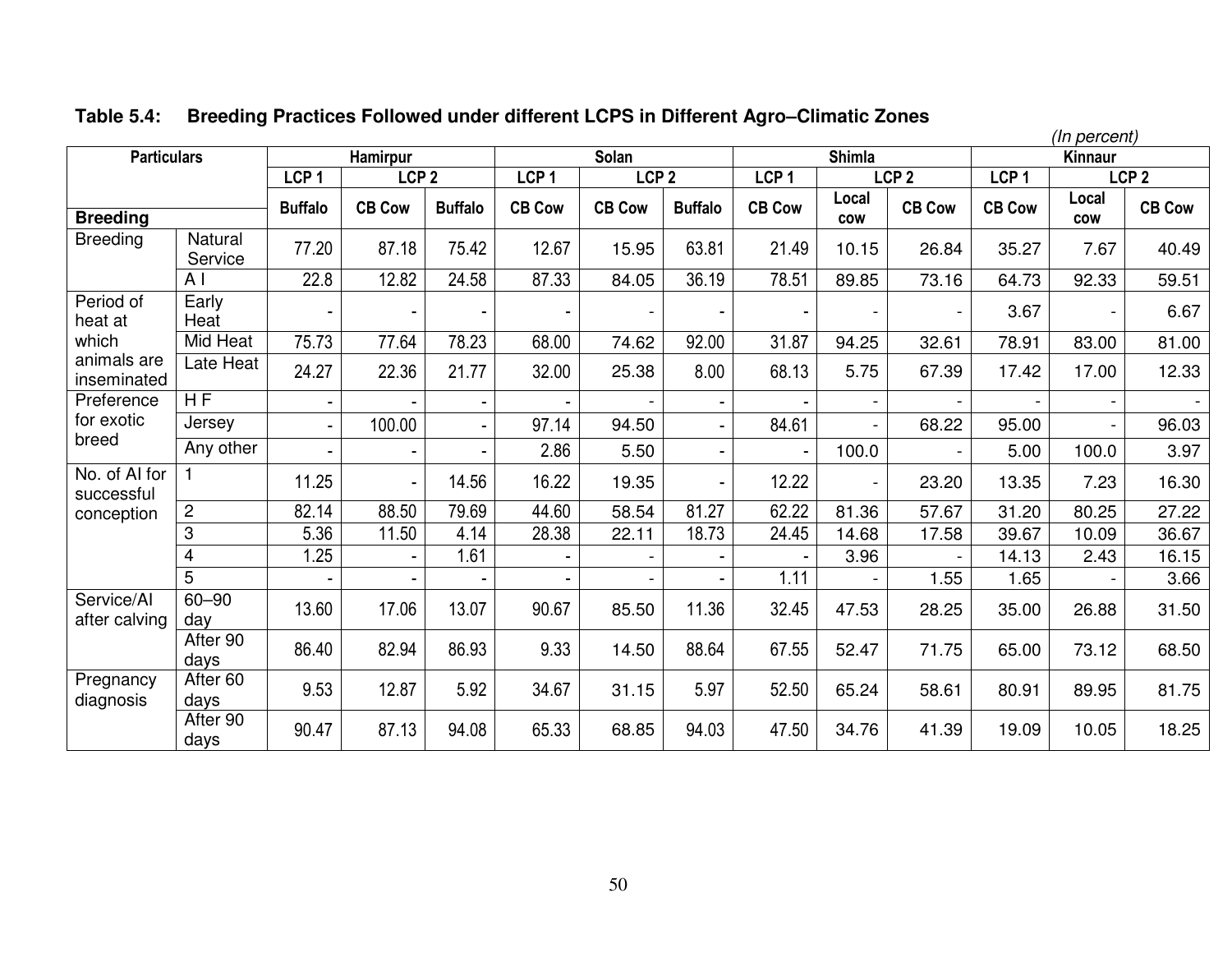|                             |                         |                  |                  |                |                  |                  |                |                  |                     |                  |                  | (In percent)        |                  |
|-----------------------------|-------------------------|------------------|------------------|----------------|------------------|------------------|----------------|------------------|---------------------|------------------|------------------|---------------------|------------------|
| <b>Particulars</b>          |                         |                  | <b>Hamirpur</b>  |                |                  | Solan            |                |                  | <b>Shimla</b>       |                  |                  | Kinnaur             |                  |
|                             |                         | LCP <sub>1</sub> | LCP <sub>2</sub> |                | LCP <sub>1</sub> | LCP <sub>2</sub> |                | LCP <sub>1</sub> |                     | LCP <sub>2</sub> | LCP <sub>1</sub> |                     | LCP <sub>2</sub> |
| <b>Breeding</b>             |                         | <b>Buffalo</b>   | <b>CB Cow</b>    | <b>Buffalo</b> | <b>CB Cow</b>    | <b>CB Cow</b>    | <b>Buffalo</b> | <b>CB Cow</b>    | Local<br><b>COW</b> | <b>CB Cow</b>    | <b>CB Cow</b>    | Local<br><b>COW</b> | <b>CB Cow</b>    |
| <b>Breeding</b>             | Natural<br>Service      | 77.20            | 87.18            | 75.42          | 12.67            | 15.95            | 63.81          | 21.49            | 10.15               | 26.84            | 35.27            | 7.67                | 40.49            |
|                             | A <sub>1</sub>          | 22.8             | 12.82            | 24.58          | 87.33            | 84.05            | 36.19          | 78.51            | 89.85               | 73.16            | 64.73            | 92.33               | 59.51            |
| Period of<br>heat at        | Early<br>Heat           |                  |                  |                |                  | $\blacksquare$   |                |                  |                     |                  | 3.67             |                     | 6.67             |
| which                       | Mid Heat                | 75.73            | 77.64            | 78.23          | 68.00            | 74.62            | 92.00          | 31.87            | 94.25               | 32.61            | 78.91            | 83.00               | 81.00            |
| animals are<br>inseminated  | Late Heat               | 24.27            | 22.36            | 21.77          | 32.00            | 25.38            | 8.00           | 68.13            | 5.75                | 67.39            | 17.42            | 17.00               | 12.33            |
| Preference                  | $\overline{HF}$         |                  |                  |                |                  |                  |                |                  |                     |                  |                  |                     | $\sim$           |
| for exotic                  | Jersey                  |                  | 100.00           |                | 97.14            | 94.50            |                | 84.61            |                     | 68.22            | 95.00            | $\blacksquare$      | 96.03            |
| breed                       | Any other               |                  | $\blacksquare$   |                | 2.86             | 5.50             |                | $\blacksquare$   | 100.0               | $\blacksquare$   | 5.00             | 100.0               | 3.97             |
| No. of Al for<br>successful |                         | 11.25            | $\blacksquare$   | 14.56          | 16.22            | 19.35            | ÷.             | 12.22            | $\blacksquare$      | 23.20            | 13.35            | 7.23                | 16.30            |
| conception                  | $\overline{c}$          | 82.14            | 88.50            | 79.69          | 44.60            | 58.54            | 81.27          | 62.22            | 81.36               | 57.67            | 31.20            | 80.25               | 27.22            |
|                             | 3                       | 5.36             | 11.50            | 4.14           | 28.38            | 22.11            | 18.73          | 24.45            | 14.68               | 17.58            | 39.67            | 10.09               | 36.67            |
|                             | $\overline{\mathbf{4}}$ | 1.25             |                  | 1.61           |                  |                  |                |                  | 3.96                |                  | 14.13            | 2.43                | 16.15            |
|                             | 5                       |                  |                  |                |                  |                  |                | 1.11             |                     | 1.55             | 1.65             |                     | 3.66             |
| Service/Al<br>after calving | $60 - 90$<br>day        | 13.60            | 17.06            | 13.07          | 90.67            | 85.50            | 11.36          | 32.45            | 47.53               | 28.25            | 35.00            | 26.88               | 31.50            |
|                             | After 90<br>days        | 86.40            | 82.94            | 86.93          | 9.33             | 14.50            | 88.64          | 67.55            | 52.47               | 71.75            | 65.00            | 73.12               | 68.50            |
| Pregnancy<br>diagnosis      | After 60<br>days        | 9.53             | 12.87            | 5.92           | 34.67            | 31.15            | 5.97           | 52.50            | 65.24               | 58.61            | 80.91            | 89.95               | 81.75            |
|                             | After 90<br>days        | 90.47            | 87.13            | 94.08          | 65.33            | 68.85            | 94.03          | 47.50            | 34.76               | 41.39            | 19.09            | 10.05               | 18.25            |

# **Table 5.4: Breeding Practices Followed under different LCPS in Different Agro–Climatic Zones**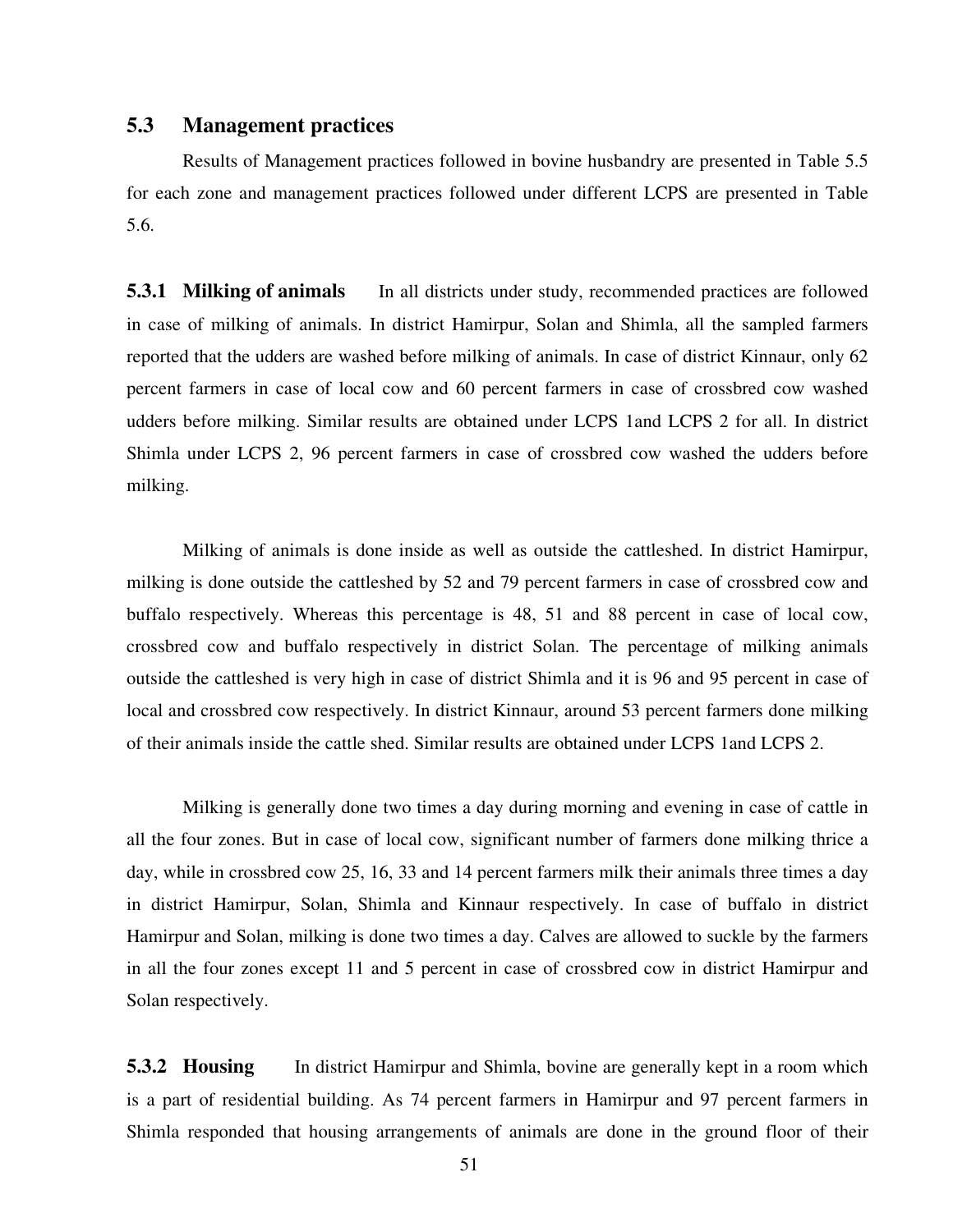### **5.3 Management practices**

Results of Management practices followed in bovine husbandry are presented in Table 5.5 for each zone and management practices followed under different LCPS are presented in Table 5.6.

**5.3.1 Milking of animals** In all districts under study, recommended practices are followed in case of milking of animals. In district Hamirpur, Solan and Shimla, all the sampled farmers reported that the udders are washed before milking of animals. In case of district Kinnaur, only 62 percent farmers in case of local cow and 60 percent farmers in case of crossbred cow washed udders before milking. Similar results are obtained under LCPS 1and LCPS 2 for all. In district Shimla under LCPS 2, 96 percent farmers in case of crossbred cow washed the udders before milking.

Milking of animals is done inside as well as outside the cattleshed. In district Hamirpur, milking is done outside the cattleshed by 52 and 79 percent farmers in case of crossbred cow and buffalo respectively. Whereas this percentage is 48, 51 and 88 percent in case of local cow, crossbred cow and buffalo respectively in district Solan. The percentage of milking animals outside the cattleshed is very high in case of district Shimla and it is 96 and 95 percent in case of local and crossbred cow respectively. In district Kinnaur, around 53 percent farmers done milking of their animals inside the cattle shed. Similar results are obtained under LCPS 1and LCPS 2.

Milking is generally done two times a day during morning and evening in case of cattle in all the four zones. But in case of local cow, significant number of farmers done milking thrice a day, while in crossbred cow 25, 16, 33 and 14 percent farmers milk their animals three times a day in district Hamirpur, Solan, Shimla and Kinnaur respectively. In case of buffalo in district Hamirpur and Solan, milking is done two times a day. Calves are allowed to suckle by the farmers in all the four zones except 11 and 5 percent in case of crossbred cow in district Hamirpur and Solan respectively.

**5.3.2 Housing** In district Hamirpur and Shimla, bovine are generally kept in a room which is a part of residential building. As 74 percent farmers in Hamirpur and 97 percent farmers in Shimla responded that housing arrangements of animals are done in the ground floor of their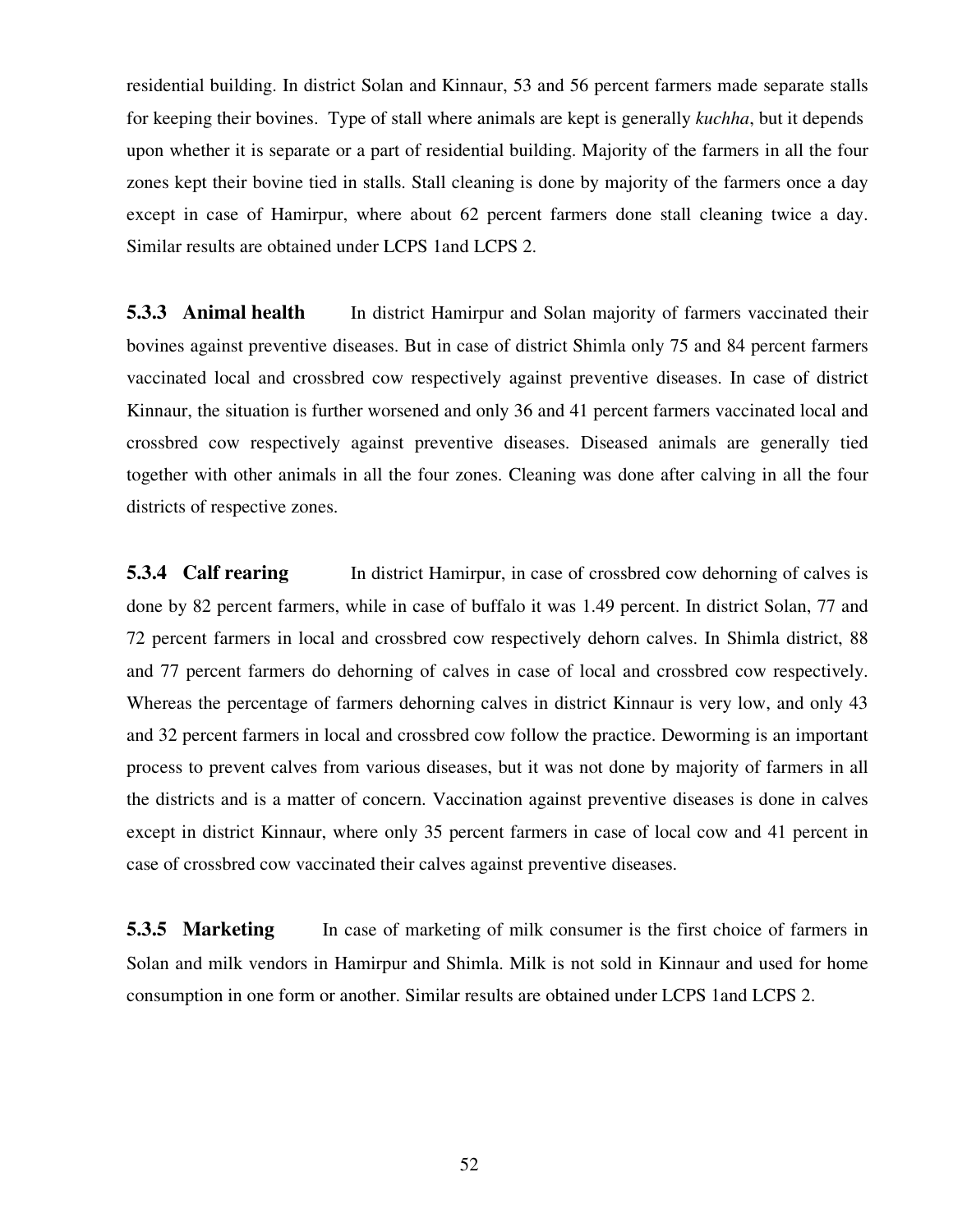residential building. In district Solan and Kinnaur, 53 and 56 percent farmers made separate stalls for keeping their bovines. Type of stall where animals are kept is generally *kuchha*, but it depends upon whether it is separate or a part of residential building. Majority of the farmers in all the four zones kept their bovine tied in stalls. Stall cleaning is done by majority of the farmers once a day except in case of Hamirpur, where about 62 percent farmers done stall cleaning twice a day. Similar results are obtained under LCPS 1and LCPS 2.

**5.3.3 Animal health** In district Hamirpur and Solan majority of farmers vaccinated their bovines against preventive diseases. But in case of district Shimla only 75 and 84 percent farmers vaccinated local and crossbred cow respectively against preventive diseases. In case of district Kinnaur, the situation is further worsened and only 36 and 41 percent farmers vaccinated local and crossbred cow respectively against preventive diseases. Diseased animals are generally tied together with other animals in all the four zones. Cleaning was done after calving in all the four districts of respective zones.

**5.3.4 Calf rearing** In district Hamirpur, in case of crossbred cow dehorning of calves is done by 82 percent farmers, while in case of buffalo it was 1.49 percent. In district Solan, 77 and 72 percent farmers in local and crossbred cow respectively dehorn calves. In Shimla district, 88 and 77 percent farmers do dehorning of calves in case of local and crossbred cow respectively. Whereas the percentage of farmers dehorning calves in district Kinnaur is very low, and only 43 and 32 percent farmers in local and crossbred cow follow the practice. Deworming is an important process to prevent calves from various diseases, but it was not done by majority of farmers in all the districts and is a matter of concern. Vaccination against preventive diseases is done in calves except in district Kinnaur, where only 35 percent farmers in case of local cow and 41 percent in case of crossbred cow vaccinated their calves against preventive diseases.

**5.3.5 Marketing** In case of marketing of milk consumer is the first choice of farmers in Solan and milk vendors in Hamirpur and Shimla. Milk is not sold in Kinnaur and used for home consumption in one form or another. Similar results are obtained under LCPS 1and LCPS 2.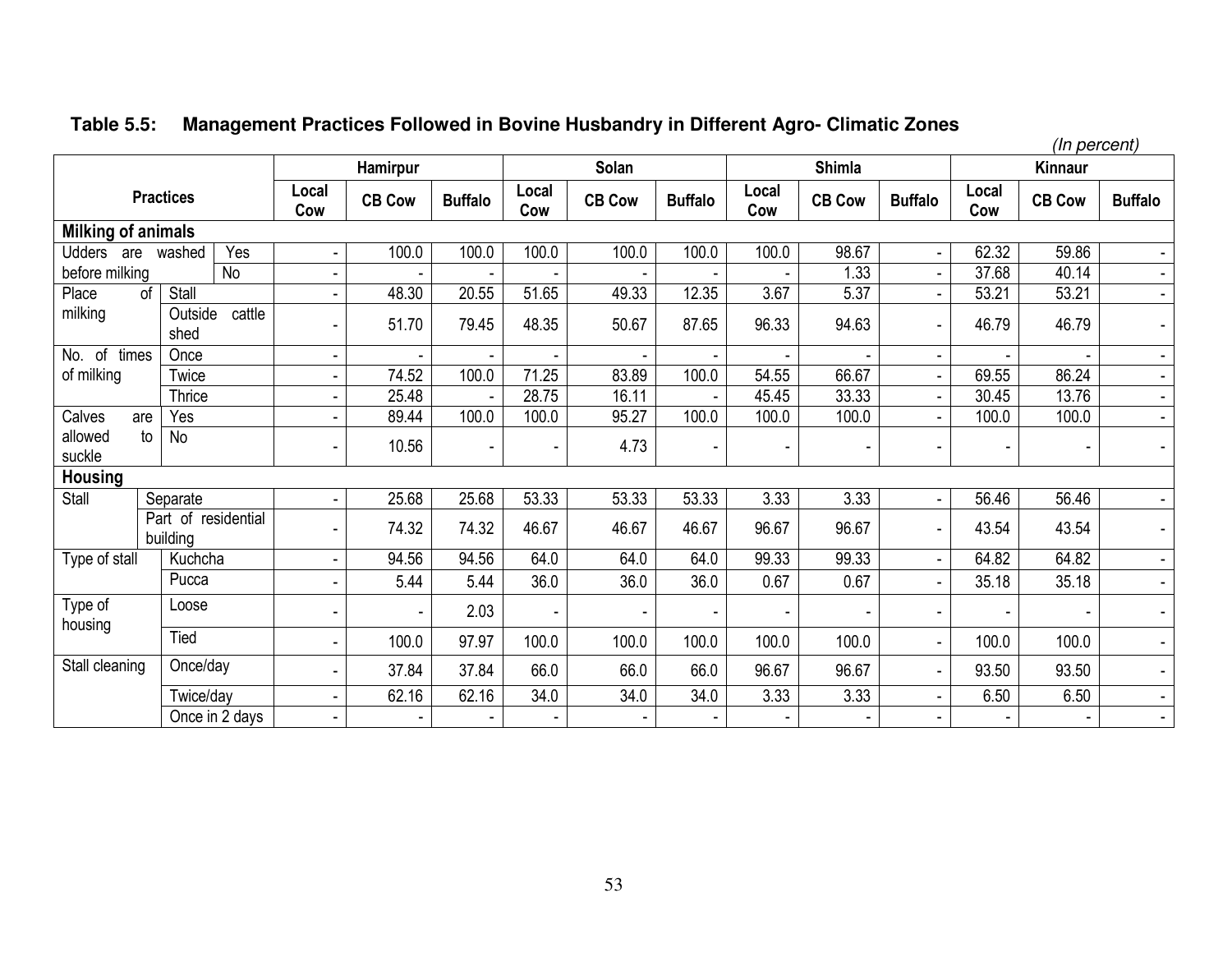# **Table 5.5: Management Practices Followed in Bovine Husbandry in Different Agro- Climatic Zones**

| (In percent)              |                                 |              |                          |                |              |               |                |              |               |                |              |                |                |
|---------------------------|---------------------------------|--------------|--------------------------|----------------|--------------|---------------|----------------|--------------|---------------|----------------|--------------|----------------|----------------|
|                           |                                 |              | Hamirpur                 |                |              | Solan         |                |              | <b>Shimla</b> |                |              | <b>Kinnaur</b> |                |
|                           | <b>Practices</b>                | Local<br>Cow | <b>CB Cow</b>            | <b>Buffalo</b> | Local<br>Cow | <b>CB Cow</b> | <b>Buffalo</b> | Local<br>Cow | <b>CB Cow</b> | <b>Buffalo</b> | Local<br>Cow | <b>CB Cow</b>  | <b>Buffalo</b> |
| <b>Milking of animals</b> |                                 |              |                          |                |              |               |                |              |               |                |              |                |                |
| Udders are                | Yes<br>washed                   |              | 100.0                    | 100.0          | 100.0        | 100.0         | 100.0          | 100.0        | 98.67         |                | 62.32        | 59.86          |                |
| before milking            | No                              |              |                          |                |              |               |                |              | 1.33          |                | 37.68        | 40.14          |                |
| Place<br>of               | Stall                           |              | 48.30                    | 20.55          | 51.65        | 49.33         | 12.35          | 3.67         | 5.37          |                | 53.21        | 53.21          | $\blacksquare$ |
| milking                   | cattle<br>Outside<br>shed       |              | 51.70                    | 79.45          | 48.35        | 50.67         | 87.65          | 96.33        | 94.63         |                | 46.79        | 46.79          | $\blacksquare$ |
| No. of times              | Once                            |              |                          |                |              |               |                |              |               |                |              |                | $\sim$         |
| of milking                | Twice                           |              | 74.52                    | 100.0          | 71.25        | 83.89         | 100.0          | 54.55        | 66.67         |                | 69.55        | 86.24          | $\blacksquare$ |
|                           | <b>Thrice</b>                   |              | 25.48                    |                | 28.75        | 16.11         |                | 45.45        | 33.33         |                | 30.45        | 13.76          | $\blacksquare$ |
| Calves<br>are             | Yes                             |              | 89.44                    | 100.0          | 100.0        | 95.27         | 100.0          | 100.0        | 100.0         |                | 100.0        | 100.0          | $\blacksquare$ |
| to<br>allowed<br>suckle   | No                              |              | 10.56                    |                |              | 4.73          |                |              | $\sim$        |                |              |                | $\blacksquare$ |
| <b>Housing</b>            |                                 |              |                          |                |              |               |                |              |               |                |              |                |                |
| Stall                     | Separate                        |              | 25.68                    | 25.68          | 53.33        | 53.33         | 53.33          | 3.33         | 3.33          |                | 56.46        | 56.46          |                |
|                           | Part of residential<br>building |              | 74.32                    | 74.32          | 46.67        | 46.67         | 46.67          | 96.67        | 96.67         |                | 43.54        | 43.54          | $\blacksquare$ |
| Type of stall             | Kuchcha                         | ۰            | 94.56                    | 94.56          | 64.0         | 64.0          | 64.0           | 99.33        | 99.33         |                | 64.82        | 64.82          | $\blacksquare$ |
|                           | Pucca                           |              | 5.44                     | 5.44           | 36.0         | 36.0          | 36.0           | 0.67         | 0.67          |                | 35.18        | 35.18          | $\blacksquare$ |
| Type of<br>housing        | Loose                           |              | $\overline{\phantom{a}}$ | 2.03           |              |               |                |              |               |                |              |                |                |
|                           | Tied                            |              | 100.0                    | 97.97          | 100.0        | 100.0         | 100.0          | 100.0        | 100.0         |                | 100.0        | 100.0          |                |
| Stall cleaning            | Once/day                        |              | 37.84                    | 37.84          | 66.0         | 66.0          | 66.0           | 96.67        | 96.67         |                | 93.50        | 93.50          | $\blacksquare$ |
|                           | Twice/day                       |              | 62.16                    | 62.16          | 34.0         | 34.0          | 34.0           | 3.33         | 3.33          |                | 6.50         | 6.50           | $\blacksquare$ |
|                           | Once in 2 days                  |              |                          |                |              |               |                |              |               |                |              |                | $\blacksquare$ |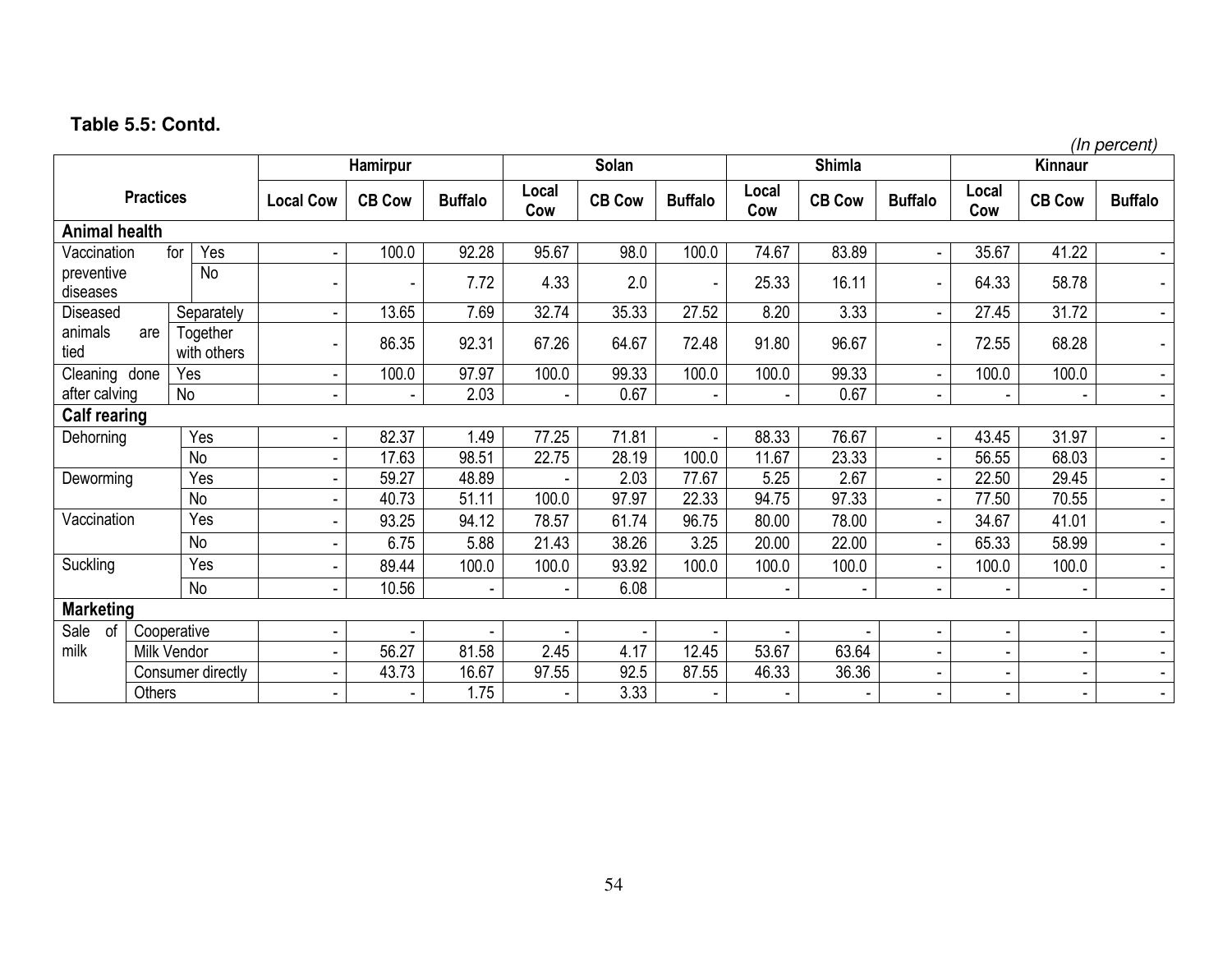# **Table 5.5: Contd.**

|                        |             |                         |                          |               |                |                          |               |                |              |               |                |                          |               | (In percent)   |
|------------------------|-------------|-------------------------|--------------------------|---------------|----------------|--------------------------|---------------|----------------|--------------|---------------|----------------|--------------------------|---------------|----------------|
|                        |             |                         |                          | Hamirpur      |                |                          | Solan         |                |              | <b>Shimla</b> |                |                          | Kinnaur       |                |
| <b>Practices</b>       |             |                         | <b>Local Cow</b>         | <b>CB Cow</b> | <b>Buffalo</b> | Local<br>Cow             | <b>CB Cow</b> | <b>Buffalo</b> | Local<br>Cow | <b>CB Cow</b> | <b>Buffalo</b> | Local<br>Cow             | <b>CB Cow</b> | <b>Buffalo</b> |
| <b>Animal health</b>   |             |                         |                          |               |                |                          |               |                |              |               |                |                          |               |                |
| Vaccination            |             | Yes<br>for              |                          | 100.0         | 92.28          | 95.67                    | 98.0          | 100.0          | 74.67        | 83.89         |                | 35.67                    | 41.22         |                |
| preventive<br>diseases |             | <b>No</b>               | $\overline{\phantom{a}}$ |               | 7.72           | 4.33                     | 2.0           |                | 25.33        | 16.11         |                | 64.33                    | 58.78         | $\blacksquare$ |
| <b>Diseased</b>        |             | Separately              |                          | 13.65         | 7.69           | 32.74                    | 35.33         | 27.52          | 8.20         | 3.33          |                | 27.45                    | 31.72         | $\sim$         |
| animals<br>tied        | are         | Together<br>with others |                          | 86.35         | 92.31          | 67.26                    | 64.67         | 72.48          | 91.80        | 96.67         |                | 72.55                    | 68.28         | $\blacksquare$ |
| Cleaning done          |             | Yes                     |                          | 100.0         | 97.97          | 100.0                    | 99.33         | 100.0          | 100.0        | 99.33         |                | 100.0                    | 100.0         | $\blacksquare$ |
| after calving          |             | No                      |                          |               | 2.03           | $\overline{\phantom{a}}$ | 0.67          | $\blacksquare$ |              | 0.67          | $\blacksquare$ | ٠                        | $\sim$        | $\sim$         |
| <b>Calf rearing</b>    |             |                         |                          |               |                |                          |               |                |              |               |                |                          |               |                |
| Dehorning              |             | Yes                     |                          | 82.37         | 1.49           | 77.25                    | 71.81         |                | 88.33        | 76.67         | $\blacksquare$ | 43.45                    | 31.97         | $\blacksquare$ |
|                        |             | <b>No</b>               |                          | 17.63         | 98.51          | 22.75                    | 28.19         | 100.0          | 11.67        | 23.33         |                | 56.55                    | 68.03         | $\sim$         |
| Deworming              |             | Yes                     |                          | 59.27         | 48.89          |                          | 2.03          | 77.67          | 5.25         | 2.67          |                | 22.50                    | 29.45         | $\blacksquare$ |
|                        |             | <b>No</b>               |                          | 40.73         | 51.11          | 100.0                    | 97.97         | 22.33          | 94.75        | 97.33         |                | 77.50                    | 70.55         | $\blacksquare$ |
| Vaccination            |             | Yes                     |                          | 93.25         | 94.12          | 78.57                    | 61.74         | 96.75          | 80.00        | 78.00         |                | 34.67                    | 41.01         | $\blacksquare$ |
|                        |             | No                      |                          | 6.75          | 5.88           | 21.43                    | 38.26         | 3.25           | 20.00        | 22.00         |                | 65.33                    | 58.99         | $\blacksquare$ |
| Suckling               |             | Yes                     |                          | 89.44         | 100.0          | 100.0                    | 93.92         | 100.0          | 100.0        | 100.0         |                | 100.0                    | 100.0         | $\blacksquare$ |
|                        |             | No                      |                          | 10.56         |                | $\overline{\phantom{a}}$ | 6.08          |                |              |               |                |                          |               | $\sim$         |
| <b>Marketing</b>       |             |                         |                          |               |                |                          |               |                |              |               |                |                          |               |                |
| Sale<br>of             |             | Cooperative             |                          |               |                |                          |               |                |              |               |                |                          |               |                |
| milk                   | Milk Vendor |                         |                          | 56.27         | 81.58          | 2.45                     | 4.17          | 12.45          | 53.67        | 63.64         |                | $\overline{\phantom{a}}$ |               |                |
|                        |             | Consumer directly       |                          | 43.73         | 16.67          | 97.55                    | 92.5          | 87.55          | 46.33        | 36.36         |                |                          |               | $\sim$         |
|                        | Others      |                         |                          |               | 1.75           |                          | 3.33          |                |              |               |                |                          |               | $\blacksquare$ |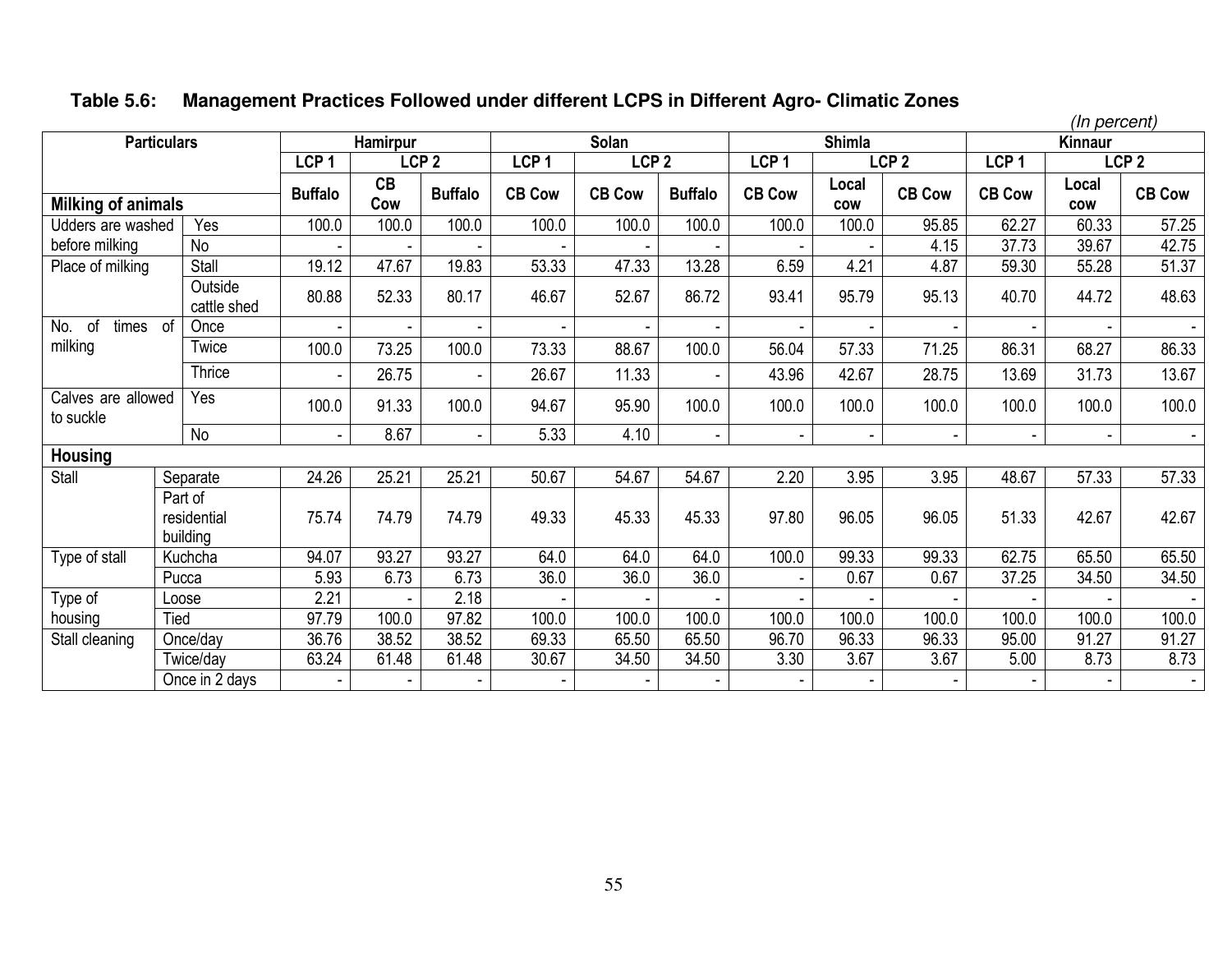# **Table 5.6: Management Practices Followed under different LCPS in Different Agro- Climatic Zones**

|                                 |                        |                  |           |                  |                  |                  |                |                  |                     |                  | (In percent)     |              |                  |
|---------------------------------|------------------------|------------------|-----------|------------------|------------------|------------------|----------------|------------------|---------------------|------------------|------------------|--------------|------------------|
|                                 | <b>Particulars</b>     |                  | Hamirpur  |                  |                  | Solan            |                |                  | <b>Shimla</b>       |                  |                  | Kinnaur      |                  |
|                                 |                        | LCP <sub>1</sub> |           | LCP <sub>2</sub> | LCP <sub>1</sub> | LCP <sub>2</sub> |                | LCP <sub>1</sub> |                     | LCP <sub>2</sub> | LCP <sub>1</sub> |              | LCP <sub>2</sub> |
| <b>Milking of animals</b>       |                        | <b>Buffalo</b>   | CB<br>Cow | <b>Buffalo</b>   | <b>CB Cow</b>    | <b>CB Cow</b>    | <b>Buffalo</b> | <b>CB Cow</b>    | Local<br><b>COW</b> | <b>CB Cow</b>    | <b>CB Cow</b>    | Local<br>cow | <b>CB Cow</b>    |
| Udders are washed               | Yes                    | 100.0            | 100.0     | 100.0            | 100.0            | 100.0            | 100.0          | 100.0            | 100.0               | 95.85            | 62.27            | 60.33        | 57.25            |
| before milking                  | <b>No</b>              |                  |           |                  |                  |                  |                |                  |                     | 4.15             | 37.73            | 39.67        | 42.75            |
|                                 | Stall                  | 19.12            | 47.67     | 19.83            |                  |                  | 13.28          |                  | 4.21                | 4.87             |                  |              |                  |
| Place of milking                |                        |                  |           |                  | 53.33            | 47.33            |                | 6.59             |                     |                  | 59.30            | 55.28        | 51.37            |
|                                 | Outside<br>cattle shed | 80.88            | 52.33     | 80.17            | 46.67            | 52.67            | 86.72          | 93.41            | 95.79               | 95.13            | 40.70            | 44.72        | 48.63            |
| of<br>No.<br>times              | of<br>Once             |                  |           |                  |                  |                  |                |                  |                     |                  |                  |              | $\sim$           |
| milking                         | Twice                  | 100.0            | 73.25     | 100.0            | 73.33            | 88.67            | 100.0          | 56.04            | 57.33               | 71.25            | 86.31            | 68.27        | 86.33            |
|                                 | Thrice                 |                  | 26.75     |                  | 26.67            | 11.33            |                | 43.96            | 42.67               | 28.75            | 13.69            | 31.73        | 13.67            |
| Calves are allowed<br>to suckle | Yes                    | 100.0            | 91.33     | 100.0            | 94.67            | 95.90            | 100.0          | 100.0            | 100.0               | 100.0            | 100.0            | 100.0        | 100.0            |
|                                 | No                     | $\blacksquare$   | 8.67      | $\blacksquare$   | 5.33             | 4.10             | $\sim$         |                  | $\blacksquare$      | ÷.               |                  |              | $\sim$           |
| <b>Housing</b>                  |                        |                  |           |                  |                  |                  |                |                  |                     |                  |                  |              |                  |
| Stall                           | Separate               | 24.26            | 25.21     | 25.21            | 50.67            | 54.67            | 54.67          | 2.20             | 3.95                | 3.95             | 48.67            | 57.33        | 57.33            |
|                                 | Part of                |                  |           |                  |                  |                  |                |                  |                     |                  |                  |              |                  |
|                                 | residential            | 75.74            | 74.79     | 74.79            | 49.33            | 45.33            | 45.33          | 97.80            | 96.05               | 96.05            | 51.33            | 42.67        | 42.67            |
|                                 | building               |                  |           |                  |                  |                  |                |                  |                     |                  |                  |              |                  |
| Type of stall                   | Kuchcha                | 94.07            | 93.27     | 93.27            | 64.0             | 64.0             | 64.0           | 100.0            | 99.33               | 99.33            | 62.75            | 65.50        | 65.50            |
|                                 | Pucca                  | 5.93             | 6.73      | 6.73             | 36.0             | 36.0             | 36.0           |                  | 0.67                | 0.67             | 37.25            | 34.50        | 34.50            |
| Type of                         | Loose                  | 2.21             |           | 2.18             |                  |                  |                |                  |                     |                  |                  |              |                  |
| housing                         | Tied                   | 97.79            | 100.0     | 97.82            | 100.0            | 100.0            | 100.0          | 100.0            | 100.0               | 100.0            | 100.0            | 100.0        | 100.0            |
| Stall cleaning                  | Once/day               | 36.76            | 38.52     | 38.52            | 69.33            | 65.50            | 65.50          | 96.70            | 96.33               | 96.33            | 95.00            | 91.27        | 91.27            |
|                                 | Twice/day              | 63.24            | 61.48     | 61.48            | 30.67            | 34.50            | 34.50          | 3.30             | 3.67                | 3.67             | 5.00             | 8.73         | 8.73             |
|                                 | Once in 2 days         |                  |           |                  |                  |                  |                |                  |                     |                  |                  |              | $\sim$           |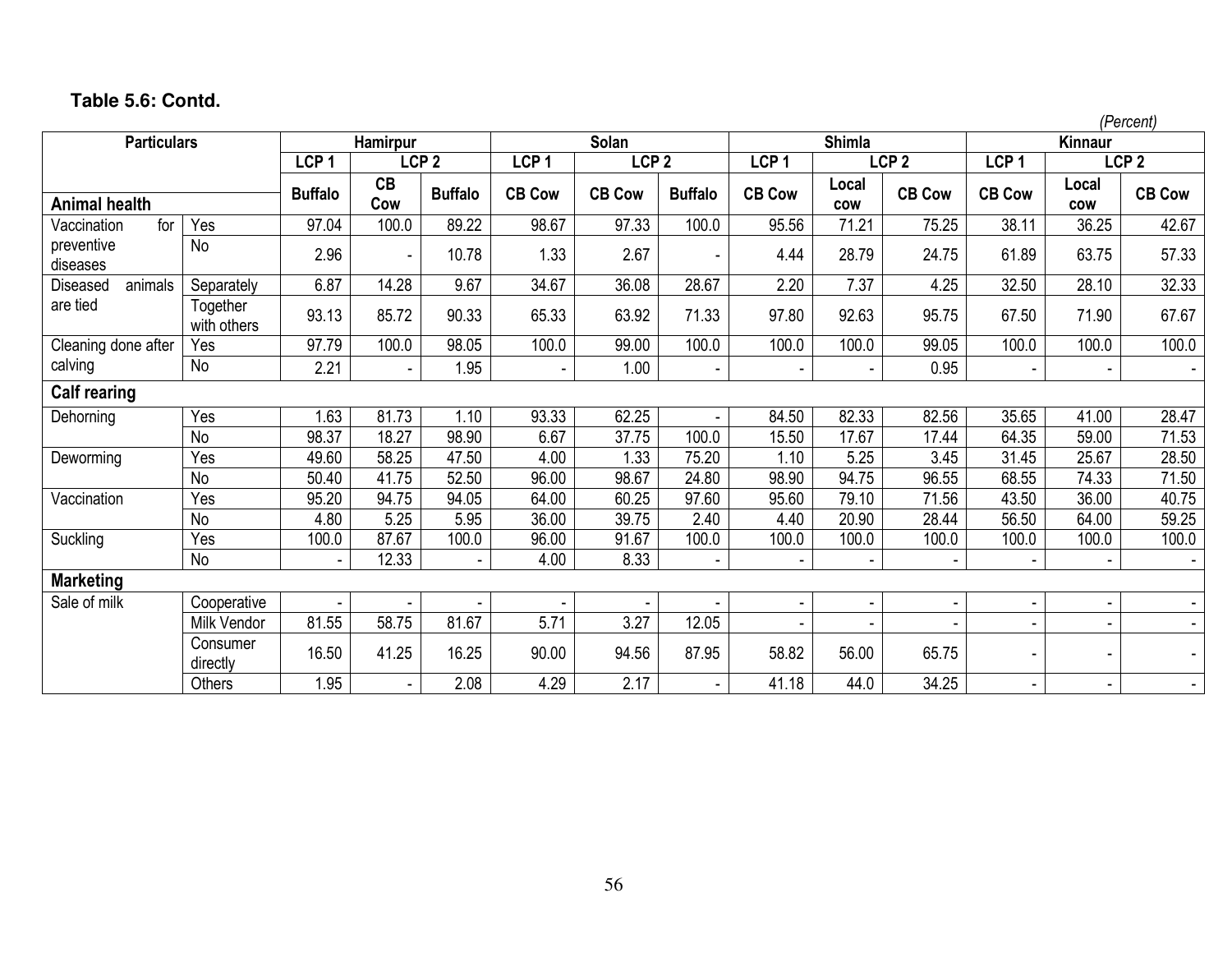|                        |                         |                          |           |                  |                  |                  |                |                  |                          |                          |                  |              | (Percent)        |
|------------------------|-------------------------|--------------------------|-----------|------------------|------------------|------------------|----------------|------------------|--------------------------|--------------------------|------------------|--------------|------------------|
| <b>Particulars</b>     |                         |                          | Hamirpur  |                  |                  | Solan            |                |                  | <b>Shimla</b>            |                          |                  | Kinnaur      |                  |
|                        |                         | LCP <sub>1</sub>         |           | LCP <sub>2</sub> | LCP <sub>1</sub> | LCP <sub>2</sub> |                | LCP <sub>1</sub> |                          | LCP <sub>2</sub>         | LCP <sub>1</sub> |              | LCP <sub>2</sub> |
| <b>Animal health</b>   |                         | <b>Buffalo</b>           | CB<br>Cow | <b>Buffalo</b>   | <b>CB Cow</b>    | <b>CB Cow</b>    | <b>Buffalo</b> | <b>CB Cow</b>    | Local<br><b>COW</b>      | <b>CB Cow</b>            | <b>CB Cow</b>    | Local<br>cow | <b>CB Cow</b>    |
| for<br>Vaccination     | Yes                     | 97.04                    | 100.0     | 89.22            | 98.67            | 97.33            | 100.0          | 95.56            | 71.21                    | 75.25                    | 38.11            | 36.25        | 42.67            |
| preventive<br>diseases | No                      | 2.96                     |           | 10.78            | 1.33             | 2.67             |                | 4.44             | 28.79                    | 24.75                    | 61.89            | 63.75        | 57.33            |
| animals<br>Diseased    | Separately              | 6.87                     | 14.28     | 9.67             | 34.67            | 36.08            | 28.67          | 2.20             | 7.37                     | 4.25                     | 32.50            | 28.10        | 32.33            |
| are tied               | Together<br>with others | 93.13                    | 85.72     | 90.33            | 65.33            | 63.92            | 71.33          | 97.80            | 92.63                    | 95.75                    | 67.50            | 71.90        | 67.67            |
| Cleaning done after    | Yes                     | 97.79                    | 100.0     | 98.05            | 100.0            | 99.00            | 100.0          | 100.0            | 100.0                    | 99.05                    | 100.0            | 100.0        | 100.0            |
| calving                | <b>No</b>               | 2.21                     |           | 1.95             |                  | 1.00             |                |                  |                          | 0.95                     |                  |              | $\blacksquare$   |
| <b>Calf rearing</b>    |                         |                          |           |                  |                  |                  |                |                  |                          |                          |                  |              |                  |
| Dehorning              | Yes                     | 1.63                     | 81.73     | 1.10             | 93.33            | 62.25            |                | 84.50            | 82.33                    | 82.56                    | 35.65            | 41.00        | 28.47            |
|                        | <b>No</b>               | 98.37                    | 18.27     | 98.90            | 6.67             | 37.75            | 100.0          | 15.50            | 17.67                    | 17.44                    | 64.35            | 59.00        | 71.53            |
| Deworming              | Yes                     | 49.60                    | 58.25     | 47.50            | 4.00             | 1.33             | 75.20          | 1.10             | 5.25                     | 3.45                     | 31.45            | 25.67        | 28.50            |
|                        | <b>No</b>               | 50.40                    | 41.75     | 52.50            | 96.00            | 98.67            | 24.80          | 98.90            | 94.75                    | 96.55                    | 68.55            | 74.33        | 71.50            |
| Vaccination            | Yes                     | 95.20                    | 94.75     | 94.05            | 64.00            | 60.25            | 97.60          | 95.60            | 79.10                    | 71.56                    | 43.50            | 36.00        | 40.75            |
|                        | <b>No</b>               | 4.80                     | 5.25      | 5.95             | 36.00            | 39.75            | 2.40           | 4.40             | 20.90                    | 28.44                    | 56.50            | 64.00        | 59.25            |
| Suckling               | Yes                     | 100.0                    | 87.67     | 100.0            | 96.00            | 91.67            | 100.0          | 100.0            | 100.0                    | 100.0                    | 100.0            | 100.0        | 100.0            |
|                        | No                      | $\overline{\phantom{a}}$ | 12.33     | $\sim$           | 4.00             | 8.33             |                |                  | $\overline{\phantom{a}}$ | $\overline{\phantom{a}}$ | $\blacksquare$   | ۰            |                  |
| <b>Marketing</b>       |                         |                          |           |                  |                  |                  |                |                  |                          |                          |                  |              |                  |
| Sale of milk           | Cooperative             |                          |           |                  |                  |                  |                |                  |                          | $\blacksquare$           |                  |              |                  |
|                        | Milk Vendor             | 81.55                    | 58.75     | 81.67            | 5.71             | 3.27             | 12.05          |                  |                          |                          |                  |              |                  |
|                        | Consumer<br>directly    | 16.50                    | 41.25     | 16.25            | 90.00            | 94.56            | 87.95          | 58.82            | 56.00                    | 65.75                    |                  |              |                  |
|                        | Others                  | 1.95                     |           | 2.08             | 4.29             | 2.17             |                | 41.18            | 44.0                     | 34.25                    |                  |              |                  |

# **Table 5.6: Contd.**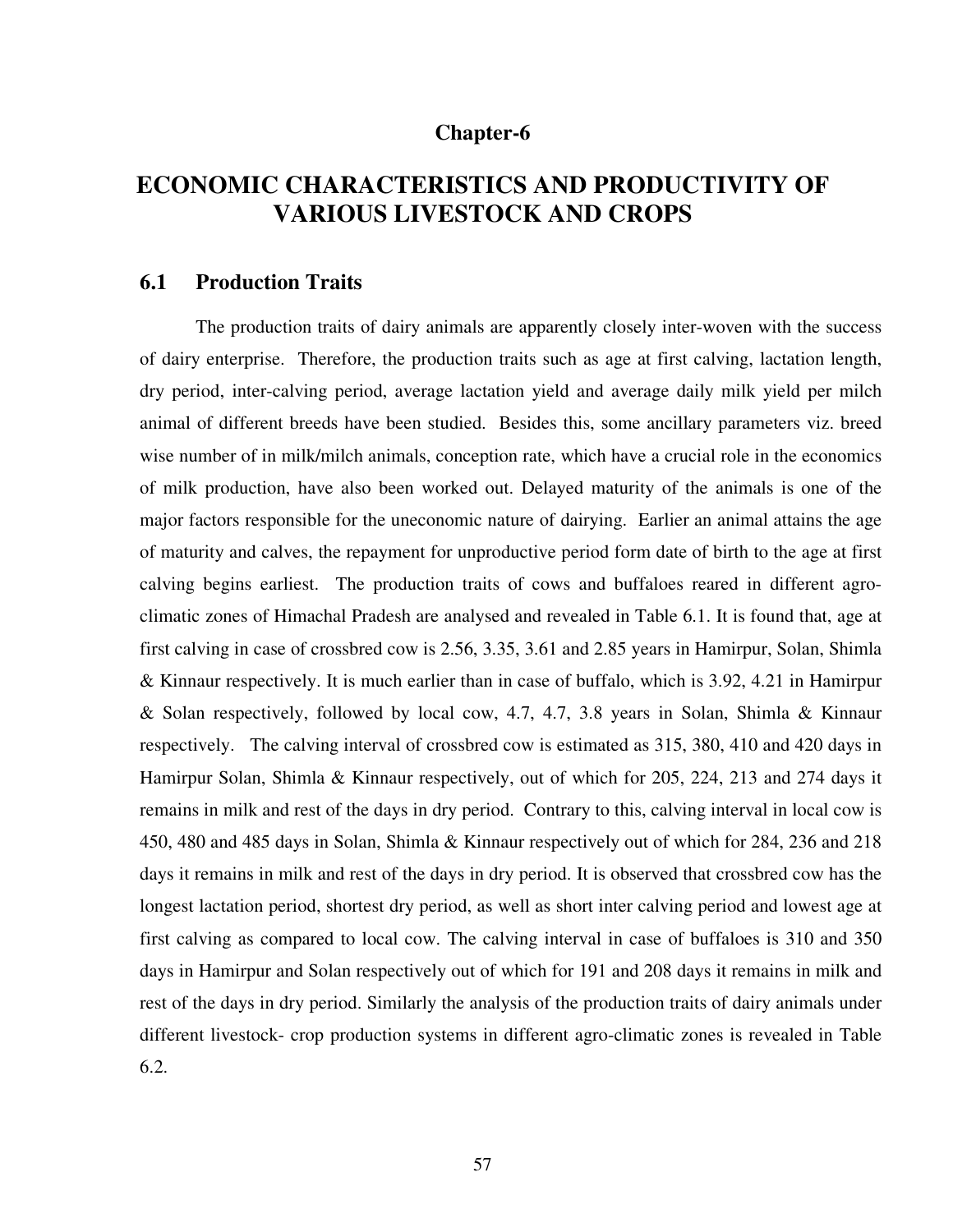# **Chapter-6**

# **ECONOMIC CHARACTERISTICS AND PRODUCTIVITY OF VARIOUS LIVESTOCK AND CROPS**

### **6.1 Production Traits**

 The production traits of dairy animals are apparently closely inter-woven with the success of dairy enterprise. Therefore, the production traits such as age at first calving, lactation length, dry period, inter-calving period, average lactation yield and average daily milk yield per milch animal of different breeds have been studied. Besides this, some ancillary parameters viz. breed wise number of in milk/milch animals, conception rate, which have a crucial role in the economics of milk production, have also been worked out. Delayed maturity of the animals is one of the major factors responsible for the uneconomic nature of dairying. Earlier an animal attains the age of maturity and calves, the repayment for unproductive period form date of birth to the age at first calving begins earliest. The production traits of cows and buffaloes reared in different agroclimatic zones of Himachal Pradesh are analysed and revealed in Table 6.1. It is found that, age at first calving in case of crossbred cow is 2.56, 3.35, 3.61 and 2.85 years in Hamirpur, Solan, Shimla & Kinnaur respectively. It is much earlier than in case of buffalo, which is 3.92, 4.21 in Hamirpur & Solan respectively, followed by local cow, 4.7, 4.7, 3.8 years in Solan, Shimla & Kinnaur respectively. The calving interval of crossbred cow is estimated as 315, 380, 410 and 420 days in Hamirpur Solan, Shimla & Kinnaur respectively, out of which for 205, 224, 213 and 274 days it remains in milk and rest of the days in dry period. Contrary to this, calving interval in local cow is 450, 480 and 485 days in Solan, Shimla & Kinnaur respectively out of which for 284, 236 and 218 days it remains in milk and rest of the days in dry period. It is observed that crossbred cow has the longest lactation period, shortest dry period, as well as short inter calving period and lowest age at first calving as compared to local cow. The calving interval in case of buffaloes is 310 and 350 days in Hamirpur and Solan respectively out of which for 191 and 208 days it remains in milk and rest of the days in dry period. Similarly the analysis of the production traits of dairy animals under different livestock- crop production systems in different agro-climatic zones is revealed in Table 6.2.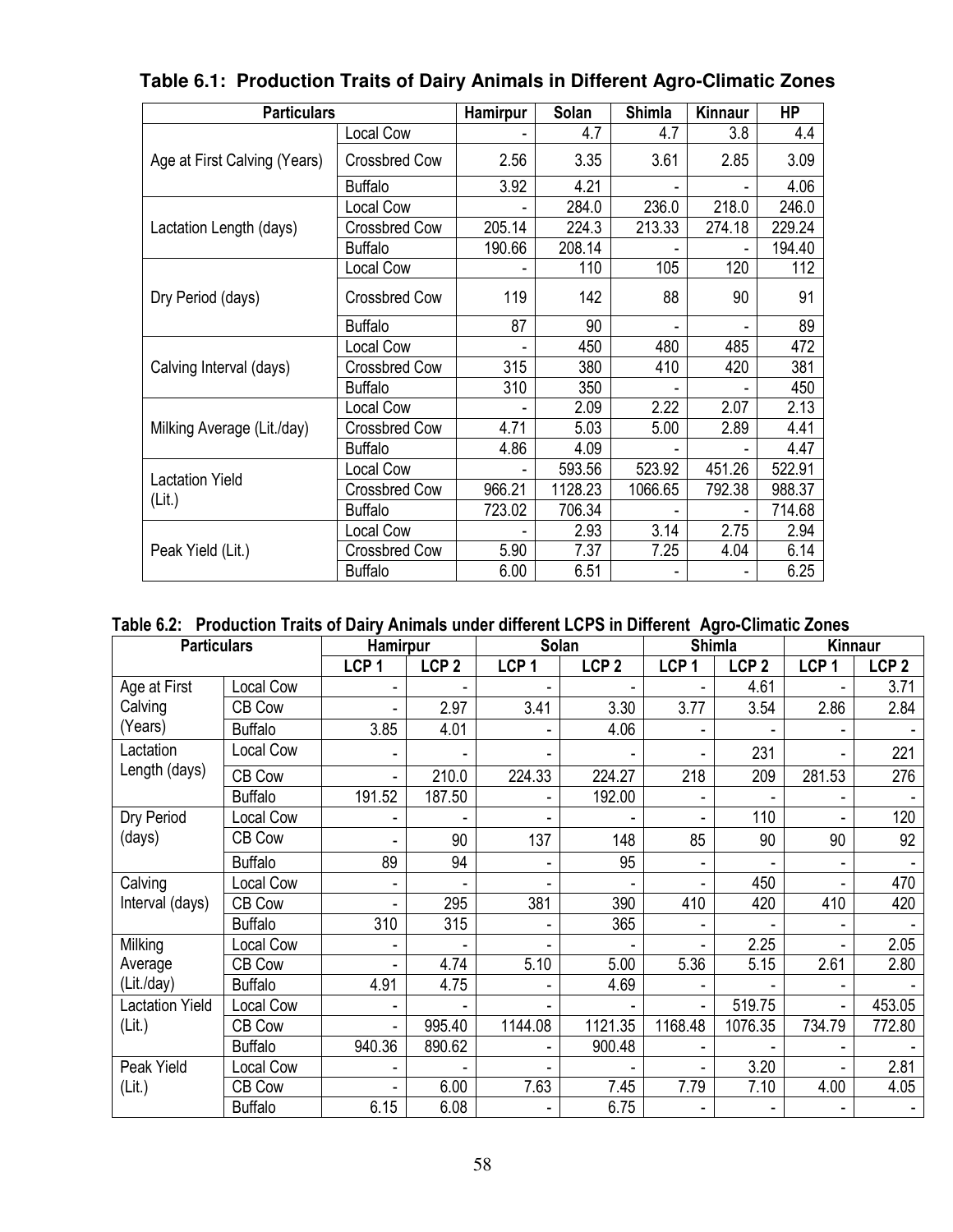| <b>Particulars</b>           |                      | Hamirpur | Solan   | <b>Shimla</b> | Kinnaur | <b>HP</b> |
|------------------------------|----------------------|----------|---------|---------------|---------|-----------|
|                              | <b>Local Cow</b>     |          | 4.7     | 4.7           | 3.8     | 4.4       |
| Age at First Calving (Years) | <b>Crossbred Cow</b> | 2.56     | 3.35    | 3.61          | 2.85    | 3.09      |
|                              | <b>Buffalo</b>       | 3.92     | 4.21    |               |         | 4.06      |
|                              | Local Cow            |          | 284.0   | 236.0         | 218.0   | 246.0     |
| Lactation Length (days)      | <b>Crossbred Cow</b> | 205.14   | 224.3   | 213.33        | 274.18  | 229.24    |
|                              | <b>Buffalo</b>       | 190.66   | 208.14  |               |         | 194.40    |
|                              | Local Cow            |          | 110     | 105           | 120     | 112       |
| Dry Period (days)            | <b>Crossbred Cow</b> | 119      | 142     | 88            | 90      | 91        |
|                              | <b>Buffalo</b>       | 87       | 90      |               | ۰       | 89        |
|                              | Local Cow            |          | 450     | 480           | 485     | 472       |
| Calving Interval (days)      | <b>Crossbred Cow</b> | 315      | 380     | 410           | 420     | 381       |
|                              | <b>Buffalo</b>       | 310      | 350     |               |         | 450       |
|                              | Local Cow            |          | 2.09    | 2.22          | 2.07    | 2.13      |
| Milking Average (Lit./day)   | <b>Crossbred Cow</b> | 4.71     | 5.03    | 5.00          | 2.89    | 4.41      |
|                              | <b>Buffalo</b>       | 4.86     | 4.09    |               |         | 4.47      |
| <b>Lactation Yield</b>       | Local Cow            |          | 593.56  | 523.92        | 451.26  | 522.91    |
| (Lit.)                       | <b>Crossbred Cow</b> | 966.21   | 1128.23 | 1066.65       | 792.38  | 988.37    |
|                              | <b>Buffalo</b>       | 723.02   | 706.34  |               | ÷,      | 714.68    |
|                              | Local Cow            |          | 2.93    | 3.14          | 2.75    | 2.94      |
| Peak Yield (Lit.)            | <b>Crossbred Cow</b> | 5.90     | 7.37    | 7.25          | 4.04    | 6.14      |
|                              | <b>Buffalo</b>       | 6.00     | 6.51    |               |         | 6.25      |

# **Table 6.1: Production Traits of Dairy Animals in Different Agro-Climatic Zones**

# **Table 6.2: Production Traits of Dairy Animals under different LCPS in Different Agro-Climatic Zones**

| <b>Particulars</b>     |                | <b>Hamirpur</b>  |                  | <b>Solan</b>             |                  |                          | <b>Shimla</b>    | <b>Kinnaur</b>   |                  |
|------------------------|----------------|------------------|------------------|--------------------------|------------------|--------------------------|------------------|------------------|------------------|
|                        |                | LCP <sub>1</sub> | LCP <sub>2</sub> | LCP <sub>1</sub>         | LCP <sub>2</sub> | LCP <sub>1</sub>         | LCP <sub>2</sub> | LCP <sub>1</sub> | LCP <sub>2</sub> |
| Age at First           | Local Cow      |                  |                  |                          |                  |                          | 4.61             |                  | 3.71             |
| Calving                | CB Cow         |                  | 2.97             | 3.41                     | 3.30             | 3.77                     | 3.54             | 2.86             | 2.84             |
| (Years)                | <b>Buffalo</b> | 3.85             | 4.01             | $\overline{\phantom{a}}$ | 4.06             |                          |                  |                  |                  |
| Lactation              | Local Cow      |                  |                  | $\overline{a}$           |                  |                          | 231              |                  | 221              |
| Length (days)          | CB Cow         | $\blacksquare$   | 210.0            | 224.33                   | 224.27           | 218                      | 209              | 281.53           | 276              |
|                        | <b>Buffalo</b> | 191.52           | 187.50           | $\blacksquare$           | 192.00           | $\overline{\phantom{a}}$ |                  |                  |                  |
| Dry Period             | Local Cow      |                  |                  | $\overline{\phantom{0}}$ |                  |                          | 110              |                  | 120              |
| (days)                 | CB Cow         |                  | 90               | 137                      | 148              | 85                       | 90               | 90               | 92               |
|                        | <b>Buffalo</b> | 89               | 94               | $\overline{\phantom{a}}$ | 95               | $\blacksquare$           |                  | ä,               |                  |
| Calving                | Local Cow      | -                |                  | -                        |                  |                          | 450              |                  | 470              |
| Interval (days)        | CB Cow         |                  | 295              | 381                      | 390              | 410                      | 420              | 410              | 420              |
|                        | <b>Buffalo</b> | 310              | 315              | $\overline{\phantom{a}}$ | 365              |                          |                  |                  |                  |
| Milking                | Local Cow      |                  |                  |                          |                  |                          | 2.25             |                  | 2.05             |
| Average                | CB Cow         |                  | 4.74             | 5.10                     | 5.00             | 5.36                     | 5.15             | 2.61             | 2.80             |
| (Lit./day)             | <b>Buffalo</b> | 4.91             | 4.75             | $\overline{\phantom{a}}$ | 4.69             |                          |                  |                  |                  |
| <b>Lactation Yield</b> | Local Cow      |                  |                  |                          |                  | $\blacksquare$           | 519.75           |                  | 453.05           |
| (Lit.)                 | CB Cow         | Ξ.               | 995.40           | 1144.08                  | 1121.35          | 1168.48                  | 1076.35          | 734.79           | 772.80           |
|                        | <b>Buffalo</b> | 940.36           | 890.62           | $\frac{1}{2}$            | 900.48           |                          |                  |                  |                  |
| Peak Yield             | Local Cow      |                  |                  |                          |                  |                          | 3.20             |                  | 2.81             |
| (Lit.)                 | CB Cow         |                  | 6.00             | 7.63                     | 7.45             | 7.79                     | 7.10             | 4.00             | 4.05             |
|                        | <b>Buffalo</b> | 6.15             | 6.08             | ۰                        | 6.75             |                          |                  |                  |                  |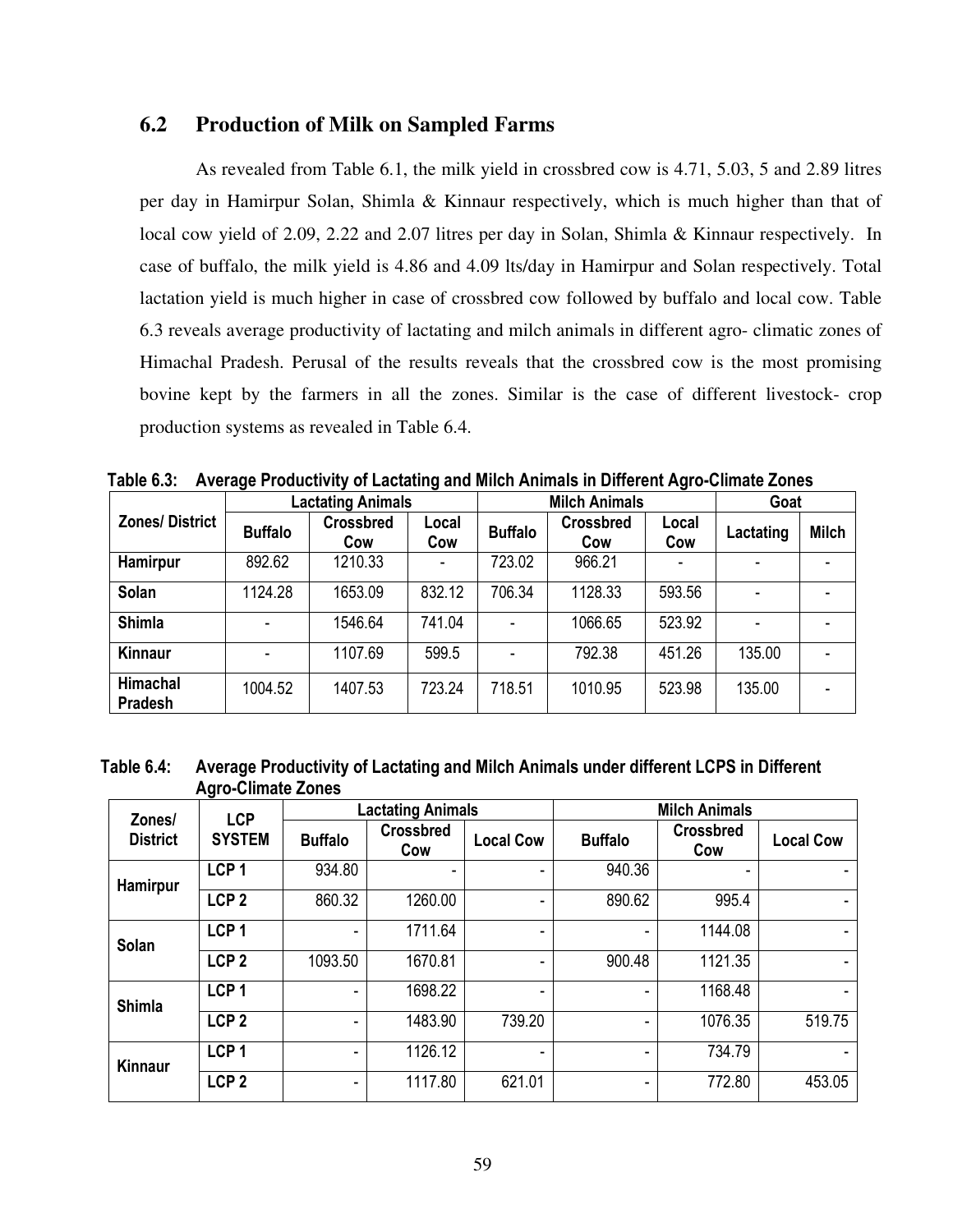### **6.2 Production of Milk on Sampled Farms**

 As revealed from Table 6.1, the milk yield in crossbred cow is 4.71, 5.03, 5 and 2.89 litres per day in Hamirpur Solan, Shimla & Kinnaur respectively, which is much higher than that of local cow yield of 2.09, 2.22 and 2.07 litres per day in Solan, Shimla & Kinnaur respectively. In case of buffalo, the milk yield is 4.86 and 4.09 lts/day in Hamirpur and Solan respectively. Total lactation yield is much higher in case of crossbred cow followed by buffalo and local cow. Table 6.3 reveals average productivity of lactating and milch animals in different agro- climatic zones of Himachal Pradesh. Perusal of the results reveals that the crossbred cow is the most promising bovine kept by the farmers in all the zones. Similar is the case of different livestock- crop production systems as revealed in Table 6.4.

|                       |                | <b>Lactating Animals</b>                |        |                | <b>Milch Animals</b>    | Goat         |           |              |
|-----------------------|----------------|-----------------------------------------|--------|----------------|-------------------------|--------------|-----------|--------------|
| <b>Zones/District</b> | <b>Buffalo</b> | <b>Crossbred</b><br>Local<br>Cow<br>Cow |        | <b>Buffalo</b> | <b>Crossbred</b><br>Cow | Local<br>Cow | Lactating | <b>Milch</b> |
| Hamirpur              | 892.62         | 1210.33                                 |        | 723.02         | 966.21                  |              |           |              |
| Solan                 | 1124.28        | 1653.09                                 | 832.12 | 706.34         | 1128.33                 | 593.56       |           |              |
| <b>Shimla</b>         |                | 1546.64                                 | 741.04 | ٠              | 1066.65                 | 523.92       |           |              |
| <b>Kinnaur</b>        |                | 1107.69                                 | 599.5  |                | 792.38                  | 451.26       | 135.00    |              |
| Himachal<br>Pradesh   | 1004.52        | 1407.53                                 | 723.24 | 718.51         | 1010.95                 | 523.98       | 135.00    |              |

**Table 6.3: Average Productivity of Lactating and Milch Animals in Different Agro-Climate Zones** 

#### **Table 6.4: Average Productivity of Lactating and Milch Animals under different LCPS in Different Agro-Climate Zones**

| Zones/          | <b>LCP</b>       |                          | <b>Lactating Animals</b> |                  | <b>Milch Animals</b> |                         |                  |  |  |
|-----------------|------------------|--------------------------|--------------------------|------------------|----------------------|-------------------------|------------------|--|--|
| <b>District</b> | <b>SYSTEM</b>    | <b>Buffalo</b>           | <b>Crossbred</b><br>Cow  | <b>Local Cow</b> | <b>Buffalo</b>       | <b>Crossbred</b><br>Cow | <b>Local Cow</b> |  |  |
| Hamirpur        | LCP <sub>1</sub> | 934.80                   |                          |                  | 940.36               |                         |                  |  |  |
|                 | LCP <sub>2</sub> | 860.32                   | 1260.00                  |                  | 890.62               | 995.4                   |                  |  |  |
| Solan           | LCP <sub>1</sub> |                          | 1711.64                  |                  |                      | 1144.08                 |                  |  |  |
|                 | LCP <sub>2</sub> | 1093.50                  | 1670.81                  |                  | 900.48               | 1121.35                 |                  |  |  |
| <b>Shimla</b>   | LCP <sub>1</sub> |                          | 1698.22                  |                  |                      | 1168.48                 |                  |  |  |
|                 | LCP <sub>2</sub> |                          | 1483.90                  | 739.20           | ۰                    | 1076.35                 | 519.75           |  |  |
| <b>Kinnaur</b>  | LCP <sub>1</sub> |                          | 1126.12                  |                  |                      | 734.79                  |                  |  |  |
|                 | LCP <sub>2</sub> | $\overline{\phantom{0}}$ | 1117.80                  | 621.01           | -                    | 772.80                  | 453.05           |  |  |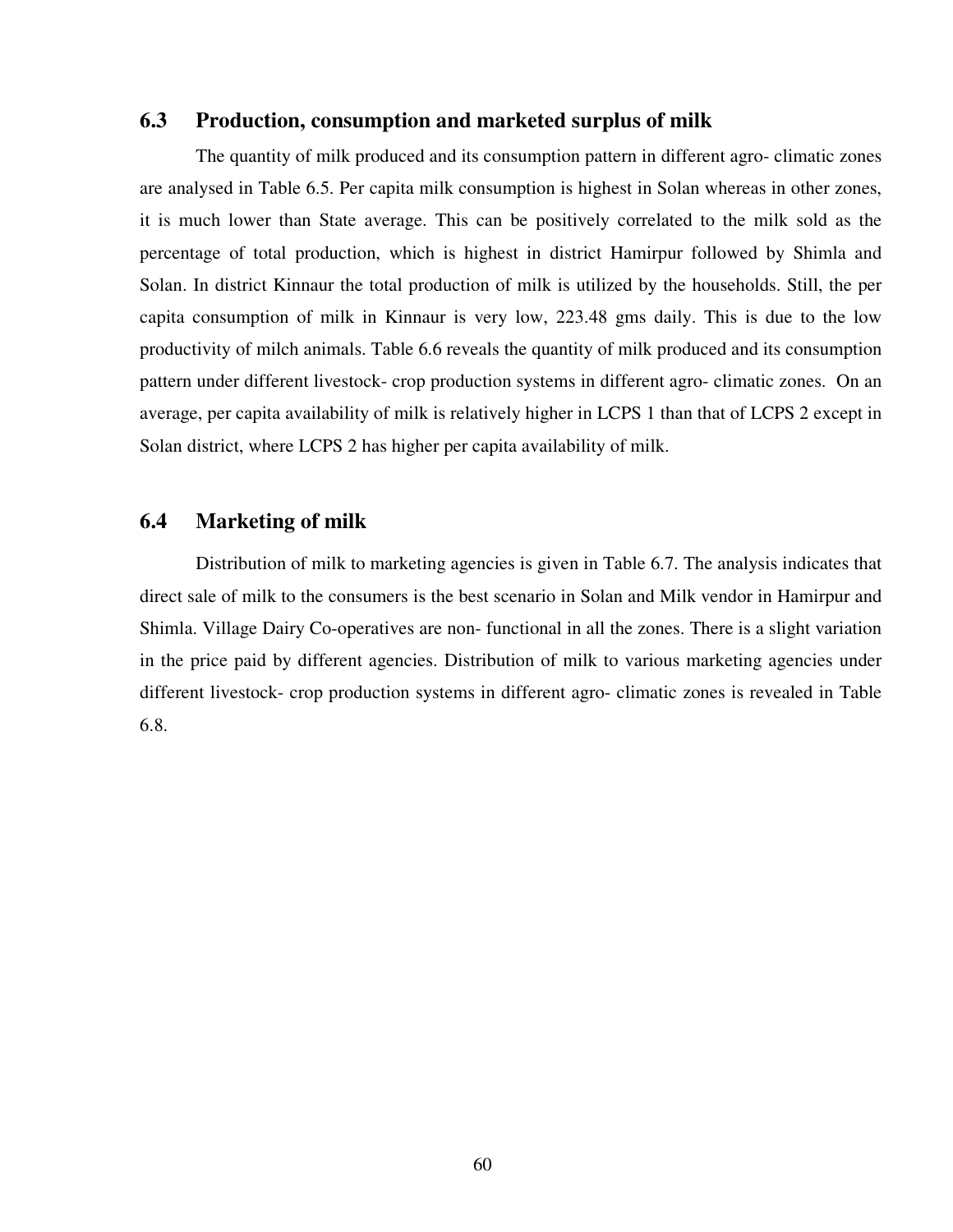#### **6.3 Production, consumption and marketed surplus of milk**

 The quantity of milk produced and its consumption pattern in different agro- climatic zones are analysed in Table 6.5. Per capita milk consumption is highest in Solan whereas in other zones, it is much lower than State average. This can be positively correlated to the milk sold as the percentage of total production, which is highest in district Hamirpur followed by Shimla and Solan. In district Kinnaur the total production of milk is utilized by the households. Still, the per capita consumption of milk in Kinnaur is very low, 223.48 gms daily. This is due to the low productivity of milch animals. Table 6.6 reveals the quantity of milk produced and its consumption pattern under different livestock- crop production systems in different agro- climatic zones. On an average, per capita availability of milk is relatively higher in LCPS 1 than that of LCPS 2 except in Solan district, where LCPS 2 has higher per capita availability of milk.

### **6.4 Marketing of milk**

 Distribution of milk to marketing agencies is given in Table 6.7. The analysis indicates that direct sale of milk to the consumers is the best scenario in Solan and Milk vendor in Hamirpur and Shimla. Village Dairy Co-operatives are non- functional in all the zones. There is a slight variation in the price paid by different agencies. Distribution of milk to various marketing agencies under different livestock- crop production systems in different agro- climatic zones is revealed in Table 6.8.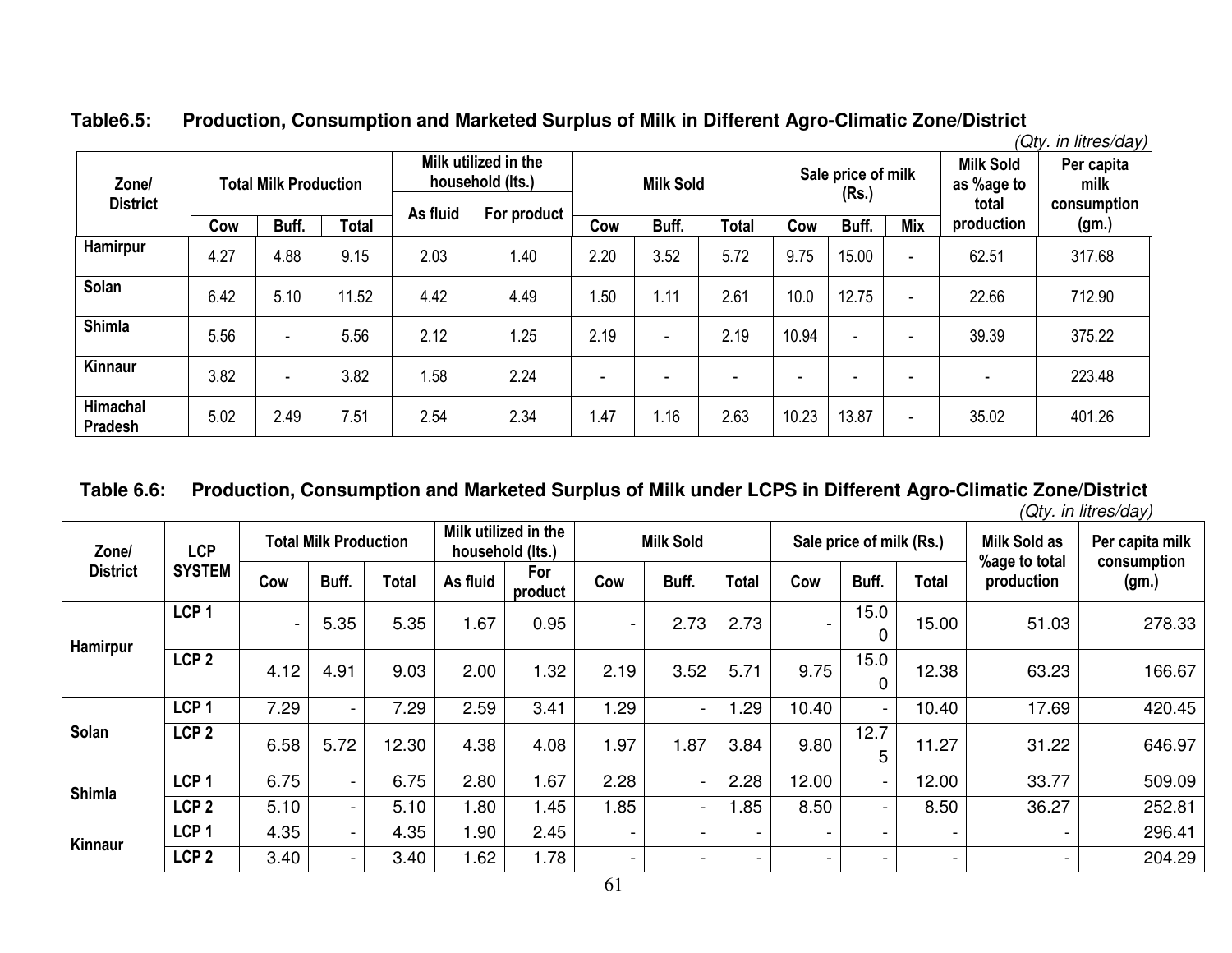|                                   |      |                              |       |                                                                     |      |      |                  |              |                          |                             |                          |                                         | (Qty. in litres/day)              |
|-----------------------------------|------|------------------------------|-------|---------------------------------------------------------------------|------|------|------------------|--------------|--------------------------|-----------------------------|--------------------------|-----------------------------------------|-----------------------------------|
| Zone/<br><b>District</b>          |      | <b>Total Milk Production</b> |       | Milk utilized in the<br>household (Its.)<br>As fluid<br>For product |      |      | <b>Milk Sold</b> |              |                          | Sale price of milk<br>(Rs.) |                          | <b>Milk Sold</b><br>as %age to<br>total | Per capita<br>milk<br>consumption |
|                                   | Cow  | Buff.                        | Total |                                                                     |      | Cow  | Buff.            | <b>Total</b> | Cow                      | Buff.                       | <b>Mix</b>               | production                              | (gm.)                             |
| <b>Hamirpur</b>                   | 4.27 | 4.88                         | 9.15  | 2.03                                                                | 1.40 | 2.20 | 3.52             | 5.72         | 9.75                     | 15.00                       | $\overline{\phantom{0}}$ | 62.51                                   | 317.68                            |
| Solan                             | 6.42 | 5.10                         | 11.52 | 4.42                                                                | 4.49 | 1.50 | .11              | 2.61         | 10.0                     | 12.75                       | $\overline{\phantom{0}}$ | 22.66                                   | 712.90                            |
| <b>Shimla</b>                     | 5.56 | $\blacksquare$               | 5.56  | 2.12                                                                | 1.25 | 2.19 | -                | 2.19         | 10.94                    | $\overline{\phantom{0}}$    | $\overline{\phantom{0}}$ | 39.39                                   | 375.22                            |
| <b>Kinnaur</b>                    | 3.82 | ۰.                           | 3.82  | 1.58                                                                | 2.24 |      |                  |              | $\overline{\phantom{0}}$ | $\overline{\phantom{0}}$    |                          | ۰                                       | 223.48                            |
| <b>Himachal</b><br><b>Pradesh</b> | 5.02 | 2.49                         | 7.51  | 2.54                                                                | 2.34 | 1.47 | 1.16             | 2.63         | 10.23                    | 13.87                       | $\overline{\phantom{0}}$ | 35.02                                   | 401.26                            |

# **Table6.5: Production, Consumption and Marketed Surplus of Milk in Different Agro-Climatic Zone/District**

# **Table 6.6: Production, Consumption and Marketed Surplus of Milk under LCPS in Different Agro-Climatic Zone/District**

*(Qty. in litres/day)* 

| Zone/<br><b>District</b> | <b>LCP</b>       |      | <b>Total Milk Production</b> |       |          | Milk utilized in the<br>household (Its.) |                          | <b>Milk Sold</b>         |                          |                          | Sale price of milk (Rs.) |       | <b>Milk Sold as</b>         | Per capita milk      |
|--------------------------|------------------|------|------------------------------|-------|----------|------------------------------------------|--------------------------|--------------------------|--------------------------|--------------------------|--------------------------|-------|-----------------------------|----------------------|
|                          | <b>SYSTEM</b>    | Cow  | Buff.                        | Total | As fluid | For<br>product                           | Cow                      | Buff.                    | <b>Total</b>             | Cow                      | Buff.                    | Total | %age to total<br>production | consumption<br>(gm.) |
| Hamirpur                 | LCP <sub>1</sub> |      | 5.35                         | 5.35  | 1.67     | 0.95                                     | $\overline{\phantom{a}}$ | 2.73                     | 2.73                     | $\overline{\phantom{a}}$ | 15.0                     | 15.00 | 51.03                       | 278.33               |
|                          | LCP <sub>2</sub> | 4.12 | 4.91                         | 9.03  | 2.00     | 1.32                                     | 2.19                     | 3.52                     | 5.71                     | 9.75                     | 15.0<br>0                | 12.38 | 63.23                       | 166.67               |
|                          | LCP <sub>1</sub> | 7.29 | $\overline{\phantom{0}}$     | 7.29  | 2.59     | 3.41                                     | 1.29                     | $\sim$                   | .29                      | 10.40                    | $\blacksquare$           | 10.40 | 17.69                       | 420.45               |
| Solan                    | LCP <sub>2</sub> | 6.58 | 5.72                         | 12.30 | 4.38     | 4.08                                     | 1.97                     | .87                      | 3.84                     | 9.80                     | 12.7<br>5                | 11.27 | 31.22                       | 646.97               |
| <b>Shimla</b>            | LCP <sub>1</sub> | 6.75 |                              | 6.75  | 2.80     | 1.67                                     | 2.28                     | $\overline{\phantom{0}}$ | 2.28                     | 12.00                    | $\sim$                   | 12.00 | 33.77                       | 509.09               |
|                          | LCP <sub>2</sub> | 5.10 |                              | 5.10  | 1.80     | 1.45                                     | 1.85                     | $\overline{\phantom{0}}$ | 1.85                     | 8.50                     | Ξ.                       | 8.50  | 36.27                       | 252.81               |
| Kinnaur                  | LCP <sub>1</sub> | 4.35 |                              | 4.35  | 1.90     | 2.45                                     | $\sim$                   | $\blacksquare$           | $\overline{\phantom{0}}$ | $\overline{\phantom{a}}$ | $\overline{\phantom{a}}$ |       | $\overline{\phantom{a}}$    | 296.41               |
|                          | LCP <sub>2</sub> | 3.40 |                              | 3.40  | 1.62     | 1.78                                     | $\overline{\phantom{0}}$ | $\blacksquare$           | Ξ.                       | $\overline{\phantom{a}}$ | $\overline{\phantom{0}}$ |       | $\overline{\phantom{0}}$    | 204.29               |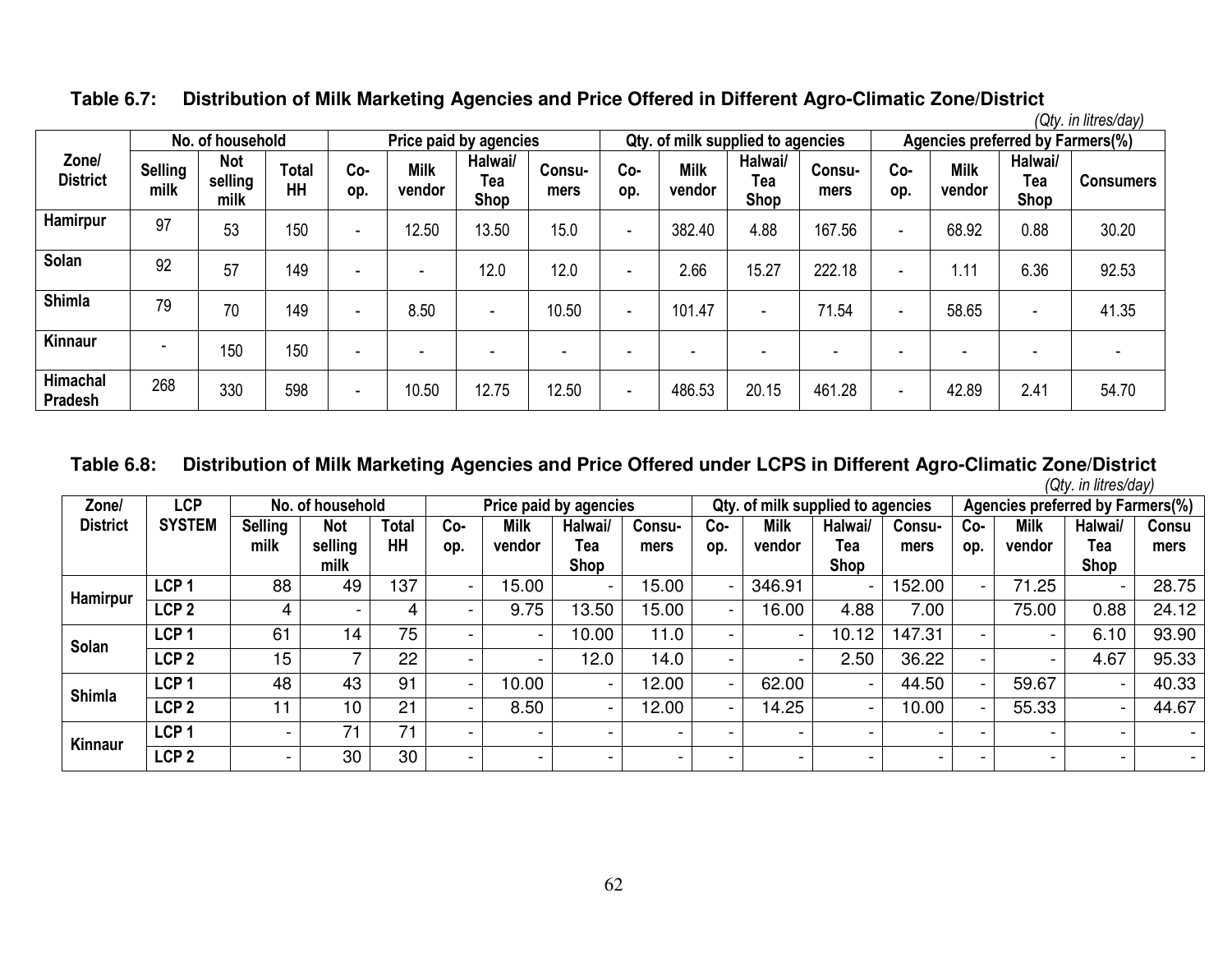**Table 6.7: Distribution of Milk Marketing Agencies and Price Offered in Different Agro-Climatic Zone/District** 

*(Qty. in litres/day)* 

|                            |                        | No. of household              |                    |                          |                          | Price paid by agencies |                |                          |                          | Qty. of milk supplied to agencies |                |                          |                          | Agencies preferred by Farmers(%) |                  |
|----------------------------|------------------------|-------------------------------|--------------------|--------------------------|--------------------------|------------------------|----------------|--------------------------|--------------------------|-----------------------------------|----------------|--------------------------|--------------------------|----------------------------------|------------------|
| Zone/<br><b>District</b>   | <b>Selling</b><br>milk | <b>Not</b><br>selling<br>milk | <b>Total</b><br>HH | Co-<br>op.               | <b>Milk</b><br>vendor    | Halwai/<br>Tea<br>Shop | Consu-<br>mers | Co-<br>op.               | <b>Milk</b><br>vendor    | Halwai/<br>Tea<br>Shop            | Consu-<br>mers | Co-<br>op.               | <b>Milk</b><br>vendor    | Halwai/<br>Tea<br>Shop           | <b>Consumers</b> |
| <b>Hamirpur</b>            | 97                     | 53                            | 150                | $\overline{\phantom{a}}$ | 12.50                    | 13.50                  | 15.0           | $\blacksquare$           | 382.40                   | 4.88                              | 167.56         | $\blacksquare$           | 68.92                    | 0.88                             | 30.20            |
| Solan                      | 92                     | 57                            | 149                | $\overline{\phantom{0}}$ | $\overline{\phantom{0}}$ | 12.0                   | 12.0           | $\overline{\phantom{a}}$ | 2.66                     | 15.27                             | 222.18         |                          | 1.11                     | 6.36                             | 92.53            |
| <b>Shimla</b>              | 79                     | 70                            | 149                | $\overline{\phantom{a}}$ | 8.50                     | ٠                      | 10.50          | ۰                        | 101.47                   | ٠                                 | 71.54          | $\overline{\phantom{0}}$ | 58.65                    | -                                | 41.35            |
| Kinnaur                    | ۰                      | 150                           | 150                | -                        |                          |                        |                |                          | $\overline{\phantom{0}}$ |                                   |                |                          | $\overline{\phantom{0}}$ |                                  |                  |
| Himachal<br><b>Pradesh</b> | 268                    | 330                           | 598                | $\overline{\phantom{a}}$ | 10.50                    | 12.75                  | 12.50          | $\overline{\phantom{a}}$ | 486.53                   | 20.15                             | 461.28         |                          | 42.89                    | 2.41                             | 54.70            |

#### **Table 6.8: Distribution of Milk Marketing Agencies and Price Offered under LCPS in Different Agro-Climatic Zone/District** *(Qty. in litres/day)*

| Zone/           | <b>LCP</b>       |                        | No. of household              |                    |                          |                          | Price paid by agencies        |                |                          | Qty. of milk supplied to agencies |                        |                |                          |                       | Agencies preferred by Farmers(%) |               |
|-----------------|------------------|------------------------|-------------------------------|--------------------|--------------------------|--------------------------|-------------------------------|----------------|--------------------------|-----------------------------------|------------------------|----------------|--------------------------|-----------------------|----------------------------------|---------------|
| <b>District</b> | <b>SYSTEM</b>    | <b>Selling</b><br>milk | <b>Not</b><br>selling<br>milk | <b>Total</b><br>HH | Co-<br>op.               | <b>Milk</b><br>vendor    | Halwai/<br>Tea<br><b>Shop</b> | Consu-<br>mers | Co-<br>op.               | <b>Milk</b><br>vendor             | Halwai/<br>Tea<br>Shop | Consu-<br>mers | Co-<br>op.               | <b>Milk</b><br>vendor | Halwai/<br>Tea<br><b>Shop</b>    | Consu<br>mers |
|                 | LCP <sub>1</sub> | 88                     | 49                            | 137                | $\overline{\phantom{a}}$ | 15.00                    |                               | 15.00          |                          | 346.91                            | -                      | 152.00         | $\blacksquare$           | 71.25                 |                                  | 28.75         |
| <b>Hamirpur</b> | LCP <sub>2</sub> | 4                      |                               | 4                  |                          | 9.75                     | 13.50                         | 15.00          | - 1                      | 16.00                             | 4.88                   | 7.00           |                          | 75.00                 | 0.88                             | 24.12         |
|                 | LCP <sub>1</sub> | 61                     | 14                            | 75                 | - 1                      | $\overline{\phantom{0}}$ | 10.00                         | 11.0           | $\blacksquare$           | $\overline{\phantom{a}}$          | 10.12                  | 147.31         | $\overline{\phantom{0}}$ |                       | 6.10                             | 93.90         |
| Solan           | LCP <sub>2</sub> | 15                     |                               | 22                 | $\overline{\phantom{0}}$ | $\blacksquare$           | 12.0                          | 14.0           | $\overline{\phantom{0}}$ | $\blacksquare$                    | 2.50                   | 36.22          | $\overline{\phantom{0}}$ |                       | 4.67                             | 95.33         |
| <b>Shimla</b>   | LCP <sub>1</sub> | 48                     | 43                            | 91                 | $\overline{\phantom{a}}$ | 10.00                    |                               | 12.00          | $\overline{\phantom{0}}$ | 62.00                             | $\blacksquare$         | 44.50          | $\blacksquare$           | 59.67                 | $\overline{\phantom{0}}$         | 40.33         |
|                 | LCP <sub>2</sub> | 11                     | 10                            | 21                 | $\overline{\phantom{0}}$ | 8.50                     |                               | 12.00          | $\overline{\phantom{0}}$ | 14.25                             | -                      | 10.00          | $\overline{\phantom{a}}$ | 55.33                 | $\blacksquare$                   | 44.67         |
| <b>Kinnaur</b>  | LCP <sub>1</sub> |                        |                               | 71                 |                          |                          | $\overline{\phantom{0}}$      |                |                          | $\overline{\phantom{0}}$          |                        |                |                          |                       |                                  |               |
|                 | LCP <sub>2</sub> |                        | 30                            | 30                 | $\sim$                   |                          |                               |                |                          | $\overline{\phantom{0}}$          |                        |                | $\overline{\phantom{0}}$ |                       |                                  |               |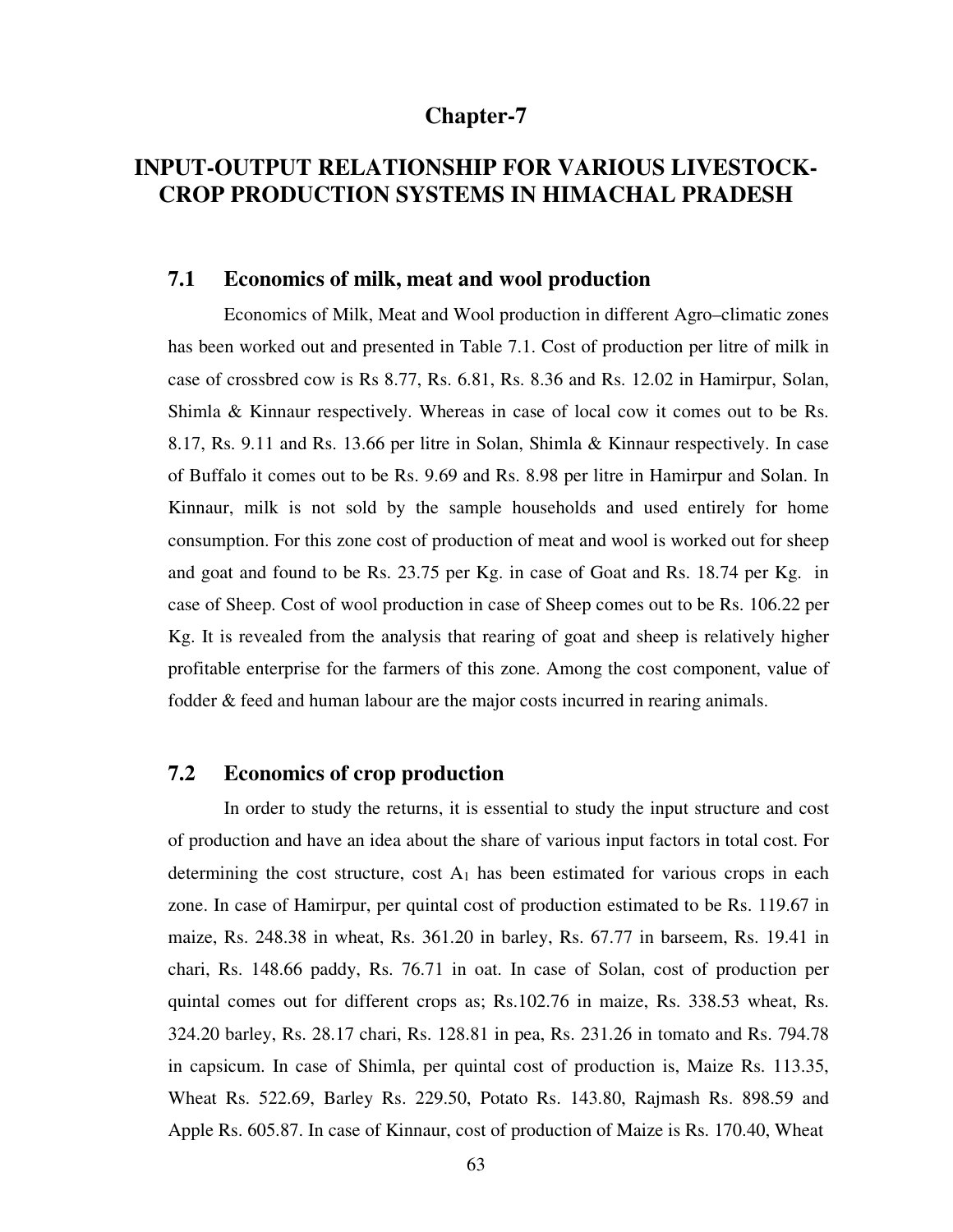### **Chapter-7**

# **INPUT-OUTPUT RELATIONSHIP FOR VARIOUS LIVESTOCK-CROP PRODUCTION SYSTEMS IN HIMACHAL PRADESH**

#### **7.1 Economics of milk, meat and wool production**

Economics of Milk, Meat and Wool production in different Agro–climatic zones has been worked out and presented in Table 7.1. Cost of production per litre of milk in case of crossbred cow is Rs 8.77, Rs. 6.81, Rs. 8.36 and Rs. 12.02 in Hamirpur, Solan, Shimla & Kinnaur respectively. Whereas in case of local cow it comes out to be Rs. 8.17, Rs. 9.11 and Rs. 13.66 per litre in Solan, Shimla & Kinnaur respectively. In case of Buffalo it comes out to be Rs. 9.69 and Rs. 8.98 per litre in Hamirpur and Solan. In Kinnaur, milk is not sold by the sample households and used entirely for home consumption. For this zone cost of production of meat and wool is worked out for sheep and goat and found to be Rs. 23.75 per Kg. in case of Goat and Rs. 18.74 per Kg. in case of Sheep. Cost of wool production in case of Sheep comes out to be Rs. 106.22 per Kg. It is revealed from the analysis that rearing of goat and sheep is relatively higher profitable enterprise for the farmers of this zone. Among the cost component, value of fodder & feed and human labour are the major costs incurred in rearing animals.

### **7.2 Economics of crop production**

In order to study the returns, it is essential to study the input structure and cost of production and have an idea about the share of various input factors in total cost. For determining the cost structure, cost  $A_1$  has been estimated for various crops in each zone. In case of Hamirpur, per quintal cost of production estimated to be Rs. 119.67 in maize, Rs. 248.38 in wheat, Rs. 361.20 in barley, Rs. 67.77 in barseem, Rs. 19.41 in chari, Rs. 148.66 paddy, Rs. 76.71 in oat. In case of Solan, cost of production per quintal comes out for different crops as; Rs.102.76 in maize, Rs. 338.53 wheat, Rs. 324.20 barley, Rs. 28.17 chari, Rs. 128.81 in pea, Rs. 231.26 in tomato and Rs. 794.78 in capsicum. In case of Shimla, per quintal cost of production is, Maize Rs. 113.35, Wheat Rs. 522.69, Barley Rs. 229.50, Potato Rs. 143.80, Rajmash Rs. 898.59 and Apple Rs. 605.87. In case of Kinnaur, cost of production of Maize is Rs. 170.40, Wheat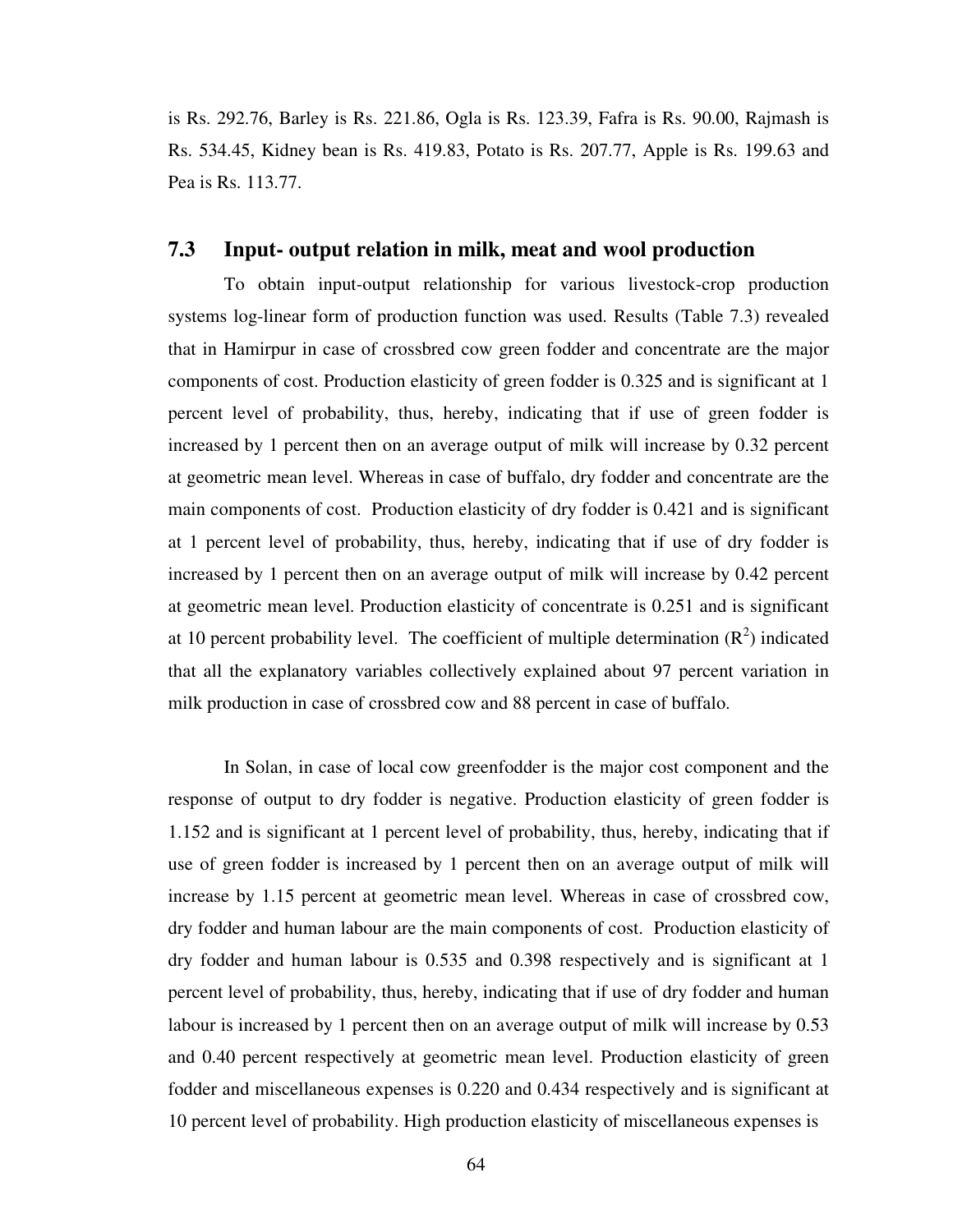is Rs. 292.76, Barley is Rs. 221.86, Ogla is Rs. 123.39, Fafra is Rs. 90.00, Rajmash is Rs. 534.45, Kidney bean is Rs. 419.83, Potato is Rs. 207.77, Apple is Rs. 199.63 and Pea is Rs. 113.77.

#### **7.3 Input- output relation in milk, meat and wool production**

 To obtain input-output relationship for various livestock-crop production systems log-linear form of production function was used. Results (Table 7.3) revealed that in Hamirpur in case of crossbred cow green fodder and concentrate are the major components of cost. Production elasticity of green fodder is 0.325 and is significant at 1 percent level of probability, thus, hereby, indicating that if use of green fodder is increased by 1 percent then on an average output of milk will increase by 0.32 percent at geometric mean level. Whereas in case of buffalo, dry fodder and concentrate are the main components of cost. Production elasticity of dry fodder is 0.421 and is significant at 1 percent level of probability, thus, hereby, indicating that if use of dry fodder is increased by 1 percent then on an average output of milk will increase by 0.42 percent at geometric mean level. Production elasticity of concentrate is 0.251 and is significant at 10 percent probability level. The coefficient of multiple determination  $(R^2)$  indicated that all the explanatory variables collectively explained about 97 percent variation in milk production in case of crossbred cow and 88 percent in case of buffalo.

 In Solan, in case of local cow greenfodder is the major cost component and the response of output to dry fodder is negative. Production elasticity of green fodder is 1.152 and is significant at 1 percent level of probability, thus, hereby, indicating that if use of green fodder is increased by 1 percent then on an average output of milk will increase by 1.15 percent at geometric mean level. Whereas in case of crossbred cow, dry fodder and human labour are the main components of cost. Production elasticity of dry fodder and human labour is 0.535 and 0.398 respectively and is significant at 1 percent level of probability, thus, hereby, indicating that if use of dry fodder and human labour is increased by 1 percent then on an average output of milk will increase by 0.53 and 0.40 percent respectively at geometric mean level. Production elasticity of green fodder and miscellaneous expenses is 0.220 and 0.434 respectively and is significant at 10 percent level of probability. High production elasticity of miscellaneous expenses is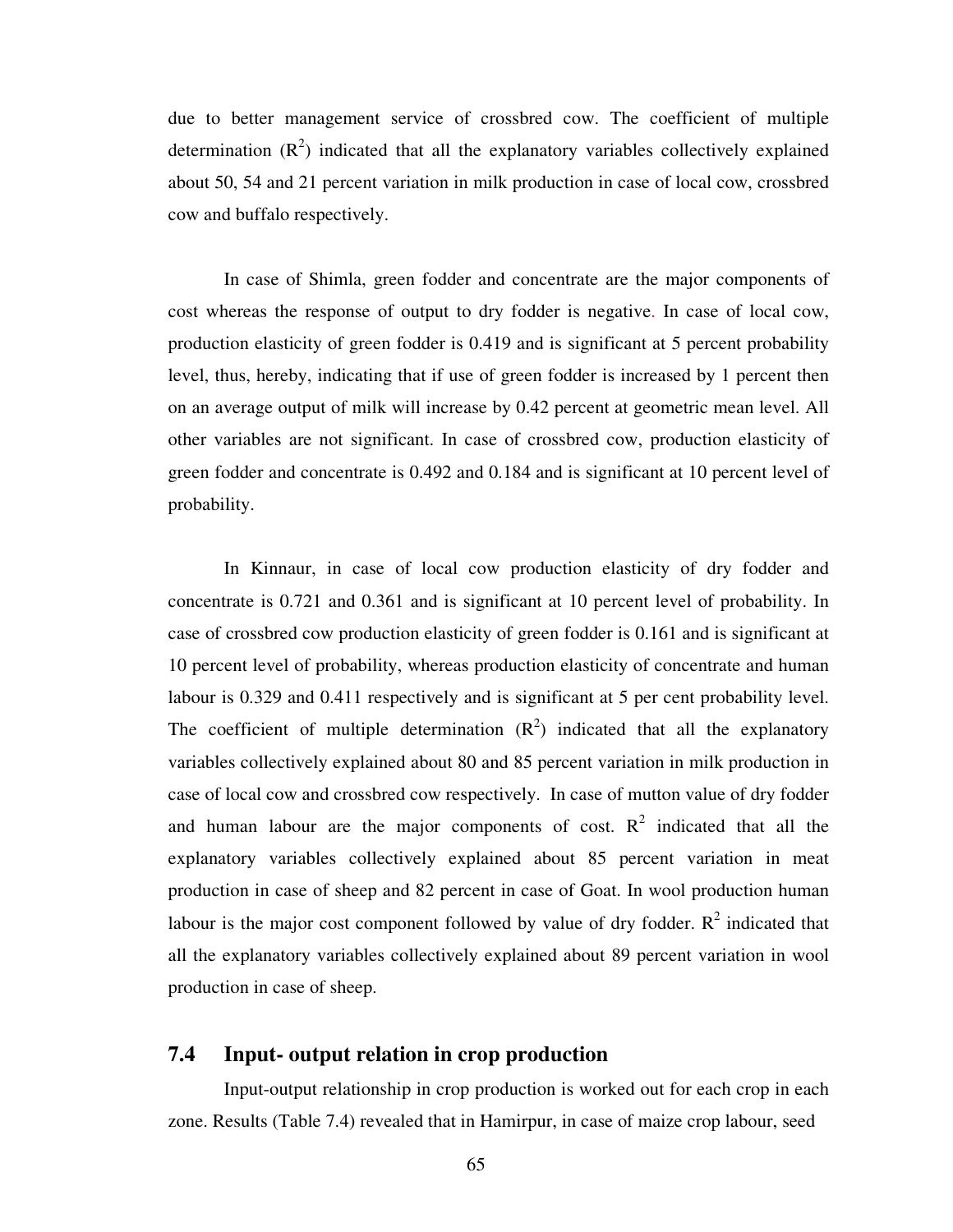due to better management service of crossbred cow. The coefficient of multiple determination  $(R^2)$  indicated that all the explanatory variables collectively explained about 50, 54 and 21 percent variation in milk production in case of local cow, crossbred cow and buffalo respectively.

 In case of Shimla, green fodder and concentrate are the major components of cost whereas the response of output to dry fodder is negative. In case of local cow, production elasticity of green fodder is 0.419 and is significant at 5 percent probability level, thus, hereby, indicating that if use of green fodder is increased by 1 percent then on an average output of milk will increase by 0.42 percent at geometric mean level. All other variables are not significant. In case of crossbred cow, production elasticity of green fodder and concentrate is 0.492 and 0.184 and is significant at 10 percent level of probability.

In Kinnaur, in case of local cow production elasticity of dry fodder and concentrate is 0.721 and 0.361 and is significant at 10 percent level of probability. In case of crossbred cow production elasticity of green fodder is 0.161 and is significant at 10 percent level of probability, whereas production elasticity of concentrate and human labour is 0.329 and 0.411 respectively and is significant at 5 per cent probability level. The coefficient of multiple determination  $(R^2)$  indicated that all the explanatory variables collectively explained about 80 and 85 percent variation in milk production in case of local cow and crossbred cow respectively. In case of mutton value of dry fodder and human labour are the major components of cost.  $R^2$  indicated that all the explanatory variables collectively explained about 85 percent variation in meat production in case of sheep and 82 percent in case of Goat. In wool production human labour is the major cost component followed by value of dry fodder.  $R^2$  indicated that all the explanatory variables collectively explained about 89 percent variation in wool production in case of sheep.

#### **7.4 Input- output relation in crop production**

Input-output relationship in crop production is worked out for each crop in each zone. Results (Table 7.4) revealed that in Hamirpur, in case of maize crop labour, seed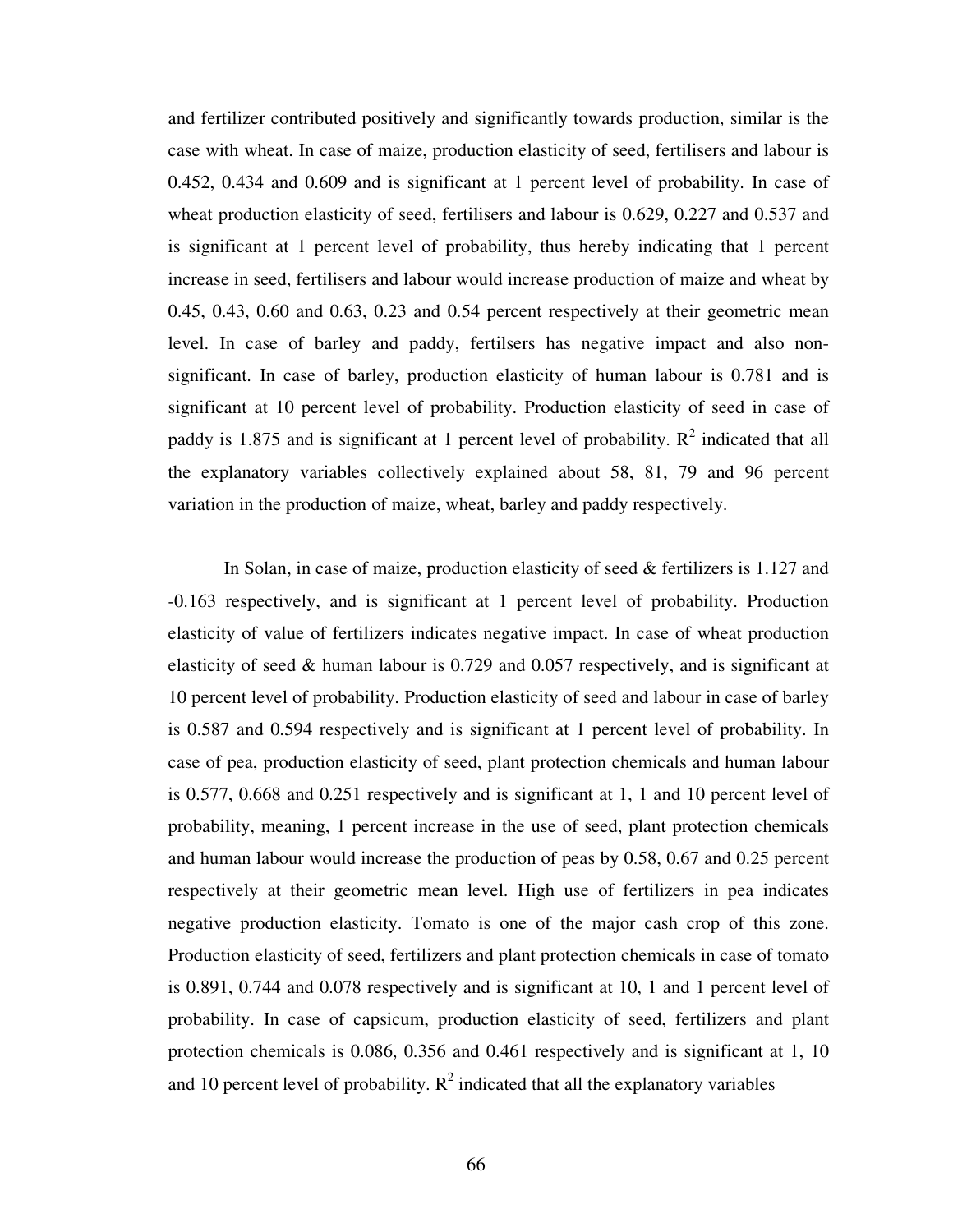and fertilizer contributed positively and significantly towards production, similar is the case with wheat. In case of maize, production elasticity of seed, fertilisers and labour is 0.452, 0.434 and 0.609 and is significant at 1 percent level of probability. In case of wheat production elasticity of seed, fertilisers and labour is 0.629, 0.227 and 0.537 and is significant at 1 percent level of probability, thus hereby indicating that 1 percent increase in seed, fertilisers and labour would increase production of maize and wheat by 0.45, 0.43, 0.60 and 0.63, 0.23 and 0.54 percent respectively at their geometric mean level. In case of barley and paddy, fertilsers has negative impact and also nonsignificant. In case of barley, production elasticity of human labour is 0.781 and is significant at 10 percent level of probability. Production elasticity of seed in case of paddy is 1.875 and is significant at 1 percent level of probability.  $R^2$  indicated that all the explanatory variables collectively explained about 58, 81, 79 and 96 percent variation in the production of maize, wheat, barley and paddy respectively.

In Solan, in case of maize, production elasticity of seed & fertilizers is 1.127 and -0.163 respectively, and is significant at 1 percent level of probability. Production elasticity of value of fertilizers indicates negative impact. In case of wheat production elasticity of seed & human labour is 0.729 and 0.057 respectively, and is significant at 10 percent level of probability. Production elasticity of seed and labour in case of barley is 0.587 and 0.594 respectively and is significant at 1 percent level of probability. In case of pea, production elasticity of seed, plant protection chemicals and human labour is 0.577, 0.668 and 0.251 respectively and is significant at 1, 1 and 10 percent level of probability, meaning, 1 percent increase in the use of seed, plant protection chemicals and human labour would increase the production of peas by 0.58, 0.67 and 0.25 percent respectively at their geometric mean level. High use of fertilizers in pea indicates negative production elasticity. Tomato is one of the major cash crop of this zone. Production elasticity of seed, fertilizers and plant protection chemicals in case of tomato is 0.891, 0.744 and 0.078 respectively and is significant at 10, 1 and 1 percent level of probability. In case of capsicum, production elasticity of seed, fertilizers and plant protection chemicals is 0.086, 0.356 and 0.461 respectively and is significant at 1, 10 and 10 percent level of probability.  $R^2$  indicated that all the explanatory variables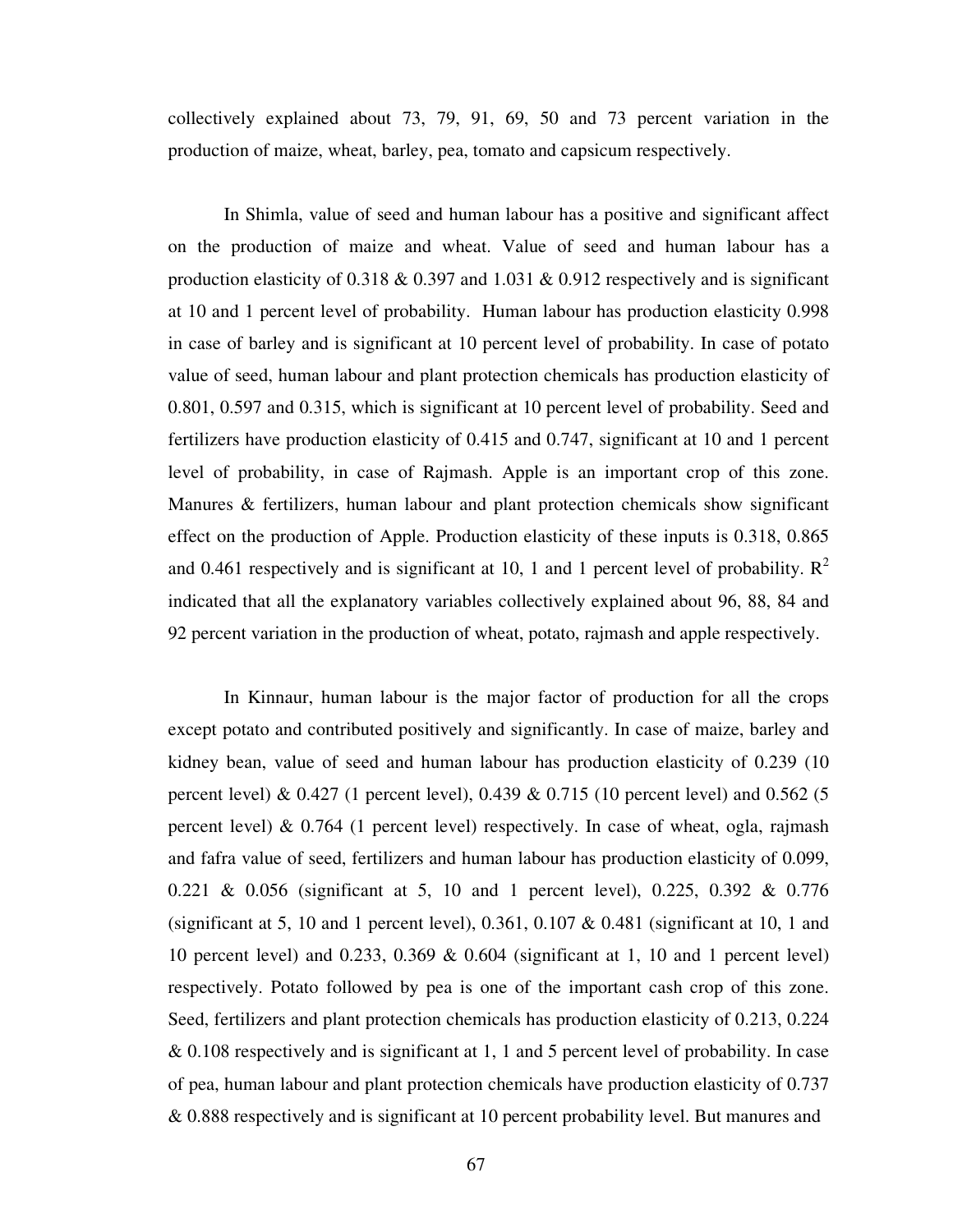collectively explained about 73, 79, 91, 69, 50 and 73 percent variation in the production of maize, wheat, barley, pea, tomato and capsicum respectively.

In Shimla, value of seed and human labour has a positive and significant affect on the production of maize and wheat. Value of seed and human labour has a production elasticity of 0.318  $\&$  0.397 and 1.031  $\&$  0.912 respectively and is significant at 10 and 1 percent level of probability. Human labour has production elasticity 0.998 in case of barley and is significant at 10 percent level of probability. In case of potato value of seed, human labour and plant protection chemicals has production elasticity of 0.801, 0.597 and 0.315, which is significant at 10 percent level of probability. Seed and fertilizers have production elasticity of 0.415 and 0.747, significant at 10 and 1 percent level of probability, in case of Rajmash. Apple is an important crop of this zone. Manures & fertilizers, human labour and plant protection chemicals show significant effect on the production of Apple. Production elasticity of these inputs is 0.318, 0.865 and 0.461 respectively and is significant at 10, 1 and 1 percent level of probability.  $\mathbb{R}^2$ indicated that all the explanatory variables collectively explained about 96, 88, 84 and 92 percent variation in the production of wheat, potato, rajmash and apple respectively.

In Kinnaur, human labour is the major factor of production for all the crops except potato and contributed positively and significantly. In case of maize, barley and kidney bean, value of seed and human labour has production elasticity of 0.239 (10 percent level) & 0.427 (1 percent level), 0.439 & 0.715 (10 percent level) and 0.562 (5 percent level) & 0.764 (1 percent level) respectively. In case of wheat, ogla, rajmash and fafra value of seed, fertilizers and human labour has production elasticity of 0.099, 0.221 & 0.056 (significant at 5, 10 and 1 percent level), 0.225, 0.392 & 0.776 (significant at 5, 10 and 1 percent level),  $0.361$ ,  $0.107 \& 0.481$  (significant at 10, 1 and 10 percent level) and 0.233, 0.369 & 0.604 (significant at 1, 10 and 1 percent level) respectively. Potato followed by pea is one of the important cash crop of this zone. Seed, fertilizers and plant protection chemicals has production elasticity of 0.213, 0.224 & 0.108 respectively and is significant at 1, 1 and 5 percent level of probability. In case of pea, human labour and plant protection chemicals have production elasticity of 0.737 & 0.888 respectively and is significant at 10 percent probability level. But manures and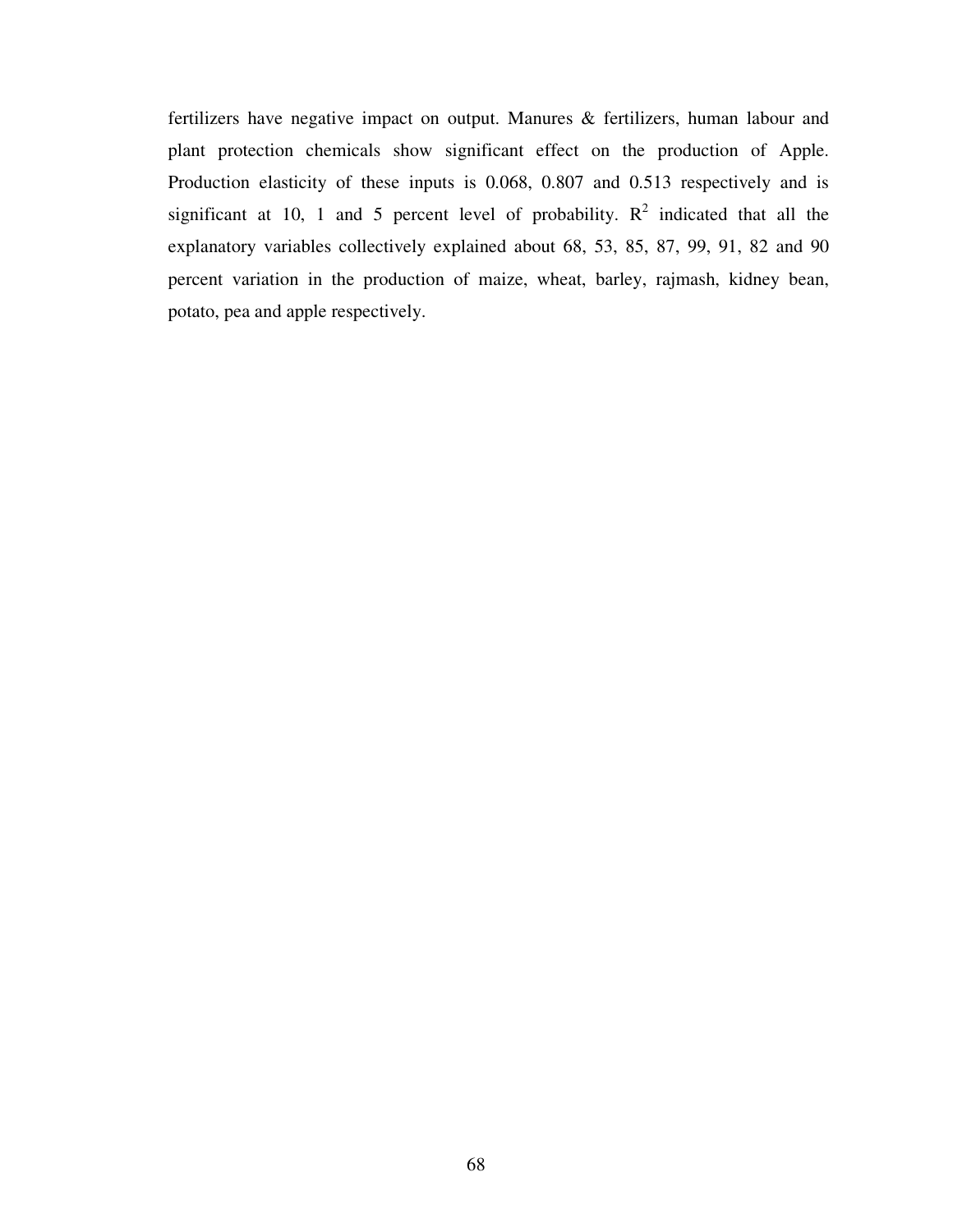fertilizers have negative impact on output. Manures & fertilizers, human labour and plant protection chemicals show significant effect on the production of Apple. Production elasticity of these inputs is 0.068, 0.807 and 0.513 respectively and is significant at 10, 1 and 5 percent level of probability.  $R^2$  indicated that all the explanatory variables collectively explained about 68, 53, 85, 87, 99, 91, 82 and 90 percent variation in the production of maize, wheat, barley, rajmash, kidney bean, potato, pea and apple respectively.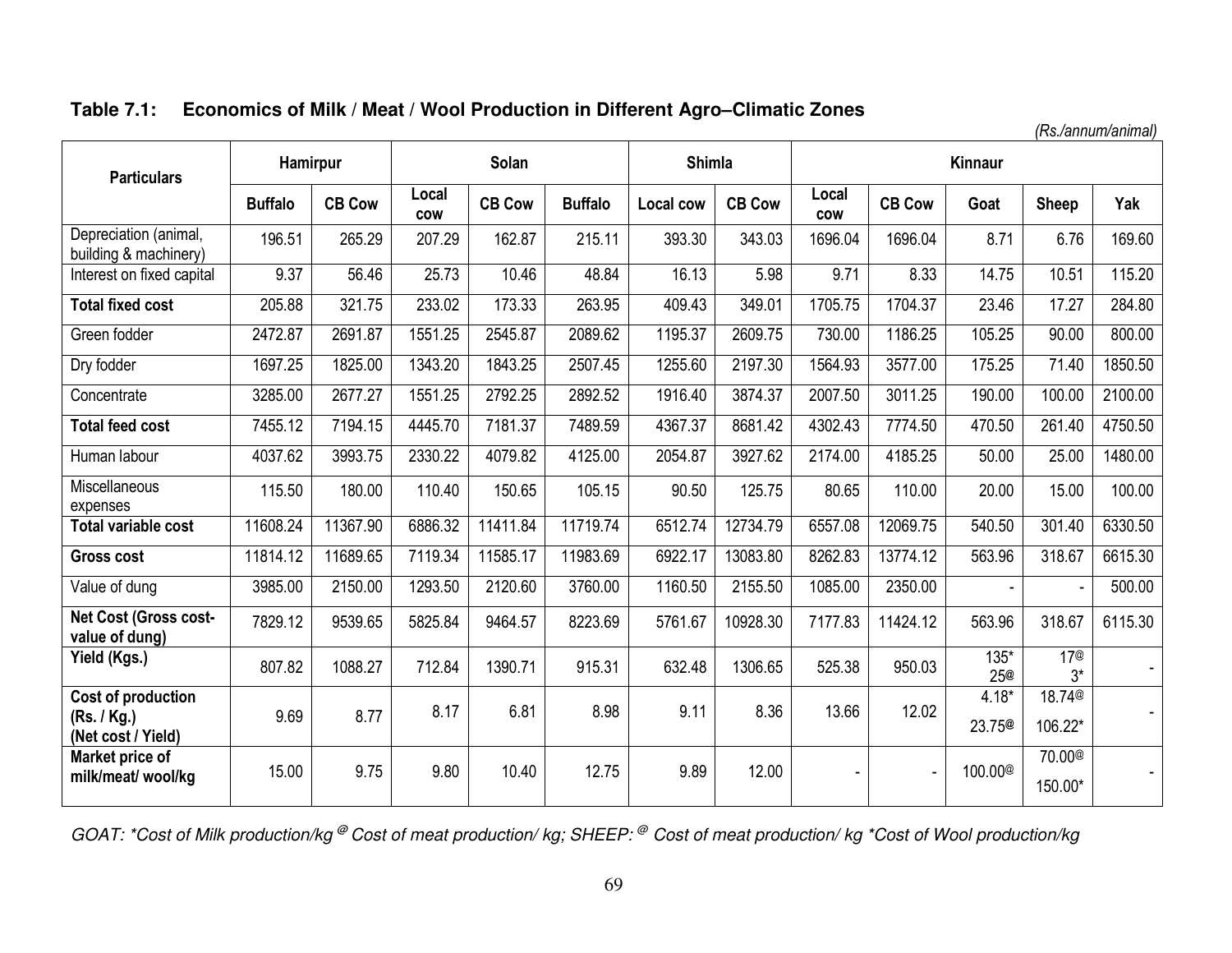# **Table 7.1: Economics of Milk / Meat / Wool Production in Different Agro–Climatic Zones**

*(Rs./annum/animal)* 

| <b>Particulars</b>                             | Hamirpur       |               |                     | Solan         |                | <b>Shimla</b>    |               |                     |               | Kinnaur             |                               |         |
|------------------------------------------------|----------------|---------------|---------------------|---------------|----------------|------------------|---------------|---------------------|---------------|---------------------|-------------------------------|---------|
|                                                | <b>Buffalo</b> | <b>CB Cow</b> | Local<br><b>COW</b> | <b>CB Cow</b> | <b>Buffalo</b> | <b>Local cow</b> | <b>CB Cow</b> | Local<br><b>COW</b> | <b>CB Cow</b> | Goat                | <b>Sheep</b>                  | Yak     |
| Depreciation (animal,<br>building & machinery) | 196.51         | 265.29        | 207.29              | 162.87        | 215.11         | 393.30           | 343.03        | 1696.04             | 1696.04       | 8.71                | 6.76                          | 169.60  |
| Interest on fixed capital                      | 9.37           | 56.46         | 25.73               | 10.46         | 48.84          | 16.13            | 5.98          | 9.71                | 8.33          | 14.75               | 10.51                         | 115.20  |
| <b>Total fixed cost</b>                        | 205.88         | 321.75        | 233.02              | 173.33        | 263.95         | 409.43           | 349.01        | 1705.75             | 1704.37       | 23.46               | 17.27                         | 284.80  |
| Green fodder                                   | 2472.87        | 2691.87       | 1551.25             | 2545.87       | 2089.62        | 1195.37          | 2609.75       | 730.00              | 1186.25       | 105.25              | 90.00                         | 800.00  |
| Dry fodder                                     | 1697.25        | 1825.00       | 1343.20             | 1843.25       | 2507.45        | 1255.60          | 2197.30       | 1564.93             | 3577.00       | 175.25              | 71.40                         | 1850.50 |
| Concentrate                                    | 3285.00        | 2677.27       | 1551.25             | 2792.25       | 2892.52        | 1916.40          | 3874.37       | 2007.50             | 3011.25       | 190.00              | 100.00                        | 2100.00 |
| <b>Total feed cost</b>                         | 7455.12        | 7194.15       | 4445.70             | 7181.37       | 7489.59        | 4367.37          | 8681.42       | 4302.43             | 7774.50       | 470.50              | 261.40                        | 4750.50 |
| Human labour                                   | 4037.62        | 3993.75       | 2330.22             | 4079.82       | 4125.00        | 2054.87          | 3927.62       | 2174.00             | 4185.25       | 50.00               | 25.00                         | 1480.00 |
| <b>Miscellaneous</b><br>expenses               | 115.50         | 180.00        | 110.40              | 150.65        | 105.15         | 90.50            | 125.75        | 80.65               | 110.00        | 20.00               | 15.00                         | 100.00  |
| <b>Total variable cost</b>                     | 11608.24       | 11367.90      | 6886.32             | 11411.84      | 11719.74       | 6512.74          | 12734.79      | 6557.08             | 12069.75      | 540.50              | 301.40                        | 6330.50 |
| <b>Gross cost</b>                              | 11814.12       | 11689.65      | 7119.34             | 11585.17      | 11983.69       | 6922.17          | 13083.80      | 8262.83             | 13774.12      | 563.96              | 318.67                        | 6615.30 |
| Value of dung                                  | 3985.00        | 2150.00       | 1293.50             | 2120.60       | 3760.00        | 1160.50          | 2155.50       | 1085.00             | 2350.00       | $\blacksquare$      |                               | 500.00  |
| Net Cost (Gross cost-<br>value of dung)        | 7829.12        | 9539.65       | 5825.84             | 9464.57       | 8223.69        | 5761.67          | 10928.30      | 7177.83             | 11424.12      | 563.96              | 318.67                        | 6115.30 |
| Yield (Kgs.)                                   | 807.82         | 1088.27       | 712.84              | 1390.71       | 915.31         | 632.48           | 1306.65       | 525.38              | 950.03        | 135*<br><b>25@</b>  | 17 <sup>®</sup><br>$3^*$      |         |
| Cost of production                             |                |               | 8.17                | 6.81          | 8.98           | 9.11             | 8.36          | 13.66               | 12.02         | $4.18*$             | 18.74 <sup>®</sup>            |         |
| (Rs. / Kg.)<br>(Net cost / Yield)              | 9.69           | 8.77          |                     |               |                |                  |               |                     |               | 23.75 <sup>®</sup>  | 106.22*                       |         |
| Market price of<br>milk/meat/ wool/kg          | 15.00          | 9.75          | 9.80                | 10.40         | 12.75          | 9.89             | 12.00         |                     |               | 100.00 <sup>@</sup> | 70.00 <sup>@</sup><br>150.00* |         |

*GOAT: \*Cost of Milk production/kg* **@** *Cost of meat production/ kg; SHEEP: @ Cost of meat production/ kg \*Cost of Wool production/kg*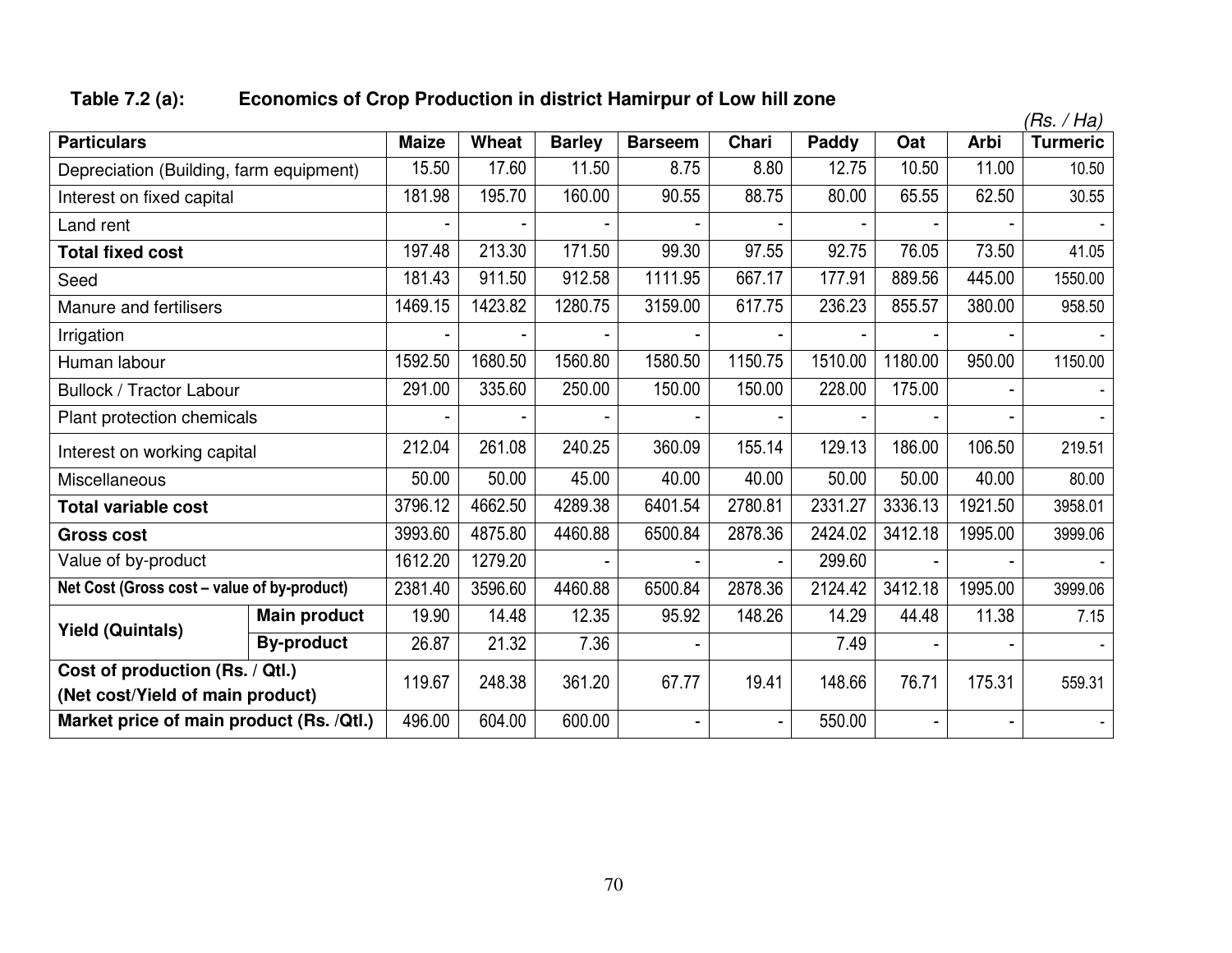## **Table 7.2 (a): Economics of Crop Production in district Hamirpur of Low hill zone**

|                                             |                                  |              |         |               |                |         |         |         |             | (Rs. / Ha)      |
|---------------------------------------------|----------------------------------|--------------|---------|---------------|----------------|---------|---------|---------|-------------|-----------------|
| <b>Particulars</b>                          |                                  | <b>Maize</b> | Wheat   | <b>Barley</b> | <b>Barseem</b> | Chari   | Paddy   | Oat     | <b>Arbi</b> | <b>Turmeric</b> |
| Depreciation (Building, farm equipment)     |                                  | 15.50        | 17.60   | 11.50         | 8.75           | 8.80    | 12.75   | 10.50   | 11.00       | 10.50           |
| Interest on fixed capital                   |                                  | 181.98       | 195.70  | 160.00        | 90.55          | 88.75   | 80.00   | 65.55   | 62.50       | 30.55           |
| Land rent                                   |                                  |              |         |               |                |         |         |         |             |                 |
| <b>Total fixed cost</b>                     |                                  | 197.48       | 213.30  | 171.50        | 99.30          | 97.55   | 92.75   | 76.05   | 73.50       | 41.05           |
| Seed                                        |                                  | 181.43       | 911.50  | 912.58        | 1111.95        | 667.17  | 177.91  | 889.56  | 445.00      | 1550.00         |
| Manure and fertilisers                      |                                  | 1469.15      | 1423.82 | 1280.75       | 3159.00        | 617.75  | 236.23  | 855.57  | 380.00      | 958.50          |
| Irrigation                                  |                                  |              |         |               |                |         |         |         |             |                 |
| Human labour                                |                                  | 1592.50      | 1680.50 | 1560.80       | 1580.50        | 1150.75 | 1510.00 | 1180.00 | 950.00      | 1150.00         |
| <b>Bullock / Tractor Labour</b>             | 291.00                           | 335.60       | 250.00  | 150.00        | 150.00         | 228.00  | 175.00  |         |             |                 |
| Plant protection chemicals                  |                                  |              |         |               |                |         |         |         |             |                 |
| Interest on working capital                 |                                  | 212.04       | 261.08  | 240.25        | 360.09         | 155.14  | 129.13  | 186.00  | 106.50      | 219.51          |
| Miscellaneous                               |                                  | 50.00        | 50.00   | 45.00         | 40.00          | 40.00   | 50.00   | 50.00   | 40.00       | 80.00           |
| <b>Total variable cost</b>                  |                                  | 3796.12      | 4662.50 | 4289.38       | 6401.54        | 2780.81 | 2331.27 | 3336.13 | 1921.50     | 3958.01         |
| <b>Gross cost</b>                           |                                  | 3993.60      | 4875.80 | 4460.88       | 6500.84        | 2878.36 | 2424.02 | 3412.18 | 1995.00     | 3999.06         |
| Value of by-product                         |                                  | 1612.20      | 1279.20 |               |                |         | 299.60  |         |             |                 |
| Net Cost (Gross cost - value of by-product) |                                  | 2381.40      | 3596.60 | 4460.88       | 6500.84        | 2878.36 | 2124.42 | 3412.18 | 1995.00     | 3999.06         |
| <b>Yield (Quintals)</b>                     | <b>Main product</b>              | 19.90        | 14.48   | 12.35         | 95.92          | 148.26  | 14.29   | 44.48   | 11.38       | 7.15            |
|                                             | <b>By-product</b>                | 26.87        | 21.32   | 7.36          |                |         | 7.49    |         |             |                 |
| Cost of production (Rs. / Qtl.)             |                                  | 119.67       | 248.38  | 361.20        | 67.77          | 19.41   | 148.66  | 76.71   | 175.31      | 559.31          |
|                                             | (Net cost/Yield of main product) |              |         |               |                |         |         |         |             |                 |
| Market price of main product (Rs. /Qtl.)    |                                  | 496.00       | 604.00  | 600.00        |                |         | 550.00  |         |             |                 |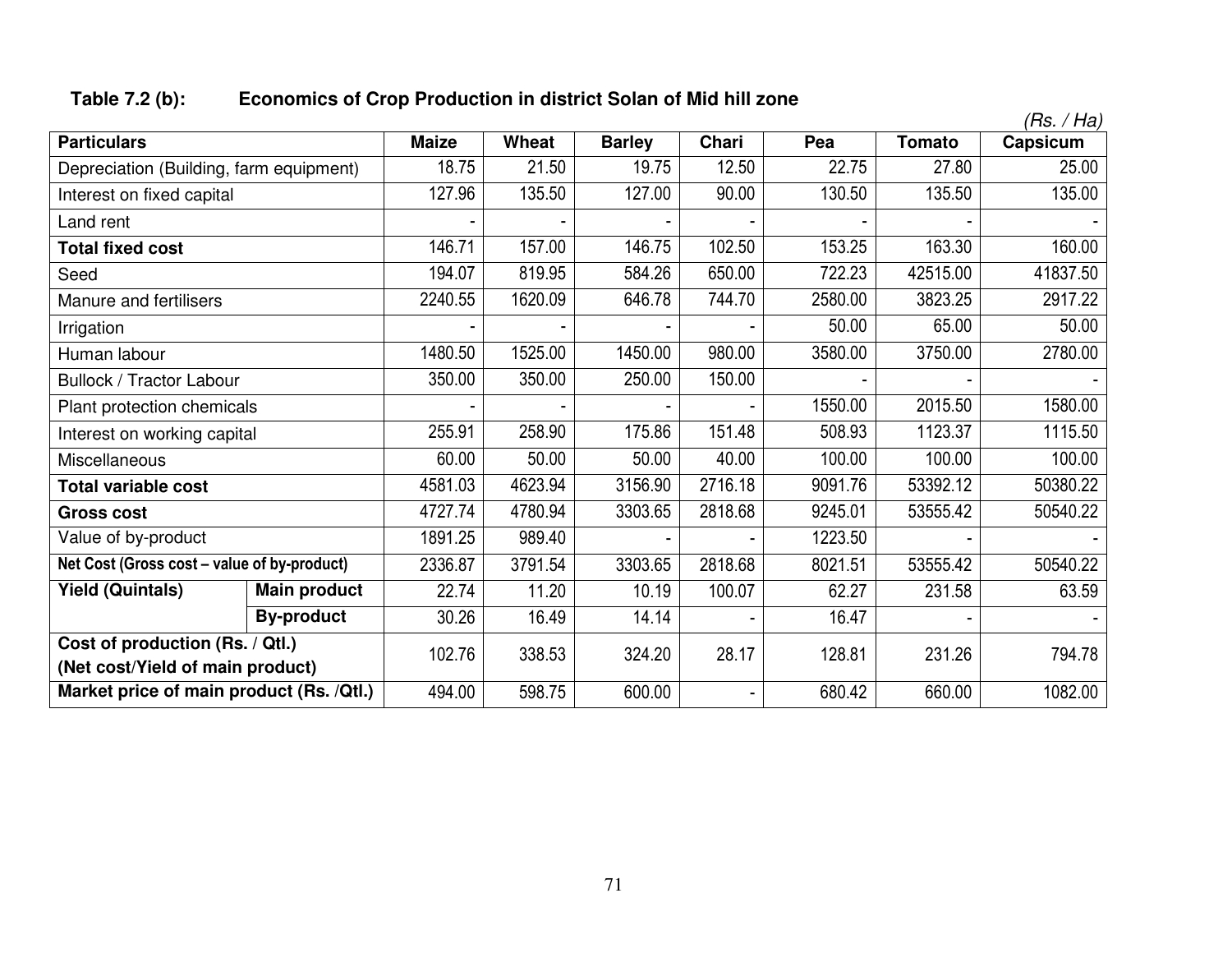# **Table 7.2 (b): Economics of Crop Production in district Solan of Mid hill zone**

|                                                                              |                     |              |              |               |              |         |               | (Rs. / Ha) |
|------------------------------------------------------------------------------|---------------------|--------------|--------------|---------------|--------------|---------|---------------|------------|
| <b>Particulars</b>                                                           |                     | <b>Maize</b> | <b>Wheat</b> | <b>Barley</b> | <b>Chari</b> | Pea     | <b>Tomato</b> | Capsicum   |
| Depreciation (Building, farm equipment)                                      |                     | 18.75        | 21.50        | 19.75         | 12.50        | 22.75   | 27.80         | 25.00      |
| Interest on fixed capital                                                    |                     | 127.96       | 135.50       | 127.00        | 90.00        | 130.50  | 135.50        | 135.00     |
| Land rent                                                                    |                     |              |              |               |              |         |               |            |
| <b>Total fixed cost</b>                                                      |                     | 146.71       | 157.00       | 146.75        | 102.50       | 153.25  | 163.30        | 160.00     |
| Seed                                                                         |                     | 194.07       | 819.95       | 584.26        | 650.00       | 722.23  | 42515.00      | 41837.50   |
| Manure and fertilisers                                                       |                     | 2240.55      | 1620.09      | 646.78        | 744.70       | 2580.00 | 3823.25       | 2917.22    |
| Irrigation                                                                   |                     |              |              |               |              | 50.00   | 65.00         | 50.00      |
| Human labour                                                                 |                     | 1480.50      | 1525.00      | 1450.00       | 980.00       | 3580.00 | 3750.00       | 2780.00    |
| <b>Bullock / Tractor Labour</b>                                              |                     | 350.00       | 350.00       | 250.00        | 150.00       |         |               |            |
| Plant protection chemicals                                                   |                     |              |              |               |              | 1550.00 | 2015.50       | 1580.00    |
| Interest on working capital                                                  |                     | 255.91       | 258.90       | 175.86        | 151.48       | 508.93  | 1123.37       | 1115.50    |
| Miscellaneous                                                                |                     | 60.00        | 50.00        | 50.00         | 40.00        | 100.00  | 100.00        | 100.00     |
| <b>Total variable cost</b>                                                   |                     | 4581.03      | 4623.94      | 3156.90       | 2716.18      | 9091.76 | 53392.12      | 50380.22   |
| <b>Gross cost</b>                                                            |                     | 4727.74      | 4780.94      | 3303.65       | 2818.68      | 9245.01 | 53555.42      | 50540.22   |
| Value of by-product                                                          |                     | 1891.25      | 989.40       |               |              | 1223.50 |               |            |
| Net Cost (Gross cost - value of by-product)                                  |                     | 2336.87      | 3791.54      | 3303.65       | 2818.68      | 8021.51 | 53555.42      | 50540.22   |
| <b>Yield (Quintals)</b>                                                      | <b>Main product</b> | 22.74        | 11.20        | 10.19         | 100.07       | 62.27   | 231.58        | 63.59      |
|                                                                              | <b>By-product</b>   | 30.26        | 16.49        | 14.14         |              | 16.47   |               |            |
| Cost of production (Rs. / Qtl.)                                              |                     | 102.76       | 338.53       | 324.20        | 28.17        | 128.81  | 231.26        | 794.78     |
| (Net cost/Yield of main product)<br>Market price of main product (Rs. /Qtl.) |                     | 494.00       | 598.75       | 600.00        |              | 680.42  | 660.00        | 1082.00    |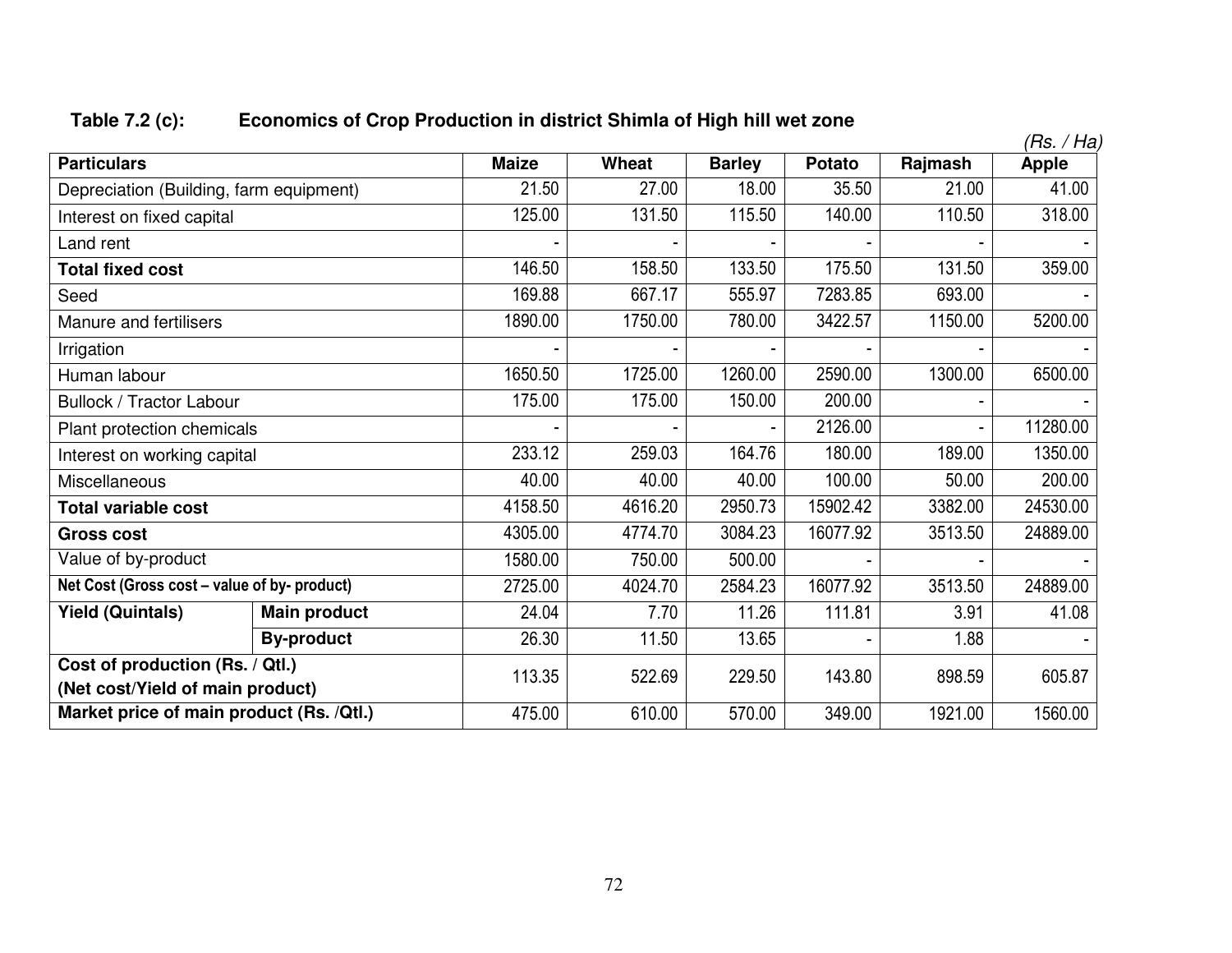# **Table 7.2 (c): Economics of Crop Production in district Shimla of High hill wet zone**

|                                              |                     |              |         |               |               |         | (Rs. / Ha)   |
|----------------------------------------------|---------------------|--------------|---------|---------------|---------------|---------|--------------|
| <b>Particulars</b>                           |                     | <b>Maize</b> | Wheat   | <b>Barley</b> | <b>Potato</b> | Rajmash | <b>Apple</b> |
| Depreciation (Building, farm equipment)      |                     | 21.50        | 27.00   | 18.00         | 35.50         | 21.00   | 41.00        |
| Interest on fixed capital                    |                     | 125.00       | 131.50  | 115.50        | 140.00        | 110.50  | 318.00       |
| Land rent                                    |                     |              |         |               |               |         |              |
| <b>Total fixed cost</b>                      |                     | 146.50       | 158.50  | 133.50        | 175.50        | 131.50  | 359.00       |
| Seed                                         |                     | 169.88       | 667.17  | 555.97        | 7283.85       | 693.00  |              |
| Manure and fertilisers                       |                     | 1890.00      | 1750.00 | 780.00        | 3422.57       | 1150.00 | 5200.00      |
| Irrigation                                   |                     |              |         |               |               |         |              |
| Human labour                                 |                     | 1650.50      | 1725.00 | 1260.00       | 2590.00       | 1300.00 | 6500.00      |
| Bullock / Tractor Labour                     |                     | 175.00       | 175.00  | 150.00        | 200.00        |         |              |
| Plant protection chemicals                   |                     |              |         |               | 2126.00       |         | 11280.00     |
| Interest on working capital                  |                     | 233.12       | 259.03  | 164.76        | 180.00        | 189.00  | 1350.00      |
| Miscellaneous                                |                     | 40.00        | 40.00   | 40.00         | 100.00        | 50.00   | 200.00       |
| <b>Total variable cost</b>                   |                     | 4158.50      | 4616.20 | 2950.73       | 15902.42      | 3382.00 | 24530.00     |
| <b>Gross cost</b>                            |                     | 4305.00      | 4774.70 | 3084.23       | 16077.92      | 3513.50 | 24889.00     |
| Value of by-product                          |                     | 1580.00      | 750.00  | 500.00        |               |         |              |
| Net Cost (Gross cost - value of by- product) |                     | 2725.00      | 4024.70 | 2584.23       | 16077.92      | 3513.50 | 24889.00     |
| <b>Yield (Quintals)</b>                      | <b>Main product</b> | 24.04        | 7.70    | 11.26         | 111.81        | 3.91    | 41.08        |
|                                              | 26.30               | 11.50        | 13.65   |               | 1.88          |         |              |
| Cost of production (Rs. / Qtl.)              | 113.35              | 522.69       | 229.50  | 143.80        | 898.59        | 605.87  |              |
| (Net cost/Yield of main product)             |                     |              |         |               |               |         |              |
| Market price of main product (Rs. /Qtl.)     |                     | 475.00       | 610.00  | 570.00        | 349.00        | 1921.00 | 1560.00      |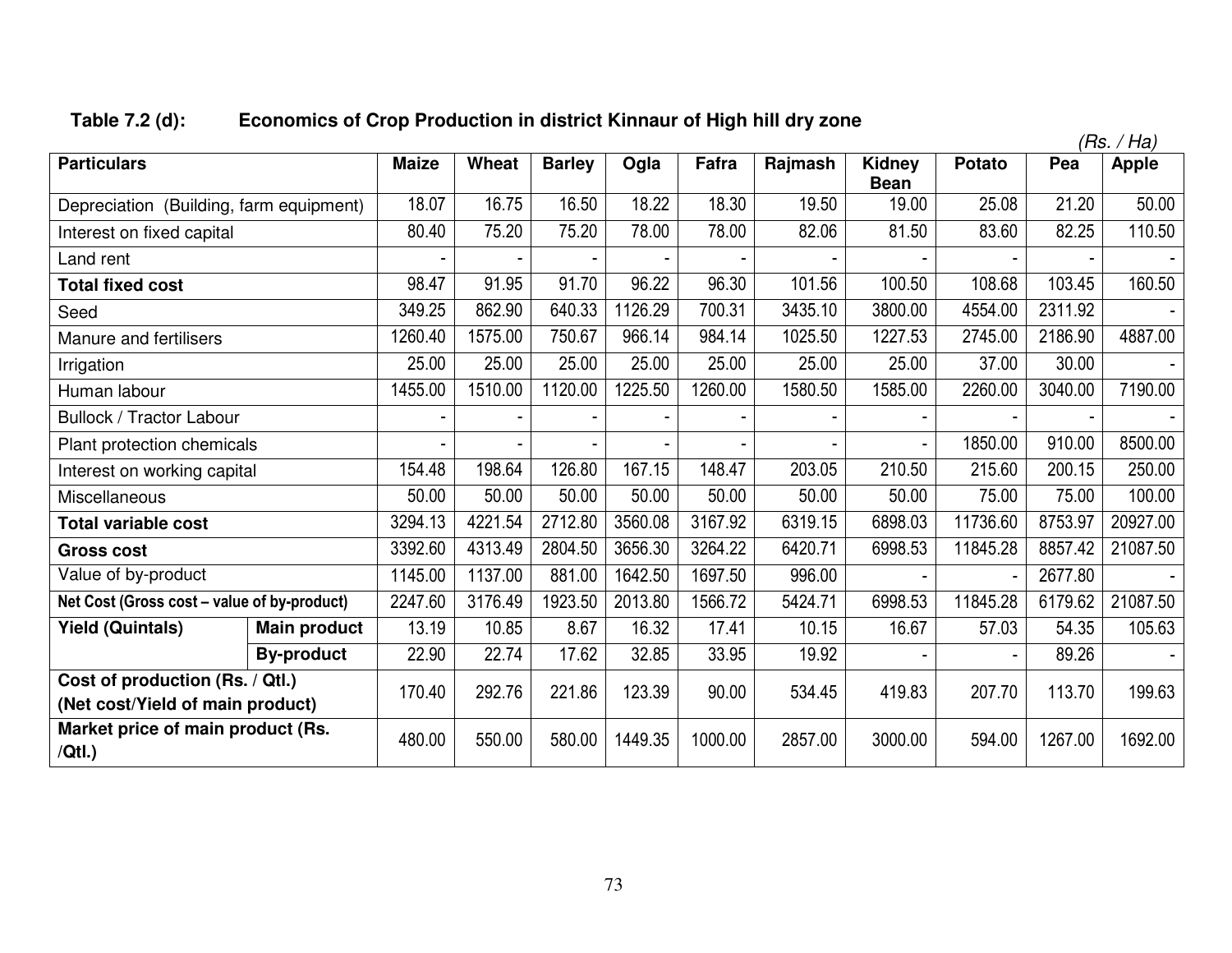# **Table 7.2 (d): Economics of Crop Production in district Kinnaur of High hill dry zone**

|                                                                     |                     |              |         |               |         |         |         |                       |               |         | (Rs. / Ha)   |
|---------------------------------------------------------------------|---------------------|--------------|---------|---------------|---------|---------|---------|-----------------------|---------------|---------|--------------|
| <b>Particulars</b>                                                  |                     | <b>Maize</b> | Wheat   | <b>Barley</b> | Ogla    | Fafra   | Rajmash | Kidney<br><b>Bean</b> | <b>Potato</b> | Pea     | <b>Apple</b> |
| Depreciation (Building, farm equipment)                             |                     | 18.07        | 16.75   | 16.50         | 18.22   | 18.30   | 19.50   | 19.00                 | 25.08         | 21.20   | 50.00        |
| Interest on fixed capital                                           |                     | 80.40        | 75.20   | 75.20         | 78.00   | 78.00   | 82.06   | 81.50                 | 83.60         | 82.25   | 110.50       |
| Land rent                                                           |                     |              |         |               |         |         |         |                       |               |         |              |
| <b>Total fixed cost</b>                                             |                     | 98.47        | 91.95   | 91.70         | 96.22   | 96.30   | 101.56  | 100.50                | 108.68        | 103.45  | 160.50       |
| Seed                                                                |                     | 349.25       | 862.90  | 640.33        | 1126.29 | 700.31  | 3435.10 | 3800.00               | 4554.00       | 2311.92 |              |
| Manure and fertilisers                                              |                     | 1260.40      | 1575.00 | 750.67        | 966.14  | 984.14  | 1025.50 | 1227.53               | 2745.00       | 2186.90 | 4887.00      |
| Irrigation                                                          |                     | 25.00        | 25.00   | 25.00         | 25.00   | 25.00   | 25.00   | 25.00                 | 37.00         | 30.00   |              |
| Human labour                                                        |                     | 1455.00      | 1510.00 | 1120.00       | 1225.50 | 1260.00 | 1580.50 | 1585.00               | 2260.00       | 3040.00 | 7190.00      |
| <b>Bullock / Tractor Labour</b>                                     |                     |              |         |               |         |         |         |                       |               |         |              |
| Plant protection chemicals                                          |                     |              |         |               |         |         |         |                       | 1850.00       | 910.00  | 8500.00      |
| Interest on working capital                                         |                     | 154.48       | 198.64  | 126.80        | 167.15  | 148.47  | 203.05  | 210.50                | 215.60        | 200.15  | 250.00       |
| Miscellaneous                                                       |                     | 50.00        | 50.00   | 50.00         | 50.00   | 50.00   | 50.00   | 50.00                 | 75.00         | 75.00   | 100.00       |
| <b>Total variable cost</b>                                          |                     | 3294.13      | 4221.54 | 2712.80       | 3560.08 | 3167.92 | 6319.15 | 6898.03               | 11736.60      | 8753.97 | 20927.00     |
| <b>Gross cost</b>                                                   |                     | 3392.60      | 4313.49 | 2804.50       | 3656.30 | 3264.22 | 6420.71 | 6998.53               | 11845.28      | 8857.42 | 21087.50     |
| Value of by-product                                                 |                     | 1145.00      | 1137.00 | 881.00        | 1642.50 | 1697.50 | 996.00  |                       |               | 2677.80 |              |
| Net Cost (Gross cost - value of by-product)                         |                     | 2247.60      | 3176.49 | 1923.50       | 2013.80 | 1566.72 | 5424.71 | 6998.53               | 11845.28      | 6179.62 | 21087.50     |
| <b>Yield (Quintals)</b>                                             | <b>Main product</b> | 13.19        | 10.85   | 8.67          | 16.32   | 17.41   | 10.15   | 16.67                 | 57.03         | 54.35   | 105.63       |
|                                                                     | <b>By-product</b>   | 22.90        | 22.74   | 17.62         | 32.85   | 33.95   | 19.92   |                       |               | 89.26   |              |
| Cost of production (Rs. / Qtl.)<br>(Net cost/Yield of main product) |                     | 170.40       | 292.76  | 221.86        | 123.39  | 90.00   | 534.45  | 419.83                | 207.70        | 113.70  | 199.63       |
| Market price of main product (Rs.<br>/Qtl.                          |                     | 480.00       | 550.00  | 580.00        | 1449.35 | 1000.00 | 2857.00 | 3000.00               | 594.00        | 1267.00 | 1692.00      |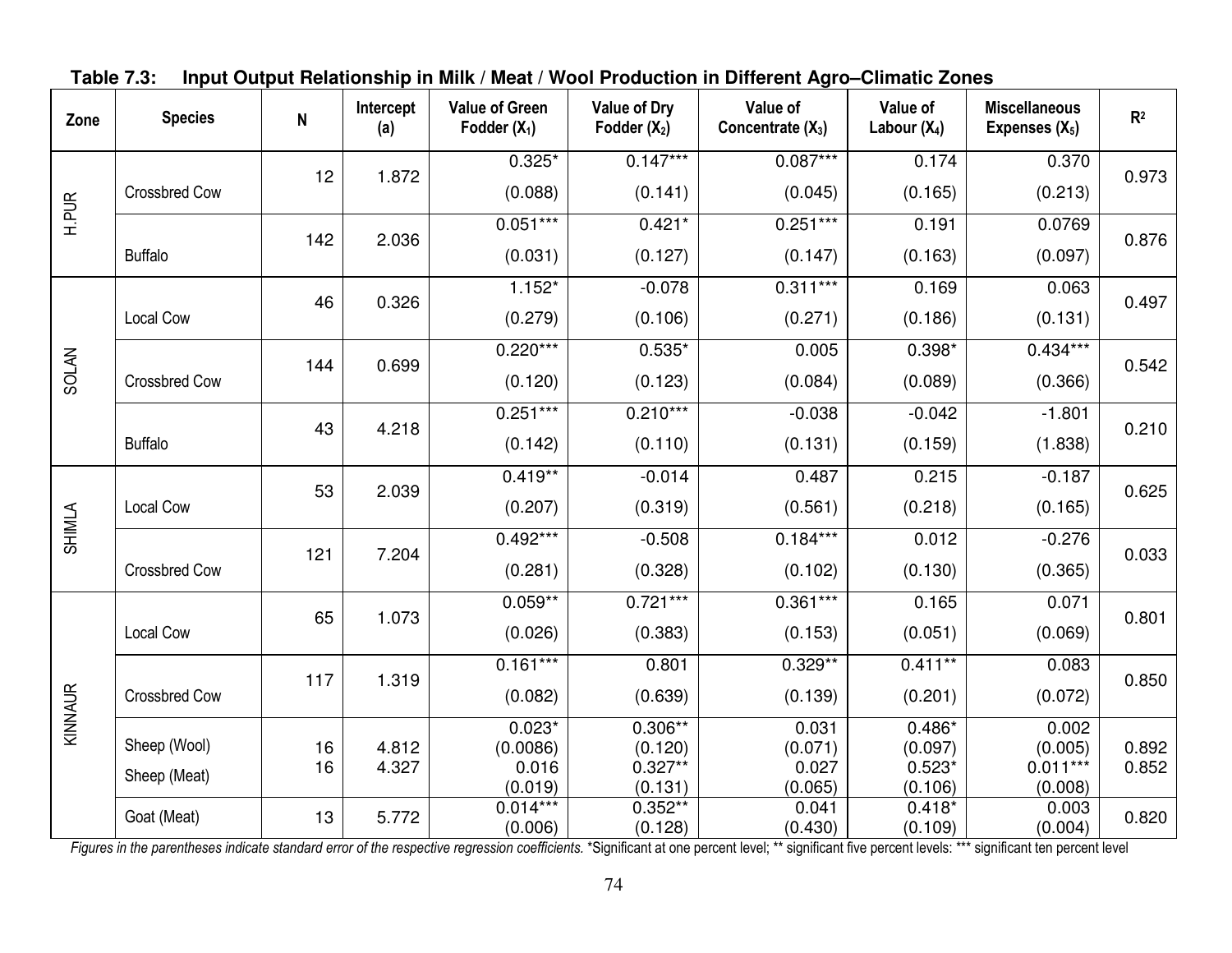| Zone         | <b>Species</b>       | ${\sf N}$ | Intercept<br>(a) | <b>Value of Green</b><br>Fodder $(X_1)$ | <b>Value of Dry</b><br>Fodder $(X_2)$ | Value of<br>Concentrate $(X_3)$ | Value of<br>Labour $(X_4)$ | <b>Miscellaneous</b><br>Expenses $(X_5)$ | R <sup>2</sup> |
|--------------|----------------------|-----------|------------------|-----------------------------------------|---------------------------------------|---------------------------------|----------------------------|------------------------------------------|----------------|
|              |                      |           |                  | $0.325*$                                | $0.147***$                            | $0.087***$                      | 0.174                      | 0.370                                    |                |
|              | <b>Crossbred Cow</b> | 12        | 1.872            | (0.088)                                 | (0.141)                               | (0.045)                         | (0.165)                    | (0.213)                                  | 0.973          |
| <b>H.PUR</b> |                      |           | 2.036            | $0.051***$                              | $0.421*$                              | $0.251***$                      | 0.191                      | 0.0769                                   | 0.876          |
|              | <b>Buffalo</b>       | 142       |                  | (0.031)                                 | (0.127)                               | (0.147)                         | (0.163)                    | (0.097)                                  |                |
|              |                      | 46        | 0.326            | $1.152*$                                | $-0.078$                              | $0.311***$                      | 0.169                      | 0.063                                    | 0.497          |
|              | Local Cow            |           |                  | (0.279)                                 | (0.106)                               | (0.271)                         | (0.186)                    | (0.131)                                  |                |
|              |                      |           |                  | $0.220***$                              | $0.535*$                              | 0.005                           | $0.398*$                   | $0.434***$                               | 0.542          |
| <b>SOLAN</b> | <b>Crossbred Cow</b> | 144       | 0.699            | (0.120)                                 | (0.123)                               | (0.084)                         | (0.089)                    | (0.366)                                  |                |
|              |                      |           |                  | $0.251***$                              | $0.210***$                            | $-0.038$                        | $-0.042$                   | $-1.801$                                 |                |
|              | <b>Buffalo</b>       | 43        | 4.218            | (0.142)                                 | (0.110)                               | (0.131)                         | (0.159)                    | (1.838)                                  | 0.210          |
|              |                      |           |                  | $0.419**$                               | $-0.014$                              | 0.487                           | 0.215                      | $-0.187$                                 |                |
|              | Local Cow            | 53        | 2.039            | (0.207)                                 | (0.319)                               | (0.561)                         | (0.218)                    | (0.165)                                  | 0.625          |
| SHIMLA       |                      | 121       | 7.204            | $0.492***$                              | $-0.508$                              | $0.184***$                      | 0.012                      | $-0.276$                                 | 0.033          |
|              | <b>Crossbred Cow</b> |           |                  | (0.281)                                 | (0.328)                               | (0.102)                         | (0.130)                    | (0.365)                                  |                |
|              |                      |           |                  | $0.059**$                               | $0.721***$                            | $0.361***$                      | 0.165                      | 0.071                                    |                |
|              | Local Cow            | 65        | 1.073            | (0.026)                                 | (0.383)                               | (0.153)                         | (0.051)                    | (0.069)                                  | 0.801          |
|              |                      |           |                  | $0.161***$                              | 0.801                                 | $0.329**$                       | $0.411***$                 | 0.083                                    |                |
| KINNAUR      | <b>Crossbred Cow</b> | 117       | 1.319            | (0.082)                                 | (0.639)                               | (0.139)                         | (0.201)                    | (0.072)                                  | 0.850          |
|              |                      |           |                  | $0.023*$                                | $0.306**$                             | 0.031                           | $0.486*$                   | 0.002                                    |                |
|              | Sheep (Wool)         | 16<br>16  | 4.812<br>4.327   | (0.0086)                                | (0.120)<br>$0.327**$                  | (0.071)<br>0.027                | (0.097)<br>$0.523*$        | (0.005)<br>$0.011***$                    | 0.892<br>0.852 |
|              | Sheep (Meat)         |           |                  | 0.016<br>(0.019)                        | (0.131)                               | (0.065)                         | (0.106)                    | (0.008)                                  |                |
|              |                      |           |                  | $0.014***$                              | $0.352**$                             | 0.041                           | $0.418*$                   | 0.003                                    |                |
|              | Goat (Meat)          | 13        | 5.772            | (0.006)                                 | (0.128)                               | (0.430)                         | (0.109)                    | (0.004)                                  | 0.820          |

**Table 7.3: Input Output Relationship in Milk / Meat / Wool Production in Different Agro–Climatic Zones** 

Figures in the parentheses indicate standard error of the respective regression coefficients. \*Significant at one percent level; \*\* significant five percent levels: \*\*\* significant ten percent level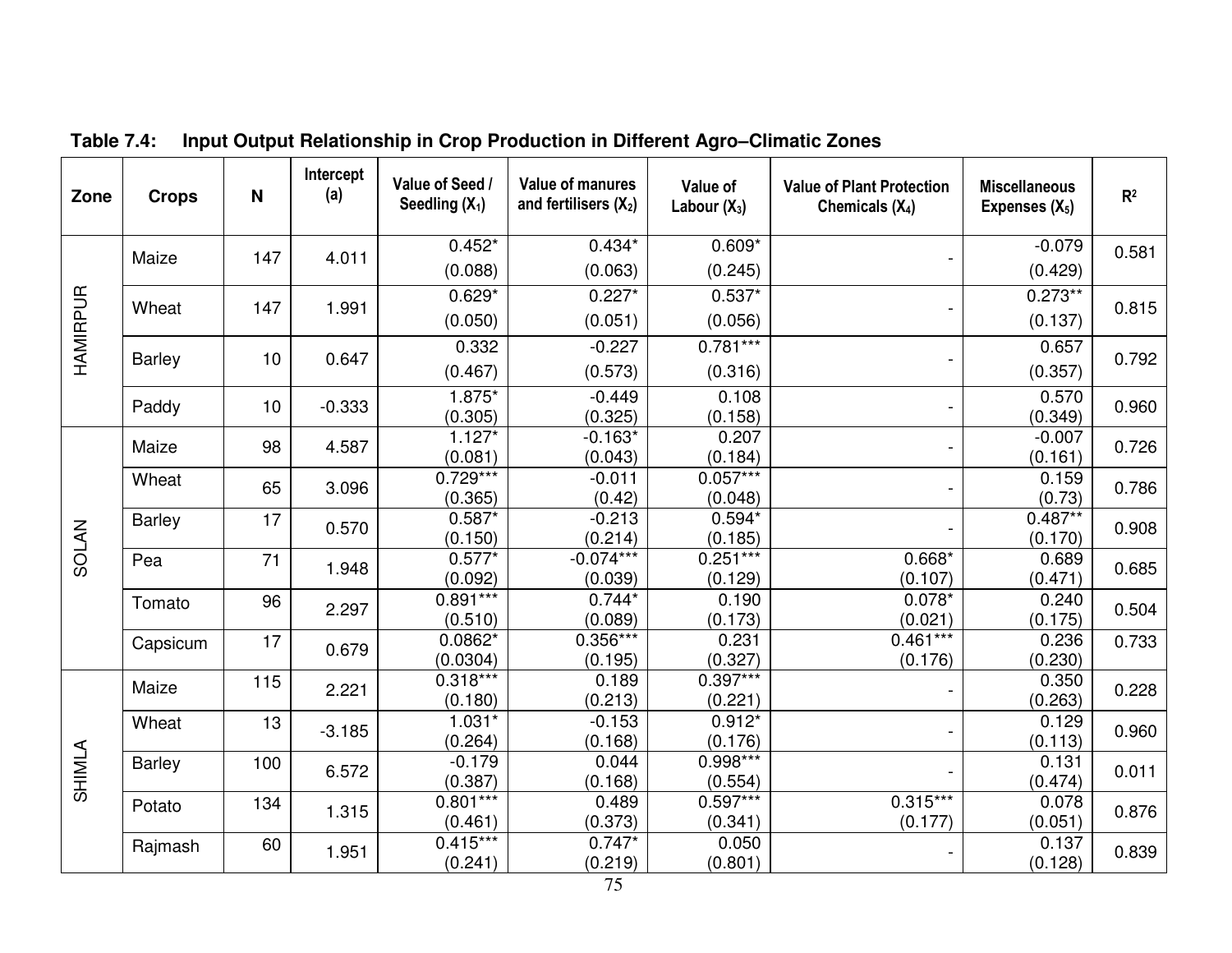| Zone         | <b>Crops</b>         | N           | Intercept<br>(a)      | Value of Seed /<br>Seedling $(X_1)$ | <b>Value of manures</b><br>and fertilisers $(X_2)$ | Value of<br>Labour $(X_3)$ | <b>Value of Plant Protection</b><br>Chemicals $(X_4)$ | <b>Miscellaneous</b><br>Expenses $(X_5)$ | R <sup>2</sup> |
|--------------|----------------------|-------------|-----------------------|-------------------------------------|----------------------------------------------------|----------------------------|-------------------------------------------------------|------------------------------------------|----------------|
|              |                      | 147         | 4.011                 | $0.452*$                            | $0.434*$                                           | $0.609*$                   |                                                       | $-0.079$                                 | 0.581          |
|              | Maize                |             |                       | (0.088)                             | (0.063)                                            | (0.245)                    |                                                       | (0.429)                                  |                |
|              |                      | 147         |                       | $0.629*$                            | $0.227*$                                           | $0.537*$                   |                                                       | $0.273**$                                |                |
| HAMIRPUR     | Wheat                |             | 1.991                 | (0.050)                             | (0.051)                                            | (0.056)                    |                                                       | (0.137)                                  | 0.815          |
|              |                      |             |                       | 0.332                               | $-0.227$                                           | $0.781***$                 |                                                       | 0.657                                    |                |
|              | <b>Barley</b>        | 10          | 0.647                 | (0.467)                             | (0.573)                                            | (0.316)                    |                                                       | (0.357)                                  | 0.792          |
|              | Paddy                | 10          | $-0.333$              | 1.875*                              | $-0.449$                                           | 0.108                      |                                                       | 0.570                                    | 0.960          |
|              |                      |             |                       | (0.305)                             | (0.325)                                            | (0.158)                    |                                                       | (0.349)                                  |                |
|              | Maize                | 98          | 4.587                 | $1.127*$                            | $-0.163*$                                          | 0.207                      |                                                       | $-0.007$                                 | 0.726          |
|              |                      |             |                       | (0.081)                             | (0.043)                                            | (0.184)                    |                                                       | (0.161)                                  |                |
|              |                      | Wheat<br>65 | 3.096                 | $0.729***$<br>(0.365)               | $-0.011$<br>(0.42)                                 | $0.057***$<br>(0.048)      |                                                       | 0.159<br>(0.73)                          | 0.786          |
|              |                      | 17          |                       | $0.587*$                            | $-0.213$                                           | $0.594*$                   |                                                       | $0.487**$                                |                |
| <b>SOLAN</b> | <b>Barley</b>        |             | 0.570                 | (0.150)                             | (0.214)                                            | (0.185)                    |                                                       | (0.170)                                  | 0.908          |
|              | Pea                  | 71          |                       | $0.577*$                            | $-0.074***$                                        | $0.251***$                 | $0.668*$                                              | 0.689                                    |                |
|              |                      |             | 1.948                 | (0.092)                             | (0.039)                                            | (0.129)                    | (0.107)                                               | (0.471)                                  | 0.685          |
|              | Tomato               | 96          | 2.297                 | $0.891***$                          | $0.744*$                                           | 0.190                      | $0.078*$                                              | 0.240                                    | 0.504          |
|              |                      |             |                       | (0.510)                             | (0.089)                                            | (0.173)                    | (0.021)                                               | (0.175)                                  |                |
|              | Capsicum             | 17          | 0.679                 | $0.0862*$                           | $0.356***$                                         | 0.231                      | $0.461***$                                            | 0.236                                    | 0.733          |
|              |                      |             |                       | (0.0304)                            | (0.195)                                            | (0.327)                    | (0.176)                                               | (0.230)                                  |                |
|              | Maize                | 115         | 2.221                 | $0.318***$                          | 0.189                                              | $0.397***$                 |                                                       | 0.350                                    | 0.228          |
|              |                      |             |                       | (0.180)                             | (0.213)                                            | (0.221)                    |                                                       | (0.263)                                  |                |
|              | Wheat                | 13          | $-3.185$              | $1.031*$                            | $-0.153$                                           | $0.912*$                   |                                                       | 0.129                                    | 0.960          |
|              |                      |             |                       | (0.264)                             | (0.168)                                            | (0.176)                    |                                                       | (0.113)                                  |                |
| SHIMLA       | 100<br><b>Barley</b> | 6.572       | $-0.179$              | 0.044                               | $0.998***$                                         |                            | 0.131                                                 | 0.011                                    |                |
|              |                      |             |                       | (0.387)                             | (0.168)                                            | (0.554)                    |                                                       | (0.474)                                  |                |
|              | Potato               | 134         | 1.315                 | $0.801***$                          | 0.489                                              | $0.597***$                 | $0.315***$                                            | 0.078                                    | 0.876          |
|              |                      |             | (0.461)<br>$0.415***$ | (0.373)<br>$0.747*$                 | (0.341)                                            | (0.177)                    | (0.051)                                               |                                          |                |
|              | Rajmash              | 60          | 1.951                 | (0.241)                             | (0.219)                                            | 0.050<br>(0.801)           |                                                       | 0.137<br>(0.128)                         | 0.839          |
|              |                      |             |                       |                                     |                                                    |                            |                                                       |                                          |                |

**Table 7.4: Input Output Relationship in Crop Production in Different Agro–Climatic Zones**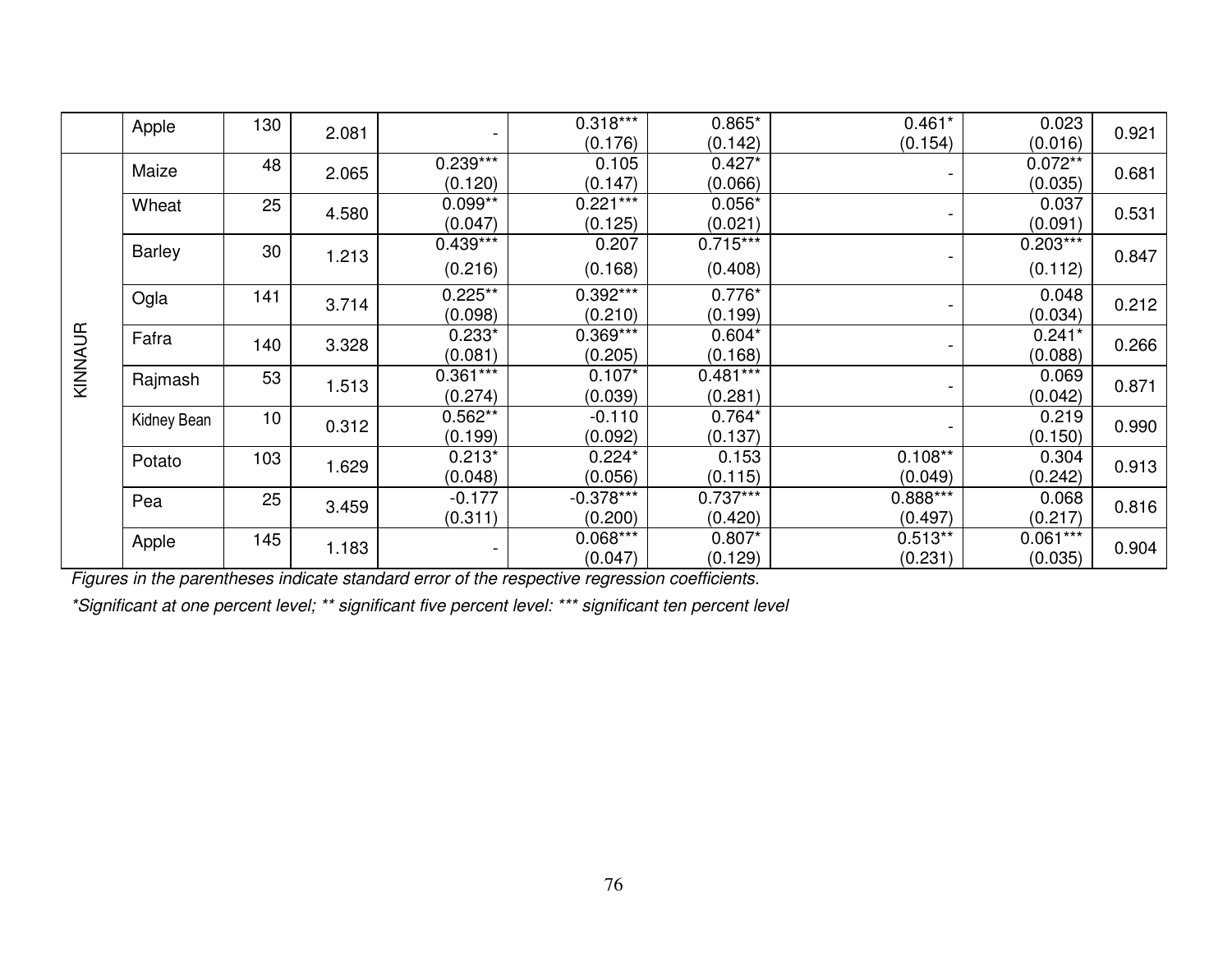|         | Apple         | 130 |       |            | $0.318***$  | $0.865*$   | $0.461*$                 | 0.023      |       |
|---------|---------------|-----|-------|------------|-------------|------------|--------------------------|------------|-------|
|         |               |     | 2.081 |            | (0.176)     | (0.142)    | (0.154)                  | (0.016)    | 0.921 |
|         | Maize         | 48  |       | $0.239***$ | 0.105       | $0.427*$   |                          | $0.072**$  | 0.681 |
|         |               |     | 2.065 | (0.120)    | (0.147)     | (0.066)    | $\blacksquare$           | (0.035)    |       |
|         | Wheat         | 25  | 4.580 | $0.099**$  | $0.221***$  | $0.056*$   |                          | 0.037      | 0.531 |
|         |               |     |       | (0.047)    | (0.125)     | (0.021)    | $\overline{\phantom{a}}$ | (0.091)    |       |
|         | <b>Barley</b> | 30  |       | $0.439***$ | 0.207       | $0.715***$ |                          | $0.203***$ |       |
|         |               |     | 1.213 | (0.216)    | (0.168)     | (0.408)    |                          | (0.112)    | 0.847 |
|         | Ogla          | 141 |       | $0.225**$  | $0.392***$  | $0.776*$   |                          | 0.048      |       |
|         |               |     | 3.714 | (0.098)    | (0.210)     | (0.199)    | $\blacksquare$           | (0.034)    | 0.212 |
|         | Fafra         | 140 | 3.328 | $0.233*$   | $0.369***$  | $0.604*$   |                          | $0.241*$   | 0.266 |
|         |               |     |       | (0.081)    | (0.205)     | (0.168)    | $\blacksquare$           | (0.088)    |       |
| KINNAUR | Rajmash       | 53  | 1.513 | $0.361***$ | $0.107*$    | $0.481***$ |                          | 0.069      | 0.871 |
|         |               |     |       | (0.274)    | (0.039)     | (0.281)    | -                        | (0.042)    |       |
|         | Kidney Bean   | 10  | 0.312 | $0.562**$  | $-0.110$    | $0.764*$   |                          | 0.219      | 0.990 |
|         |               |     |       | (0.199)    | (0.092)     | (0.137)    |                          | (0.150)    |       |
|         | Potato        | 103 | 1.629 | $0.213*$   | $0.224*$    | 0.153      | $0.108**$                | 0.304      | 0.913 |
|         |               |     |       | (0.048)    | (0.056)     | (0.115)    | (0.049)                  | (0.242)    |       |
|         | Pea           | 25  | 3.459 | $-0.177$   | $-0.378***$ | $0.737***$ | $0.888***$               | 0.068      | 0.816 |
|         |               |     |       | (0.311)    | (0.200)     | (0.420)    | (0.497)                  | (0.217)    |       |
|         | Apple         | 145 | 1.183 |            | $0.068***$  | $0.807*$   | $0.513**$                | $0.061***$ | 0.904 |
|         |               |     |       |            | (0.047)     | (0.129)    | (0.231)                  | (0.035)    |       |

*Figures in the parentheses indicate standard error of the respective regression coefficients.* 

*\*Significant at one percent level; \*\* significant five percent level: \*\*\* significant ten percent level*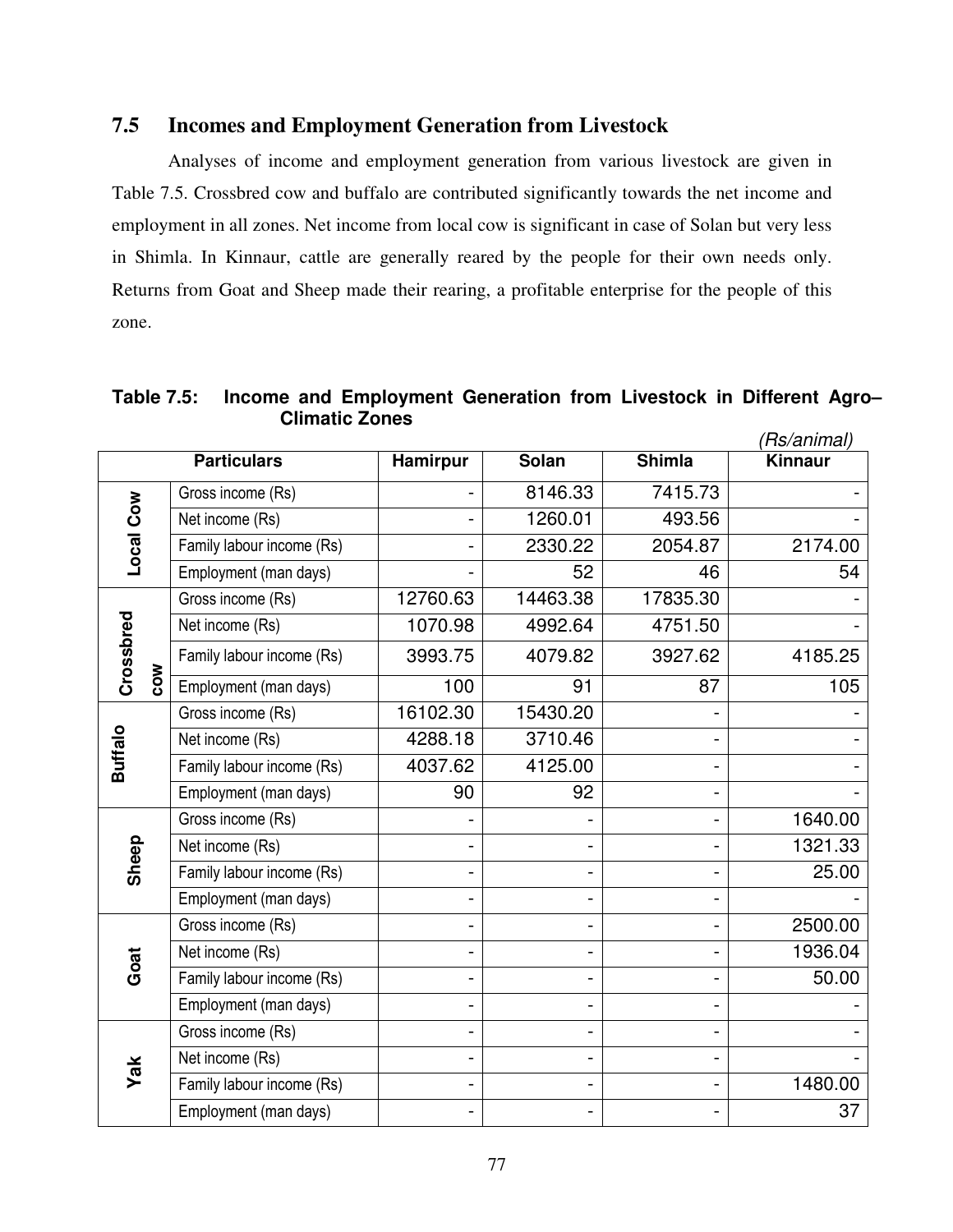### **7.5 Incomes and Employment Generation from Livestock**

 Analyses of income and employment generation from various livestock are given in Table 7.5. Crossbred cow and buffalo are contributed significantly towards the net income and employment in all zones. Net income from local cow is significant in case of Solan but very less in Shimla. In Kinnaur, cattle are generally reared by the people for their own needs only. Returns from Goat and Sheep made their rearing, a profitable enterprise for the people of this zone.

**Table 7.5: Income and Employment Generation from Livestock in Different Agro– Climatic Zones**

|                |                           |                              |          |               | 'Rs/animal)    |
|----------------|---------------------------|------------------------------|----------|---------------|----------------|
|                | <b>Particulars</b>        | <b>Hamirpur</b>              | Solan    | <b>Shimla</b> | <b>Kinnaur</b> |
|                | Gross income (Rs)         |                              | 8146.33  | 7415.73       |                |
|                | Net income (Rs)           | $\overline{\phantom{0}}$     | 1260.01  | 493.56        |                |
| Local Cow      | Family labour income (Rs) |                              | 2330.22  | 2054.87       | 2174.00        |
|                | Employment (man days)     |                              | 52       | 46            | 54             |
|                | Gross income (Rs)         | 12760.63                     | 14463.38 | 17835.30      |                |
|                | Net income (Rs)           | 1070.98                      | 4992.64  | 4751.50       |                |
| Crossbred      | Family labour income (Rs) | 3993.75                      | 4079.82  | 3927.62       | 4185.25        |
| <b>NO2</b>     | Employment (man days)     | 100                          | 91       | 87            | 105            |
|                | Gross income (Rs)         | 16102.30                     | 15430.20 |               |                |
|                | Net income (Rs)           | 4288.18                      | 3710.46  |               |                |
| <b>Buffalo</b> | Family labour income (Rs) | 4037.62                      | 4125.00  |               |                |
|                | Employment (man days)     | 90                           | 92       |               |                |
|                | Gross income (Rs)         |                              |          |               | 1640.00        |
| Sheep          | Net income (Rs)           |                              |          |               | 1321.33        |
|                | Family labour income (Rs) | $\blacksquare$               |          |               | 25.00          |
|                | Employment (man days)     | $\qquad \qquad \blacksquare$ |          |               |                |
|                | Gross income (Rs)         |                              |          |               | 2500.00        |
| Goat           | Net income (Rs)           | $\overline{\phantom{0}}$     |          |               | 1936.04        |
|                | Family labour income (Rs) | $\overline{\phantom{0}}$     |          |               | 50.00          |
|                | Employment (man days)     | $\overline{\phantom{0}}$     |          |               |                |
|                | Gross income (Rs)         | $\blacksquare$               |          |               |                |
|                | Net income (Rs)           | $\blacksquare$               |          |               |                |
| Yak            | Family labour income (Rs) | $\qquad \qquad \blacksquare$ |          |               | 1480.00        |
|                | Employment (man days)     |                              |          |               | 37             |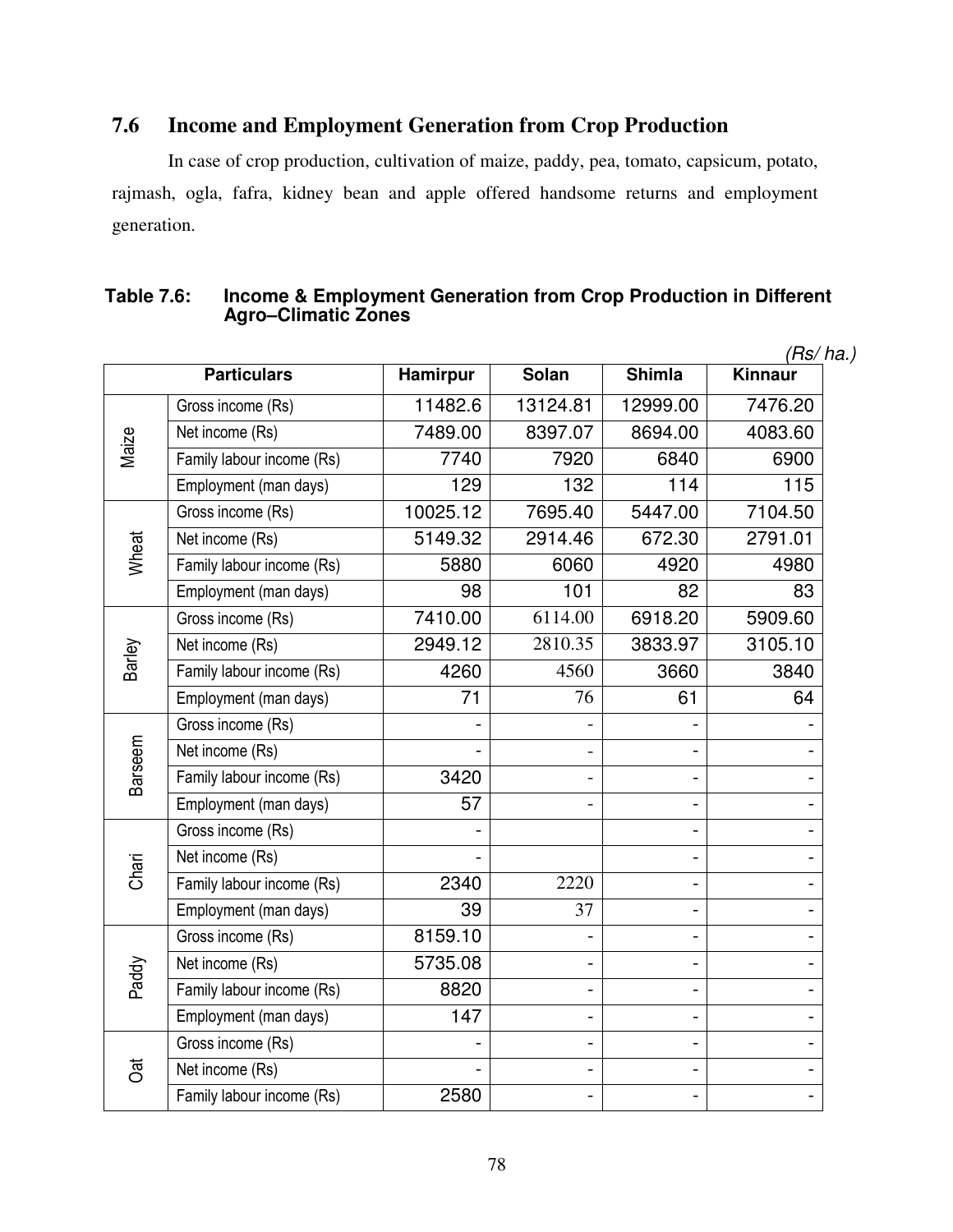# **7.6 Income and Employment Generation from Crop Production**

 In case of crop production, cultivation of maize, paddy, pea, tomato, capsicum, potato, rajmash, ogla, fafra, kidney bean and apple offered handsome returns and employment generation.

#### **Table 7.6: Income & Employment Generation from Crop Production in Different Agro–Climatic Zones**

|         |                           |                 |                              |                          | (Rs/ ha.) |
|---------|---------------------------|-----------------|------------------------------|--------------------------|-----------|
|         | <b>Particulars</b>        | <b>Hamirpur</b> | <b>Solan</b>                 | <b>Shimla</b>            | Kinnaur   |
|         | Gross income (Rs)         | 11482.6         | 13124.81                     | 12999.00                 | 7476.20   |
|         | Net income (Rs)           | 7489.00         | 8397.07                      | 8694.00                  | 4083.60   |
| Maize   | Family labour income (Rs) | 7740            | 7920                         | 6840                     | 6900      |
|         | Employment (man days)     | 129             | 132                          | 114                      | 115       |
|         | Gross income (Rs)         | 10025.12        | 7695.40                      | 5447.00                  | 7104.50   |
| Wheat   | Net income (Rs)           | 5149.32         | 2914.46                      | 672.30                   | 2791.01   |
|         | Family labour income (Rs) | 5880            | 6060                         | 4920                     | 4980      |
|         | Employment (man days)     | 98              | 101                          | 82                       | 83        |
|         | Gross income (Rs)         | 7410.00         | 6114.00                      | 6918.20                  | 5909.60   |
|         | Net income (Rs)           | 2949.12         | 2810.35                      | 3833.97                  | 3105.10   |
| Barley  | Family labour income (Rs) | 4260            | 4560                         | 3660                     | 3840      |
|         | Employment (man days)     | 71              | 76                           | 61                       | 64        |
|         | Gross income (Rs)         |                 |                              |                          |           |
| Barseem | Net income (Rs)           |                 | $\overline{a}$               |                          |           |
|         | Family labour income (Rs) | 3420            | $\overline{a}$               |                          |           |
|         | Employment (man days)     | 57              | $\overline{\phantom{0}}$     | $\blacksquare$           |           |
|         | Gross income (Rs)         |                 |                              |                          |           |
| Chari   | Net income (Rs)           |                 |                              | $\blacksquare$           |           |
|         | Family labour income (Rs) | 2340            | 2220                         | $\blacksquare$           |           |
|         | Employment (man days)     | 39              | 37                           |                          |           |
|         | Gross income (Rs)         | 8159.10         |                              |                          |           |
|         | Net income (Rs)           | 5735.08         | $\qquad \qquad \blacksquare$ | $\blacksquare$           |           |
| Paddy   | Family labour income (Rs) | 8820            | $\qquad \qquad \blacksquare$ |                          |           |
|         | Employment (man days)     | 147             | $\blacksquare$               | $\overline{\phantom{a}}$ |           |
|         | Gross income (Rs)         |                 | $\frac{1}{2}$                |                          |           |
| Jat     | Net income (Rs)           |                 | $\qquad \qquad \blacksquare$ | $\blacksquare$           |           |
|         | Family labour income (Rs) | 2580            | $\blacksquare$               |                          |           |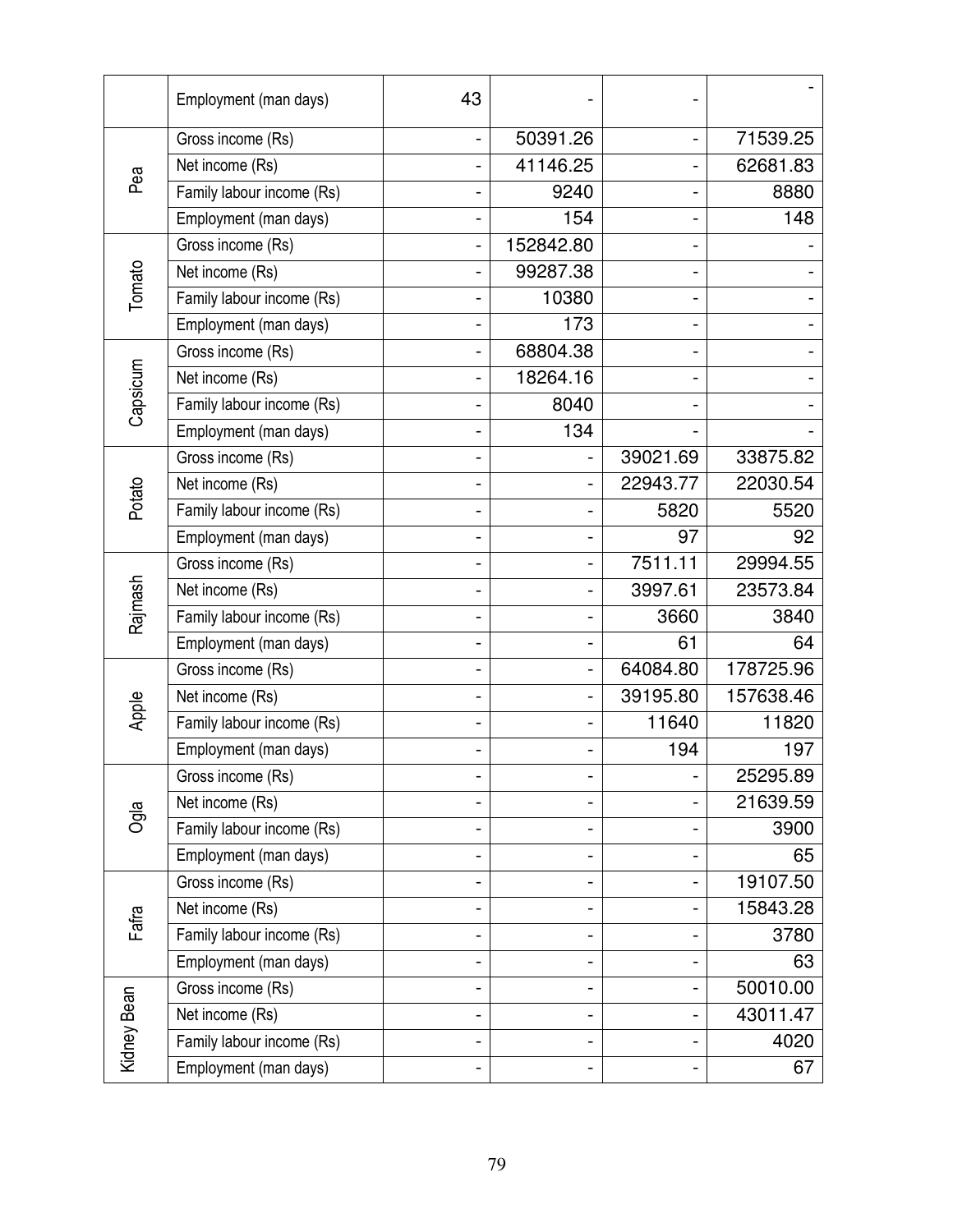|             | Employment (man days)     | 43 |                              |          |           |
|-------------|---------------------------|----|------------------------------|----------|-----------|
|             | Gross income (Rs)         |    | 50391.26                     |          | 71539.25  |
| Pea         | Net income (Rs)           |    | 41146.25                     |          | 62681.83  |
|             | Family labour income (Rs) |    | 9240                         |          | 8880      |
|             | Employment (man days)     |    | 154                          |          | 148       |
|             | Gross income (Rs)         |    | 152842.80                    |          |           |
| Tomato      | Net income (Rs)           |    | 99287.38                     |          |           |
|             | Family labour income (Rs) |    | 10380                        |          |           |
|             | Employment (man days)     |    | 173                          |          |           |
|             | Gross income (Rs)         |    | 68804.38                     |          |           |
|             | Net income (Rs)           |    | 18264.16                     |          |           |
| Capsicum    | Family labour income (Rs) |    | 8040                         |          |           |
|             | Employment (man days)     |    | 134                          |          |           |
|             | Gross income (Rs)         |    |                              | 39021.69 | 33875.82  |
| Potato      | Net income (Rs)           |    |                              | 22943.77 | 22030.54  |
|             | Family labour income (Rs) |    |                              | 5820     | 5520      |
|             | Employment (man days)     |    | -                            | 97       | 92        |
|             | Gross income (Rs)         |    |                              | 7511.11  | 29994.55  |
|             | Net income (Rs)           |    |                              | 3997.61  | 23573.84  |
| Rajmash     | Family labour income (Rs) |    |                              | 3660     | 3840      |
|             | Employment (man days)     |    |                              | 61       | 64        |
|             | Gross income (Rs)         |    | $\qquad \qquad \blacksquare$ | 64084.80 | 178725.96 |
| Apple       | Net income (Rs)           |    | $\overline{\phantom{0}}$     | 39195.80 | 157638.46 |
|             | Family labour income (Rs) |    |                              | 11640    | 11820     |
|             | Employment (man days)     |    |                              | 194      | 197       |
|             | Gross income (Rs)         |    |                              |          | 25295.89  |
| Ogla        | Net income (Rs)           |    |                              |          | 21639.59  |
|             | Family labour income (Rs) |    |                              |          | 3900      |
|             | Employment (man days)     |    |                              |          | 65        |
|             | Gross income (Rs)         |    | $\overline{\phantom{0}}$     |          | 19107.50  |
| Fafra       | Net income (Rs)           |    |                              |          | 15843.28  |
|             | Family labour income (Rs) |    |                              |          | 3780      |
|             | Employment (man days)     |    |                              |          | 63        |
|             | Gross income (Rs)         |    |                              |          | 50010.00  |
|             | Net income (Rs)           |    |                              |          | 43011.47  |
| Kidney Bean | Family labour income (Rs) |    |                              |          | 4020      |
|             | Employment (man days)     |    |                              |          | 67        |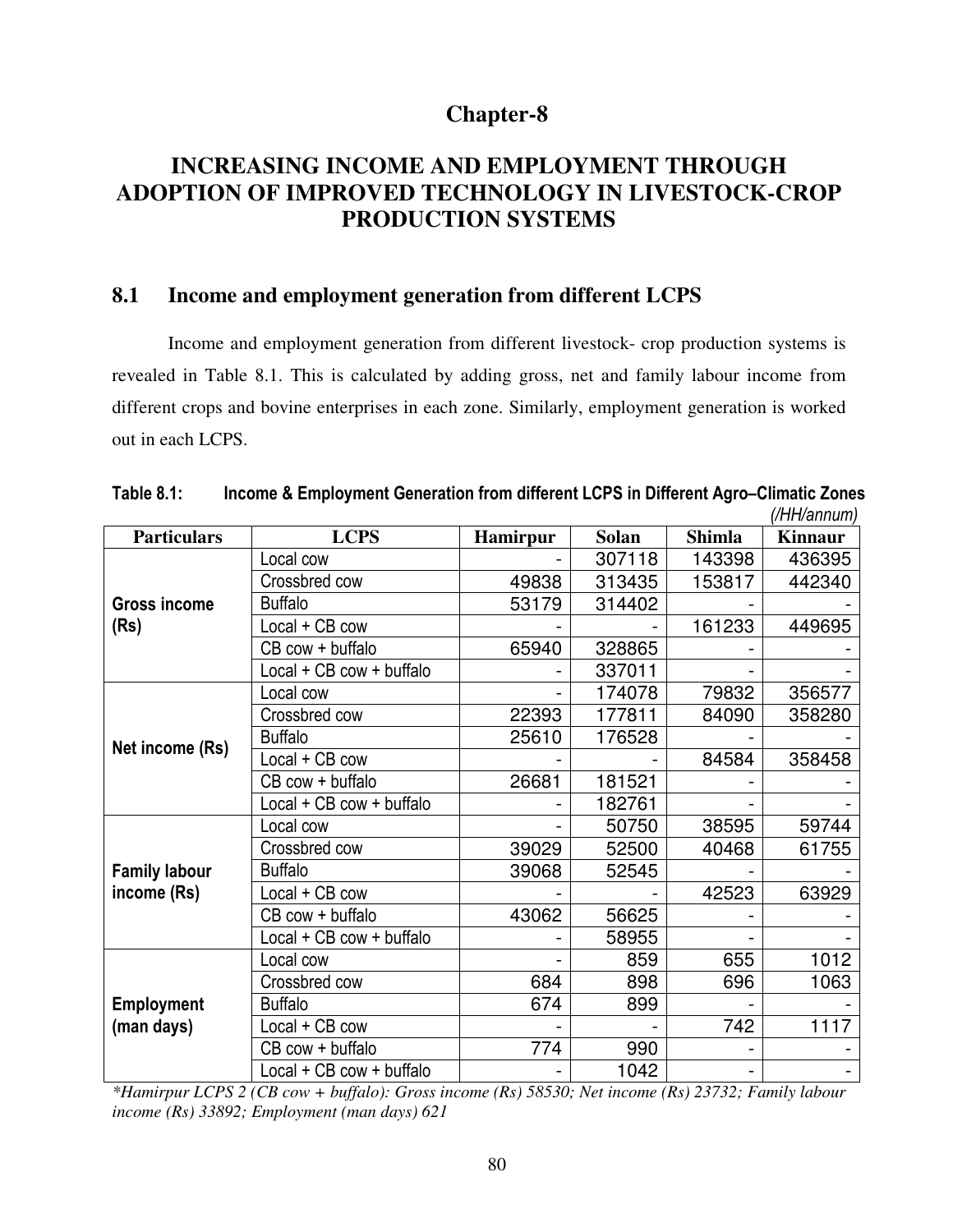# **Chapter-8**

# **INCREASING INCOME AND EMPLOYMENT THROUGH ADOPTION OF IMPROVED TECHNOLOGY IN LIVESTOCK-CROP PRODUCTION SYSTEMS**

### **8.1 Income and employment generation from different LCPS**

Income and employment generation from different livestock- crop production systems is revealed in Table 8.1. This is calculated by adding gross, net and family labour income from different crops and bovine enterprises in each zone. Similarly, employment generation is worked out in each LCPS.

|                      |                          |                 |              |               | (/fifi/annum)  |
|----------------------|--------------------------|-----------------|--------------|---------------|----------------|
| <b>Particulars</b>   | <b>LCPS</b>              | <b>Hamirpur</b> | <b>Solan</b> | <b>Shimla</b> | <b>Kinnaur</b> |
|                      | Local cow                |                 | 307118       | 143398        | 436395         |
|                      | Crossbred cow            | 49838           | 313435       | 153817        | 442340         |
| <b>Gross income</b>  | <b>Buffalo</b>           | 53179           | 314402       |               |                |
| (Rs)                 | Local + CB cow           |                 |              | 161233        | 449695         |
|                      | CB cow + buffalo         | 65940           | 328865       |               |                |
|                      | Local + CB cow + buffalo |                 | 337011       |               |                |
|                      | Local cow                |                 | 174078       | 79832         | 356577         |
|                      | Crossbred cow            | 22393           | 177811       | 84090         | 358280         |
|                      | <b>Buffalo</b>           | 25610           | 176528       |               |                |
| Net income (Rs)      | Local + CB cow           |                 |              | 84584         | 358458         |
|                      | CB cow + buffalo         | 26681           | 181521       |               |                |
|                      | Local + CB cow + buffalo |                 | 182761       |               |                |
|                      | Local cow                |                 | 50750        | 38595         | 59744          |
|                      | Crossbred cow            | 39029           | 52500        | 40468         | 61755          |
| <b>Family labour</b> | <b>Buffalo</b>           | 39068           | 52545        |               |                |
| income (Rs)          | Local + CB cow           |                 |              | 42523         | 63929          |
|                      | CB cow + buffalo         | 43062           | 56625        |               |                |
|                      | Local + CB cow + buffalo |                 | 58955        |               |                |
|                      | Local cow                |                 | 859          | 655           | 1012           |
|                      | Crossbred cow            | 684             | 898          | 696           | 1063           |
| <b>Employment</b>    | <b>Buffalo</b>           | 674             | 899          |               |                |
| (man days)           | Local + CB cow           |                 |              | 742           | 1117           |
|                      | CB cow + buffalo         | 774             | 990          |               |                |
|                      | Local + CB cow + buffalo |                 | 1042         |               |                |

| Table 8.1: | Income & Employment Generation from different LCPS in Different Agro-Climatic Zones |  |                |
|------------|-------------------------------------------------------------------------------------|--|----------------|
|            |                                                                                     |  | $(III \sim 1)$ |

*\*Hamirpur LCPS 2 (CB cow + buffalo): Gross income (Rs) 58530; Net income (Rs) 23732; Family labour income (Rs) 33892; Employment (man days) 621*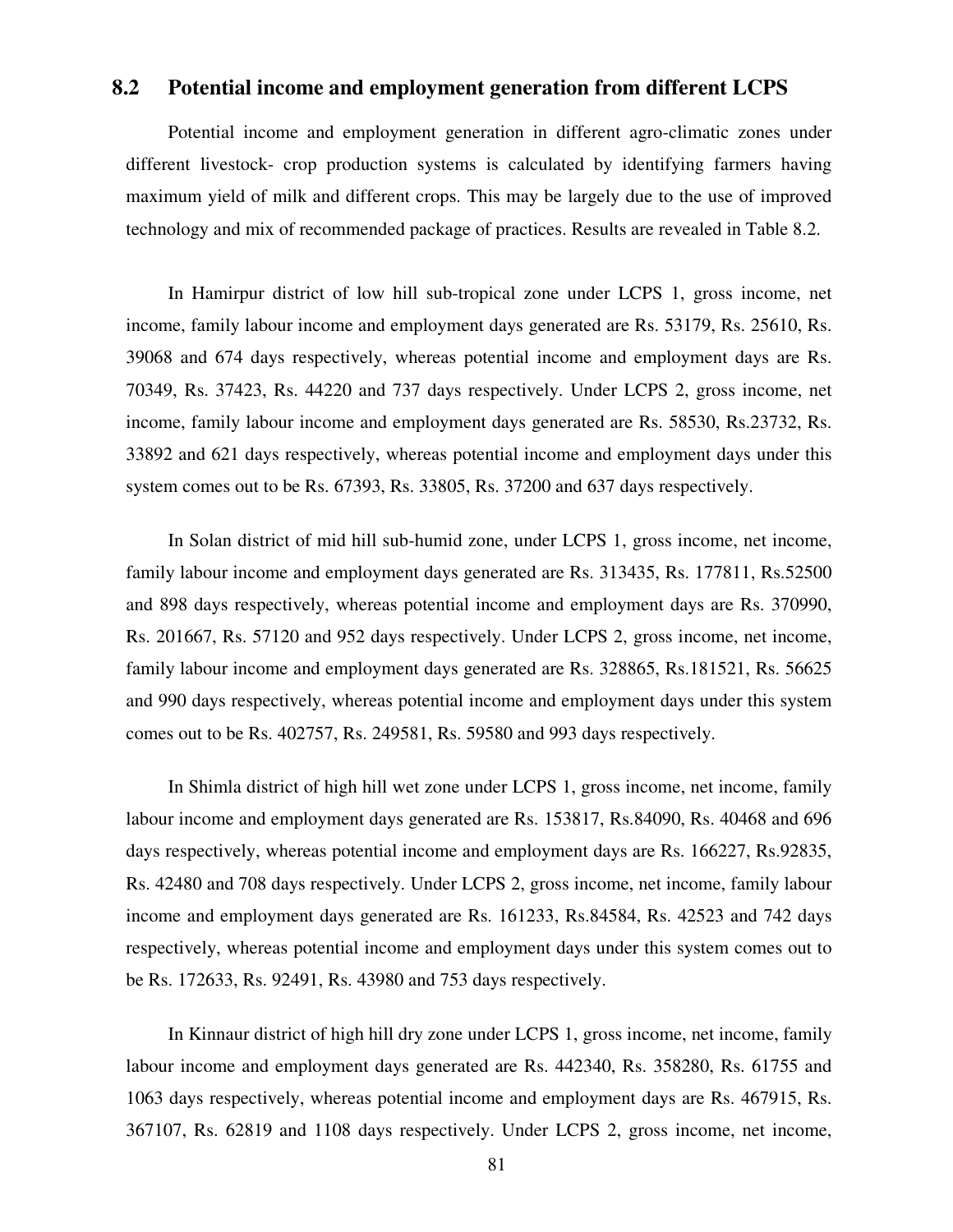#### **8.2 Potential income and employment generation from different LCPS**

 Potential income and employment generation in different agro-climatic zones under different livestock- crop production systems is calculated by identifying farmers having maximum yield of milk and different crops. This may be largely due to the use of improved technology and mix of recommended package of practices. Results are revealed in Table 8.2.

 In Hamirpur district of low hill sub-tropical zone under LCPS 1, gross income, net income, family labour income and employment days generated are Rs. 53179, Rs. 25610, Rs. 39068 and 674 days respectively, whereas potential income and employment days are Rs. 70349, Rs. 37423, Rs. 44220 and 737 days respectively. Under LCPS 2, gross income, net income, family labour income and employment days generated are Rs. 58530, Rs.23732, Rs. 33892 and 621 days respectively, whereas potential income and employment days under this system comes out to be Rs. 67393, Rs. 33805, Rs. 37200 and 637 days respectively.

In Solan district of mid hill sub-humid zone, under LCPS 1, gross income, net income, family labour income and employment days generated are Rs. 313435, Rs. 177811, Rs.52500 and 898 days respectively, whereas potential income and employment days are Rs. 370990, Rs. 201667, Rs. 57120 and 952 days respectively. Under LCPS 2, gross income, net income, family labour income and employment days generated are Rs. 328865, Rs.181521, Rs. 56625 and 990 days respectively, whereas potential income and employment days under this system comes out to be Rs. 402757, Rs. 249581, Rs. 59580 and 993 days respectively.

 In Shimla district of high hill wet zone under LCPS 1, gross income, net income, family labour income and employment days generated are Rs. 153817, Rs.84090, Rs. 40468 and 696 days respectively, whereas potential income and employment days are Rs. 166227, Rs.92835, Rs. 42480 and 708 days respectively. Under LCPS 2, gross income, net income, family labour income and employment days generated are Rs. 161233, Rs.84584, Rs. 42523 and 742 days respectively, whereas potential income and employment days under this system comes out to be Rs. 172633, Rs. 92491, Rs. 43980 and 753 days respectively.

 In Kinnaur district of high hill dry zone under LCPS 1, gross income, net income, family labour income and employment days generated are Rs. 442340, Rs. 358280, Rs. 61755 and 1063 days respectively, whereas potential income and employment days are Rs. 467915, Rs. 367107, Rs. 62819 and 1108 days respectively. Under LCPS 2, gross income, net income,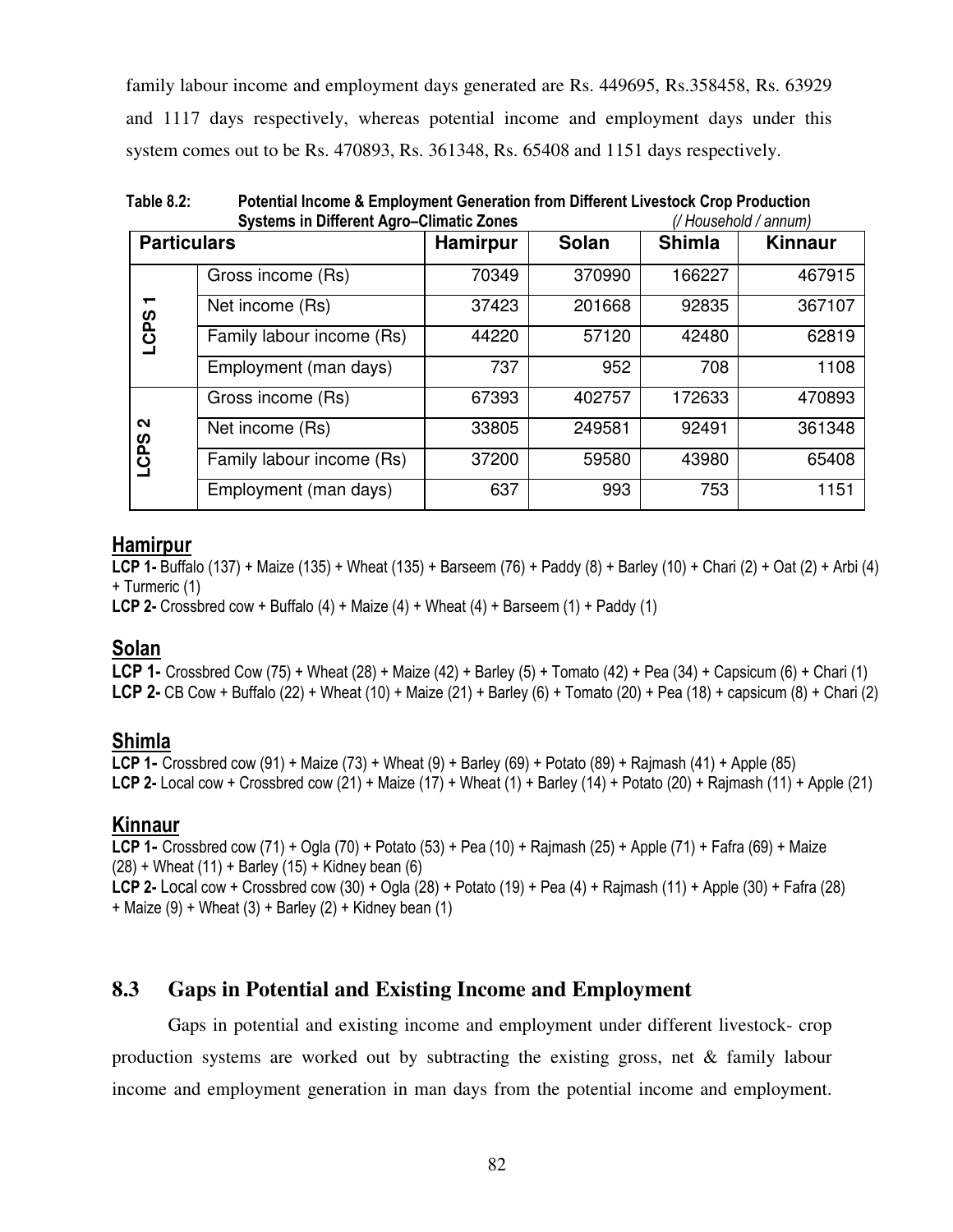family labour income and employment days generated are Rs. 449695, Rs.358458, Rs. 63929 and 1117 days respectively, whereas potential income and employment days under this system comes out to be Rs. 470893, Rs. 361348, Rs. 65408 and 1151 days respectively.

**Table 8.2: Potential Income & Employment Generation from Different Livestock Crop Production Systems in Different Agro–Climatic Zones** *(/ Household / annum)*

|                    | <b>Protonio in Billorum</b> Agro Chinatio Editor |                 |        | $\mu$ , roughlord , annumi |                |  |
|--------------------|--------------------------------------------------|-----------------|--------|----------------------------|----------------|--|
| <b>Particulars</b> |                                                  | <b>Hamirpur</b> | Solan  | <b>Shimla</b>              | <b>Kinnaur</b> |  |
|                    | Gross income (Rs)                                | 70349           | 370990 | 166227                     | 467915         |  |
| ┯                  | Net income (Rs)                                  | 37423           | 201668 | 92835                      | 367107         |  |
| <b>LCPS</b>        | Family labour income (Rs)                        | 44220           | 57120  | 42480                      | 62819          |  |
|                    | Employment (man days)                            | 737             | 952    | 708                        | 1108           |  |
|                    | Gross income (Rs)                                | 67393           | 402757 | 172633                     | 470893         |  |
| $\sim$<br>တ္       | Net income (Rs)                                  | 33805           | 249581 | 92491                      | 361348         |  |
| ପ୍                 | Family labour income (Rs)                        | 37200           | 59580  | 43980                      | 65408          |  |
|                    | Employment (man days)                            | 637             | 993    | 753                        | 1151           |  |

### **Hamirpur**

**LCP 1-** Buffalo (137) + Maize (135) + Wheat (135) + Barseem (76) + Paddy (8) + Barley (10) + Chari (2) + Oat (2) + Arbi (4) + Turmeric (1)

**LCP 2-** Crossbred cow + Buffalo (4) + Maize (4) + Wheat (4) + Barseem (1) + Paddy (1)

# **Solan**

**LCP 1-** Crossbred Cow (75) + Wheat (28) + Maize (42) + Barley (5) + Tomato (42) + Pea (34) + Capsicum (6) + Chari (1) **LCP 2-** CB Cow + Buffalo (22) + Wheat (10) + Maize (21) + Barley (6) + Tomato (20) + Pea (18) + capsicum (8) + Chari (2)

### **Shimla**

**LCP 1-** Crossbred cow (91) + Maize (73) + Wheat (9) + Barley (69) + Potato (89) + Rajmash (41) + Apple (85) **LCP 2-** Local cow + Crossbred cow (21) + Maize (17) + Wheat (1) + Barley (14) + Potato (20) + Rajmash (11) + Apple (21)

### **Kinnaur**

**LCP 1-** Crossbred cow (71) + Ogla (70) + Potato (53) + Pea (10) + Rajmash (25) + Apple (71) + Fafra (69) + Maize  $(28)$  + Wheat  $(11)$  + Barley  $(15)$  + Kidney bean  $(6)$ **LCP 2-** Local cow + Crossbred cow (30) + Ogla (28) + Potato (19) + Pea (4) + Rajmash (11) + Apple (30) + Fafra (28)  $+$  Maize (9)  $+$  Wheat (3)  $+$  Barley (2)  $+$  Kidney bean (1)

# **8.3 Gaps in Potential and Existing Income and Employment**

 Gaps in potential and existing income and employment under different livestock- crop production systems are worked out by subtracting the existing gross, net & family labour income and employment generation in man days from the potential income and employment.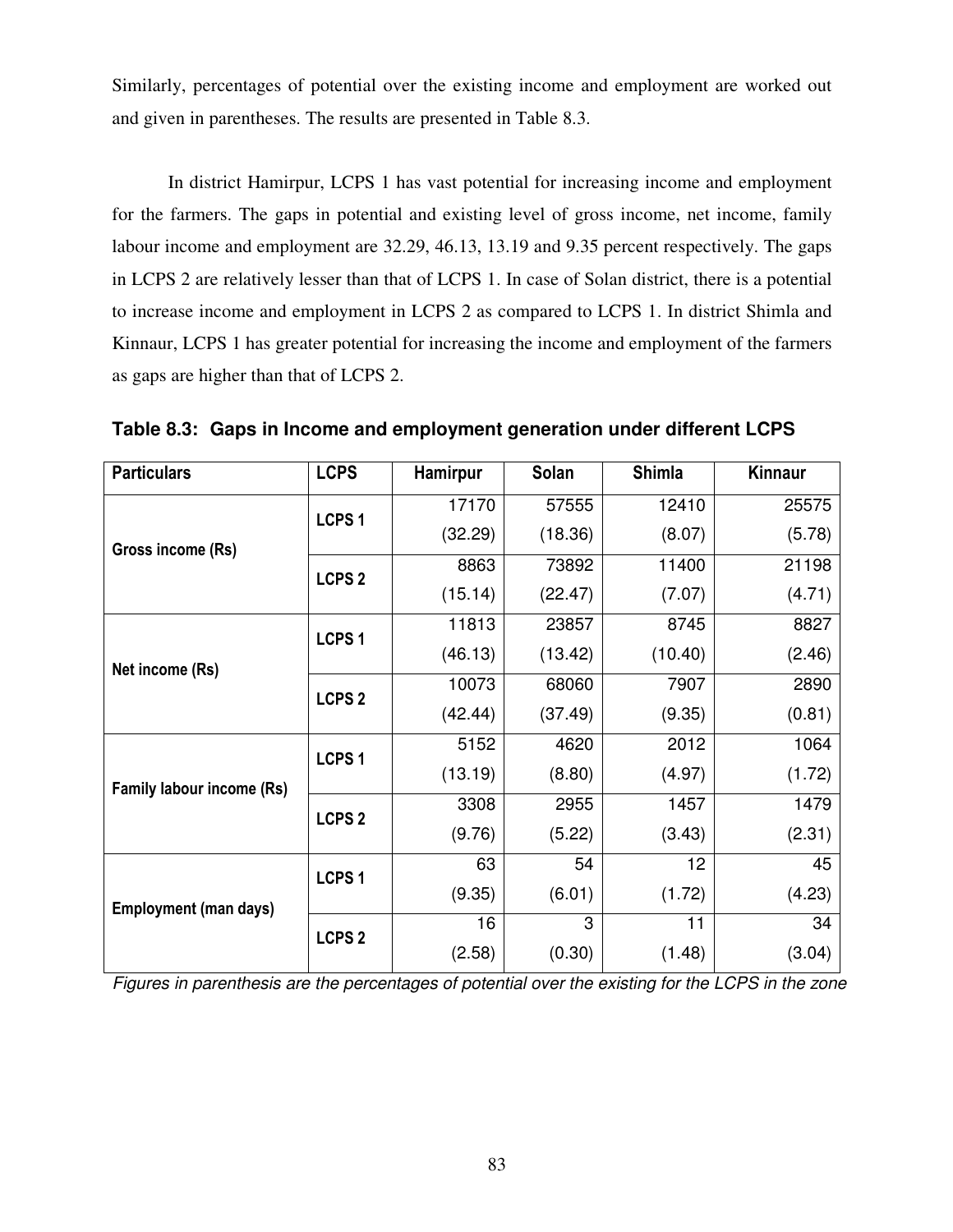Similarly, percentages of potential over the existing income and employment are worked out and given in parentheses. The results are presented in Table 8.3.

 In district Hamirpur, LCPS 1 has vast potential for increasing income and employment for the farmers. The gaps in potential and existing level of gross income, net income, family labour income and employment are 32.29, 46.13, 13.19 and 9.35 percent respectively. The gaps in LCPS 2 are relatively lesser than that of LCPS 1. In case of Solan district, there is a potential to increase income and employment in LCPS 2 as compared to LCPS 1. In district Shimla and Kinnaur, LCPS 1 has greater potential for increasing the income and employment of the farmers as gaps are higher than that of LCPS 2.

| <b>Particulars</b>           | <b>LCPS</b>       | <b>Hamirpur</b> | Solan   | <b>Shimla</b> | <b>Kinnaur</b> |
|------------------------------|-------------------|-----------------|---------|---------------|----------------|
|                              | LCPS <sub>1</sub> | 17170           | 57555   | 12410         | 25575          |
| Gross income (Rs)            |                   | (32.29)         | (18.36) | (8.07)        | (5.78)         |
|                              | <b>LCPS 2</b>     | 8863            | 73892   | 11400         | 21198          |
|                              |                   | (15.14)         | (22.47) | (7.07)        | (4.71)         |
|                              | LCPS <sub>1</sub> | 11813           | 23857   | 8745          | 8827           |
| Net income (Rs)              |                   | (46.13)         | (13.42) | (10.40)       | (2.46)         |
|                              | <b>LCPS 2</b>     | 10073           | 68060   | 7907          | 2890           |
|                              |                   | (42.44)         | (37.49) | (9.35)        | (0.81)         |
|                              | <b>LCPS1</b>      | 5152            | 4620    | 2012          | 1064           |
| Family labour income (Rs)    |                   | (13.19)         | (8.80)  | (4.97)        | (1.72)         |
|                              | <b>LCPS 2</b>     | 3308            | 2955    | 1457          | 1479           |
|                              |                   | (9.76)          | (5.22)  | (3.43)        | (2.31)         |
|                              | <b>LCPS1</b>      | 63              | 54      | 12            | 45             |
| <b>Employment (man days)</b> |                   | (9.35)          | (6.01)  | (1.72)        | (4.23)         |
|                              |                   | 16              | 3       | 11            | 34             |
|                              | <b>LCPS 2</b>     | (2.58)          | (0.30)  | (1.48)        | (3.04)         |

**Table 8.3: Gaps in Income and employment generation under different LCPS** 

*Figures in parenthesis are the percentages of potential over the existing for the LCPS in the zone*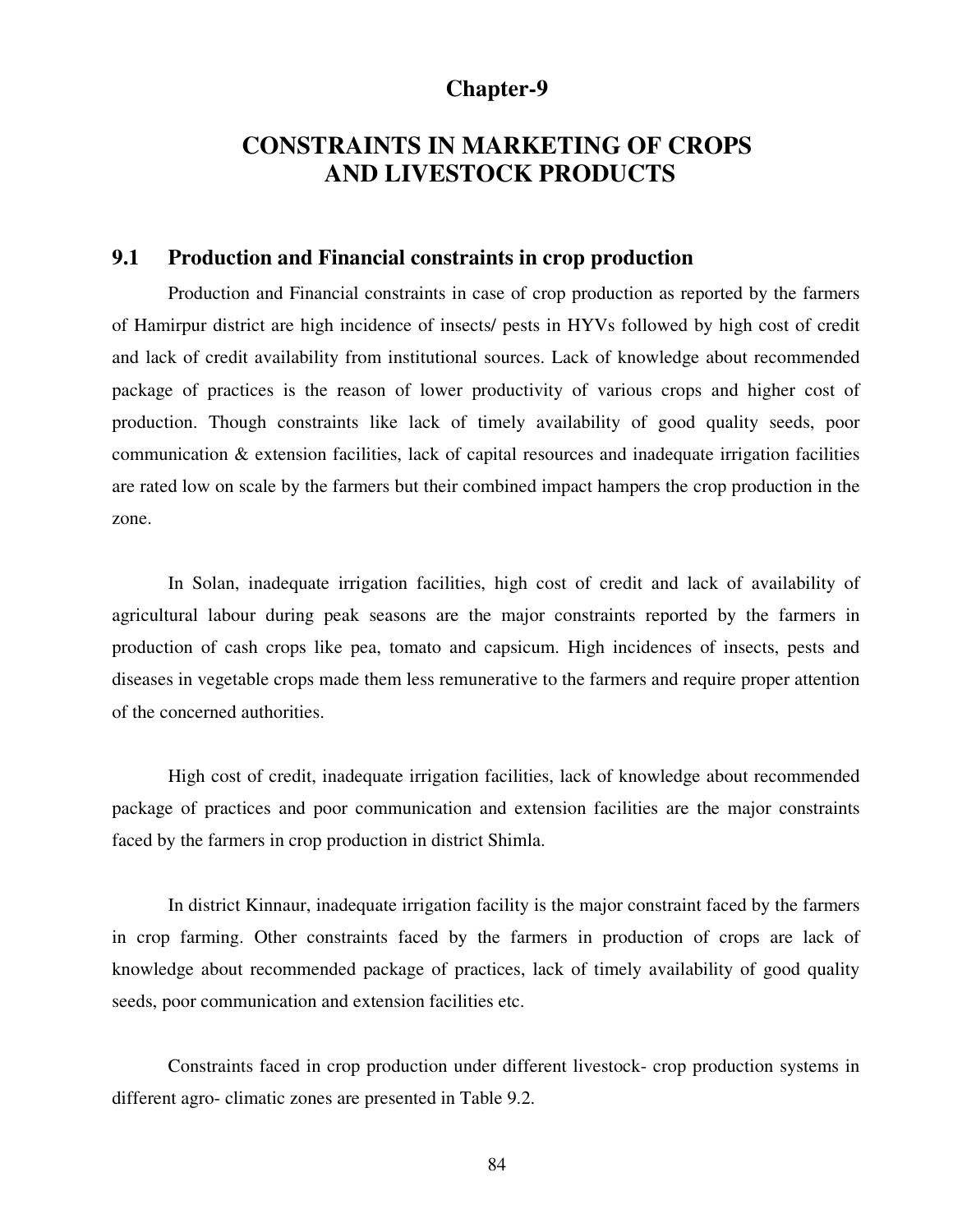### **Chapter-9**

# **CONSTRAINTS IN MARKETING OF CROPS AND LIVESTOCK PRODUCTS**

#### **9.1 Production and Financial constraints in crop production**

 Production and Financial constraints in case of crop production as reported by the farmers of Hamirpur district are high incidence of insects/ pests in HYVs followed by high cost of credit and lack of credit availability from institutional sources. Lack of knowledge about recommended package of practices is the reason of lower productivity of various crops and higher cost of production. Though constraints like lack of timely availability of good quality seeds, poor communication & extension facilities, lack of capital resources and inadequate irrigation facilities are rated low on scale by the farmers but their combined impact hampers the crop production in the zone.

 In Solan, inadequate irrigation facilities, high cost of credit and lack of availability of agricultural labour during peak seasons are the major constraints reported by the farmers in production of cash crops like pea, tomato and capsicum. High incidences of insects, pests and diseases in vegetable crops made them less remunerative to the farmers and require proper attention of the concerned authorities.

 High cost of credit, inadequate irrigation facilities, lack of knowledge about recommended package of practices and poor communication and extension facilities are the major constraints faced by the farmers in crop production in district Shimla.

 In district Kinnaur, inadequate irrigation facility is the major constraint faced by the farmers in crop farming. Other constraints faced by the farmers in production of crops are lack of knowledge about recommended package of practices, lack of timely availability of good quality seeds, poor communication and extension facilities etc.

Constraints faced in crop production under different livestock- crop production systems in different agro- climatic zones are presented in Table 9.2.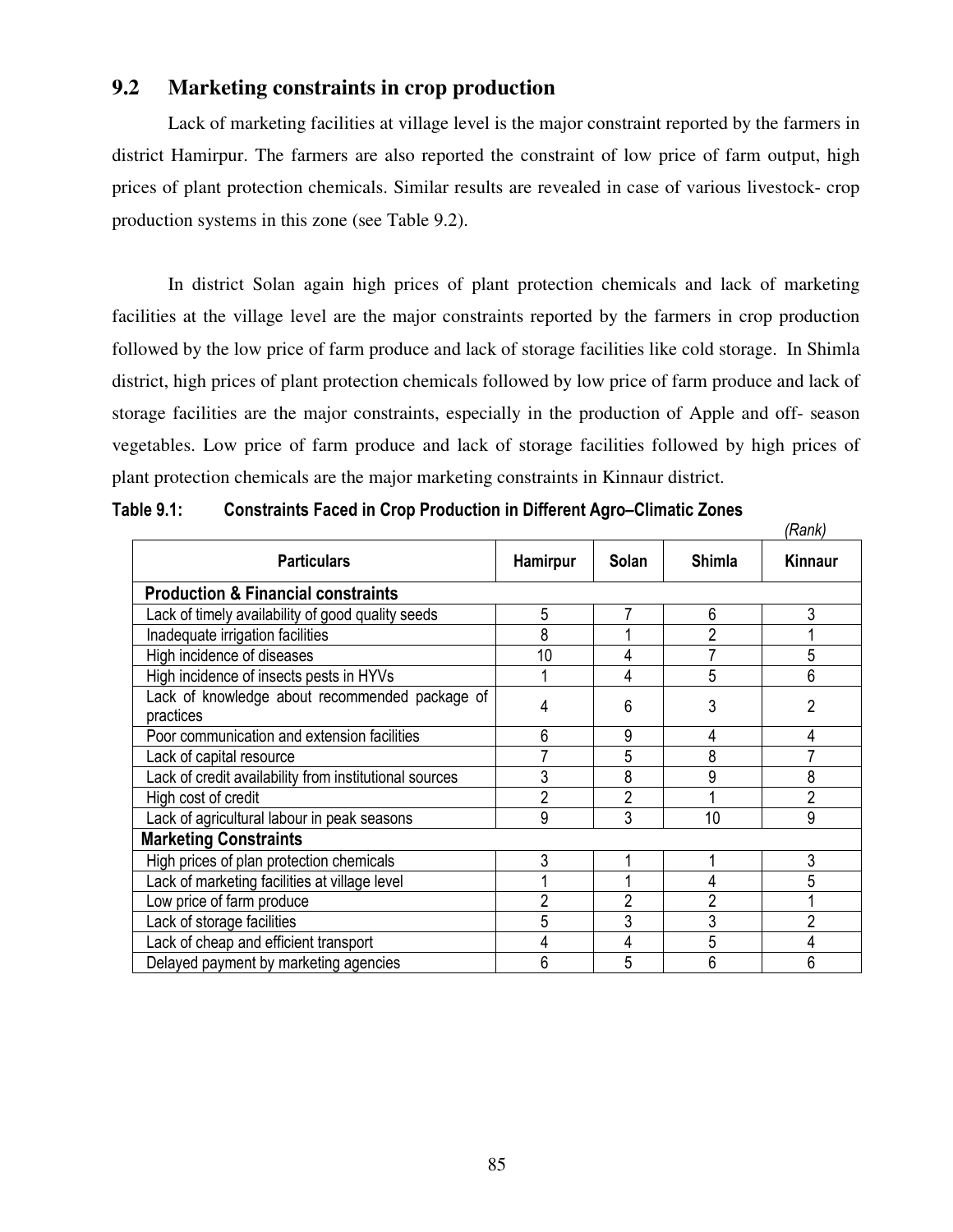### **9.2 Marketing constraints in crop production**

 Lack of marketing facilities at village level is the major constraint reported by the farmers in district Hamirpur. The farmers are also reported the constraint of low price of farm output, high prices of plant protection chemicals. Similar results are revealed in case of various livestock- crop production systems in this zone (see Table 9.2).

 In district Solan again high prices of plant protection chemicals and lack of marketing facilities at the village level are the major constraints reported by the farmers in crop production followed by the low price of farm produce and lack of storage facilities like cold storage. In Shimla district, high prices of plant protection chemicals followed by low price of farm produce and lack of storage facilities are the major constraints, especially in the production of Apple and off- season vegetables. Low price of farm produce and lack of storage facilities followed by high prices of plant protection chemicals are the major marketing constraints in Kinnaur district.

|                                                             |                |                |                | (Rank)         |
|-------------------------------------------------------------|----------------|----------------|----------------|----------------|
| <b>Particulars</b>                                          | Hamirpur       | <b>Solan</b>   | <b>Shimla</b>  | Kinnaur        |
| <b>Production &amp; Financial constraints</b>               |                |                |                |                |
| Lack of timely availability of good quality seeds           | 5              |                | 6              | 3              |
| Inadequate irrigation facilities                            | 8              |                | 2              |                |
| High incidence of diseases                                  | 10             | 4              |                | 5              |
| High incidence of insects pests in HYVs                     |                | 4              | 5              | 6              |
| Lack of knowledge about recommended package of<br>practices | 4              | 6              | 3              | 2              |
| Poor communication and extension facilities                 | 6              | 9              | 4              | 4              |
| Lack of capital resource                                    |                | 5              | 8              |                |
| Lack of credit availability from institutional sources      | 3              | 8              | 9              | 8              |
| High cost of credit                                         | $\overline{2}$ | $\overline{2}$ |                | $\overline{2}$ |
| Lack of agricultural labour in peak seasons                 | 9              | 3              | 10             | 9              |
| <b>Marketing Constraints</b>                                |                |                |                |                |
| High prices of plan protection chemicals                    | 3              |                |                | 3              |
| Lack of marketing facilities at village level               |                |                |                |                |
| Low price of farm produce                                   | 2              | 2              | $\overline{2}$ |                |
| Lack of storage facilities                                  | 5              | 3              | 3              | $\overline{2}$ |
| Lack of cheap and efficient transport                       | 4              | 4              | 5              | 4              |
| Delayed payment by marketing agencies                       | 6              | 5              | 6              | 6              |

**Table 9.1: Constraints Faced in Crop Production in Different Agro–Climatic Zones**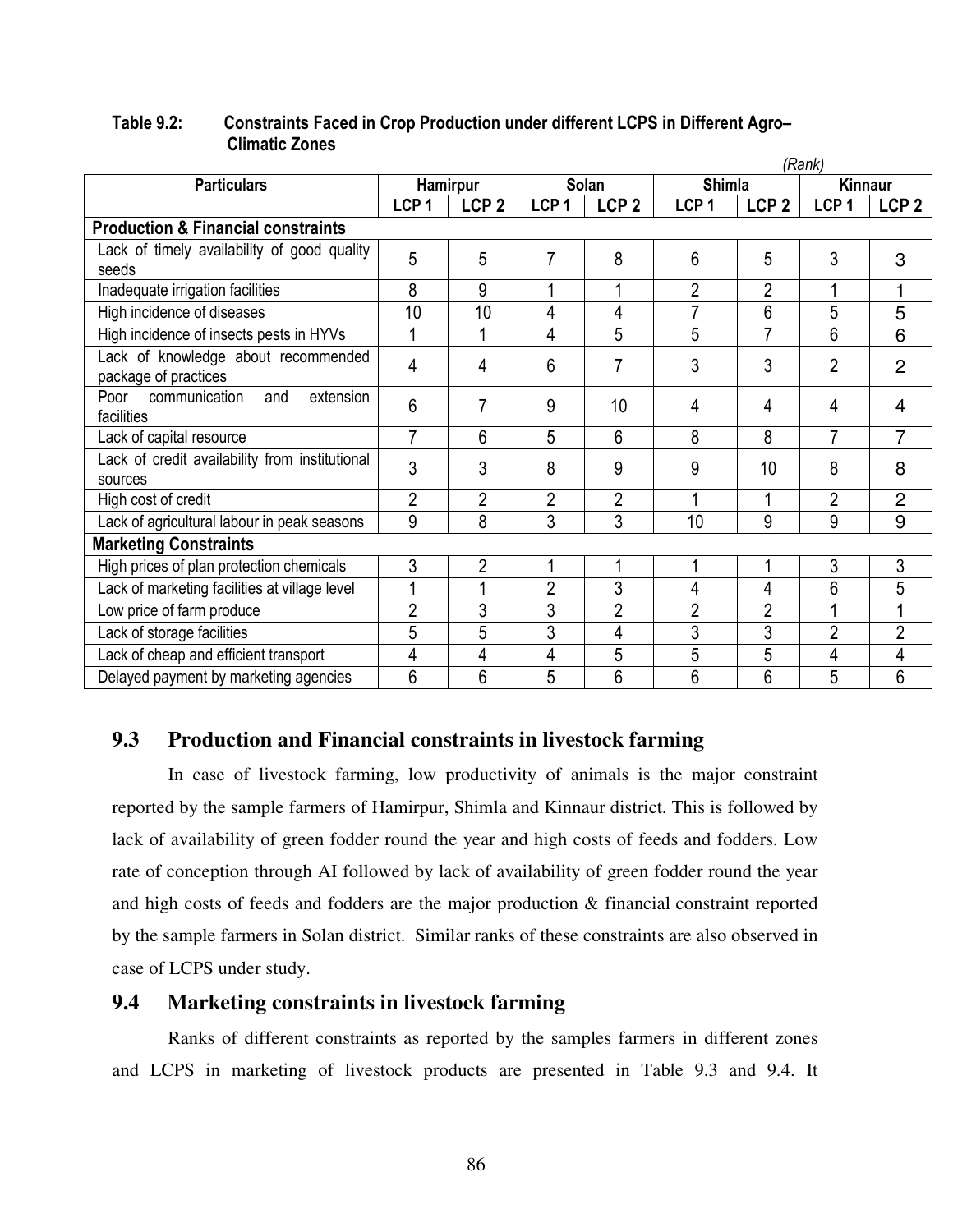|                                                             |                  |                  |                  |                  |                  |                  | (Rank)           |                  |
|-------------------------------------------------------------|------------------|------------------|------------------|------------------|------------------|------------------|------------------|------------------|
| <b>Particulars</b>                                          |                  | <b>Hamirpur</b>  |                  | Solan            |                  | <b>Shimla</b>    |                  | Kinnaur          |
|                                                             | LCP <sub>1</sub> | LCP <sub>2</sub> | LCP <sub>1</sub> | LCP <sub>2</sub> | LCP <sub>1</sub> | LCP <sub>2</sub> | LCP <sub>1</sub> | LCP <sub>2</sub> |
| <b>Production &amp; Financial constraints</b>               |                  |                  |                  |                  |                  |                  |                  |                  |
| Lack of timely availability of good quality<br>seeds        | 5                | 5                | 7                | 8                | 6                | 5                | 3                | 3                |
| Inadequate irrigation facilities                            | 8                | 9                | 1                | 1                | $\overline{2}$   | $\overline{2}$   | 1                |                  |
| High incidence of diseases                                  | 10               | 10               | 4                | 4                | 7                | 6                | 5                | 5                |
| High incidence of insects pests in HYVs                     |                  | 1                | 4                | 5                | 5                | $\overline{7}$   | 6                | 6                |
| Lack of knowledge about recommended<br>package of practices | 4                | 4                | 6                | 7                | 3                | 3                | $\overline{2}$   | 2                |
| communication<br>extension<br>and<br>Poor<br>facilities     | 6                | 7                | 9                | 10               | 4                | 4                | 4                | 4                |
| Lack of capital resource                                    | 7                | 6                | 5                | 6                | 8                | 8                | 7                | 7                |
| Lack of credit availability from institutional<br>sources   | 3                | 3                | 8                | 9                | 9                | 10               | 8                | 8                |
| High cost of credit                                         | $\overline{2}$   | $\overline{2}$   | $\overline{2}$   | 2                | 1                | 1                | $\overline{2}$   | 2                |
| Lack of agricultural labour in peak seasons                 | 9                | 8                | 3                | 3                | 10               | 9                | 9                | 9                |
| <b>Marketing Constraints</b>                                |                  |                  |                  |                  |                  |                  |                  |                  |
| High prices of plan protection chemicals                    | 3                | $\overline{2}$   | 1                | 1                | 1                | 1                | 3                | 3                |
| Lack of marketing facilities at village level               |                  | 1                | $\overline{2}$   | 3                | 4                | 4                | 6                | 5                |
| Low price of farm produce                                   | $\overline{2}$   | 3                | 3                | $\overline{2}$   | $\overline{2}$   | $\overline{2}$   |                  |                  |
| Lack of storage facilities                                  | 5                | 5                | 3                | 4                | 3                | 3                | $\overline{2}$   | $\overline{2}$   |
| Lack of cheap and efficient transport                       | 4                | 4                | 4                | 5                | 5                | 5                | 4                | 4                |
| Delayed payment by marketing agencies                       | 6                | 6                | 5                | 6                | 6                | 6                | 5                | 6                |

#### **Table 9.2: Constraints Faced in Crop Production under different LCPS in Different Agro– Climatic Zones**

### **9.3 Production and Financial constraints in livestock farming**

 In case of livestock farming, low productivity of animals is the major constraint reported by the sample farmers of Hamirpur, Shimla and Kinnaur district. This is followed by lack of availability of green fodder round the year and high costs of feeds and fodders. Low rate of conception through AI followed by lack of availability of green fodder round the year and high costs of feeds and fodders are the major production & financial constraint reported by the sample farmers in Solan district. Similar ranks of these constraints are also observed in case of LCPS under study.

### **9.4 Marketing constraints in livestock farming**

Ranks of different constraints as reported by the samples farmers in different zones and LCPS in marketing of livestock products are presented in Table 9.3 and 9.4. It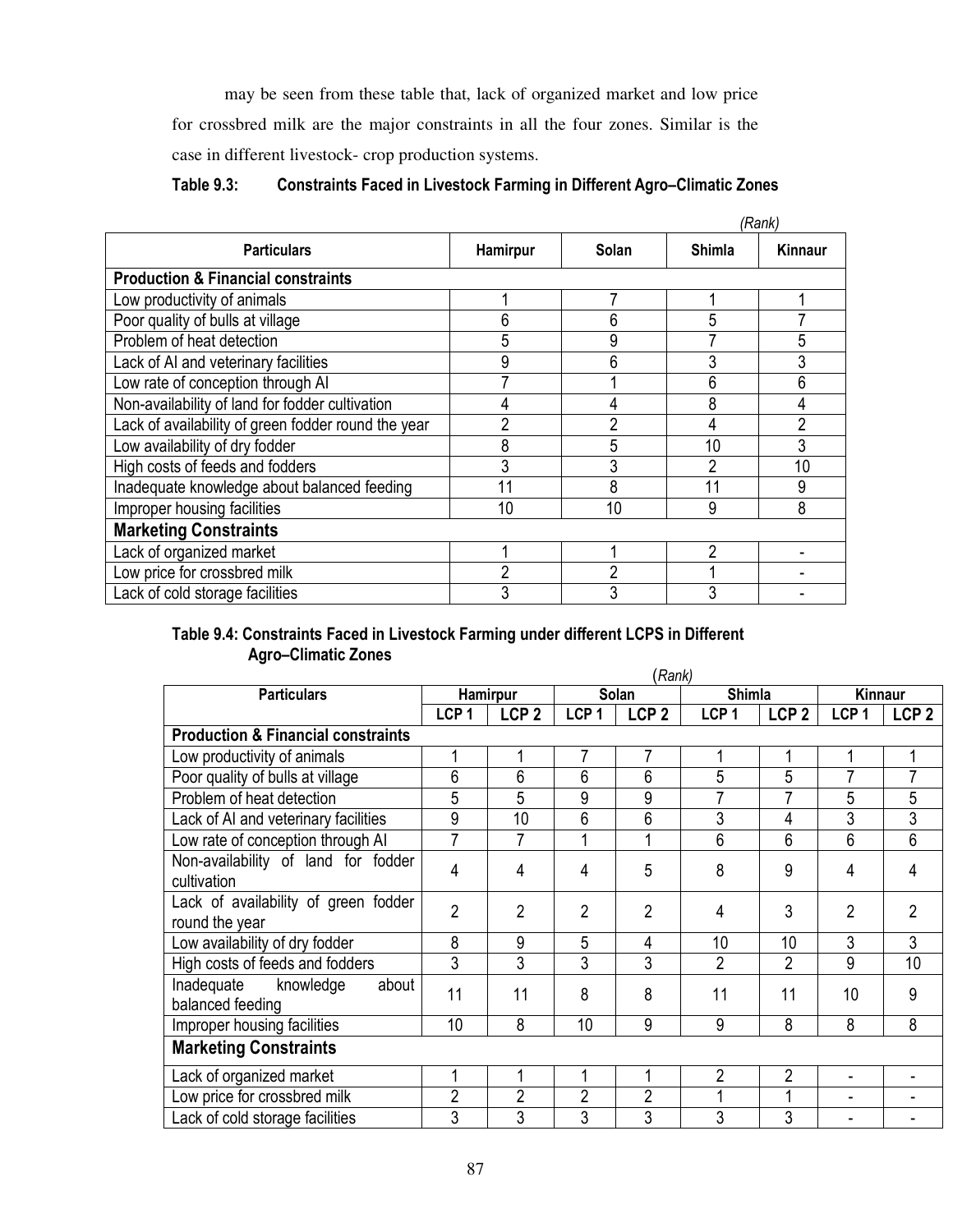may be seen from these table that, lack of organized market and low price for crossbred milk are the major constraints in all the four zones. Similar is the case in different livestock- crop production systems.

| <b>Table 9.3:</b> | <b>Constraints Faced in Livestock Farming in Different Agro-Climatic Zones</b> |
|-------------------|--------------------------------------------------------------------------------|
|-------------------|--------------------------------------------------------------------------------|

|                                                     |                |                |               | (Rank)         |  |  |  |
|-----------------------------------------------------|----------------|----------------|---------------|----------------|--|--|--|
| <b>Particulars</b>                                  | Hamirpur       | Solan          | <b>Shimla</b> | Kinnaur        |  |  |  |
| <b>Production &amp; Financial constraints</b>       |                |                |               |                |  |  |  |
| Low productivity of animals                         |                |                |               |                |  |  |  |
| Poor quality of bulls at village                    | 6              | 6              | 5             |                |  |  |  |
| Problem of heat detection                           | 5              | 9              |               | 5              |  |  |  |
| Lack of AI and veterinary facilities                | 9              | 6              |               | 3              |  |  |  |
| Low rate of conception through AI                   |                |                | 6             | 6              |  |  |  |
| Non-availability of land for fodder cultivation     | 4              |                | 8             | 4              |  |  |  |
| Lack of availability of green fodder round the vear | $\overline{2}$ | 2              |               | $\overline{2}$ |  |  |  |
| Low availability of dry fodder                      | 8              | 5              | 10            | 3              |  |  |  |
| High costs of feeds and fodders                     | 3              | 3              | າ             | 10             |  |  |  |
| Inadequate knowledge about balanced feeding         | 11             | 8              |               | 9              |  |  |  |
| Improper housing facilities                         | 10             | 10             | 9             | 8              |  |  |  |
| <b>Marketing Constraints</b>                        |                |                |               |                |  |  |  |
| Lack of organized market                            |                |                | 2             |                |  |  |  |
| Low price for crossbred milk                        | $\overline{2}$ | $\overline{2}$ |               |                |  |  |  |
| Lack of cold storage facilities                     | 3              | 3              | 3             |                |  |  |  |

#### **Table 9.4: Constraints Faced in Livestock Farming under different LCPS in Different Agro–Climatic Zones**

| (Rank)                                        |                  |                  |                  |                  |                  |                  |                  |                  |
|-----------------------------------------------|------------------|------------------|------------------|------------------|------------------|------------------|------------------|------------------|
| <b>Particulars</b>                            |                  | Hamirpur         | <b>Solan</b>     |                  | <b>Shimla</b>    |                  | <b>Kinnaur</b>   |                  |
|                                               | LCP <sub>1</sub> | LCP <sub>2</sub> | LCP <sub>1</sub> | LCP <sub>2</sub> | LCP <sub>1</sub> | LCP <sub>2</sub> | LCP <sub>1</sub> | LCP <sub>2</sub> |
| <b>Production &amp; Financial constraints</b> |                  |                  |                  |                  |                  |                  |                  |                  |
| Low productivity of animals                   |                  |                  | 7                | 7                |                  |                  |                  |                  |
| Poor quality of bulls at village              | 6                | 6                | 6                | 6                | 5                | 5                | 7                | 7                |
| Problem of heat detection                     | 5                | 5                | 9                | 9                | 7                | 7                | 5                | 5                |
| Lack of AI and veterinary facilities          | 9                | 10               | 6                | 6                | 3                | 4                | 3                | 3                |
| Low rate of conception through AI             | $\overline{7}$   | 7                | 1                | 1                | 6                | 6                | 6                | 6                |
| Non-availability of land for fodder           | 4                | 4                | 4                | 5                | 8                | 9                | 4                | 4                |
| cultivation                                   |                  |                  |                  |                  |                  |                  |                  |                  |
| Lack of availability of green fodder          | $\overline{2}$   | $\overline{2}$   | $\overline{2}$   | $\overline{2}$   | 4                | 3                | $\overline{2}$   | $\overline{2}$   |
| round the year                                |                  |                  |                  |                  |                  |                  |                  |                  |
| Low availability of dry fodder                | 8                | 9                | 5                | 4                | 10               | 10               | 3                | 3                |
| High costs of feeds and fodders               | 3                | 3                | 3                | 3                | $\overline{2}$   | 2                | 9                | 10               |
| knowledge<br>Inadequate<br>about              | 11               | 11               | 8                | 8                | 11               | 11               | 10               | 9                |
| balanced feeding                              |                  |                  |                  |                  |                  |                  |                  |                  |
| Improper housing facilities                   | 10               | 8                | 10               | 9                | 9                | 8                | 8                | 8                |
| <b>Marketing Constraints</b>                  |                  |                  |                  |                  |                  |                  |                  |                  |
| Lack of organized market                      |                  |                  | 1                | 1                | $\overline{2}$   | $\overline{2}$   |                  |                  |
| Low price for crossbred milk                  | $\overline{2}$   | $\overline{2}$   | $\overline{2}$   | $\overline{2}$   |                  | 1                |                  |                  |
| Lack of cold storage facilities               | 3                | 3                | 3                | 3                | 3                | 3                |                  |                  |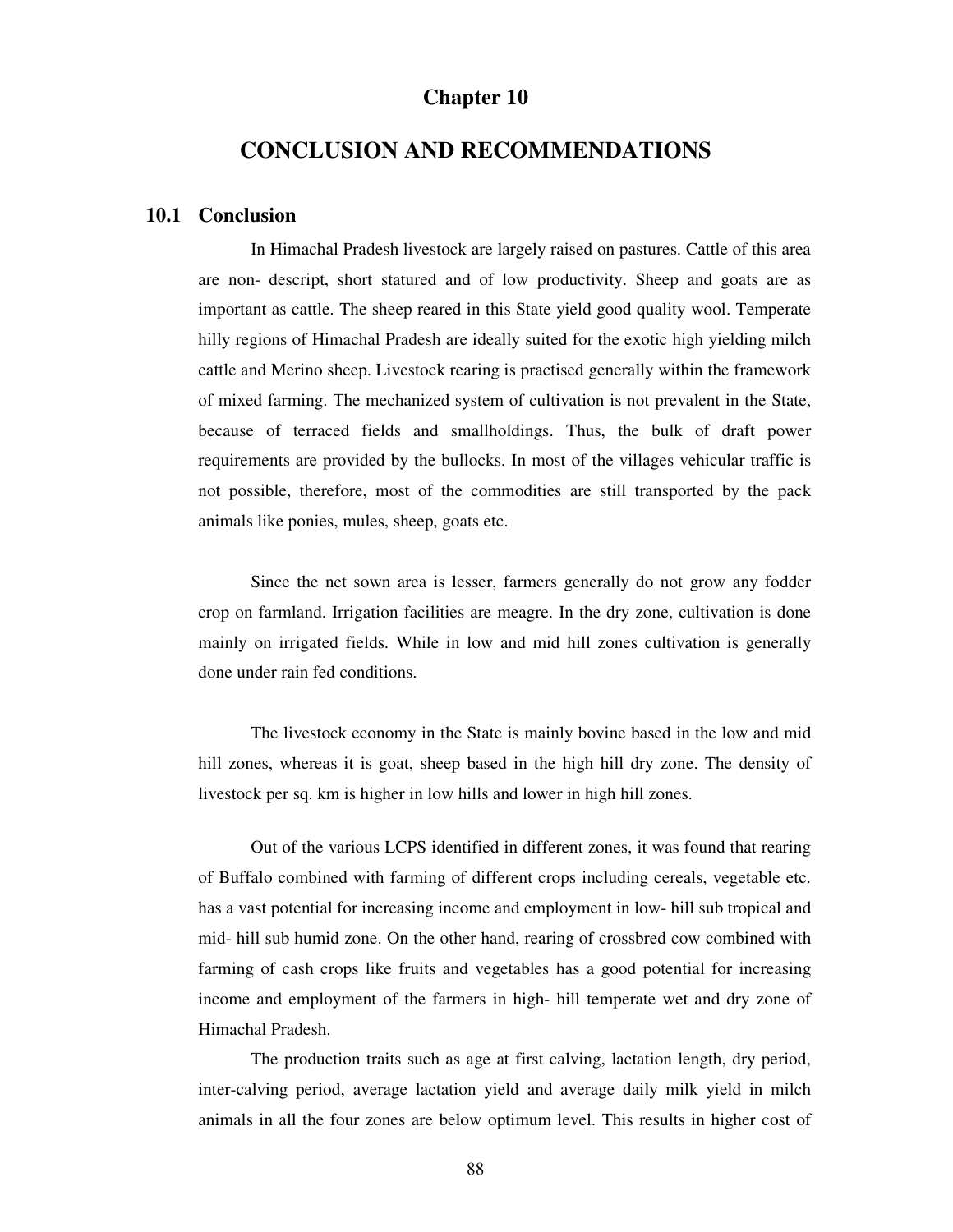#### **Chapter 10**

### **CONCLUSION AND RECOMMENDATIONS**

#### **10.1 Conclusion**

In Himachal Pradesh livestock are largely raised on pastures. Cattle of this area are non- descript, short statured and of low productivity. Sheep and goats are as important as cattle. The sheep reared in this State yield good quality wool. Temperate hilly regions of Himachal Pradesh are ideally suited for the exotic high yielding milch cattle and Merino sheep. Livestock rearing is practised generally within the framework of mixed farming. The mechanized system of cultivation is not prevalent in the State, because of terraced fields and smallholdings. Thus, the bulk of draft power requirements are provided by the bullocks. In most of the villages vehicular traffic is not possible, therefore, most of the commodities are still transported by the pack animals like ponies, mules, sheep, goats etc.

Since the net sown area is lesser, farmers generally do not grow any fodder crop on farmland. Irrigation facilities are meagre. In the dry zone, cultivation is done mainly on irrigated fields. While in low and mid hill zones cultivation is generally done under rain fed conditions.

The livestock economy in the State is mainly bovine based in the low and mid hill zones, whereas it is goat, sheep based in the high hill dry zone. The density of livestock per sq. km is higher in low hills and lower in high hill zones.

 Out of the various LCPS identified in different zones, it was found that rearing of Buffalo combined with farming of different crops including cereals, vegetable etc. has a vast potential for increasing income and employment in low- hill sub tropical and mid- hill sub humid zone. On the other hand, rearing of crossbred cow combined with farming of cash crops like fruits and vegetables has a good potential for increasing income and employment of the farmers in high- hill temperate wet and dry zone of Himachal Pradesh.

 The production traits such as age at first calving, lactation length, dry period, inter-calving period, average lactation yield and average daily milk yield in milch animals in all the four zones are below optimum level. This results in higher cost of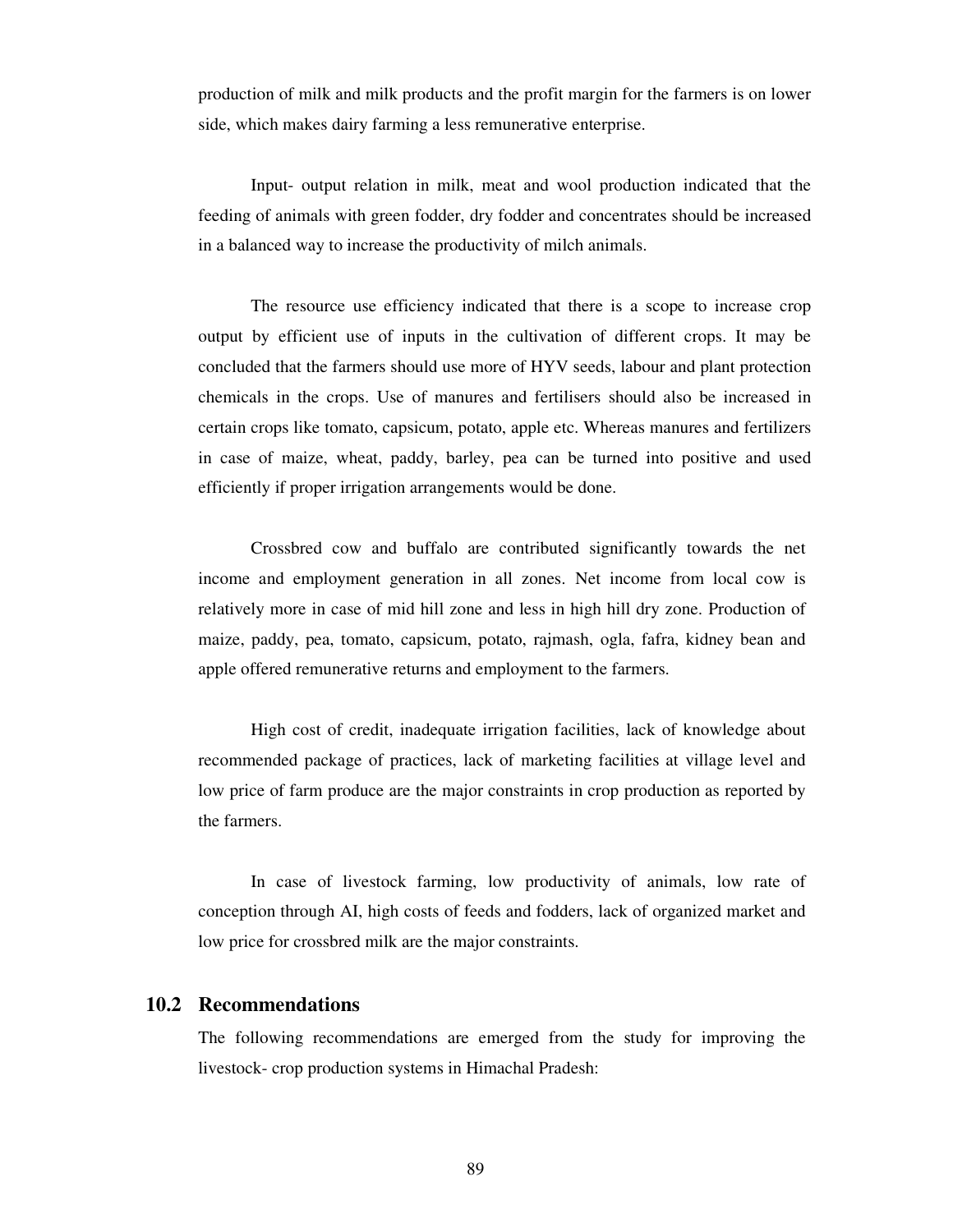production of milk and milk products and the profit margin for the farmers is on lower side, which makes dairy farming a less remunerative enterprise.

 Input- output relation in milk, meat and wool production indicated that the feeding of animals with green fodder, dry fodder and concentrates should be increased in a balanced way to increase the productivity of milch animals.

 The resource use efficiency indicated that there is a scope to increase crop output by efficient use of inputs in the cultivation of different crops. It may be concluded that the farmers should use more of HYV seeds, labour and plant protection chemicals in the crops. Use of manures and fertilisers should also be increased in certain crops like tomato, capsicum, potato, apple etc. Whereas manures and fertilizers in case of maize, wheat, paddy, barley, pea can be turned into positive and used efficiently if proper irrigation arrangements would be done.

Crossbred cow and buffalo are contributed significantly towards the net income and employment generation in all zones. Net income from local cow is relatively more in case of mid hill zone and less in high hill dry zone. Production of maize, paddy, pea, tomato, capsicum, potato, rajmash, ogla, fafra, kidney bean and apple offered remunerative returns and employment to the farmers.

High cost of credit, inadequate irrigation facilities, lack of knowledge about recommended package of practices, lack of marketing facilities at village level and low price of farm produce are the major constraints in crop production as reported by the farmers.

In case of livestock farming, low productivity of animals, low rate of conception through AI, high costs of feeds and fodders, lack of organized market and low price for crossbred milk are the major constraints.

#### **10.2 Recommendations**

The following recommendations are emerged from the study for improving the livestock- crop production systems in Himachal Pradesh: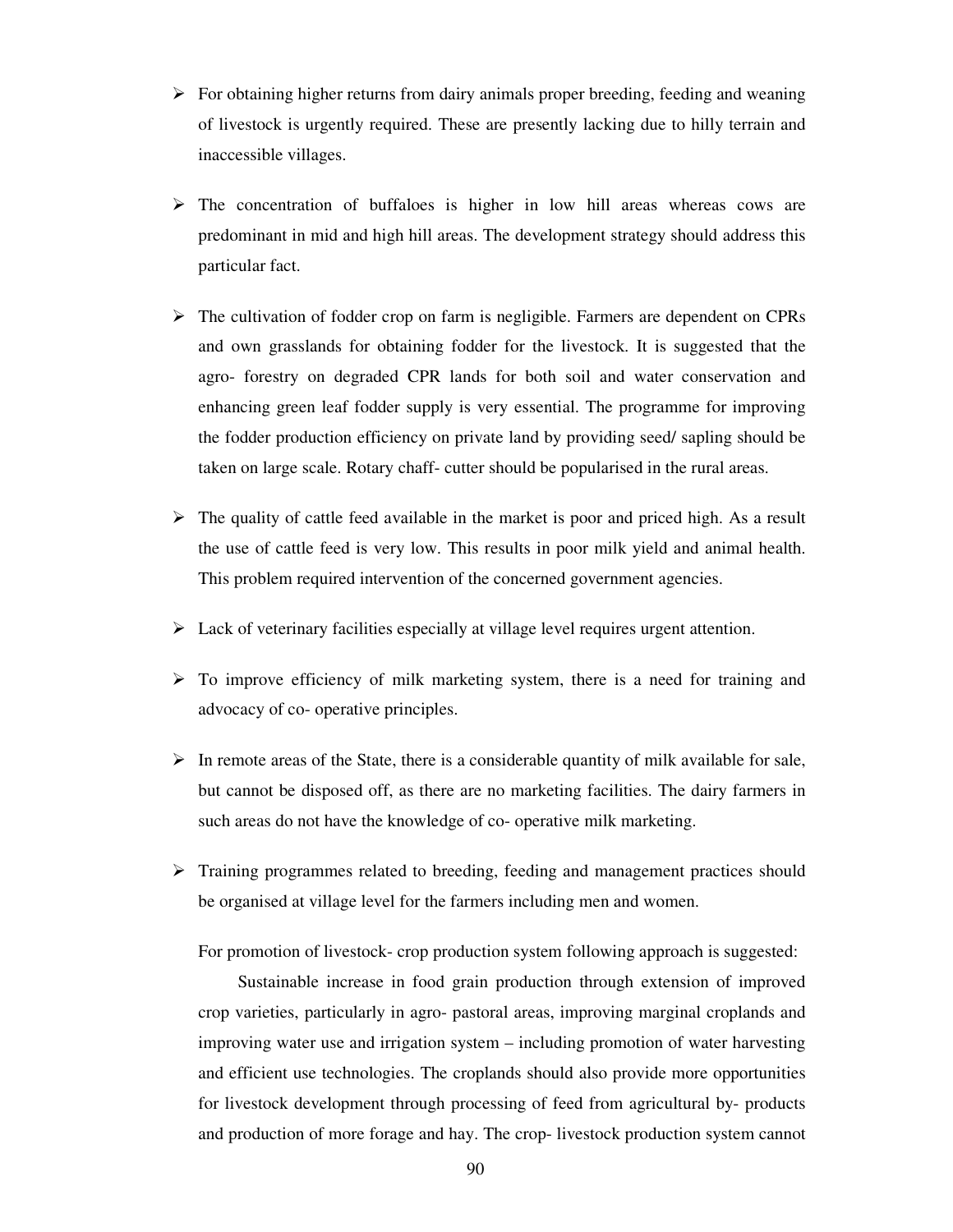- $\triangleright$  For obtaining higher returns from dairy animals proper breeding, feeding and weaning of livestock is urgently required. These are presently lacking due to hilly terrain and inaccessible villages.
- $\triangleright$  The concentration of buffaloes is higher in low hill areas whereas cows are predominant in mid and high hill areas. The development strategy should address this particular fact.
- $\triangleright$  The cultivation of fodder crop on farm is negligible. Farmers are dependent on CPRs and own grasslands for obtaining fodder for the livestock. It is suggested that the agro- forestry on degraded CPR lands for both soil and water conservation and enhancing green leaf fodder supply is very essential. The programme for improving the fodder production efficiency on private land by providing seed/ sapling should be taken on large scale. Rotary chaff- cutter should be popularised in the rural areas.
- $\triangleright$  The quality of cattle feed available in the market is poor and priced high. As a result the use of cattle feed is very low. This results in poor milk yield and animal health. This problem required intervention of the concerned government agencies.
- $\triangleright$  Lack of veterinary facilities especially at village level requires urgent attention.
- $\triangleright$  To improve efficiency of milk marketing system, there is a need for training and advocacy of co- operative principles.
- $\triangleright$  In remote areas of the State, there is a considerable quantity of milk available for sale, but cannot be disposed off, as there are no marketing facilities. The dairy farmers in such areas do not have the knowledge of co- operative milk marketing.
- $\triangleright$  Training programmes related to breeding, feeding and management practices should be organised at village level for the farmers including men and women.

For promotion of livestock- crop production system following approach is suggested:

 Sustainable increase in food grain production through extension of improved crop varieties, particularly in agro- pastoral areas, improving marginal croplands and improving water use and irrigation system – including promotion of water harvesting and efficient use technologies. The croplands should also provide more opportunities for livestock development through processing of feed from agricultural by- products and production of more forage and hay. The crop- livestock production system cannot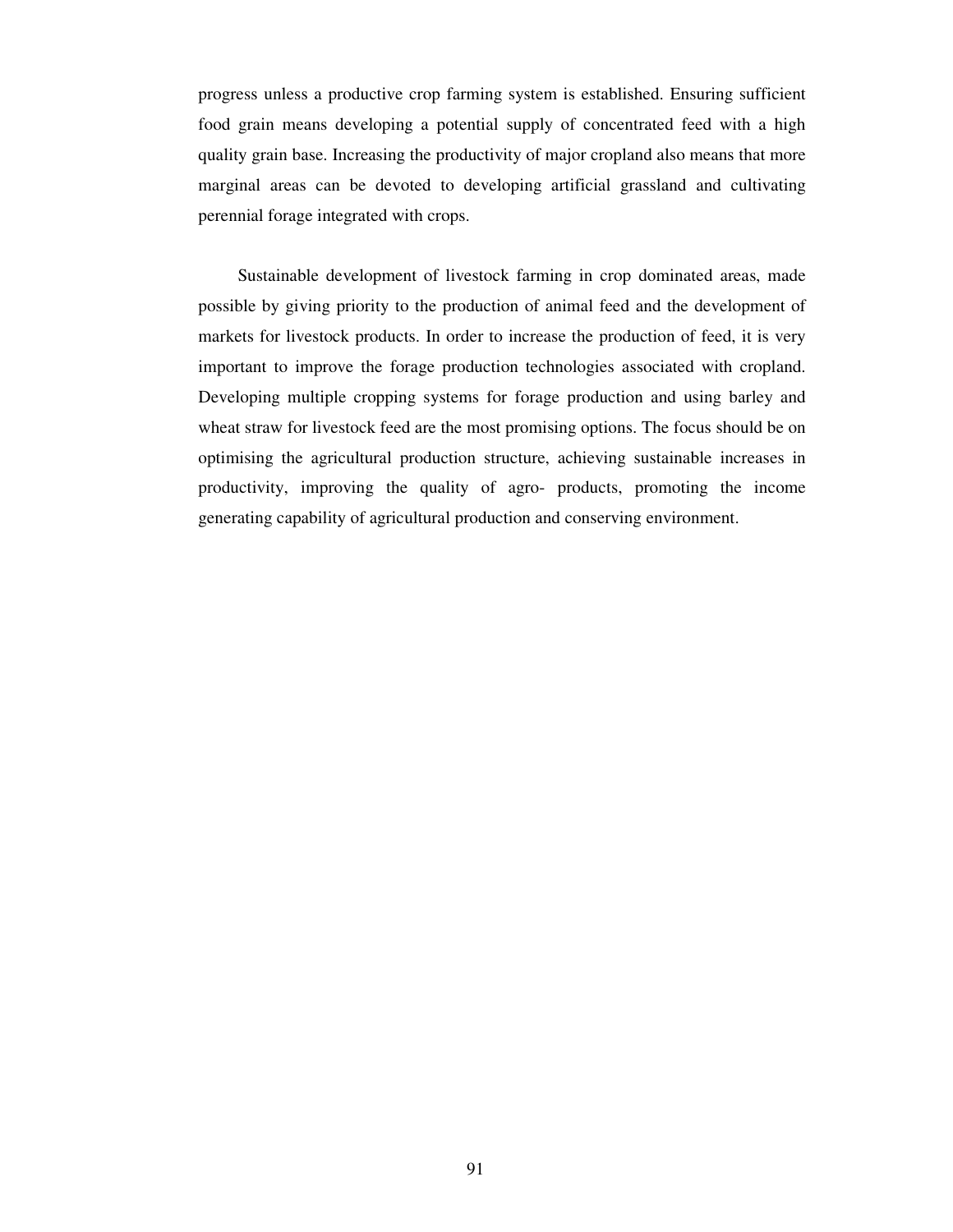progress unless a productive crop farming system is established. Ensuring sufficient food grain means developing a potential supply of concentrated feed with a high quality grain base. Increasing the productivity of major cropland also means that more marginal areas can be devoted to developing artificial grassland and cultivating perennial forage integrated with crops.

 Sustainable development of livestock farming in crop dominated areas, made possible by giving priority to the production of animal feed and the development of markets for livestock products. In order to increase the production of feed, it is very important to improve the forage production technologies associated with cropland. Developing multiple cropping systems for forage production and using barley and wheat straw for livestock feed are the most promising options. The focus should be on optimising the agricultural production structure, achieving sustainable increases in productivity, improving the quality of agro- products, promoting the income generating capability of agricultural production and conserving environment.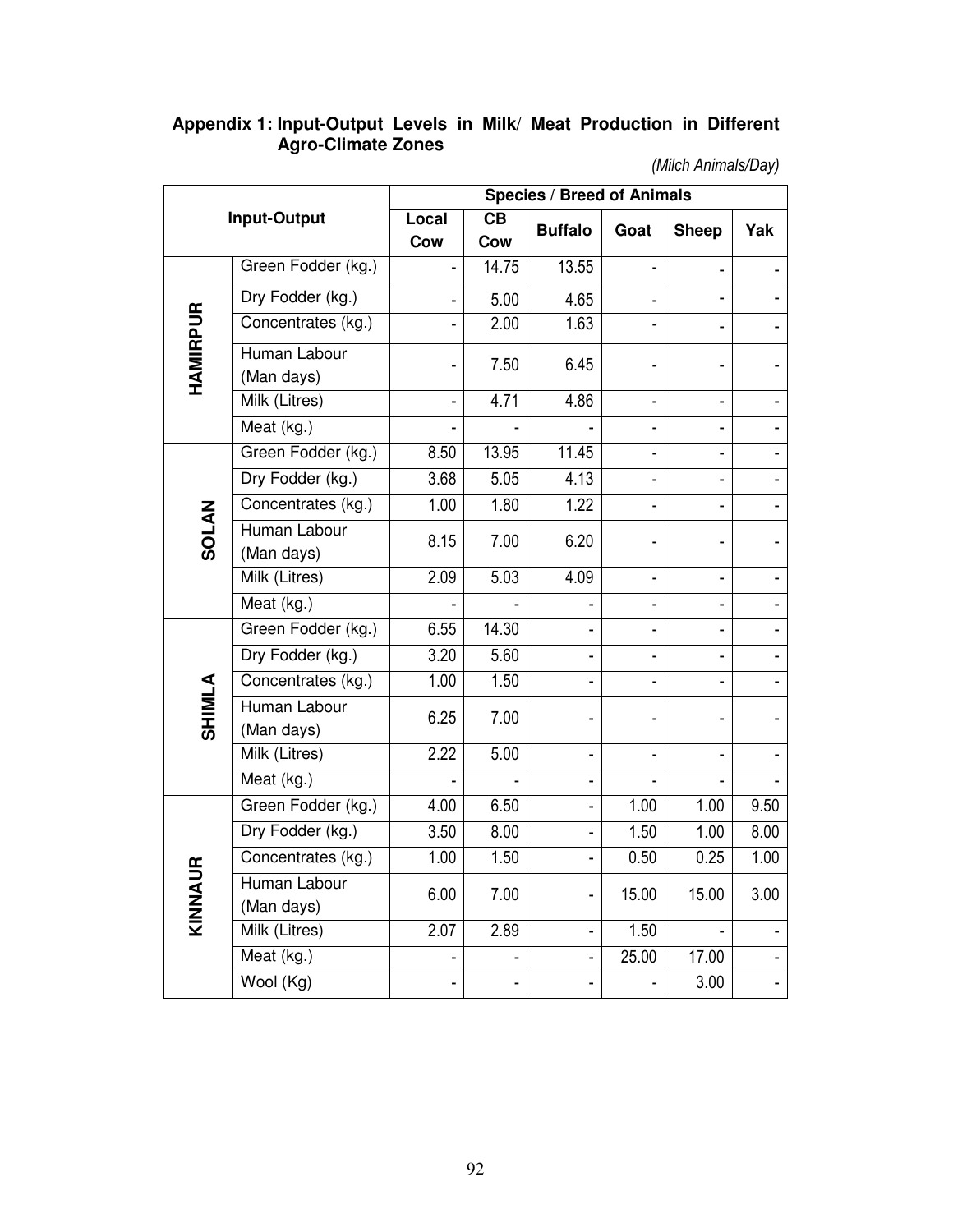#### **Appendix 1: Input-Output Levels in Milk**/ **Meat Production in Different Agro-Climate Zones**

*(Milch Animals/Day)* 

| <b>Input-Output</b>    |                            | <b>Species / Breed of Animals</b> |           |                          |       |                   |      |  |
|------------------------|----------------------------|-----------------------------------|-----------|--------------------------|-------|-------------------|------|--|
|                        |                            | Local<br>Cow                      | CB<br>Cow | <b>Buffalo</b>           | Goat  | <b>Sheep</b>      | Yak  |  |
| <b>HAMIRPUR</b>        | Green Fodder (kg.)         |                                   | 14.75     | 13.55                    |       |                   |      |  |
|                        | Dry Fodder (kg.)           |                                   | 5.00      | 4.65                     |       |                   |      |  |
|                        | Concentrates (kg.)         |                                   | 2.00      | 1.63                     |       |                   |      |  |
|                        | Human Labour<br>(Man days) |                                   | 7.50      | 6.45                     |       |                   |      |  |
|                        | Milk (Litres)              |                                   | 4.71      | 4.86                     |       |                   |      |  |
|                        | Meat (kg.)                 |                                   |           |                          |       |                   |      |  |
| <b>SOLAN</b>           | Green Fodder (kg.)         | 8.50                              | 13.95     | 11.45                    |       |                   |      |  |
|                        | Dry Fodder (kg.)           | 3.68                              | 5.05      | 4.13                     |       |                   |      |  |
|                        | Concentrates (kg.)         | 1.00                              | 1.80      | 1.22                     |       |                   |      |  |
|                        | Human Labour<br>(Man days) | 8.15                              | 7.00      | 6.20                     |       |                   |      |  |
|                        | Milk (Litres)              | 2.09                              | 5.03      | 4.09                     |       |                   |      |  |
|                        | Meat (kg.)                 |                                   |           |                          |       |                   |      |  |
| <b>SHIMLA</b>          | Green Fodder (kg.)         | 6.55                              | 14.30     |                          |       |                   |      |  |
|                        | Dry Fodder (kg.)           | 3.20                              | 5.60      |                          |       |                   |      |  |
|                        | Concentrates (kg.)         | 1.00                              | 1.50      |                          |       |                   |      |  |
|                        | Human Labour<br>(Man days) | 6.25                              | 7.00      |                          |       |                   |      |  |
|                        | Milk (Litres)              | 2.22                              | 5.00      |                          |       |                   |      |  |
|                        | Meat (kg.)                 |                                   |           | $\overline{\phantom{0}}$ |       |                   |      |  |
| $\mathbf{r}$<br>KINNAI | Green Fodder (kg.)         | 4.00                              | 6.50      |                          | 1.00  | 1.00              | 9.50 |  |
|                        | Dry Fodder (kg.)           | 3.50                              | 8.00      |                          | 1.50  | 1.00              | 8.00 |  |
|                        | Concentrates (kg.)         | 1.00                              | 1.50      |                          | 0.50  | 0.25              | 1.00 |  |
|                        | Human Labour<br>(Man days) | 6.00                              | 7.00      |                          | 15.00 | 15.00             | 3.00 |  |
|                        | Milk (Litres)              | 2.07                              | 2.89      |                          | 1.50  |                   |      |  |
|                        | Meat (kg.)                 |                                   |           |                          | 25.00 | 17.00             |      |  |
|                        | Wool (Kg)                  |                                   |           |                          |       | $\overline{3.00}$ |      |  |